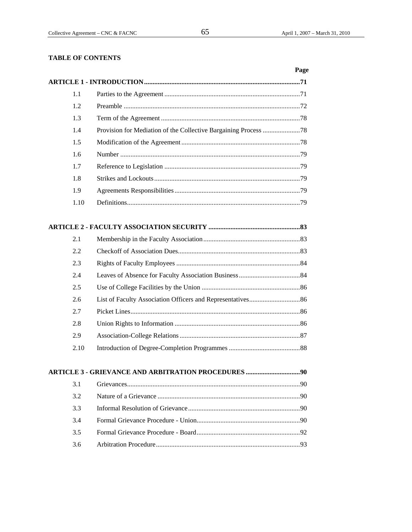# **TABLE OF CONTENTS**

|      | Page |
|------|------|
|      |      |
| 1.1  |      |
| 1.2  |      |
| 1.3  |      |
| 1.4  |      |
| 1.5  |      |
| 1.6  |      |
| 1.7  |      |
| 1.8  |      |
| 1.9  |      |
| 1.10 |      |
|      |      |
| 2.1  |      |
| 2.2  |      |
| 2.3  |      |
| 2.4  |      |
| 2.5  |      |
| 2.6  |      |
| 2.7  |      |
| 2.8  |      |
| 2.9  |      |
| 2.10 |      |
|      |      |
| 3.1  |      |
| 3.2  |      |
| 3.3  |      |
| 3.4  |      |
| 3.5  |      |
| 3.6  |      |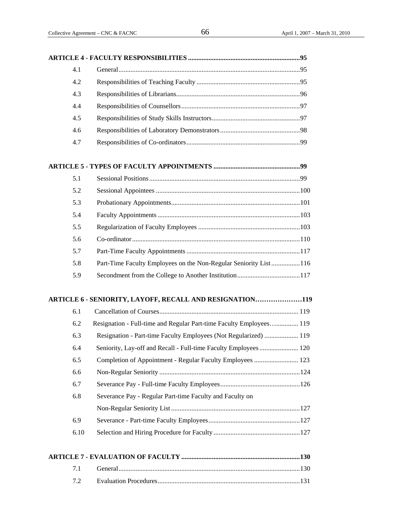| 4.1 |                                                                     |
|-----|---------------------------------------------------------------------|
| 4.2 |                                                                     |
| 4.3 |                                                                     |
| 4.4 |                                                                     |
| 4.5 |                                                                     |
| 4.6 |                                                                     |
| 4.7 |                                                                     |
|     |                                                                     |
| 5.1 |                                                                     |
| 5.2 |                                                                     |
| 5.3 |                                                                     |
| 5.4 |                                                                     |
| 5.5 |                                                                     |
| 5.6 |                                                                     |
| 5.7 |                                                                     |
| 5.8 | Part-Time Faculty Employees on the Non-Regular Seniority List116    |
| 5.9 |                                                                     |
|     | ARTICLE 6 - SENIORITY, LAYOFF, RECALL AND RESIGNATION119            |
| 6.1 |                                                                     |
| 6.2 | Resignation - Full-time and Regular Part-time Faculty Employees 119 |
| 6.3 | Resignation - Part-time Faculty Employees (Not Regularized)  119    |
| 6.4 | Seniority, Lay-off and Recall - Full-time Faculty Employees 120     |
| 6.5 | Completion of Appointment - Regular Faculty Employees  123          |
| 6.6 |                                                                     |
| 6.7 |                                                                     |
| 6.8 | Severance Pay - Regular Part-time Faculty and Faculty on            |
|     |                                                                     |

| 6.9  |  |
|------|--|
| 6.10 |  |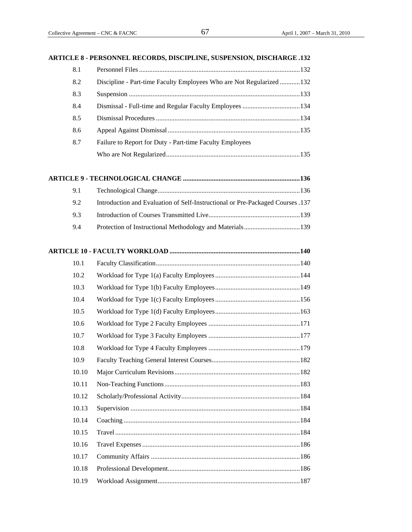### **ARTICLE 8 - PERSONNEL RECORDS, DISCIPLINE, SUSPENSION, DISCHARGE .132**

| 8.1 |                                                                     |  |
|-----|---------------------------------------------------------------------|--|
| 8.2 | Discipline - Part-time Faculty Employees Who are Not Regularized132 |  |
| 8.3 |                                                                     |  |
| 8.4 | Dismissal - Full-time and Regular Faculty Employees 134             |  |
| 8.5 |                                                                     |  |
| 8.6 |                                                                     |  |
| 8.7 | Failure to Report for Duty - Part-time Faculty Employees            |  |
|     |                                                                     |  |

# **ARTICLE 9 - TECHNOLOGICAL CHANGE .....................................................................136**

| 9.2 | 137. Introduction and Evaluation of Self-Instructional or Pre-Packaged Courses |
|-----|--------------------------------------------------------------------------------|
| 9.3 |                                                                                |
| 9.4 |                                                                                |

### **ARTICLE 10 - FACULTY WORKLOAD .............................................................................140**

| 10.1  |  |
|-------|--|
| 10.2  |  |
| 10.3  |  |
| 10.4  |  |
| 10.5  |  |
| 10.6  |  |
| 10.7  |  |
| 10.8  |  |
| 10.9  |  |
| 10.10 |  |
| 10.11 |  |
| 10.12 |  |
| 10.13 |  |
| 10.14 |  |
| 10.15 |  |
| 10.16 |  |
| 10.17 |  |
| 10.18 |  |
| 10.19 |  |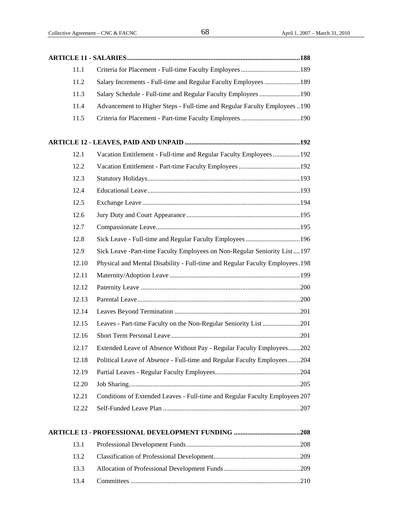| 11.1  |                                                                               |
|-------|-------------------------------------------------------------------------------|
| 11.2  | Salary Increments - Full-time and Regular Faculty Employees  189              |
| 11.3  | Salary Schedule - Full-time and Regular Faculty Employees 190                 |
| 11.4  | Advancement to Higher Steps - Full-time and Regular Faculty Employees190      |
| 11.5  |                                                                               |
|       |                                                                               |
|       |                                                                               |
| 12.1  | Vacation Entitlement - Full-time and Regular Faculty Employees 192            |
| 12.2  |                                                                               |
| 12.3  |                                                                               |
| 12.4  |                                                                               |
| 12.5  |                                                                               |
| 12.6  |                                                                               |
| 12.7  |                                                                               |
| 12.8  | Sick Leave - Full-time and Regular Faculty Employees196                       |
| 12.9  | Sick Leave -Part-time Faculty Employees on Non-Regular Seniority List197      |
| 12.10 | Physical and Mental Disability - Full-time and Regular Faculty Employees. 198 |
| 12.11 |                                                                               |
| 12.12 |                                                                               |
| 12.13 |                                                                               |
| 12.14 |                                                                               |
| 12.15 | Leaves - Part-time Faculty on the Non-Regular Seniority List 201              |
| 12.16 |                                                                               |
| 12.17 | Extended Leave of Absence Without Pay - Regular Faculty Employees202          |
| 12.18 | Political Leave of Absence - Full-time and Regular Faculty Employees204       |
| 12.19 |                                                                               |
| 12.20 |                                                                               |
| 12.21 | Conditions of Extended Leaves - Full-time and Regular Faculty Employees 207   |
| 12.22 |                                                                               |
|       |                                                                               |
|       |                                                                               |
| 13.1  |                                                                               |
| 13.2  |                                                                               |

<sup>13.3</sup> Allocation of Professional Development Funds.............................................209 13.4 Committees ....................................................................................................210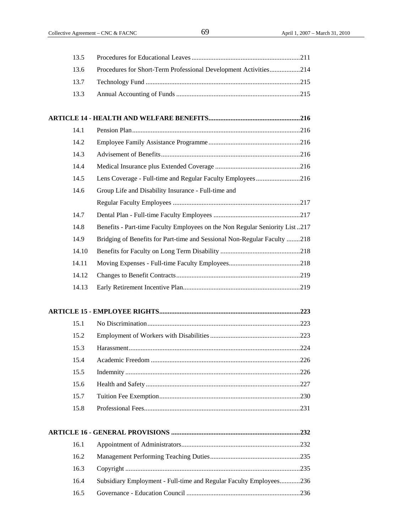| 13.5  |                                                                             |  |
|-------|-----------------------------------------------------------------------------|--|
| 13.6  | Procedures for Short-Term Professional Development Activities214            |  |
| 13.7  |                                                                             |  |
| 13.3  |                                                                             |  |
|       |                                                                             |  |
| 14.1  |                                                                             |  |
| 14.2  |                                                                             |  |
| 14.3  |                                                                             |  |
| 14.4  |                                                                             |  |
| 14.5  | Lens Coverage - Full-time and Regular Faculty Employees216                  |  |
| 14.6  | Group Life and Disability Insurance - Full-time and                         |  |
|       |                                                                             |  |
| 14.7  |                                                                             |  |
| 14.8  | Benefits - Part-time Faculty Employees on the Non Regular Seniority List217 |  |
| 14.9  | Bridging of Benefits for Part-time and Sessional Non-Regular Faculty 218    |  |
| 14.10 |                                                                             |  |
| 14.11 |                                                                             |  |
| 14.12 |                                                                             |  |
| 14.13 |                                                                             |  |
|       |                                                                             |  |
| 15.1  |                                                                             |  |
| 15.2  |                                                                             |  |
| 15.3  |                                                                             |  |
| 15.4  |                                                                             |  |
| 15.5  |                                                                             |  |
| 15.6  |                                                                             |  |
| 15.7  |                                                                             |  |
| 15.8  |                                                                             |  |
|       |                                                                             |  |
| 16.1  |                                                                             |  |
| 16.2  |                                                                             |  |
| 16.3  |                                                                             |  |
| 16.4  | Subsidiary Employment - Full-time and Regular Faculty Employees236          |  |
| 16.5  |                                                                             |  |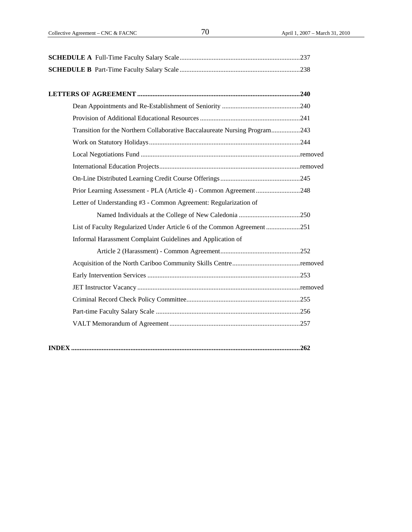| Transition for the Northern Collaborative Baccalaureate Nursing Program243 |  |  |
|----------------------------------------------------------------------------|--|--|
|                                                                            |  |  |
|                                                                            |  |  |
|                                                                            |  |  |
|                                                                            |  |  |
| Prior Learning Assessment - PLA (Article 4) - Common Agreement 248         |  |  |
| Letter of Understanding #3 - Common Agreement: Regularization of           |  |  |
|                                                                            |  |  |
| List of Faculty Regularized Under Article 6 of the Common Agreement 251    |  |  |
| Informal Harassment Complaint Guidelines and Application of                |  |  |
|                                                                            |  |  |
|                                                                            |  |  |
|                                                                            |  |  |
|                                                                            |  |  |
|                                                                            |  |  |
|                                                                            |  |  |
|                                                                            |  |  |
|                                                                            |  |  |
|                                                                            |  |  |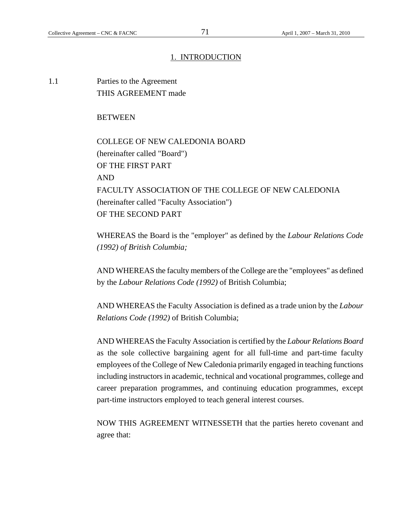# 1. INTRODUCTION

1.1 Parties to the Agreement THIS AGREEMENT made

### **BETWEEN**

 COLLEGE OF NEW CALEDONIA BOARD (hereinafter called "Board") OF THE FIRST PART AND FACULTY ASSOCIATION OF THE COLLEGE OF NEW CALEDONIA (hereinafter called "Faculty Association") OF THE SECOND PART

WHEREAS the Board is the "employer" as defined by the *Labour Relations Code (1992) of British Columbia;*

AND WHEREAS the faculty members of the College are the "employees" as defined by the *Labour Relations Code (1992)* of British Columbia;

AND WHEREAS the Faculty Association is defined as a trade union by the *Labour Relations Code (1992)* of British Columbia;

AND WHEREAS the Faculty Association is certified by the *Labour Relations Board* as the sole collective bargaining agent for all full-time and part-time faculty employees of the College of New Caledonia primarily engaged in teaching functions including instructors in academic, technical and vocational programmes, college and career preparation programmes, and continuing education programmes, except part-time instructors employed to teach general interest courses.

NOW THIS AGREEMENT WITNESSETH that the parties hereto covenant and agree that: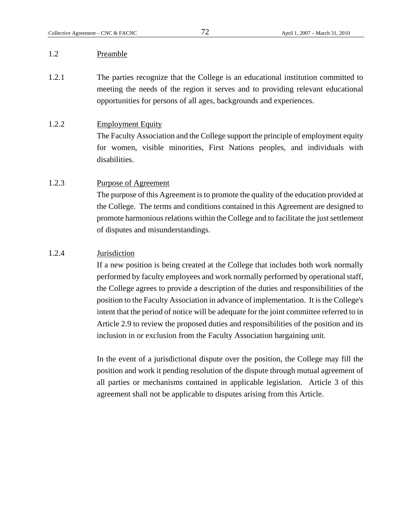# 1.2 Preamble

1.2.1 The parties recognize that the College is an educational institution committed to meeting the needs of the region it serves and to providing relevant educational opportunities for persons of all ages, backgrounds and experiences.

### 1.2.2 Employment Equity

The Faculty Association and the College support the principle of employment equity for women, visible minorities, First Nations peoples, and individuals with disabilities.

# 1.2.3 Purpose of Agreement

The purpose of this Agreement is to promote the quality of the education provided at the College. The terms and conditions contained in this Agreement are designed to promote harmonious relations within the College and to facilitate the just settlement of disputes and misunderstandings.

# 1.2.4 Jurisdiction

If a new position is being created at the College that includes both work normally performed by faculty employees and work normally performed by operational staff, the College agrees to provide a description of the duties and responsibilities of the position to the Faculty Association in advance of implementation. It is the College's intent that the period of notice will be adequate for the joint committee referred to in Article 2.9 to review the proposed duties and responsibilities of the position and its inclusion in or exclusion from the Faculty Association bargaining unit.

In the event of a jurisdictional dispute over the position, the College may fill the position and work it pending resolution of the dispute through mutual agreement of all parties or mechanisms contained in applicable legislation. Article 3 of this agreement shall not be applicable to disputes arising from this Article.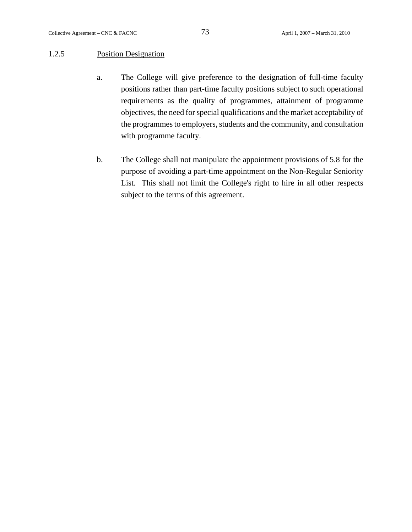### 1.2.5 Position Designation

- a. The College will give preference to the designation of full-time faculty positions rather than part-time faculty positions subject to such operational requirements as the quality of programmes, attainment of programme objectives, the need for special qualifications and the market acceptability of the programmes to employers, students and the community, and consultation with programme faculty.
- b. The College shall not manipulate the appointment provisions of 5.8 for the purpose of avoiding a part-time appointment on the Non-Regular Seniority List. This shall not limit the College's right to hire in all other respects subject to the terms of this agreement.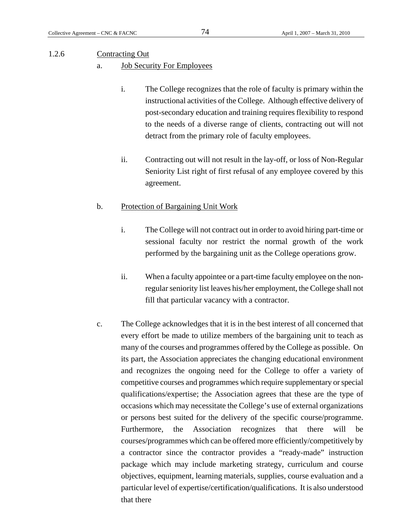### 1.2.6 Contracting Out

- a. Job Security For Employees
	- i. The College recognizes that the role of faculty is primary within the instructional activities of the College. Although effective delivery of post-secondary education and training requires flexibility to respond to the needs of a diverse range of clients, contracting out will not detract from the primary role of faculty employees.
	- ii. Contracting out will not result in the lay-off, or loss of Non-Regular Seniority List right of first refusal of any employee covered by this agreement.

# b. Protection of Bargaining Unit Work

- i. The College will not contract out in order to avoid hiring part-time or sessional faculty nor restrict the normal growth of the work performed by the bargaining unit as the College operations grow.
- ii. When a faculty appointee or a part-time faculty employee on the nonregular seniority list leaves his/her employment, the College shall not fill that particular vacancy with a contractor.
- c. The College acknowledges that it is in the best interest of all concerned that every effort be made to utilize members of the bargaining unit to teach as many of the courses and programmes offered by the College as possible. On its part, the Association appreciates the changing educational environment and recognizes the ongoing need for the College to offer a variety of competitive courses and programmes which require supplementary or special qualifications/expertise; the Association agrees that these are the type of occasions which may necessitate the College's use of external organizations or persons best suited for the delivery of the specific course/programme. Furthermore, the Association recognizes that there will be courses/programmes which can be offered more efficiently/competitively by a contractor since the contractor provides a "ready-made" instruction package which may include marketing strategy, curriculum and course objectives, equipment, learning materials, supplies, course evaluation and a particular level of expertise/certification/qualifications. It is also understood that there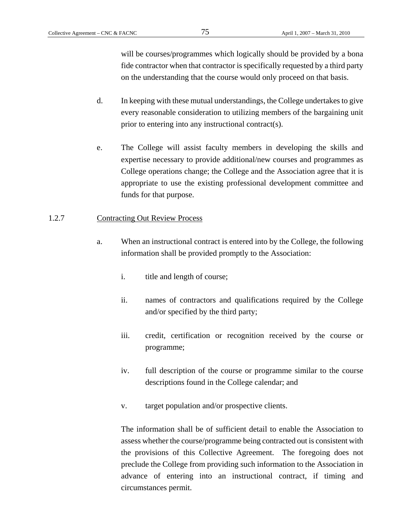will be courses/programmes which logically should be provided by a bona fide contractor when that contractor is specifically requested by a third party on the understanding that the course would only proceed on that basis.

- d. In keeping with these mutual understandings, the College undertakes to give every reasonable consideration to utilizing members of the bargaining unit prior to entering into any instructional contract(s).
- e. The College will assist faculty members in developing the skills and expertise necessary to provide additional/new courses and programmes as College operations change; the College and the Association agree that it is appropriate to use the existing professional development committee and funds for that purpose.

# 1.2.7 Contracting Out Review Process

- a. When an instructional contract is entered into by the College, the following information shall be provided promptly to the Association:
	- i. title and length of course;
	- ii. names of contractors and qualifications required by the College and/or specified by the third party;
	- iii. credit, certification or recognition received by the course or programme;
	- iv. full description of the course or programme similar to the course descriptions found in the College calendar; and
	- v. target population and/or prospective clients.

The information shall be of sufficient detail to enable the Association to assess whether the course/programme being contracted out is consistent with the provisions of this Collective Agreement. The foregoing does not preclude the College from providing such information to the Association in advance of entering into an instructional contract, if timing and circumstances permit.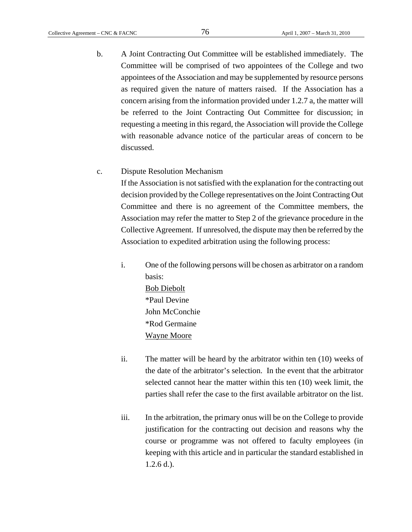b. A Joint Contracting Out Committee will be established immediately. The Committee will be comprised of two appointees of the College and two appointees of the Association and may be supplemented by resource persons as required given the nature of matters raised. If the Association has a concern arising from the information provided under 1.2.7 a, the matter will be referred to the Joint Contracting Out Committee for discussion; in requesting a meeting in this regard, the Association will provide the College with reasonable advance notice of the particular areas of concern to be discussed.

### c. Dispute Resolution Mechanism

If the Association is not satisfied with the explanation for the contracting out decision provided by the College representatives on the Joint Contracting Out Committee and there is no agreement of the Committee members, the Association may refer the matter to Step 2 of the grievance procedure in the Collective Agreement. If unresolved, the dispute may then be referred by the Association to expedited arbitration using the following process:

i. One of the following persons will be chosen as arbitrator on a random basis: Bob Diebolt \*Paul Devine John McConchie \*Rod Germaine Wayne Moore

- ii. The matter will be heard by the arbitrator within ten (10) weeks of the date of the arbitrator's selection. In the event that the arbitrator selected cannot hear the matter within this ten (10) week limit, the parties shall refer the case to the first available arbitrator on the list.
- iii. In the arbitration, the primary onus will be on the College to provide justification for the contracting out decision and reasons why the course or programme was not offered to faculty employees (in keeping with this article and in particular the standard established in 1.2.6 d.).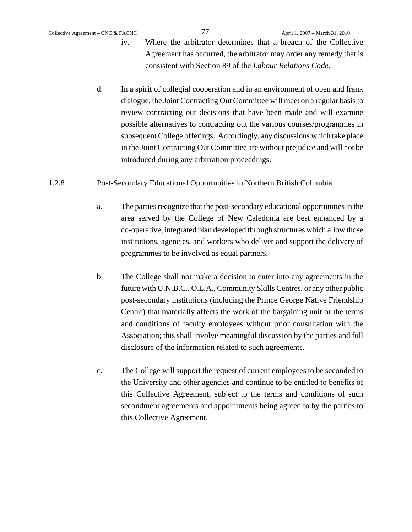- iv. Where the arbitrator determines that a breach of the Collective Agreement has occurred, the arbitrator may order any remedy that is consistent with Section 89 of the *Labour Relations Code.*
- d. In a spirit of collegial cooperation and in an environment of open and frank dialogue, the Joint Contracting Out Committee will meet on a regular basis to review contracting out decisions that have been made and will examine possible alternatives to contracting out the various courses/programmes in subsequent College offerings. Accordingly, any discussions which take place in the Joint Contracting Out Committee are without prejudice and will not be introduced during any arbitration proceedings.

### 1.2.8 Post-Secondary Educational Opportunities in Northern British Columbia

- a. The parties recognize that the post-secondary educational opportunities in the area served by the College of New Caledonia are best enhanced by a co-operative, integrated plan developed through structures which allow those institutions, agencies, and workers who deliver and support the delivery of programmes to be involved as equal partners.
- b. The College shall not make a decision to enter into any agreements in the future with U.N.B.C., O.L.A., Community Skills Centres, or any other public post-secondary institutions (including the Prince George Native Friendship Centre) that materially affects the work of the bargaining unit or the terms and conditions of faculty employees without prior consultation with the Association; this shall involve meaningful discussion by the parties and full disclosure of the information related to such agreements.
- c. The College will support the request of current employees to be seconded to the University and other agencies and continue to be entitled to benefits of this Collective Agreement, subject to the terms and conditions of such secondment agreements and appointments being agreed to by the parties to this Collective Agreement.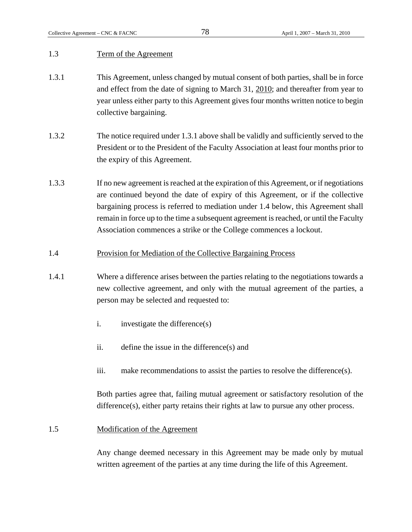# 1.3 Term of the Agreement

- 1.3.1 This Agreement, unless changed by mutual consent of both parties, shall be in force and effect from the date of signing to March 31, 2010; and thereafter from year to year unless either party to this Agreement gives four months written notice to begin collective bargaining.
- 1.3.2 The notice required under 1.3.1 above shall be validly and sufficiently served to the President or to the President of the Faculty Association at least four months prior to the expiry of this Agreement.
- 1.3.3 If no new agreement is reached at the expiration of this Agreement, or if negotiations are continued beyond the date of expiry of this Agreement, or if the collective bargaining process is referred to mediation under 1.4 below, this Agreement shall remain in force up to the time a subsequent agreement is reached, or until the Faculty Association commences a strike or the College commences a lockout.
- 1.4 Provision for Mediation of the Collective Bargaining Process
- 1.4.1 Where a difference arises between the parties relating to the negotiations towards a new collective agreement, and only with the mutual agreement of the parties, a person may be selected and requested to:
	- i. investigate the difference(s)
	- ii. define the issue in the difference(s) and
	- iii. make recommendations to assist the parties to resolve the difference(s).

Both parties agree that, failing mutual agreement or satisfactory resolution of the difference(s), either party retains their rights at law to pursue any other process.

# 1.5 Modification of the Agreement

Any change deemed necessary in this Agreement may be made only by mutual written agreement of the parties at any time during the life of this Agreement.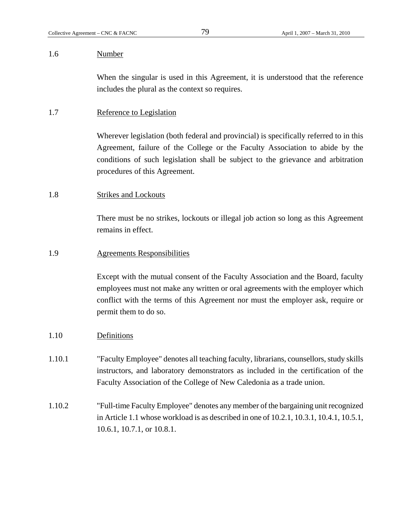# 1.6 Number

When the singular is used in this Agreement, it is understood that the reference includes the plural as the context so requires.

# 1.7 Reference to Legislation

Wherever legislation (both federal and provincial) is specifically referred to in this Agreement, failure of the College or the Faculty Association to abide by the conditions of such legislation shall be subject to the grievance and arbitration procedures of this Agreement.

# 1.8 Strikes and Lockouts

There must be no strikes, lockouts or illegal job action so long as this Agreement remains in effect.

# 1.9 Agreements Responsibilities

Except with the mutual consent of the Faculty Association and the Board, faculty employees must not make any written or oral agreements with the employer which conflict with the terms of this Agreement nor must the employer ask, require or permit them to do so.

# 1.10 Definitions

1.10.1 "Faculty Employee" denotes all teaching faculty, librarians, counsellors, study skills instructors, and laboratory demonstrators as included in the certification of the Faculty Association of the College of New Caledonia as a trade union.

1.10.2 "Full-time Faculty Employee" denotes any member of the bargaining unit recognized in Article 1.1 whose workload is as described in one of 10.2.1, 10.3.1, 10.4.1, 10.5.1, 10.6.1, 10.7.1, or 10.8.1.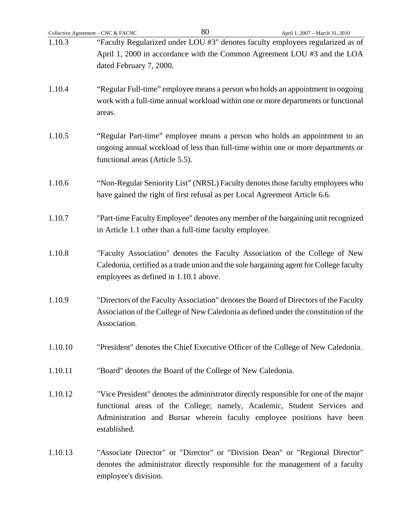| Collective Agreement - CNC & FACNC | 80<br>April 1, 2007 - March 31, 2010                                                                                                                                                                                                                      |
|------------------------------------|-----------------------------------------------------------------------------------------------------------------------------------------------------------------------------------------------------------------------------------------------------------|
| 1.10.3                             | "Faculty Regularized under LOU #3" denotes faculty employees regularized as of                                                                                                                                                                            |
|                                    | April 1, 2000 in accordance with the Common Agreement LOU #3 and the LOA                                                                                                                                                                                  |
|                                    | dated February 7, 2000.                                                                                                                                                                                                                                   |
| 1.10.4                             | "Regular Full-time" employee means a person who holds an appointment to ongoing                                                                                                                                                                           |
|                                    | work with a full-time annual workload within one or more departments or functional<br>areas.                                                                                                                                                              |
| 1.10.5                             | "Regular Part-time" employee means a person who holds an appointment to an<br>ongoing annual workload of less than full-time within one or more departments or<br>functional areas (Article 5.5).                                                         |
| 1.10.6                             | "Non-Regular Seniority List" (NRSL) Faculty denotes those faculty employees who<br>have gained the right of first refusal as per Local Agreement Article 6.6.                                                                                             |
| 1.10.7                             | "Part-time Faculty Employee" denotes any member of the bargaining unit recognized<br>in Article 1.1 other than a full-time faculty employee.                                                                                                              |
| 1.10.8                             | "Faculty Association" denotes the Faculty Association of the College of New<br>Caledonia, certified as a trade union and the sole bargaining agent for College faculty<br>employees as defined in 1.10.1 above.                                           |
| 1.10.9                             | "Directors of the Faculty Association" denotes the Board of Directors of the Faculty<br>Association of the College of New Caledonia as defined under the constitution of the<br>Association.                                                              |
| 1.10.10                            | "President" denotes the Chief Executive Officer of the College of New Caledonia.                                                                                                                                                                          |
| 1.10.11                            | "Board" denotes the Board of the College of New Caledonia.                                                                                                                                                                                                |
| 1.10.12                            | "Vice President" denotes the administrator directly responsible for one of the major<br>functional areas of the College; namely, Academic, Student Services and<br>Administration and Bursar wherein faculty employee positions have been<br>established. |
| 1.10.13                            | "Associate Director" or "Director" or "Division Dean" or "Regional Director"<br>denotes the administrator directly responsible for the management of a faculty<br>employee's division.                                                                    |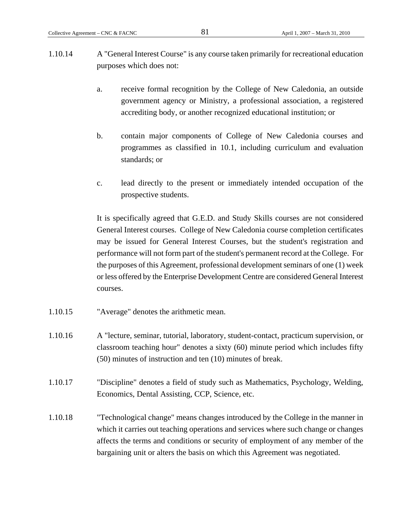- 1.10.14 A "General Interest Course" is any course taken primarily for recreational education purposes which does not:
	- a. receive formal recognition by the College of New Caledonia, an outside government agency or Ministry, a professional association, a registered accrediting body, or another recognized educational institution; or
	- b. contain major components of College of New Caledonia courses and programmes as classified in 10.1, including curriculum and evaluation standards; or
	- c. lead directly to the present or immediately intended occupation of the prospective students.

It is specifically agreed that G.E.D. and Study Skills courses are not considered General Interest courses. College of New Caledonia course completion certificates may be issued for General Interest Courses, but the student's registration and performance will not form part of the student's permanent record at the College. For the purposes of this Agreement, professional development seminars of one (1) week or less offered by the Enterprise Development Centre are considered General Interest courses.

- 1.10.15 "Average" denotes the arithmetic mean.
- 1.10.16 A "lecture, seminar, tutorial, laboratory, student-contact, practicum supervision, or classroom teaching hour" denotes a sixty (60) minute period which includes fifty (50) minutes of instruction and ten (10) minutes of break.
- 1.10.17 "Discipline" denotes a field of study such as Mathematics, Psychology, Welding, Economics, Dental Assisting, CCP, Science, etc.
- 1.10.18 "Technological change" means changes introduced by the College in the manner in which it carries out teaching operations and services where such change or changes affects the terms and conditions or security of employment of any member of the bargaining unit or alters the basis on which this Agreement was negotiated.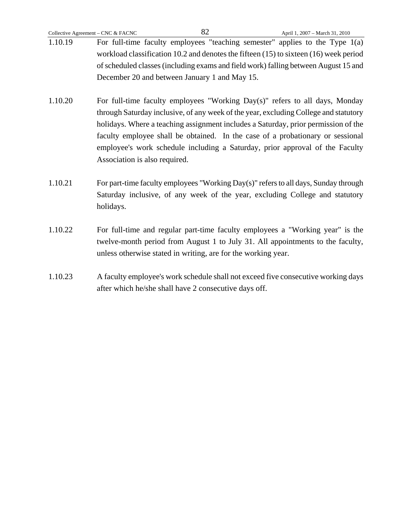- 1.10.20 For full-time faculty employees "Working Day(s)" refers to all days, Monday through Saturday inclusive, of any week of the year, excluding College and statutory holidays. Where a teaching assignment includes a Saturday, prior permission of the faculty employee shall be obtained. In the case of a probationary or sessional employee's work schedule including a Saturday, prior approval of the Faculty Association is also required.
- 1.10.21 For part-time faculty employees "Working Day(s)" refers to all days, Sunday through Saturday inclusive, of any week of the year, excluding College and statutory holidays.
- 1.10.22 For full-time and regular part-time faculty employees a "Working year" is the twelve-month period from August 1 to July 31. All appointments to the faculty, unless otherwise stated in writing, are for the working year.
- 1.10.23 A faculty employee's work schedule shall not exceed five consecutive working days after which he/she shall have 2 consecutive days off.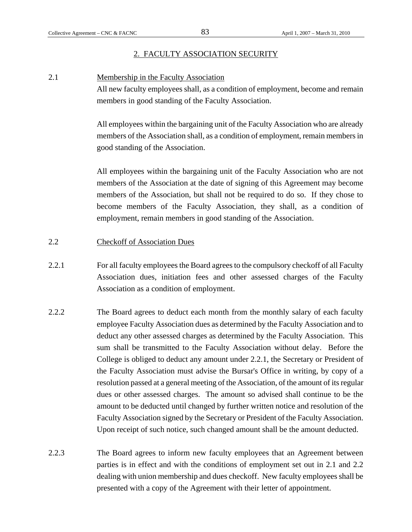# 2. FACULTY ASSOCIATION SECURITY

2.1 Membership in the Faculty Association

All new faculty employees shall, as a condition of employment, become and remain members in good standing of the Faculty Association.

All employees within the bargaining unit of the Faculty Association who are already members of the Association shall, as a condition of employment, remain members in good standing of the Association.

All employees within the bargaining unit of the Faculty Association who are not members of the Association at the date of signing of this Agreement may become members of the Association, but shall not be required to do so. If they chose to become members of the Faculty Association, they shall, as a condition of employment, remain members in good standing of the Association.

# 2.2 Checkoff of Association Dues

- 2.2.1 For all faculty employees the Board agrees to the compulsory checkoff of all Faculty Association dues, initiation fees and other assessed charges of the Faculty Association as a condition of employment.
- 2.2.2 The Board agrees to deduct each month from the monthly salary of each faculty employee Faculty Association dues as determined by the Faculty Association and to deduct any other assessed charges as determined by the Faculty Association. This sum shall be transmitted to the Faculty Association without delay. Before the College is obliged to deduct any amount under 2.2.1, the Secretary or President of the Faculty Association must advise the Bursar's Office in writing, by copy of a resolution passed at a general meeting of the Association, of the amount of its regular dues or other assessed charges. The amount so advised shall continue to be the amount to be deducted until changed by further written notice and resolution of the Faculty Association signed by the Secretary or President of the Faculty Association. Upon receipt of such notice, such changed amount shall be the amount deducted.
- 2.2.3 The Board agrees to inform new faculty employees that an Agreement between parties is in effect and with the conditions of employment set out in 2.1 and 2.2 dealing with union membership and dues checkoff. New faculty employees shall be presented with a copy of the Agreement with their letter of appointment.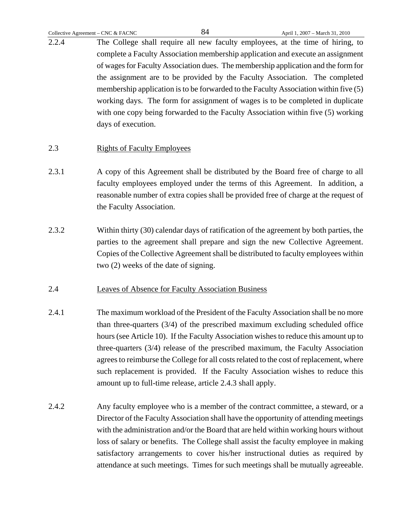2.2.4 The College shall require all new faculty employees, at the time of hiring, to complete a Faculty Association membership application and execute an assignment of wages for Faculty Association dues. The membership application and the form for the assignment are to be provided by the Faculty Association. The completed membership application is to be forwarded to the Faculty Association within five (5) working days. The form for assignment of wages is to be completed in duplicate with one copy being forwarded to the Faculty Association within five (5) working days of execution.

# 2.3 Rights of Faculty Employees

- 2.3.1 A copy of this Agreement shall be distributed by the Board free of charge to all faculty employees employed under the terms of this Agreement. In addition, a reasonable number of extra copies shall be provided free of charge at the request of the Faculty Association.
- 2.3.2 Within thirty (30) calendar days of ratification of the agreement by both parties, the parties to the agreement shall prepare and sign the new Collective Agreement. Copies of the Collective Agreement shall be distributed to faculty employees within two (2) weeks of the date of signing.

# 2.4 Leaves of Absence for Faculty Association Business

- 2.4.1 The maximum workload of the President of the Faculty Association shall be no more than three-quarters (3/4) of the prescribed maximum excluding scheduled office hours (see Article 10). If the Faculty Association wishes to reduce this amount up to three-quarters (3/4) release of the prescribed maximum, the Faculty Association agrees to reimburse the College for all costs related to the cost of replacement, where such replacement is provided. If the Faculty Association wishes to reduce this amount up to full-time release, article 2.4.3 shall apply.
- 2.4.2 Any faculty employee who is a member of the contract committee, a steward, or a Director of the Faculty Association shall have the opportunity of attending meetings with the administration and/or the Board that are held within working hours without loss of salary or benefits. The College shall assist the faculty employee in making satisfactory arrangements to cover his/her instructional duties as required by attendance at such meetings. Times for such meetings shall be mutually agreeable.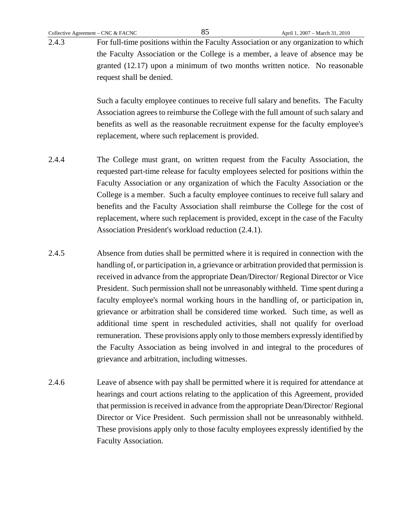2.4.3 For full-time positions within the Faculty Association or any organization to which the Faculty Association or the College is a member, a leave of absence may be granted (12.17) upon a minimum of two months written notice. No reasonable request shall be denied.

> Such a faculty employee continues to receive full salary and benefits. The Faculty Association agrees to reimburse the College with the full amount of such salary and benefits as well as the reasonable recruitment expense for the faculty employee's replacement, where such replacement is provided.

- 2.4.4 The College must grant, on written request from the Faculty Association, the requested part-time release for faculty employees selected for positions within the Faculty Association or any organization of which the Faculty Association or the College is a member. Such a faculty employee continues to receive full salary and benefits and the Faculty Association shall reimburse the College for the cost of replacement, where such replacement is provided, except in the case of the Faculty Association President's workload reduction (2.4.1).
- 2.4.5 Absence from duties shall be permitted where it is required in connection with the handling of, or participation in, a grievance or arbitration provided that permission is received in advance from the appropriate Dean/Director/ Regional Director or Vice President. Such permission shall not be unreasonably withheld. Time spent during a faculty employee's normal working hours in the handling of, or participation in, grievance or arbitration shall be considered time worked. Such time, as well as additional time spent in rescheduled activities, shall not qualify for overload remuneration. These provisions apply only to those members expressly identified by the Faculty Association as being involved in and integral to the procedures of grievance and arbitration, including witnesses.
- 2.4.6 Leave of absence with pay shall be permitted where it is required for attendance at hearings and court actions relating to the application of this Agreement, provided that permission is received in advance from the appropriate Dean/Director/ Regional Director or Vice President. Such permission shall not be unreasonably withheld. These provisions apply only to those faculty employees expressly identified by the Faculty Association.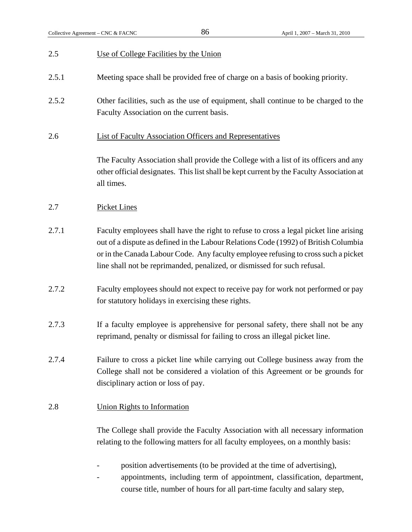| 2.5   | Use of College Facilities by the Union                                                                                                                                                                                                                                                                                                         |
|-------|------------------------------------------------------------------------------------------------------------------------------------------------------------------------------------------------------------------------------------------------------------------------------------------------------------------------------------------------|
| 2.5.1 | Meeting space shall be provided free of charge on a basis of booking priority.                                                                                                                                                                                                                                                                 |
| 2.5.2 | Other facilities, such as the use of equipment, shall continue to be charged to the<br>Faculty Association on the current basis.                                                                                                                                                                                                               |
| 2.6   | <b>List of Faculty Association Officers and Representatives</b>                                                                                                                                                                                                                                                                                |
|       | The Faculty Association shall provide the College with a list of its officers and any<br>other official designates. This list shall be kept current by the Faculty Association at<br>all times.                                                                                                                                                |
| 2.7   | <b>Picket Lines</b>                                                                                                                                                                                                                                                                                                                            |
| 2.7.1 | Faculty employees shall have the right to refuse to cross a legal picket line arising<br>out of a dispute as defined in the Labour Relations Code (1992) of British Columbia<br>or in the Canada Labour Code. Any faculty employee refusing to cross such a picket<br>line shall not be reprimanded, penalized, or dismissed for such refusal. |
| 2.7.2 | Faculty employees should not expect to receive pay for work not performed or pay<br>for statutory holidays in exercising these rights.                                                                                                                                                                                                         |
| 2.7.3 | If a faculty employee is apprehensive for personal safety, there shall not be any<br>reprimand, penalty or dismissal for failing to cross an illegal picket line.                                                                                                                                                                              |
| 2.7.4 | Failure to cross a picket line while carrying out College business away from the<br>College shall not be considered a violation of this Agreement or be grounds for<br>disciplinary action or loss of pay.                                                                                                                                     |
| 2.8   | <b>Union Rights to Information</b>                                                                                                                                                                                                                                                                                                             |
|       | The College shall provide the Faculty Association with all necessary information<br>relating to the following matters for all faculty employees, on a monthly basis:                                                                                                                                                                           |
|       | position advertisements (to be provided at the time of advertising),                                                                                                                                                                                                                                                                           |

- appointments, including term of appointment, classification, department, course title, number of hours for all part-time faculty and salary step,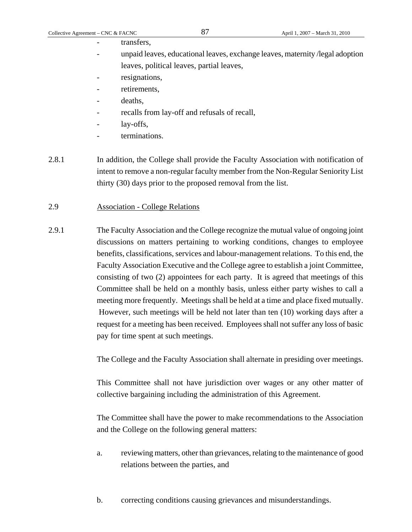transfers.

- unpaid leaves, educational leaves, exchange leaves, maternity /legal adoption leaves, political leaves, partial leaves,
- resignations,
- retirements,
- deaths.
- recalls from lay-off and refusals of recall,
- lay-offs,
- terminations.
- 2.8.1 In addition, the College shall provide the Faculty Association with notification of intent to remove a non-regular faculty member from the Non-Regular Seniority List thirty (30) days prior to the proposed removal from the list.

# 2.9 Association - College Relations

2.9.1 The Faculty Association and the College recognize the mutual value of ongoing joint discussions on matters pertaining to working conditions, changes to employee benefits, classifications, services and labour-management relations. To this end, the Faculty Association Executive and the College agree to establish a joint Committee, consisting of two (2) appointees for each party. It is agreed that meetings of this Committee shall be held on a monthly basis, unless either party wishes to call a meeting more frequently. Meetings shall be held at a time and place fixed mutually. However, such meetings will be held not later than ten (10) working days after a request for a meeting has been received. Employees shall not suffer any loss of basic pay for time spent at such meetings.

The College and the Faculty Association shall alternate in presiding over meetings.

This Committee shall not have jurisdiction over wages or any other matter of collective bargaining including the administration of this Agreement.

The Committee shall have the power to make recommendations to the Association and the College on the following general matters:

- a. reviewing matters, other than grievances, relating to the maintenance of good relations between the parties, and
- b. correcting conditions causing grievances and misunderstandings.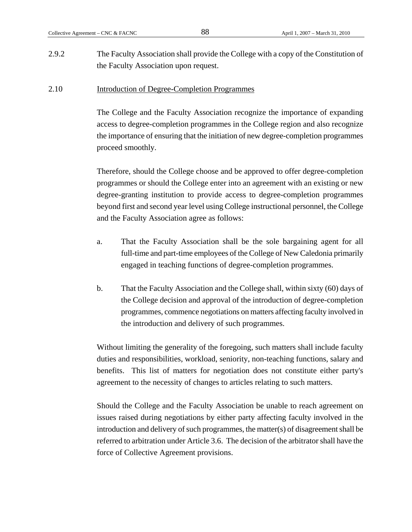2.9.2 The Faculty Association shall provide the College with a copy of the Constitution of the Faculty Association upon request.

### 2.10 Introduction of Degree-Completion Programmes

The College and the Faculty Association recognize the importance of expanding access to degree-completion programmes in the College region and also recognize the importance of ensuring that the initiation of new degree-completion programmes proceed smoothly.

Therefore, should the College choose and be approved to offer degree-completion programmes or should the College enter into an agreement with an existing or new degree-granting institution to provide access to degree-completion programmes beyond first and second year level using College instructional personnel, the College and the Faculty Association agree as follows:

- a. That the Faculty Association shall be the sole bargaining agent for all full-time and part-time employees of the College of New Caledonia primarily engaged in teaching functions of degree-completion programmes.
- b. That the Faculty Association and the College shall, within sixty (60) days of the College decision and approval of the introduction of degree-completion programmes, commence negotiations on matters affecting faculty involved in the introduction and delivery of such programmes.

Without limiting the generality of the foregoing, such matters shall include faculty duties and responsibilities, workload, seniority, non-teaching functions, salary and benefits. This list of matters for negotiation does not constitute either party's agreement to the necessity of changes to articles relating to such matters.

Should the College and the Faculty Association be unable to reach agreement on issues raised during negotiations by either party affecting faculty involved in the introduction and delivery of such programmes, the matter(s) of disagreement shall be referred to arbitration under Article 3.6. The decision of the arbitrator shall have the force of Collective Agreement provisions.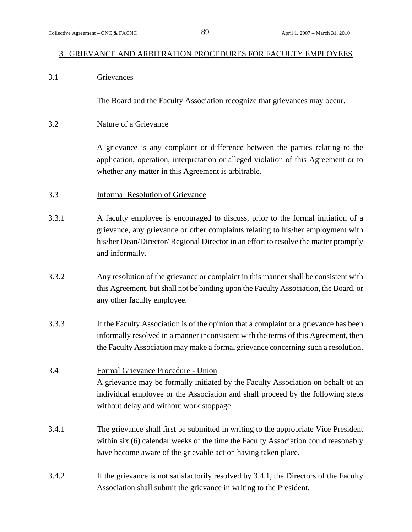### 3. GRIEVANCE AND ARBITRATION PROCEDURES FOR FACULTY EMPLOYEES

# 3.1 Grievances

The Board and the Faculty Association recognize that grievances may occur.

### 3.2 Nature of a Grievance

A grievance is any complaint or difference between the parties relating to the application, operation, interpretation or alleged violation of this Agreement or to whether any matter in this Agreement is arbitrable.

- 3.3 Informal Resolution of Grievance
- 3.3.1 A faculty employee is encouraged to discuss, prior to the formal initiation of a grievance, any grievance or other complaints relating to his/her employment with his/her Dean/Director/ Regional Director in an effort to resolve the matter promptly and informally.
- 3.3.2 Any resolution of the grievance or complaint in this manner shall be consistent with this Agreement, but shall not be binding upon the Faculty Association, the Board, or any other faculty employee.
- 3.3.3 If the Faculty Association is of the opinion that a complaint or a grievance has been informally resolved in a manner inconsistent with the terms of this Agreement, then the Faculty Association may make a formal grievance concerning such a resolution.

# 3.4 Formal Grievance Procedure - Union A grievance may be formally initiated by the Faculty Association on behalf of an individual employee or the Association and shall proceed by the following steps without delay and without work stoppage:

- 3.4.1 The grievance shall first be submitted in writing to the appropriate Vice President within six (6) calendar weeks of the time the Faculty Association could reasonably have become aware of the grievable action having taken place.
- 3.4.2 If the grievance is not satisfactorily resolved by 3.4.1, the Directors of the Faculty Association shall submit the grievance in writing to the President.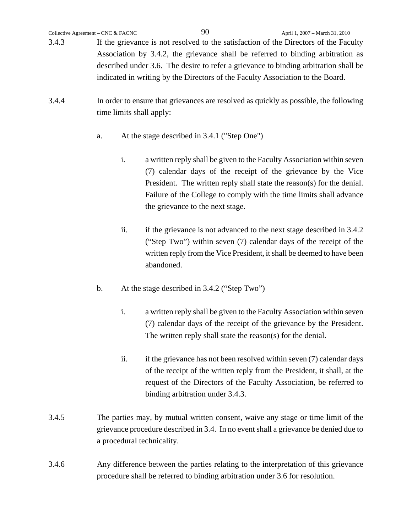- 3.4.3 If the grievance is not resolved to the satisfaction of the Directors of the Faculty Association by 3.4.2, the grievance shall be referred to binding arbitration as described under 3.6. The desire to refer a grievance to binding arbitration shall be indicated in writing by the Directors of the Faculty Association to the Board.
- 3.4.4 In order to ensure that grievances are resolved as quickly as possible, the following time limits shall apply:
	- a. At the stage described in 3.4.1 ("Step One")
		- i. a written reply shall be given to the Faculty Association within seven (7) calendar days of the receipt of the grievance by the Vice President. The written reply shall state the reason(s) for the denial. Failure of the College to comply with the time limits shall advance the grievance to the next stage.
		- ii. if the grievance is not advanced to the next stage described in 3.4.2 ("Step Two") within seven (7) calendar days of the receipt of the written reply from the Vice President, it shall be deemed to have been abandoned.
	- b. At the stage described in 3.4.2 ("Step Two")
		- i. a written reply shall be given to the Faculty Association within seven (7) calendar days of the receipt of the grievance by the President. The written reply shall state the reason(s) for the denial.
		- ii. if the grievance has not been resolved within seven (7) calendar days of the receipt of the written reply from the President, it shall, at the request of the Directors of the Faculty Association, be referred to binding arbitration under 3.4.3.
- 3.4.5 The parties may, by mutual written consent, waive any stage or time limit of the grievance procedure described in 3.4. In no event shall a grievance be denied due to a procedural technicality.
- 3.4.6 Any difference between the parties relating to the interpretation of this grievance procedure shall be referred to binding arbitration under 3.6 for resolution.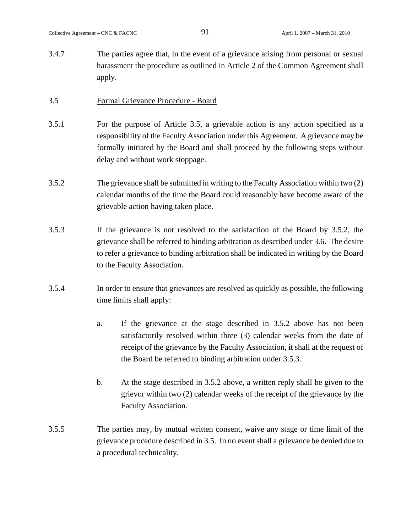3.4.7 The parties agree that, in the event of a grievance arising from personal or sexual harassment the procedure as outlined in Article 2 of the Common Agreement shall apply.

### 3.5 Formal Grievance Procedure - Board

- 3.5.1 For the purpose of Article 3.5, a grievable action is any action specified as a responsibility of the Faculty Association under this Agreement. A grievance may be formally initiated by the Board and shall proceed by the following steps without delay and without work stoppage.
- 3.5.2 The grievance shall be submitted in writing to the Faculty Association within two (2) calendar months of the time the Board could reasonably have become aware of the grievable action having taken place.
- 3.5.3 If the grievance is not resolved to the satisfaction of the Board by 3.5.2, the grievance shall be referred to binding arbitration as described under 3.6. The desire to refer a grievance to binding arbitration shall be indicated in writing by the Board to the Faculty Association.
- 3.5.4 In order to ensure that grievances are resolved as quickly as possible, the following time limits shall apply:
	- a. If the grievance at the stage described in 3.5.2 above has not been satisfactorily resolved within three (3) calendar weeks from the date of receipt of the grievance by the Faculty Association, it shall at the request of the Board be referred to binding arbitration under 3.5.3.
	- b. At the stage described in 3.5.2 above, a written reply shall be given to the grievor within two (2) calendar weeks of the receipt of the grievance by the Faculty Association.
- 3.5.5 The parties may, by mutual written consent, waive any stage or time limit of the grievance procedure described in 3.5. In no event shall a grievance be denied due to a procedural technicality.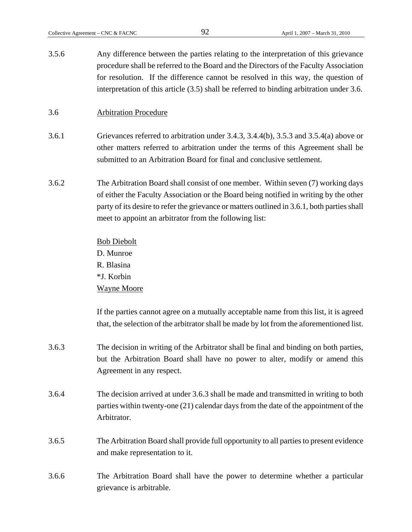3.5.6 Any difference between the parties relating to the interpretation of this grievance procedure shall be referred to the Board and the Directors of the Faculty Association for resolution. If the difference cannot be resolved in this way, the question of interpretation of this article (3.5) shall be referred to binding arbitration under 3.6.

# 3.6 Arbitration Procedure

- 3.6.1 Grievances referred to arbitration under 3.4.3, 3.4.4(b), 3.5.3 and 3.5.4(a) above or other matters referred to arbitration under the terms of this Agreement shall be submitted to an Arbitration Board for final and conclusive settlement.
- 3.6.2 The Arbitration Board shall consist of one member. Within seven (7) working days of either the Faculty Association or the Board being notified in writing by the other party of its desire to refer the grievance or matters outlined in 3.6.1, both parties shall meet to appoint an arbitrator from the following list:

Bob Diebolt D. Munroe R. Blasina \*J. Korbin Wayne Moore

If the parties cannot agree on a mutually acceptable name from this list, it is agreed that, the selection of the arbitrator shall be made by lot from the aforementioned list.

- 3.6.3 The decision in writing of the Arbitrator shall be final and binding on both parties, but the Arbitration Board shall have no power to alter, modify or amend this Agreement in any respect.
- 3.6.4 The decision arrived at under 3.6.3 shall be made and transmitted in writing to both parties within twenty-one (21) calendar days from the date of the appointment of the Arbitrator.
- 3.6.5 The Arbitration Board shall provide full opportunity to all parties to present evidence and make representation to it.
- 3.6.6 The Arbitration Board shall have the power to determine whether a particular grievance is arbitrable.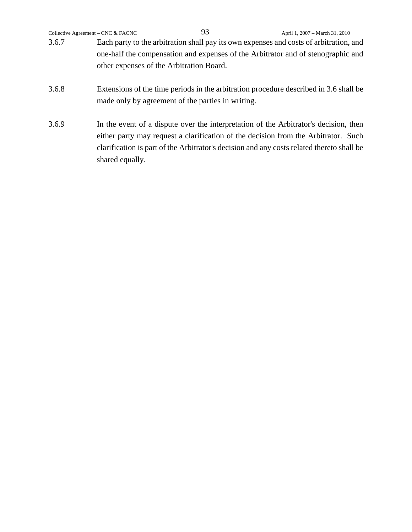|                                                                                  | Collective Agreement – CNC & FACNC | 93                                                | April 1, 2007 - March 31, 2010                                                                                                                                                                                                                                          |
|----------------------------------------------------------------------------------|------------------------------------|---------------------------------------------------|-------------------------------------------------------------------------------------------------------------------------------------------------------------------------------------------------------------------------------------------------------------------------|
| 3.6.7                                                                            |                                    |                                                   | Each party to the arbitration shall pay its own expenses and costs of arbitration, and                                                                                                                                                                                  |
| one-half the compensation and expenses of the Arbitrator and of stenographic and |                                    |                                                   |                                                                                                                                                                                                                                                                         |
|                                                                                  |                                    | other expenses of the Arbitration Board.          |                                                                                                                                                                                                                                                                         |
| 3.6.8                                                                            |                                    | made only by agreement of the parties in writing. | Extensions of the time periods in the arbitration procedure described in 3.6 shall be                                                                                                                                                                                   |
| 3.6.9                                                                            | shared equally.                    |                                                   | In the event of a dispute over the interpretation of the Arbitrator's decision, then<br>either party may request a clarification of the decision from the Arbitrator. Such<br>clarification is part of the Arbitrator's decision and any costs related thereto shall be |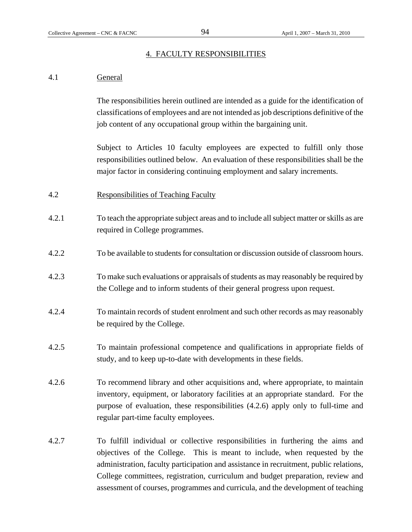### 4. FACULTY RESPONSIBILITIES

# 4.1 General

The responsibilities herein outlined are intended as a guide for the identification of classifications of employees and are not intended as job descriptions definitive of the job content of any occupational group within the bargaining unit.

Subject to Articles 10 faculty employees are expected to fulfill only those responsibilities outlined below. An evaluation of these responsibilities shall be the major factor in considering continuing employment and salary increments.

- 4.2 Responsibilities of Teaching Faculty
- 4.2.1 To teach the appropriate subject areas and to include all subject matter or skills as are required in College programmes.
- 4.2.2 To be available to students for consultation or discussion outside of classroom hours.
- 4.2.3 To make such evaluations or appraisals of students as may reasonably be required by the College and to inform students of their general progress upon request.
- 4.2.4 To maintain records of student enrolment and such other records as may reasonably be required by the College.
- 4.2.5 To maintain professional competence and qualifications in appropriate fields of study, and to keep up-to-date with developments in these fields.
- 4.2.6 To recommend library and other acquisitions and, where appropriate, to maintain inventory, equipment, or laboratory facilities at an appropriate standard. For the purpose of evaluation, these responsibilities (4.2.6) apply only to full-time and regular part-time faculty employees.
- 4.2.7 To fulfill individual or collective responsibilities in furthering the aims and objectives of the College. This is meant to include, when requested by the administration, faculty participation and assistance in recruitment, public relations, College committees, registration, curriculum and budget preparation, review and assessment of courses, programmes and curricula, and the development of teaching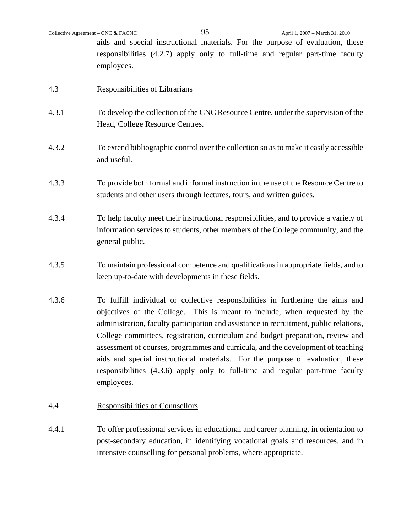aids and special instructional materials. For the purpose of evaluation, these responsibilities (4.2.7) apply only to full-time and regular part-time faculty employees.

- 4.3 Responsibilities of Librarians
- 4.3.1 To develop the collection of the CNC Resource Centre, under the supervision of the Head, College Resource Centres.
- 4.3.2 To extend bibliographic control over the collection so as to make it easily accessible and useful.
- 4.3.3 To provide both formal and informal instruction in the use of the Resource Centre to students and other users through lectures, tours, and written guides.
- 4.3.4 To help faculty meet their instructional responsibilities, and to provide a variety of information services to students, other members of the College community, and the general public.
- 4.3.5 To maintain professional competence and qualifications in appropriate fields, and to keep up-to-date with developments in these fields.
- 4.3.6 To fulfill individual or collective responsibilities in furthering the aims and objectives of the College. This is meant to include, when requested by the administration, faculty participation and assistance in recruitment, public relations, College committees, registration, curriculum and budget preparation, review and assessment of courses, programmes and curricula, and the development of teaching aids and special instructional materials. For the purpose of evaluation, these responsibilities (4.3.6) apply only to full-time and regular part-time faculty employees.
- 4.4 Responsibilities of Counsellors
- 4.4.1 To offer professional services in educational and career planning, in orientation to post-secondary education, in identifying vocational goals and resources, and in intensive counselling for personal problems, where appropriate.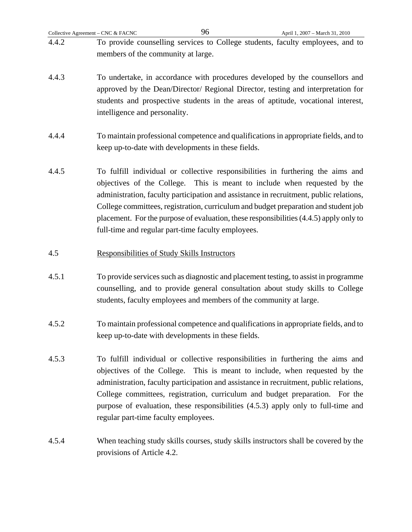| Collective Agreement – CNC $&$ FACNC |                                                                                                                      | 96 | April 1, 2007 – March 31, 2010 |
|--------------------------------------|----------------------------------------------------------------------------------------------------------------------|----|--------------------------------|
| 4.4.2                                | To provide counselling services to College students, faculty employees, and to<br>members of the community at large. |    |                                |
| 4.4.3                                | To undertake, in accordance with procedures developed by the counsellors and                                         |    |                                |

- approved by the Dean/Director/ Regional Director, testing and interpretation for students and prospective students in the areas of aptitude, vocational interest, intelligence and personality.
- 4.4.4 To maintain professional competence and qualifications in appropriate fields, and to keep up-to-date with developments in these fields.
- 4.4.5 To fulfill individual or collective responsibilities in furthering the aims and objectives of the College. This is meant to include when requested by the administration, faculty participation and assistance in recruitment, public relations, College committees, registration, curriculum and budget preparation and student job placement. For the purpose of evaluation, these responsibilities (4.4.5) apply only to full-time and regular part-time faculty employees.

# 4.5 Responsibilities of Study Skills Instructors

- 4.5.1 To provide services such as diagnostic and placement testing, to assist in programme counselling, and to provide general consultation about study skills to College students, faculty employees and members of the community at large.
- 4.5.2 To maintain professional competence and qualifications in appropriate fields, and to keep up-to-date with developments in these fields.
- 4.5.3 To fulfill individual or collective responsibilities in furthering the aims and objectives of the College. This is meant to include, when requested by the administration, faculty participation and assistance in recruitment, public relations, College committees, registration, curriculum and budget preparation. For the purpose of evaluation, these responsibilities (4.5.3) apply only to full-time and regular part-time faculty employees.
- 4.5.4 When teaching study skills courses, study skills instructors shall be covered by the provisions of Article 4.2.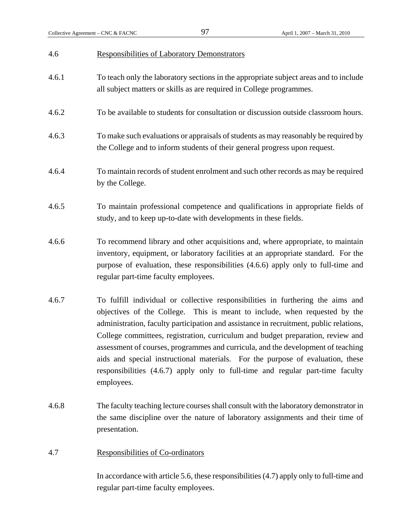# 4.6 Responsibilities of Laboratory Demonstrators 4.6.1 To teach only the laboratory sections in the appropriate subject areas and to include all subject matters or skills as are required in College programmes. 4.6.2 To be available to students for consultation or discussion outside classroom hours. 4.6.3 To make such evaluations or appraisals of students as may reasonably be required by the College and to inform students of their general progress upon request. 4.6.4 To maintain records of student enrolment and such other records as may be required by the College. 4.6.5 To maintain professional competence and qualifications in appropriate fields of study, and to keep up-to-date with developments in these fields. 4.6.6 To recommend library and other acquisitions and, where appropriate, to maintain inventory, equipment, or laboratory facilities at an appropriate standard. For the purpose of evaluation, these responsibilities (4.6.6) apply only to full-time and regular part-time faculty employees. 4.6.7 To fulfill individual or collective responsibilities in furthering the aims and objectives of the College. This is meant to include, when requested by the administration, faculty participation and assistance in recruitment, public relations, College committees, registration, curriculum and budget preparation, review and assessment of courses, programmes and curricula, and the development of teaching aids and special instructional materials. For the purpose of evaluation, these responsibilities (4.6.7) apply only to full-time and regular part-time faculty employees.

- 4.6.8 The faculty teaching lecture courses shall consult with the laboratory demonstrator in the same discipline over the nature of laboratory assignments and their time of presentation.
- 4.7 Responsibilities of Co-ordinators

In accordance with article 5.6, these responsibilities (4.7) apply only to full-time and regular part-time faculty employees.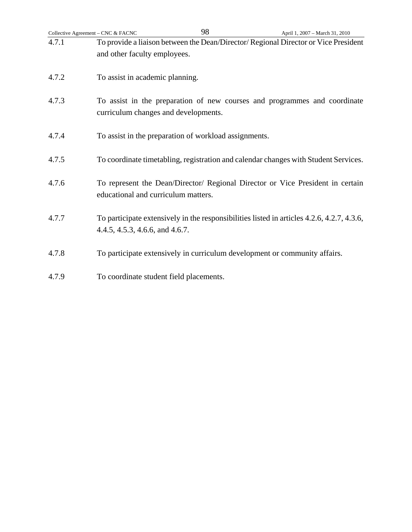| Collective Agreement - CNC & FACNC | 98                                                                                                                            | April 1, 2007 - March 31, 2010 |
|------------------------------------|-------------------------------------------------------------------------------------------------------------------------------|--------------------------------|
| 4.7.1                              | To provide a liaison between the Dean/Director/Regional Director or Vice President<br>and other faculty employees.            |                                |
| 4.7.2                              | To assist in academic planning.                                                                                               |                                |
| 4.7.3                              | To assist in the preparation of new courses and programmes and coordinate<br>curriculum changes and developments.             |                                |
| 4.7.4                              | To assist in the preparation of workload assignments.                                                                         |                                |
| 4.7.5                              | To coordinate timetabling, registration and calendar changes with Student Services.                                           |                                |
| 4.7.6                              | To represent the Dean/Director/ Regional Director or Vice President in certain<br>educational and curriculum matters.         |                                |
| 4.7.7                              | To participate extensively in the responsibilities listed in articles 4.2.6, 4.2.7, 4.3.6,<br>4.4.5, 4.5.3, 4.6.6, and 4.6.7. |                                |
| 4.7.8                              | To participate extensively in curriculum development or community affairs.                                                    |                                |
| 4.7.9                              | To coordinate student field placements.                                                                                       |                                |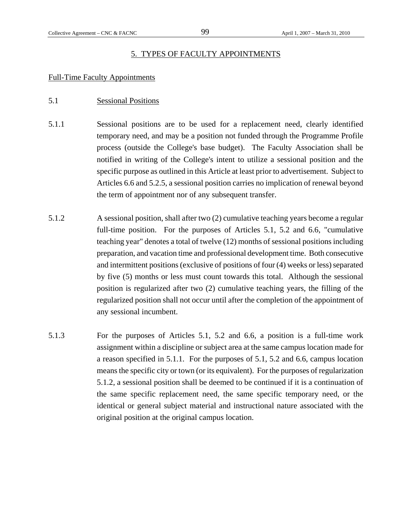# 5. TYPES OF FACULTY APPOINTMENTS

# Full-Time Faculty Appointments

# 5.1 Sessional Positions

- 5.1.1 Sessional positions are to be used for a replacement need, clearly identified temporary need, and may be a position not funded through the Programme Profile process (outside the College's base budget). The Faculty Association shall be notified in writing of the College's intent to utilize a sessional position and the specific purpose as outlined in this Article at least prior to advertisement. Subject to Articles 6.6 and 5.2.5, a sessional position carries no implication of renewal beyond the term of appointment nor of any subsequent transfer.
- 5.1.2 A sessional position, shall after two (2) cumulative teaching years become a regular full-time position. For the purposes of Articles 5.1, 5.2 and 6.6, "cumulative teaching year" denotes a total of twelve (12) months of sessional positions including preparation, and vacation time and professional development time. Both consecutive and intermittent positions (exclusive of positions of four (4) weeks or less) separated by five (5) months or less must count towards this total. Although the sessional position is regularized after two (2) cumulative teaching years, the filling of the regularized position shall not occur until after the completion of the appointment of any sessional incumbent.
- 5.1.3 For the purposes of Articles 5.1, 5.2 and 6.6, a position is a full-time work assignment within a discipline or subject area at the same campus location made for a reason specified in 5.1.1. For the purposes of 5.1, 5.2 and 6.6, campus location means the specific city or town (or its equivalent). For the purposes of regularization 5.1.2, a sessional position shall be deemed to be continued if it is a continuation of the same specific replacement need, the same specific temporary need, or the identical or general subject material and instructional nature associated with the original position at the original campus location.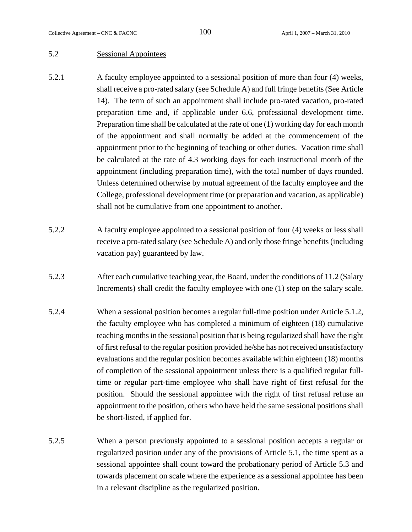# 5.2 Sessional Appointees

- 5.2.1 A faculty employee appointed to a sessional position of more than four (4) weeks, shall receive a pro-rated salary (see Schedule A) and full fringe benefits (See Article 14). The term of such an appointment shall include pro-rated vacation, pro-rated preparation time and, if applicable under 6.6, professional development time. Preparation time shall be calculated at the rate of one (1) working day for each month of the appointment and shall normally be added at the commencement of the appointment prior to the beginning of teaching or other duties. Vacation time shall be calculated at the rate of 4.3 working days for each instructional month of the appointment (including preparation time), with the total number of days rounded. Unless determined otherwise by mutual agreement of the faculty employee and the College, professional development time (or preparation and vacation, as applicable) shall not be cumulative from one appointment to another.
- 5.2.2 A faculty employee appointed to a sessional position of four (4) weeks or less shall receive a pro-rated salary (see Schedule A) and only those fringe benefits (including vacation pay) guaranteed by law.
- 5.2.3 After each cumulative teaching year, the Board, under the conditions of 11.2 (Salary Increments) shall credit the faculty employee with one (1) step on the salary scale.
- 5.2.4 When a sessional position becomes a regular full-time position under Article 5.1.2, the faculty employee who has completed a minimum of eighteen (18) cumulative teaching months in the sessional position that is being regularized shall have the right of first refusal to the regular position provided he/she has not received unsatisfactory evaluations and the regular position becomes available within eighteen (18) months of completion of the sessional appointment unless there is a qualified regular fulltime or regular part-time employee who shall have right of first refusal for the position. Should the sessional appointee with the right of first refusal refuse an appointment to the position, others who have held the same sessional positions shall be short-listed, if applied for.
- 5.2.5 When a person previously appointed to a sessional position accepts a regular or regularized position under any of the provisions of Article 5.1, the time spent as a sessional appointee shall count toward the probationary period of Article 5.3 and towards placement on scale where the experience as a sessional appointee has been in a relevant discipline as the regularized position.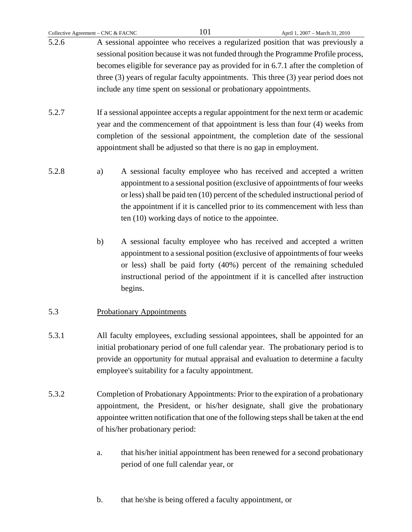|       | Collective Agreement – CNC & FACNC | 101                                                               | April 1, 2007 - March 31, 2010                                                           |
|-------|------------------------------------|-------------------------------------------------------------------|------------------------------------------------------------------------------------------|
| 5.2.6 |                                    |                                                                   | A sessional appointee who receives a regularized position that was previously a          |
|       |                                    |                                                                   | sessional position because it was not funded through the Programme Profile process,      |
|       |                                    |                                                                   | becomes eligible for severance pay as provided for in 6.7.1 after the completion of      |
|       |                                    |                                                                   | three $(3)$ years of regular faculty appointments. This three $(3)$ year period does not |
|       |                                    | include any time spent on sessional or probationary appointments. |                                                                                          |
|       |                                    |                                                                   |                                                                                          |
|       |                                    |                                                                   |                                                                                          |

- 5.2.7 If a sessional appointee accepts a regular appointment for the next term or academic year and the commencement of that appointment is less than four (4) weeks from completion of the sessional appointment, the completion date of the sessional appointment shall be adjusted so that there is no gap in employment.
- 5.2.8 a) A sessional faculty employee who has received and accepted a written appointment to a sessional position (exclusive of appointments of four weeks or less) shall be paid ten (10) percent of the scheduled instructional period of the appointment if it is cancelled prior to its commencement with less than ten (10) working days of notice to the appointee.
	- b) A sessional faculty employee who has received and accepted a written appointment to a sessional position (exclusive of appointments of four weeks or less) shall be paid forty (40%) percent of the remaining scheduled instructional period of the appointment if it is cancelled after instruction begins.

# 5.3 Probationary Appointments

- 5.3.1 All faculty employees, excluding sessional appointees, shall be appointed for an initial probationary period of one full calendar year. The probationary period is to provide an opportunity for mutual appraisal and evaluation to determine a faculty employee's suitability for a faculty appointment.
- 5.3.2 Completion of Probationary Appointments: Prior to the expiration of a probationary appointment, the President, or his/her designate, shall give the probationary appointee written notification that one of the following steps shall be taken at the end of his/her probationary period:
	- a. that his/her initial appointment has been renewed for a second probationary period of one full calendar year, or
	- b. that he/she is being offered a faculty appointment, or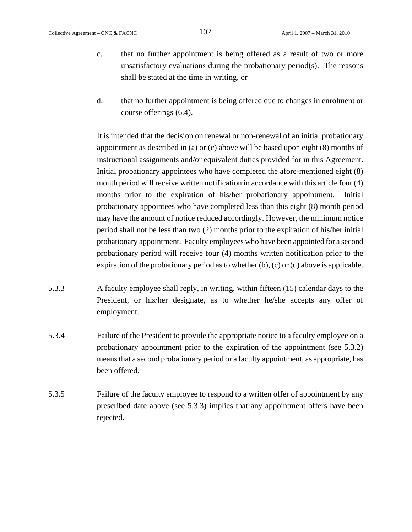- c. that no further appointment is being offered as a result of two or more unsatisfactory evaluations during the probationary period(s). The reasons shall be stated at the time in writing, or
- d. that no further appointment is being offered due to changes in enrolment or course offerings (6.4).

It is intended that the decision on renewal or non-renewal of an initial probationary appointment as described in (a) or (c) above will be based upon eight (8) months of instructional assignments and/or equivalent duties provided for in this Agreement. Initial probationary appointees who have completed the afore-mentioned eight (8) month period will receive written notification in accordance with this article four (4) months prior to the expiration of his/her probationary appointment. Initial probationary appointees who have completed less than this eight (8) month period may have the amount of notice reduced accordingly. However, the minimum notice period shall not be less than two (2) months prior to the expiration of his/her initial probationary appointment. Faculty employees who have been appointed for a second probationary period will receive four (4) months written notification prior to the expiration of the probationary period as to whether (b), (c) or (d) above is applicable.

- 5.3.3 A faculty employee shall reply, in writing, within fifteen (15) calendar days to the President, or his/her designate, as to whether he/she accepts any offer of employment.
- 5.3.4 Failure of the President to provide the appropriate notice to a faculty employee on a probationary appointment prior to the expiration of the appointment (see 5.3.2) means that a second probationary period or a faculty appointment, as appropriate, has been offered.
- 5.3.5 Failure of the faculty employee to respond to a written offer of appointment by any prescribed date above (see 5.3.3) implies that any appointment offers have been rejected.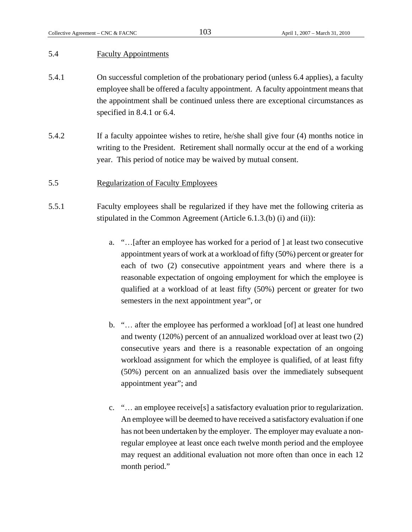# 5.4 Faculty Appointments

- 5.4.1 On successful completion of the probationary period (unless 6.4 applies), a faculty employee shall be offered a faculty appointment. A faculty appointment means that the appointment shall be continued unless there are exceptional circumstances as specified in 8.4.1 or 6.4.
- 5.4.2 If a faculty appointee wishes to retire, he/she shall give four (4) months notice in writing to the President. Retirement shall normally occur at the end of a working year. This period of notice may be waived by mutual consent.

## 5.5 Regularization of Faculty Employees

- 5.5.1 Faculty employees shall be regularized if they have met the following criteria as stipulated in the Common Agreement (Article 6.1.3.(b) (i) and (ii)):
	- a. "…[after an employee has worked for a period of ] at least two consecutive appointment years of work at a workload of fifty (50%) percent or greater for each of two (2) consecutive appointment years and where there is a reasonable expectation of ongoing employment for which the employee is qualified at a workload of at least fifty (50%) percent or greater for two semesters in the next appointment year", or
	- b. "… after the employee has performed a workload [of] at least one hundred and twenty (120%) percent of an annualized workload over at least two (2) consecutive years and there is a reasonable expectation of an ongoing workload assignment for which the employee is qualified, of at least fifty (50%) percent on an annualized basis over the immediately subsequent appointment year"; and
	- c. "… an employee receive[s] a satisfactory evaluation prior to regularization. An employee will be deemed to have received a satisfactory evaluation if one has not been undertaken by the employer. The employer may evaluate a nonregular employee at least once each twelve month period and the employee may request an additional evaluation not more often than once in each 12 month period."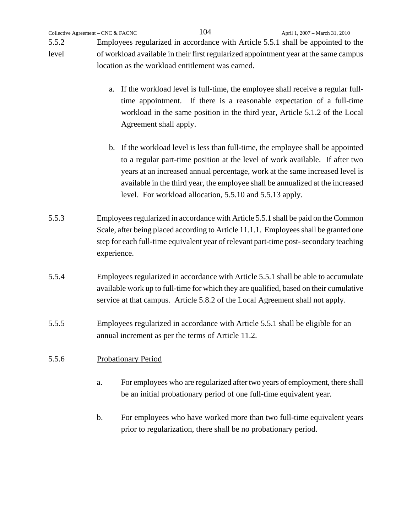5.5.2 Employees regularized in accordance with Article 5.5.1 shall be appointed to the level of workload available in their first regularized appointment year at the same campus location as the workload entitlement was earned.

- a. If the workload level is full-time, the employee shall receive a regular fulltime appointment. If there is a reasonable expectation of a full-time workload in the same position in the third year, Article 5.1.2 of the Local Agreement shall apply.
- b. If the workload level is less than full-time, the employee shall be appointed to a regular part-time position at the level of work available. If after two years at an increased annual percentage, work at the same increased level is available in the third year, the employee shall be annualized at the increased level. For workload allocation, 5.5.10 and 5.5.13 apply.
- 5.5.3 Employees regularized in accordance with Article 5.5.1 shall be paid on the Common Scale, after being placed according to Article 11.1.1. Employees shall be granted one step for each full-time equivalent year of relevant part-time post- secondary teaching experience.
- 5.5.4 Employees regularized in accordance with Article 5.5.1 shall be able to accumulate available work up to full-time for which they are qualified, based on their cumulative service at that campus. Article 5.8.2 of the Local Agreement shall not apply.
- 5.5.5 Employees regularized in accordance with Article 5.5.1 shall be eligible for an annual increment as per the terms of Article 11.2.

# 5.5.6 Probationary Period

- a. For employees who are regularized after two years of employment, there shall be an initial probationary period of one full-time equivalent year.
- b. For employees who have worked more than two full-time equivalent years prior to regularization, there shall be no probationary period.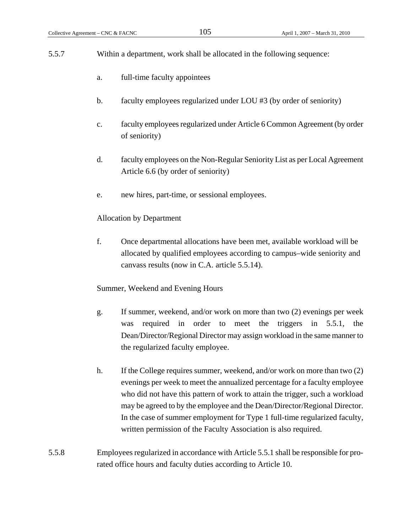- 5.5.7 Within a department, work shall be allocated in the following sequence: a. full-time faculty appointees b. faculty employees regularized under LOU #3 (by order of seniority) c. faculty employees regularized under Article 6 Common Agreement (by order of seniority) d. faculty employees on the Non-Regular Seniority List as per Local Agreement Article 6.6 (by order of seniority) e. new hires, part-time, or sessional employees. Allocation by Department f. Once departmental allocations have been met, available workload will be allocated by qualified employees according to campus–wide seniority and canvass results (now in C.A. article 5.5.14). Summer, Weekend and Evening Hours g. If summer, weekend, and/or work on more than two (2) evenings per week was required in order to meet the triggers in 5.5.1, the Dean/Director/Regional Director may assign workload in the same manner to the regularized faculty employee. h. If the College requires summer, weekend, and/or work on more than two (2) evenings per week to meet the annualized percentage for a faculty employee who did not have this pattern of work to attain the trigger, such a workload may be agreed to by the employee and the Dean/Director/Regional Director. In the case of summer employment for Type 1 full-time regularized faculty, written permission of the Faculty Association is also required.
- 5.5.8 Employees regularized in accordance with Article 5.5.1 shall be responsible for prorated office hours and faculty duties according to Article 10.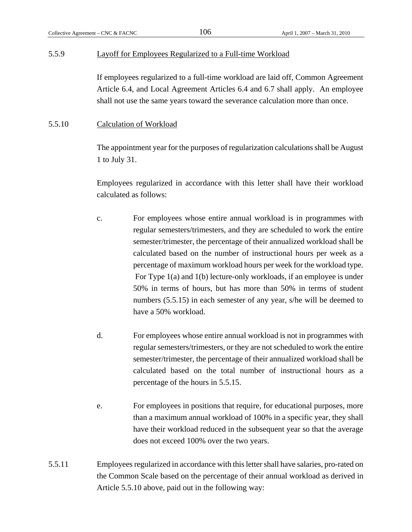## 5.5.9 Layoff for Employees Regularized to a Full-time Workload

If employees regularized to a full-time workload are laid off, Common Agreement Article 6.4, and Local Agreement Articles 6.4 and 6.7 shall apply. An employee shall not use the same years toward the severance calculation more than once.

## 5.5.10 Calculation of Workload

The appointment year for the purposes of regularization calculations shall be August 1 to July 31.

Employees regularized in accordance with this letter shall have their workload calculated as follows:

- c. For employees whose entire annual workload is in programmes with regular semesters/trimesters, and they are scheduled to work the entire semester/trimester, the percentage of their annualized workload shall be calculated based on the number of instructional hours per week as a percentage of maximum workload hours per week for the workload type. For Type 1(a) and 1(b) lecture-only workloads, if an employee is under 50% in terms of hours, but has more than 50% in terms of student numbers (5.5.15) in each semester of any year, s/he will be deemed to have a 50% workload.
- d. For employees whose entire annual workload is not in programmes with regular semesters/trimesters, or they are not scheduled to work the entire semester/trimester, the percentage of their annualized workload shall be calculated based on the total number of instructional hours as a percentage of the hours in 5.5.15.
- e. For employees in positions that require, for educational purposes, more than a maximum annual workload of 100% in a specific year, they shall have their workload reduced in the subsequent year so that the average does not exceed 100% over the two years.
- 5.5.11 Employees regularized in accordance with this letter shall have salaries, pro-rated on the Common Scale based on the percentage of their annual workload as derived in Article 5.5.10 above, paid out in the following way: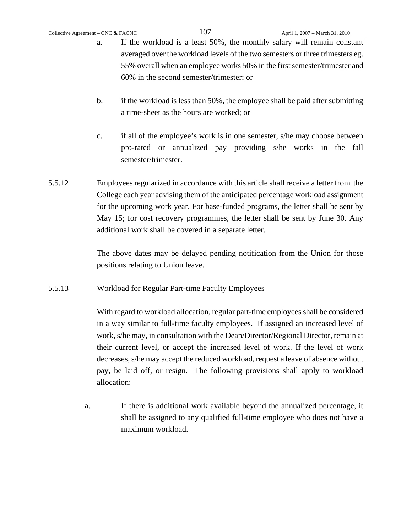- a. If the workload is a least 50%, the monthly salary will remain constant averaged over the workload levels of the two semesters or three trimesters eg. 55% overall when an employee works 50% in the first semester/trimester and 60% in the second semester/trimester; or
- b. if the workload is less than 50%, the employee shall be paid after submitting a time-sheet as the hours are worked; or
- c. if all of the employee's work is in one semester, s/he may choose between pro-rated or annualized pay providing s/he works in the fall semester/trimester.
- 5.5.12 Employees regularized in accordance with this article shall receive a letter from the College each year advising them of the anticipated percentage workload assignment for the upcoming work year. For base-funded programs, the letter shall be sent by May 15; for cost recovery programmes, the letter shall be sent by June 30. Any additional work shall be covered in a separate letter.

 The above dates may be delayed pending notification from the Union for those positions relating to Union leave.

5.5.13 Workload for Regular Part-time Faculty Employees

With regard to workload allocation, regular part-time employees shall be considered in a way similar to full-time faculty employees. If assigned an increased level of work, s/he may, in consultation with the Dean/Director/Regional Director, remain at their current level, or accept the increased level of work. If the level of work decreases, s/he may accept the reduced workload, request a leave of absence without pay, be laid off, or resign. The following provisions shall apply to workload allocation:

a. If there is additional work available beyond the annualized percentage, it shall be assigned to any qualified full-time employee who does not have a maximum workload.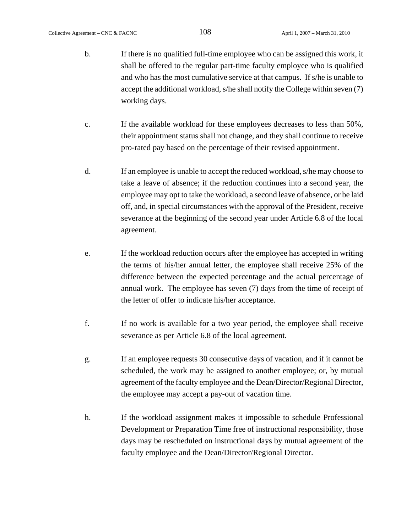- b. If there is no qualified full-time employee who can be assigned this work, it shall be offered to the regular part-time faculty employee who is qualified and who has the most cumulative service at that campus. If s/he is unable to accept the additional workload, s/he shall notify the College within seven (7) working days.
- c. If the available workload for these employees decreases to less than 50%, their appointment status shall not change, and they shall continue to receive pro-rated pay based on the percentage of their revised appointment.
- d. If an employee is unable to accept the reduced workload, s/he may choose to take a leave of absence; if the reduction continues into a second year, the employee may opt to take the workload, a second leave of absence, or be laid off, and, in special circumstances with the approval of the President, receive severance at the beginning of the second year under Article 6.8 of the local agreement.
- e. If the workload reduction occurs after the employee has accepted in writing the terms of his/her annual letter, the employee shall receive 25% of the difference between the expected percentage and the actual percentage of annual work. The employee has seven (7) days from the time of receipt of the letter of offer to indicate his/her acceptance.
- f. If no work is available for a two year period, the employee shall receive severance as per Article 6.8 of the local agreement.
- g. If an employee requests 30 consecutive days of vacation, and if it cannot be scheduled, the work may be assigned to another employee; or, by mutual agreement of the faculty employee and the Dean/Director/Regional Director, the employee may accept a pay-out of vacation time.
- h. If the workload assignment makes it impossible to schedule Professional Development or Preparation Time free of instructional responsibility, those days may be rescheduled on instructional days by mutual agreement of the faculty employee and the Dean/Director/Regional Director.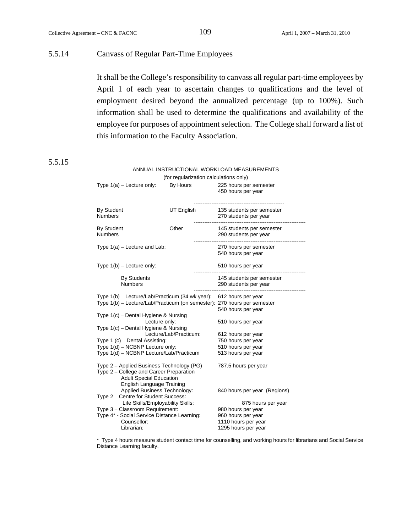# 5.5.14 Canvass of Regular Part-Time Employees

It shall be the College's responsibility to canvass all regular part-time employees by April 1 of each year to ascertain changes to qualifications and the level of employment desired beyond the annualized percentage (up to 100%). Such information shall be used to determine the qualifications and availability of the employee for purposes of appointment selection. The College shall forward a list of this information to the Faculty Association.

# 5.5.15

| ANNUAL INSTRUCTIONAL WORKLOAD MEASUREMENTS                                                                                                          |                                          |                                                    |  |  |
|-----------------------------------------------------------------------------------------------------------------------------------------------------|------------------------------------------|----------------------------------------------------|--|--|
| (for regularization calculations only)                                                                                                              |                                          |                                                    |  |  |
| Type $1(a)$ – Lecture only:                                                                                                                         | By Hours                                 | 225 hours per semester<br>450 hours per year       |  |  |
| <b>By Student</b><br><b>Numbers</b>                                                                                                                 | UT English                               | 135 students per semester<br>270 students per year |  |  |
| <b>By Student</b><br><b>Numbers</b>                                                                                                                 | Other                                    | 145 students per semester<br>290 students per year |  |  |
| Type $1(a)$ – Lecture and Lab:                                                                                                                      |                                          | 270 hours per semester<br>540 hours per year       |  |  |
| Type $1(b)$ – Lecture only:                                                                                                                         |                                          | 510 hours per year                                 |  |  |
| <b>By Students</b><br><b>Numbers</b>                                                                                                                |                                          | 145 students per semester<br>290 students per year |  |  |
| Type 1(b) – Lecture/Lab/Practicum (34 wk year): 612 hours per year<br>Type 1(b) - Lecture/Lab/Practicum (on semester): 270 hours per semester       | 540 hours per year                       |                                                    |  |  |
| Type 1(c) – Dental Hygiene & Nursing<br>Lecture only:                                                                                               | 510 hours per year                       |                                                    |  |  |
| Type 1(c) - Dental Hygiene & Nursing<br>Lecture/Lab/Practicum:                                                                                      | 612 hours per year                       |                                                    |  |  |
| Type 1 (c) - Dental Assisting:                                                                                                                      | 750 hours per year                       |                                                    |  |  |
| Type 1(d) - NCBNP Lecture only:<br>Type 1(d) - NCBNP Lecture/Lab/Practicum                                                                          | 510 hours per year<br>513 hours per year |                                                    |  |  |
| Type 2 – Applied Business Technology (PG)<br>Type 2 - College and Career Preparation<br><b>Adult Special Education</b><br>English Language Training | 787.5 hours per year                     |                                                    |  |  |
| Applied Business Technology:<br>Type 2 - Centre for Student Success:                                                                                | 840 hours per year (Regions)             |                                                    |  |  |
| Life Skills/Employability Skills:                                                                                                                   | 875 hours per year                       |                                                    |  |  |
| Type 3 - Classroom Requirement:                                                                                                                     |                                          | 980 hours per year                                 |  |  |
| Type 4* - Social Service Distance Learning:                                                                                                         | 960 hours per year                       |                                                    |  |  |
| Counsellor:                                                                                                                                         | 1110 hours per year                      |                                                    |  |  |
| Librarian:                                                                                                                                          | 1295 hours per year                      |                                                    |  |  |

\* Type 4 hours measure student contact time for counselling, and working hours for librarians and Social Service Distance Learning faculty.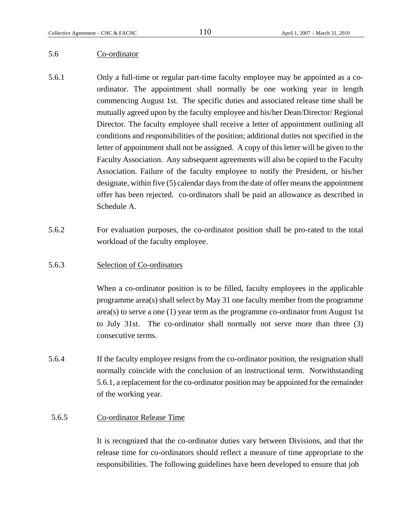## 5.6 Co-ordinator

- 5.6.1 Only a full-time or regular part-time faculty employee may be appointed as a coordinator. The appointment shall normally be one working year in length commencing August 1st. The specific duties and associated release time shall be mutually agreed upon by the faculty employee and his/her Dean/Director/ Regional Director. The faculty employee shall receive a letter of appointment outlining all conditions and responsibilities of the position; additional duties not specified in the letter of appointment shall not be assigned. A copy of this letter will be given to the Faculty Association. Any subsequent agreements will also be copied to the Faculty Association. Failure of the faculty employee to notify the President, or his/her designate, within five (5) calendar days from the date of offer means the appointment offer has been rejected. co-ordinators shall be paid an allowance as described in Schedule A.
- 5.6.2 For evaluation purposes, the co-ordinator position shall be pro-rated to the total workload of the faculty employee.
- 5.6.3 Selection of Co-ordinators

When a co-ordinator position is to be filled, faculty employees in the applicable programme area(s) shall select by May 31 one faculty member from the programme  $area(s)$  to serve a one (1) year term as the programme co-ordinator from August 1st to July 31st. The co-ordinator shall normally not serve more than three (3) consecutive terms.

5.6.4 If the faculty employee resigns from the co-ordinator position, the resignation shall normally coincide with the conclusion of an instructional term. Notwithstanding 5.6.1, a replacement for the co-ordinator position may be appointed for the remainder of the working year.

# 5.6.5 Co-ordinator Release Time

It is recognized that the co-ordinator duties vary between Divisions, and that the release time for co-ordinators should reflect a measure of time appropriate to the responsibilities. The following guidelines have been developed to ensure that job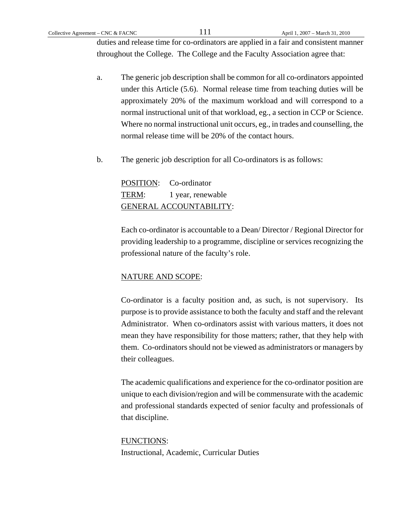duties and release time for co-ordinators are applied in a fair and consistent manner throughout the College. The College and the Faculty Association agree that:

- a. The generic job description shall be common for all co-ordinators appointed under this Article (5.6). Normal release time from teaching duties will be approximately 20% of the maximum workload and will correspond to a normal instructional unit of that workload, eg., a section in CCP or Science. Where no normal instructional unit occurs, eg., in trades and counselling, the normal release time will be 20% of the contact hours.
- b. The generic job description for all Co-ordinators is as follows:

POSITION: Co-ordinator TERM: 1 year, renewable GENERAL ACCOUNTABILITY:

Each co-ordinator is accountable to a Dean/ Director / Regional Director for providing leadership to a programme, discipline or services recognizing the professional nature of the faculty's role.

# NATURE AND SCOPE:

Co-ordinator is a faculty position and, as such, is not supervisory. Its purpose is to provide assistance to both the faculty and staff and the relevant Administrator. When co-ordinators assist with various matters, it does not mean they have responsibility for those matters; rather, that they help with them. Co-ordinators should not be viewed as administrators or managers by their colleagues.

The academic qualifications and experience for the co-ordinator position are unique to each division/region and will be commensurate with the academic and professional standards expected of senior faculty and professionals of that discipline.

# FUNCTIONS:

Instructional, Academic, Curricular Duties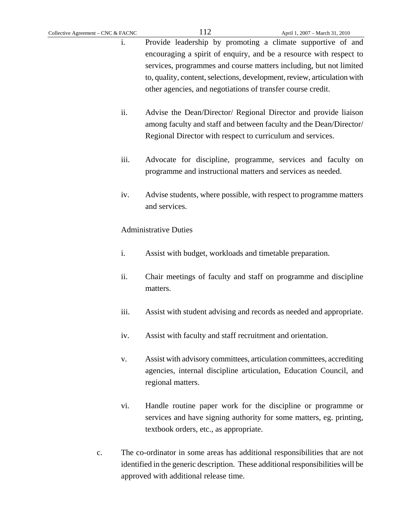- i. Provide leadership by promoting a climate supportive of and encouraging a spirit of enquiry, and be a resource with respect to services, programmes and course matters including, but not limited to, quality, content, selections, development, review, articulation with other agencies, and negotiations of transfer course credit.
- ii. Advise the Dean/Director/ Regional Director and provide liaison among faculty and staff and between faculty and the Dean/Director/ Regional Director with respect to curriculum and services.
- iii. Advocate for discipline, programme, services and faculty on programme and instructional matters and services as needed.
- iv. Advise students, where possible, with respect to programme matters and services.

# Administrative Duties

- i. Assist with budget, workloads and timetable preparation.
- ii. Chair meetings of faculty and staff on programme and discipline matters.
- iii. Assist with student advising and records as needed and appropriate.
- iv. Assist with faculty and staff recruitment and orientation.
- v. Assist with advisory committees, articulation committees, accrediting agencies, internal discipline articulation, Education Council, and regional matters.
- vi. Handle routine paper work for the discipline or programme or services and have signing authority for some matters, eg. printing, textbook orders, etc., as appropriate.
- c. The co-ordinator in some areas has additional responsibilities that are not identified in the generic description. These additional responsibilities will be approved with additional release time.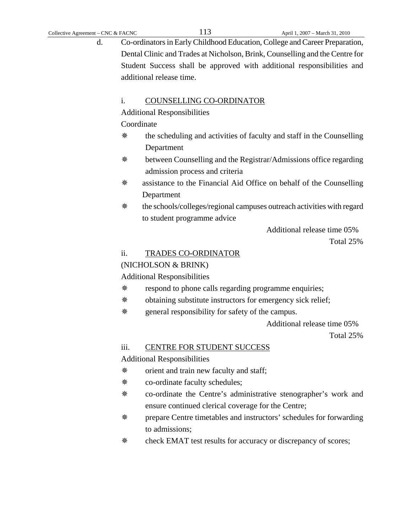d. Co-ordinators in Early Childhood Education, College and Career Preparation, Dental Clinic and Trades at Nicholson, Brink, Counselling and the Centre for Student Success shall be approved with additional responsibilities and additional release time.

## i. COUNSELLING CO-ORDINATOR

Additional Responsibilities

Coordinate

- the scheduling and activities of faculty and staff in the Counselling Department
- between Counselling and the Registrar/Admissions office regarding admission process and criteria
- assistance to the Financial Aid Office on behalf of the Counselling Department
- the schools/colleges/regional campuses outreach activities with regard to student programme advice

Additional release time 05%

Total 25%

## ii. TRADES CO-ORDINATOR

## (NICHOLSON & BRINK)

Additional Responsibilities

- respond to phone calls regarding programme enquiries;
- obtaining substitute instructors for emergency sick relief;
- general responsibility for safety of the campus.

Additional release time 05%

Total 25%

# iii. CENTRE FOR STUDENT SUCCESS

Additional Responsibilities

- orient and train new faculty and staff;
- co-ordinate faculty schedules;
- co-ordinate the Centre's administrative stenographer's work and ensure continued clerical coverage for the Centre;
- prepare Centre timetables and instructors' schedules for forwarding to admissions;
- check EMAT test results for accuracy or discrepancy of scores;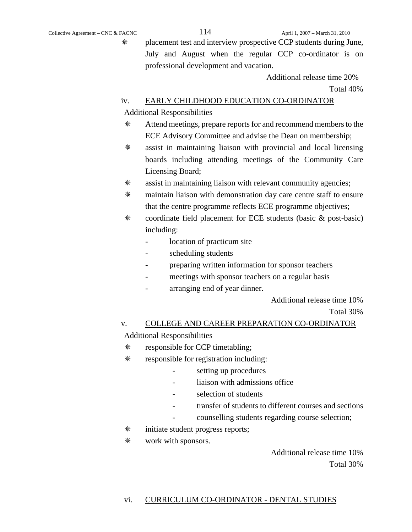placement test and interview prospective CCP students during June, July and August when the regular CCP co-ordinator is on professional development and vacation.

> Additional release time 20% Total 40%

## iv. EARLY CHILDHOOD EDUCATION CO-ORDINATOR

Additional Responsibilities

- Attend meetings, prepare reports for and recommend members to the ECE Advisory Committee and advise the Dean on membership;
- assist in maintaining liaison with provincial and local licensing boards including attending meetings of the Community Care Licensing Board;
- assist in maintaining liaison with relevant community agencies;
- maintain liaison with demonstration day care centre staff to ensure that the centre programme reflects ECE programme objectives;
- coordinate field placement for ECE students (basic & post-basic) including:
	- location of practicum site
	- scheduling students
	- preparing written information for sponsor teachers
	- meetings with sponsor teachers on a regular basis
	- arranging end of year dinner.

Additional release time 10%

Total 30%

# v. COLLEGE AND CAREER PREPARATION CO-ORDINATOR Additional Responsibilities

- responsible for CCP timetabling;
- responsible for registration including:
	- setting up procedures
	- liaison with admissions office
	- selection of students
	- transfer of students to different courses and sections
	- counselling students regarding course selection;
- $\text{*}$  initiate student progress reports;
- work with sponsors.

 Additional release time 10% Total 30%

## vi. CURRICULUM CO-ORDINATOR - DENTAL STUDIES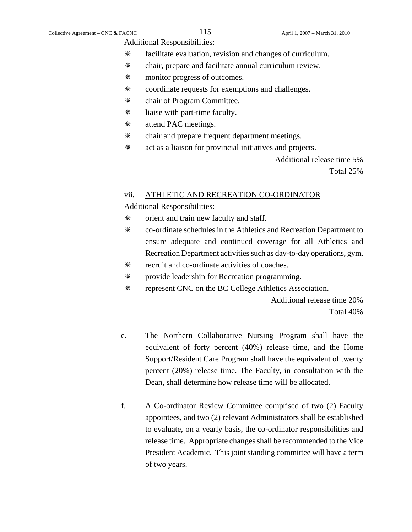Additional Responsibilities:

- facilitate evaluation, revision and changes of curriculum.
- chair, prepare and facilitate annual curriculum review.
- monitor progress of outcomes.
- coordinate requests for exemptions and challenges.
- chair of Program Committee.
- $\frac{1}{2}$  liaise with part-time faculty.
- attend PAC meetings.
- chair and prepare frequent department meetings.
- act as a liaison for provincial initiatives and projects.

Additional release time 5%

Total 25%

## vii. ATHLETIC AND RECREATION CO-ORDINATOR

Additional Responsibilities:

- orient and train new faculty and staff.
- co-ordinate schedules in the Athletics and Recreation Department to ensure adequate and continued coverage for all Athletics and Recreation Department activities such as day-to-day operations, gym.
- recruit and co-ordinate activities of coaches.
- provide leadership for Recreation programming.
- represent CNC on the BC College Athletics Association.

Additional release time 20% Total 40%

- e. The Northern Collaborative Nursing Program shall have the equivalent of forty percent (40%) release time, and the Home Support/Resident Care Program shall have the equivalent of twenty percent (20%) release time. The Faculty, in consultation with the Dean, shall determine how release time will be allocated.
- f. A Co-ordinator Review Committee comprised of two (2) Faculty appointees, and two (2) relevant Administrators shall be established to evaluate, on a yearly basis, the co-ordinator responsibilities and release time. Appropriate changes shall be recommended to the Vice President Academic. This joint standing committee will have a term of two years.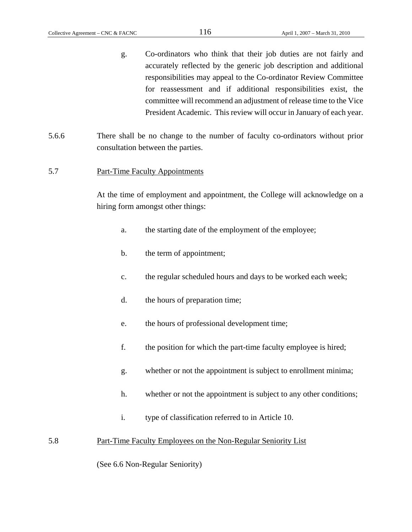- g. Co-ordinators who think that their job duties are not fairly and accurately reflected by the generic job description and additional responsibilities may appeal to the Co-ordinator Review Committee for reassessment and if additional responsibilities exist, the committee will recommend an adjustment of release time to the Vice President Academic. This review will occur in January of each year.
- 5.6.6 There shall be no change to the number of faculty co-ordinators without prior consultation between the parties.

## 5.7 Part-Time Faculty Appointments

At the time of employment and appointment, the College will acknowledge on a hiring form amongst other things:

- a. the starting date of the employment of the employee;
- b. the term of appointment;
- c. the regular scheduled hours and days to be worked each week;
- d. the hours of preparation time;
- e. the hours of professional development time;
- f. the position for which the part-time faculty employee is hired;
- g. whether or not the appointment is subject to enrollment minima;
- h. whether or not the appointment is subject to any other conditions;
- i. type of classification referred to in Article 10.

# 5.8 Part-Time Faculty Employees on the Non-Regular Seniority List

(See 6.6 Non-Regular Seniority)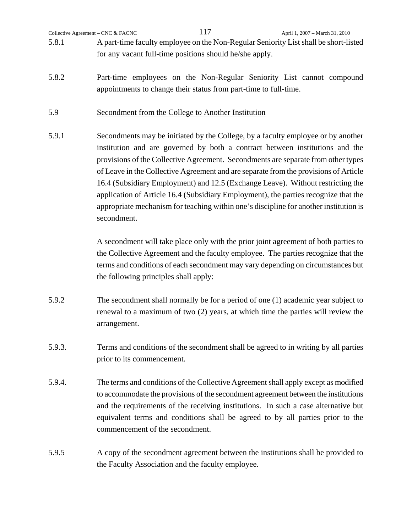- 5.8.1 A part-time faculty employee on the Non-Regular Seniority List shall be short-listed for any vacant full-time positions should he/she apply.
- 5.8.2 Part-time employees on the Non-Regular Seniority List cannot compound appointments to change their status from part-time to full-time.
- 5.9 Secondment from the College to Another Institution
- 5.9.1 Secondments may be initiated by the College, by a faculty employee or by another institution and are governed by both a contract between institutions and the provisions of the Collective Agreement. Secondments are separate from other types of Leave in the Collective Agreement and are separate from the provisions of Article 16.4 (Subsidiary Employment) and 12.5 (Exchange Leave). Without restricting the application of Article 16.4 (Subsidiary Employment), the parties recognize that the appropriate mechanism for teaching within one's discipline for another institution is secondment.

 A secondment will take place only with the prior joint agreement of both parties to the Collective Agreement and the faculty employee. The parties recognize that the terms and conditions of each secondment may vary depending on circumstances but the following principles shall apply:

- 5.9.2 The secondment shall normally be for a period of one (1) academic year subject to renewal to a maximum of two (2) years, at which time the parties will review the arrangement.
- 5.9.3. Terms and conditions of the secondment shall be agreed to in writing by all parties prior to its commencement.
- 5.9.4. The terms and conditions of the Collective Agreement shall apply except as modified to accommodate the provisions of the secondment agreement between the institutions and the requirements of the receiving institutions. In such a case alternative but equivalent terms and conditions shall be agreed to by all parties prior to the commencement of the secondment.
- 5.9.5 A copy of the secondment agreement between the institutions shall be provided to the Faculty Association and the faculty employee.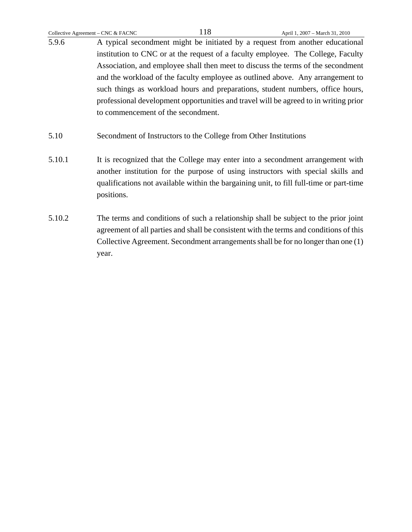5.9.6 A typical secondment might be initiated by a request from another educational institution to CNC or at the request of a faculty employee. The College, Faculty Association, and employee shall then meet to discuss the terms of the secondment and the workload of the faculty employee as outlined above. Any arrangement to such things as workload hours and preparations, student numbers, office hours, professional development opportunities and travel will be agreed to in writing prior to commencement of the secondment.

- 5.10 Secondment of Instructors to the College from Other Institutions
- 5.10.1 It is recognized that the College may enter into a secondment arrangement with another institution for the purpose of using instructors with special skills and qualifications not available within the bargaining unit, to fill full-time or part-time positions.
- 5.10.2 The terms and conditions of such a relationship shall be subject to the prior joint agreement of all parties and shall be consistent with the terms and conditions of this Collective Agreement. Secondment arrangements shall be for no longer than one (1) year.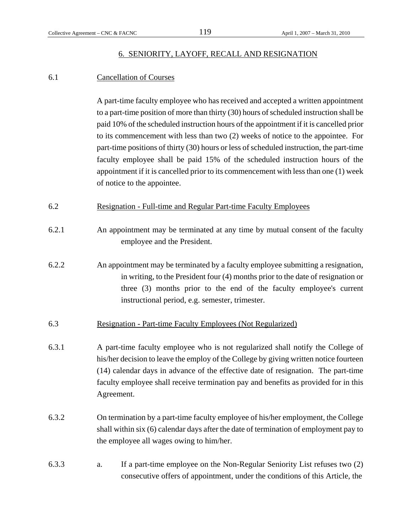## 6. SENIORITY, LAYOFF, RECALL AND RESIGNATION

# 6.1 Cancellation of Courses

A part-time faculty employee who has received and accepted a written appointment to a part-time position of more than thirty (30) hours of scheduled instruction shall be paid 10% of the scheduled instruction hours of the appointment if it is cancelled prior to its commencement with less than two (2) weeks of notice to the appointee. For part-time positions of thirty (30) hours or less of scheduled instruction, the part-time faculty employee shall be paid 15% of the scheduled instruction hours of the appointment if it is cancelled prior to its commencement with less than one (1) week of notice to the appointee.

- 6.2 Resignation Full-time and Regular Part-time Faculty Employees
- 6.2.1 An appointment may be terminated at any time by mutual consent of the faculty employee and the President.
- 6.2.2 An appointment may be terminated by a faculty employee submitting a resignation, in writing, to the President four (4) months prior to the date of resignation or three (3) months prior to the end of the faculty employee's current instructional period, e.g. semester, trimester.
- 6.3 Resignation Part-time Faculty Employees (Not Regularized)
- 6.3.1 A part-time faculty employee who is not regularized shall notify the College of his/her decision to leave the employ of the College by giving written notice fourteen (14) calendar days in advance of the effective date of resignation. The part-time faculty employee shall receive termination pay and benefits as provided for in this Agreement.
- 6.3.2 On termination by a part-time faculty employee of his/her employment, the College shall within six (6) calendar days after the date of termination of employment pay to the employee all wages owing to him/her.
- 6.3.3 a. If a part-time employee on the Non-Regular Seniority List refuses two (2) consecutive offers of appointment, under the conditions of this Article, the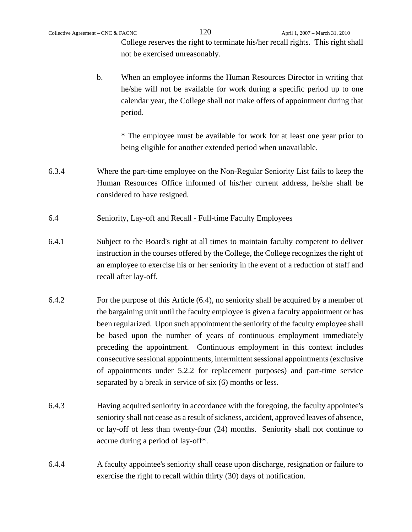College reserves the right to terminate his/her recall rights. This right shall not be exercised unreasonably.

b. When an employee informs the Human Resources Director in writing that he/she will not be available for work during a specific period up to one calendar year, the College shall not make offers of appointment during that period.

\* The employee must be available for work for at least one year prior to being eligible for another extended period when unavailable.

- 6.3.4 Where the part-time employee on the Non-Regular Seniority List fails to keep the Human Resources Office informed of his/her current address, he/she shall be considered to have resigned.
- 6.4 Seniority, Lay-off and Recall Full-time Faculty Employees
- 6.4.1 Subject to the Board's right at all times to maintain faculty competent to deliver instruction in the courses offered by the College, the College recognizes the right of an employee to exercise his or her seniority in the event of a reduction of staff and recall after lay-off.
- 6.4.2 For the purpose of this Article (6.4), no seniority shall be acquired by a member of the bargaining unit until the faculty employee is given a faculty appointment or has been regularized. Upon such appointment the seniority of the faculty employee shall be based upon the number of years of continuous employment immediately preceding the appointment. Continuous employment in this context includes consecutive sessional appointments, intermittent sessional appointments (exclusive of appointments under 5.2.2 for replacement purposes) and part-time service separated by a break in service of six (6) months or less.
- 6.4.3 Having acquired seniority in accordance with the foregoing, the faculty appointee's seniority shall not cease as a result of sickness, accident, approved leaves of absence, or lay-off of less than twenty-four (24) months. Seniority shall not continue to accrue during a period of lay-off\*.
- 6.4.4 A faculty appointee's seniority shall cease upon discharge, resignation or failure to exercise the right to recall within thirty (30) days of notification.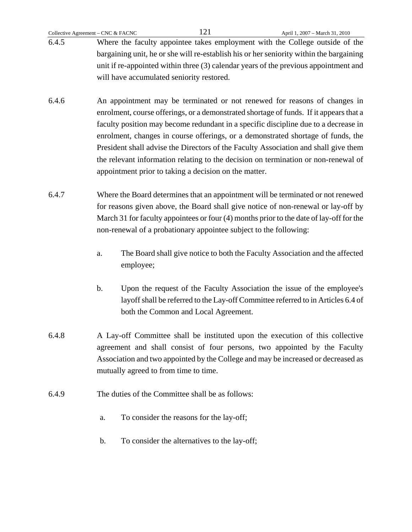- 6.4.6 An appointment may be terminated or not renewed for reasons of changes in enrolment, course offerings, or a demonstrated shortage of funds. If it appears that a faculty position may become redundant in a specific discipline due to a decrease in enrolment, changes in course offerings, or a demonstrated shortage of funds, the President shall advise the Directors of the Faculty Association and shall give them the relevant information relating to the decision on termination or non-renewal of appointment prior to taking a decision on the matter.
- 6.4.7 Where the Board determines that an appointment will be terminated or not renewed for reasons given above, the Board shall give notice of non-renewal or lay-off by March 31 for faculty appointees or four (4) months prior to the date of lay-off for the non-renewal of a probationary appointee subject to the following:
	- a. The Board shall give notice to both the Faculty Association and the affected employee;
	- b. Upon the request of the Faculty Association the issue of the employee's layoff shall be referred to the Lay-off Committee referred to in Articles 6.4 of both the Common and Local Agreement.
- 6.4.8 A Lay-off Committee shall be instituted upon the execution of this collective agreement and shall consist of four persons, two appointed by the Faculty Association and two appointed by the College and may be increased or decreased as mutually agreed to from time to time.
- 6.4.9 The duties of the Committee shall be as follows:
	- a. To consider the reasons for the lay-off;
	- b. To consider the alternatives to the lay-off;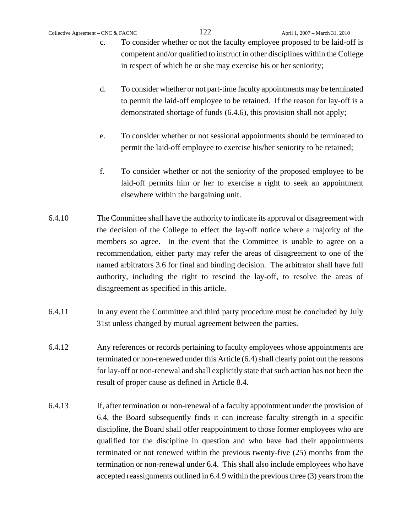- c. To consider whether or not the faculty employee proposed to be laid-off is competent and/or qualified to instruct in other disciplines within the College in respect of which he or she may exercise his or her seniority;
- d. To consider whether or not part-time faculty appointments may be terminated to permit the laid-off employee to be retained. If the reason for lay-off is a demonstrated shortage of funds (6.4.6), this provision shall not apply;
- e. To consider whether or not sessional appointments should be terminated to permit the laid-off employee to exercise his/her seniority to be retained;
- f. To consider whether or not the seniority of the proposed employee to be laid-off permits him or her to exercise a right to seek an appointment elsewhere within the bargaining unit.
- 6.4.10 The Committee shall have the authority to indicate its approval or disagreement with the decision of the College to effect the lay-off notice where a majority of the members so agree. In the event that the Committee is unable to agree on a recommendation, either party may refer the areas of disagreement to one of the named arbitrators 3.6 for final and binding decision. The arbitrator shall have full authority, including the right to rescind the lay-off, to resolve the areas of disagreement as specified in this article.
- 6.4.11 In any event the Committee and third party procedure must be concluded by July 31st unless changed by mutual agreement between the parties.
- 6.4.12 Any references or records pertaining to faculty employees whose appointments are terminated or non-renewed under this Article (6.4) shall clearly point out the reasons for lay-off or non-renewal and shall explicitly state that such action has not been the result of proper cause as defined in Article 8.4.
- 6.4.13 If, after termination or non-renewal of a faculty appointment under the provision of 6.4, the Board subsequently finds it can increase faculty strength in a specific discipline, the Board shall offer reappointment to those former employees who are qualified for the discipline in question and who have had their appointments terminated or not renewed within the previous twenty-five (25) months from the termination or non-renewal under 6.4. This shall also include employees who have accepted reassignments outlined in 6.4.9 within the previous three (3) years from the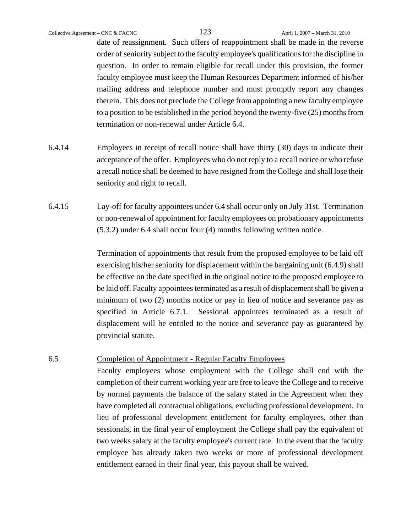date of reassignment. Such offers of reappointment shall be made in the reverse order of seniority subject to the faculty employee's qualifications for the discipline in question. In order to remain eligible for recall under this provision, the former faculty employee must keep the Human Resources Department informed of his/her mailing address and telephone number and must promptly report any changes therein. This does not preclude the College from appointing a new faculty employee to a position to be established in the period beyond the twenty-five (25) months from termination or non-renewal under Article 6.4.

- 6.4.14 Employees in receipt of recall notice shall have thirty (30) days to indicate their acceptance of the offer. Employees who do not reply to a recall notice or who refuse a recall notice shall be deemed to have resigned from the College and shall lose their seniority and right to recall.
- 6.4.15 Lay-off for faculty appointees under 6.4 shall occur only on July 31st. Termination or non-renewal of appointment for faculty employees on probationary appointments (5.3.2) under 6.4 shall occur four (4) months following written notice.

Termination of appointments that result from the proposed employee to be laid off exercising his/her seniority for displacement within the bargaining unit (6.4.9) shall be effective on the date specified in the original notice to the proposed employee to be laid off. Faculty appointees terminated as a result of displacement shall be given a minimum of two (2) months notice or pay in lieu of notice and severance pay as specified in Article 6.7.1. Sessional appointees terminated as a result of displacement will be entitled to the notice and severance pay as guaranteed by provincial statute.

# 6.5 Completion of Appointment - Regular Faculty Employees

Faculty employees whose employment with the College shall end with the completion of their current working year are free to leave the College and to receive by normal payments the balance of the salary stated in the Agreement when they have completed all contractual obligations, excluding professional development. In lieu of professional development entitlement for faculty employees, other than sessionals, in the final year of employment the College shall pay the equivalent of two weeks salary at the faculty employee's current rate. In the event that the faculty employee has already taken two weeks or more of professional development entitlement earned in their final year, this payout shall be waived.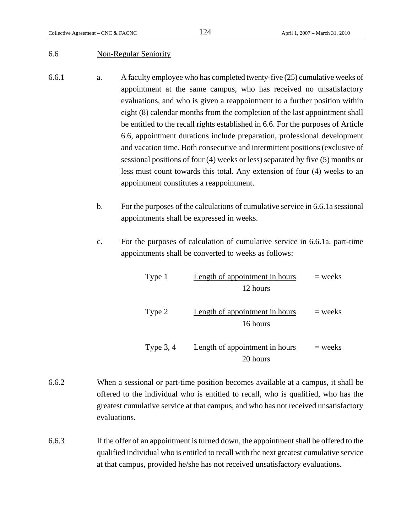## 6.6 Non-Regular Seniority

- 6.6.1 a. A faculty employee who has completed twenty-five (25) cumulative weeks of appointment at the same campus, who has received no unsatisfactory evaluations, and who is given a reappointment to a further position within eight (8) calendar months from the completion of the last appointment shall be entitled to the recall rights established in 6.6. For the purposes of Article 6.6, appointment durations include preparation, professional development and vacation time. Both consecutive and intermittent positions (exclusive of sessional positions of four (4) weeks or less) separated by five (5) months or less must count towards this total. Any extension of four (4) weeks to an appointment constitutes a reappointment.
	- b. For the purposes of the calculations of cumulative service in 6.6.1a sessional appointments shall be expressed in weeks.
	- c. For the purposes of calculation of cumulative service in 6.6.1a. part-time appointments shall be converted to weeks as follows:

| $=$ weeks | Length of appointment in hours<br>12 hours | Type 1      |
|-----------|--------------------------------------------|-------------|
| $=$ weeks | Length of appointment in hours<br>16 hours | Type 2      |
| $=$ weeks | Length of appointment in hours<br>20 hours | Type $3, 4$ |

- 6.6.2 When a sessional or part-time position becomes available at a campus, it shall be offered to the individual who is entitled to recall, who is qualified, who has the greatest cumulative service at that campus, and who has not received unsatisfactory evaluations.
- 6.6.3 If the offer of an appointment is turned down, the appointment shall be offered to the qualified individual who is entitled to recall with the next greatest cumulative service at that campus, provided he/she has not received unsatisfactory evaluations.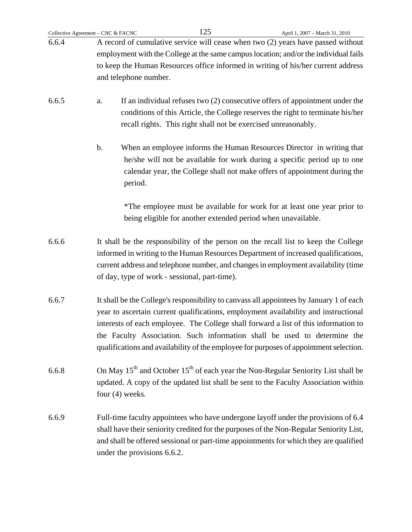|       | Collective Agreement - CNC & FACNC | 125                                                            | April 1, 2007 - March 31, 2010                                                                                                                                                                                                                                                                                                                                                                                                              |
|-------|------------------------------------|----------------------------------------------------------------|---------------------------------------------------------------------------------------------------------------------------------------------------------------------------------------------------------------------------------------------------------------------------------------------------------------------------------------------------------------------------------------------------------------------------------------------|
| 6.6.4 | and telephone number.              |                                                                | A record of cumulative service will cease when two (2) years have passed without<br>employment with the College at the same campus location; and/or the individual fails<br>to keep the Human Resources office informed in writing of his/her current address                                                                                                                                                                               |
| 6.6.5 | a.                                 | recall rights. This right shall not be exercised unreasonably. | If an individual refuses two $(2)$ consecutive offers of appointment under the<br>conditions of this Article, the College reserves the right to terminate his/her                                                                                                                                                                                                                                                                           |
|       | $\mathbf b$ .<br>period.           |                                                                | When an employee informs the Human Resources Director in writing that<br>he/she will not be available for work during a specific period up to one<br>calendar year, the College shall not make offers of appointment during the                                                                                                                                                                                                             |
|       |                                    | being eligible for another extended period when unavailable.   | *The employee must be available for work for at least one year prior to                                                                                                                                                                                                                                                                                                                                                                     |
| 6.6.6 |                                    | of day, type of work - sessional, part-time).                  | It shall be the responsibility of the person on the recall list to keep the College<br>informed in writing to the Human Resources Department of increased qualifications,<br>current address and telephone number, and changes in employment availability (time                                                                                                                                                                             |
| 6.6.7 |                                    |                                                                | It shall be the College's responsibility to canvass all appointees by January 1 of each<br>year to ascertain current qualifications, employment availability and instructional<br>interests of each employee. The College shall forward a list of this information to<br>the Faculty Association. Such information shall be used to determine the<br>qualifications and availability of the employee for purposes of appointment selection. |
| 6.6.8 | four $(4)$ weeks.                  |                                                                | On May 15 <sup>th</sup> and October 15 <sup>th</sup> of each year the Non-Regular Seniority List shall be<br>updated. A copy of the updated list shall be sent to the Faculty Association within                                                                                                                                                                                                                                            |
| 6.6.9 | under the provisions 6.6.2.        |                                                                | Full-time faculty appointees who have undergone layoff under the provisions of 6.4<br>shall have their seniority credited for the purposes of the Non-Regular Seniority List,<br>and shall be offered sessional or part-time appointments for which they are qualified                                                                                                                                                                      |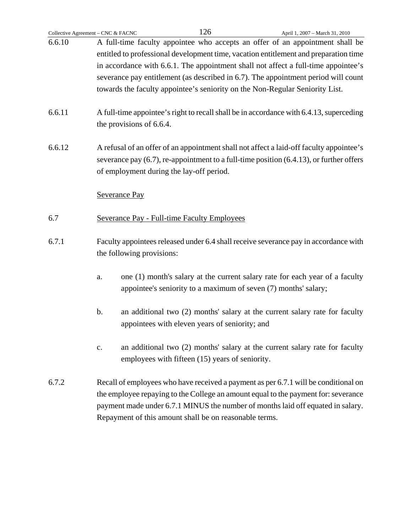| Collective Agreement - CNC & FACNC                                                            |                                                                                                                                           |                          |  | 126                                             | April 1, 2007 - March 31, 2010                                                          |
|-----------------------------------------------------------------------------------------------|-------------------------------------------------------------------------------------------------------------------------------------------|--------------------------|--|-------------------------------------------------|-----------------------------------------------------------------------------------------|
| 6.6.10                                                                                        |                                                                                                                                           |                          |  |                                                 | A full-time faculty appointee who accepts an offer of an appointment shall be           |
|                                                                                               | entitled to professional development time, vacation entitlement and preparation time                                                      |                          |  |                                                 |                                                                                         |
| in accordance with 6.6.1. The appointment shall not affect a full-time appointee's            |                                                                                                                                           |                          |  |                                                 |                                                                                         |
|                                                                                               | severance pay entitlement (as described in 6.7). The appointment period will count                                                        |                          |  |                                                 |                                                                                         |
|                                                                                               |                                                                                                                                           |                          |  |                                                 | towards the faculty appointee's seniority on the Non-Regular Seniority List.            |
| 6.6.11                                                                                        |                                                                                                                                           |                          |  |                                                 | A full-time appointee's right to recall shall be in accordance with 6.4.13, superceding |
|                                                                                               |                                                                                                                                           | the provisions of 6.6.4. |  |                                                 |                                                                                         |
| 6.6.12                                                                                        |                                                                                                                                           |                          |  |                                                 | A refusal of an offer of an appointment shall not affect a laid-off faculty appointee's |
|                                                                                               | severance pay $(6.7)$ , re-appointment to a full-time position $(6.4.13)$ , or further offers                                             |                          |  |                                                 |                                                                                         |
|                                                                                               | of employment during the lay-off period.                                                                                                  |                          |  |                                                 |                                                                                         |
|                                                                                               |                                                                                                                                           | <b>Severance Pay</b>     |  |                                                 |                                                                                         |
| 6.7                                                                                           | <b>Severance Pay - Full-time Faculty Employees</b>                                                                                        |                          |  |                                                 |                                                                                         |
| 6.7.1<br>Faculty appointees released under 6.4 shall receive severance pay in accordance with |                                                                                                                                           |                          |  |                                                 |                                                                                         |
|                                                                                               | the following provisions:                                                                                                                 |                          |  |                                                 |                                                                                         |
|                                                                                               | a.                                                                                                                                        |                          |  |                                                 | one (1) month's salary at the current salary rate for each year of a faculty            |
|                                                                                               |                                                                                                                                           |                          |  |                                                 | appointee's seniority to a maximum of seven (7) months' salary;                         |
|                                                                                               | b.                                                                                                                                        |                          |  |                                                 | an additional two (2) months' salary at the current salary rate for faculty             |
|                                                                                               |                                                                                                                                           |                          |  | appointees with eleven years of seniority; and  |                                                                                         |
|                                                                                               | $\mathbf{c}$ .                                                                                                                            |                          |  |                                                 | an additional two (2) months' salary at the current salary rate for faculty             |
|                                                                                               |                                                                                                                                           |                          |  | employees with fifteen (15) years of seniority. |                                                                                         |
| 6.7.2                                                                                         |                                                                                                                                           |                          |  |                                                 | Recall of employees who have received a payment as per 6.7.1 will be conditional on     |
|                                                                                               | the employee repaying to the College an amount equal to the payment for: severance                                                        |                          |  |                                                 |                                                                                         |
|                                                                                               | payment made under 6.7.1 MINUS the number of months laid off equated in salary.<br>Repayment of this amount shall be on reasonable terms. |                          |  |                                                 |                                                                                         |
|                                                                                               |                                                                                                                                           |                          |  |                                                 |                                                                                         |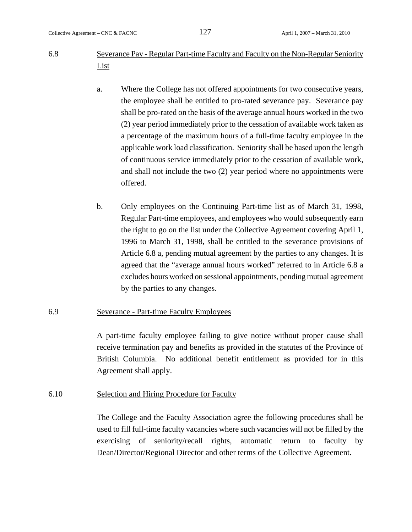- 6.8 Severance Pay Regular Part-time Faculty and Faculty on the Non-Regular Seniority List
	- a. Where the College has not offered appointments for two consecutive years, the employee shall be entitled to pro-rated severance pay. Severance pay shall be pro-rated on the basis of the average annual hours worked in the two (2) year period immediately prior to the cessation of available work taken as a percentage of the maximum hours of a full-time faculty employee in the applicable work load classification. Seniority shall be based upon the length of continuous service immediately prior to the cessation of available work, and shall not include the two (2) year period where no appointments were offered.
	- b. Only employees on the Continuing Part-time list as of March 31, 1998, Regular Part-time employees, and employees who would subsequently earn the right to go on the list under the Collective Agreement covering April 1, 1996 to March 31, 1998, shall be entitled to the severance provisions of Article 6.8 a, pending mutual agreement by the parties to any changes. It is agreed that the "average annual hours worked" referred to in Article 6.8 a excludes hours worked on sessional appointments, pending mutual agreement by the parties to any changes.

# 6.9 Severance - Part-time Faculty Employees

A part-time faculty employee failing to give notice without proper cause shall receive termination pay and benefits as provided in the statutes of the Province of British Columbia. No additional benefit entitlement as provided for in this Agreement shall apply.

# 6.10 Selection and Hiring Procedure for Faculty

The College and the Faculty Association agree the following procedures shall be used to fill full-time faculty vacancies where such vacancies will not be filled by the exercising of seniority/recall rights, automatic return to faculty by Dean/Director/Regional Director and other terms of the Collective Agreement.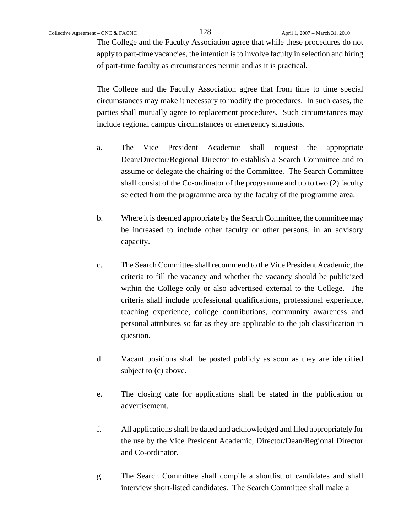The College and the Faculty Association agree that while these procedures do not apply to part-time vacancies, the intention is to involve faculty in selection and hiring of part-time faculty as circumstances permit and as it is practical.

The College and the Faculty Association agree that from time to time special circumstances may make it necessary to modify the procedures. In such cases, the parties shall mutually agree to replacement procedures. Such circumstances may include regional campus circumstances or emergency situations.

- a. The Vice President Academic shall request the appropriate Dean/Director/Regional Director to establish a Search Committee and to assume or delegate the chairing of the Committee. The Search Committee shall consist of the Co-ordinator of the programme and up to two (2) faculty selected from the programme area by the faculty of the programme area.
- b. Where it is deemed appropriate by the Search Committee, the committee may be increased to include other faculty or other persons, in an advisory capacity.
- c. The Search Committee shall recommend to the Vice President Academic, the criteria to fill the vacancy and whether the vacancy should be publicized within the College only or also advertised external to the College. The criteria shall include professional qualifications, professional experience, teaching experience, college contributions, community awareness and personal attributes so far as they are applicable to the job classification in question.
- d. Vacant positions shall be posted publicly as soon as they are identified subject to (c) above.
- e. The closing date for applications shall be stated in the publication or advertisement.
- f. All applications shall be dated and acknowledged and filed appropriately for the use by the Vice President Academic, Director/Dean/Regional Director and Co-ordinator.
- g. The Search Committee shall compile a shortlist of candidates and shall interview short-listed candidates. The Search Committee shall make a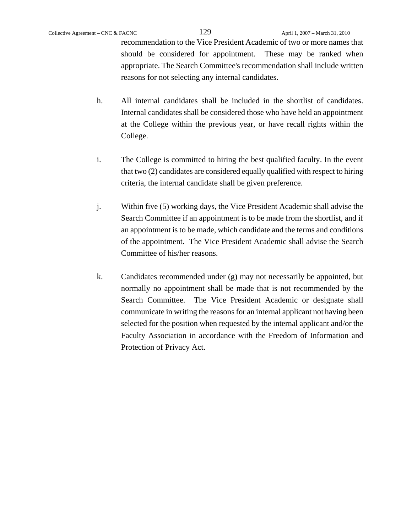recommendation to the Vice President Academic of two or more names that should be considered for appointment. These may be ranked when appropriate. The Search Committee's recommendation shall include written reasons for not selecting any internal candidates.

- h. All internal candidates shall be included in the shortlist of candidates. Internal candidates shall be considered those who have held an appointment at the College within the previous year, or have recall rights within the College.
- i. The College is committed to hiring the best qualified faculty. In the event that two (2) candidates are considered equally qualified with respect to hiring criteria, the internal candidate shall be given preference.
- j. Within five (5) working days, the Vice President Academic shall advise the Search Committee if an appointment is to be made from the shortlist, and if an appointment is to be made, which candidate and the terms and conditions of the appointment. The Vice President Academic shall advise the Search Committee of his/her reasons.
- k. Candidates recommended under (g) may not necessarily be appointed, but normally no appointment shall be made that is not recommended by the Search Committee. The Vice President Academic or designate shall communicate in writing the reasons for an internal applicant not having been selected for the position when requested by the internal applicant and/or the Faculty Association in accordance with the Freedom of Information and Protection of Privacy Act.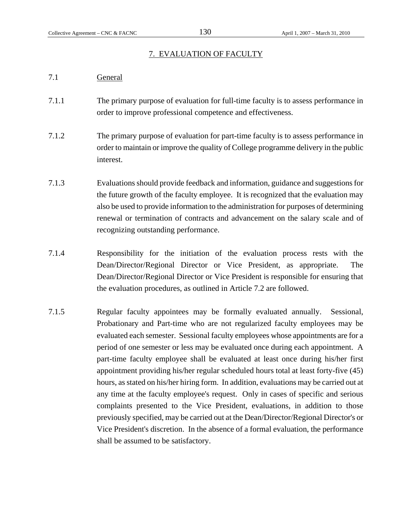# 7. EVALUATION OF FACULTY

- 7.1 General
- 7.1.1 The primary purpose of evaluation for full-time faculty is to assess performance in order to improve professional competence and effectiveness.
- 7.1.2 The primary purpose of evaluation for part-time faculty is to assess performance in order to maintain or improve the quality of College programme delivery in the public interest.
- 7.1.3 Evaluations should provide feedback and information, guidance and suggestions for the future growth of the faculty employee. It is recognized that the evaluation may also be used to provide information to the administration for purposes of determining renewal or termination of contracts and advancement on the salary scale and of recognizing outstanding performance.
- 7.1.4 Responsibility for the initiation of the evaluation process rests with the Dean/Director/Regional Director or Vice President, as appropriate. The Dean/Director/Regional Director or Vice President is responsible for ensuring that the evaluation procedures, as outlined in Article 7.2 are followed.
- 7.1.5 Regular faculty appointees may be formally evaluated annually. Sessional, Probationary and Part-time who are not regularized faculty employees may be evaluated each semester. Sessional faculty employees whose appointments are for a period of one semester or less may be evaluated once during each appointment. A part-time faculty employee shall be evaluated at least once during his/her first appointment providing his/her regular scheduled hours total at least forty-five (45) hours, as stated on his/her hiring form. In addition, evaluations may be carried out at any time at the faculty employee's request. Only in cases of specific and serious complaints presented to the Vice President, evaluations, in addition to those previously specified, may be carried out at the Dean/Director/Regional Director's or Vice President's discretion. In the absence of a formal evaluation, the performance shall be assumed to be satisfactory.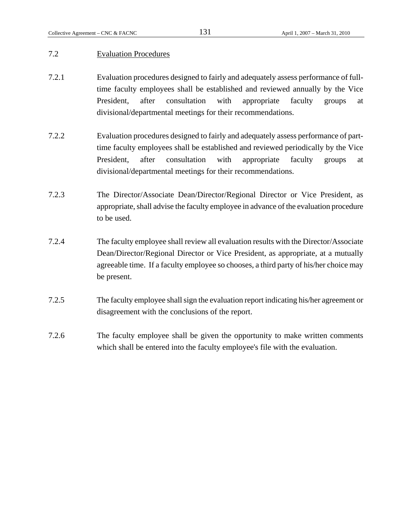## 7.2 Evaluation Procedures

- 7.2.1 Evaluation procedures designed to fairly and adequately assess performance of fulltime faculty employees shall be established and reviewed annually by the Vice President, after consultation with appropriate faculty groups at divisional/departmental meetings for their recommendations.
- 7.2.2 Evaluation procedures designed to fairly and adequately assess performance of parttime faculty employees shall be established and reviewed periodically by the Vice President, after consultation with appropriate faculty groups at divisional/departmental meetings for their recommendations.
- 7.2.3 The Director/Associate Dean/Director/Regional Director or Vice President, as appropriate, shall advise the faculty employee in advance of the evaluation procedure to be used.
- 7.2.4 The faculty employee shall review all evaluation results with the Director/Associate Dean/Director/Regional Director or Vice President, as appropriate, at a mutually agreeable time. If a faculty employee so chooses, a third party of his/her choice may be present.
- 7.2.5 The faculty employee shall sign the evaluation report indicating his/her agreement or disagreement with the conclusions of the report.
- 7.2.6 The faculty employee shall be given the opportunity to make written comments which shall be entered into the faculty employee's file with the evaluation.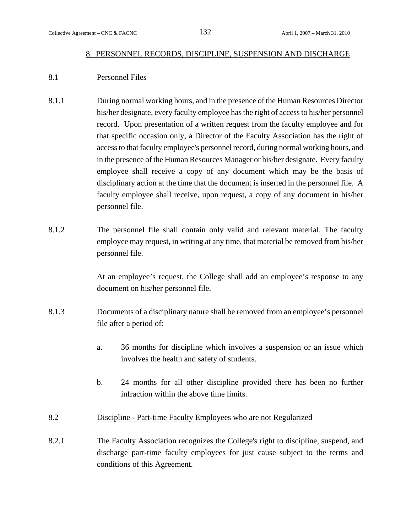# 8. PERSONNEL RECORDS, DISCIPLINE, SUSPENSION AND DISCHARGE

# 8.1 Personnel Files

- 8.1.1 During normal working hours, and in the presence of the Human Resources Director his/her designate, every faculty employee has the right of access to his/her personnel record. Upon presentation of a written request from the faculty employee and for that specific occasion only, a Director of the Faculty Association has the right of access to that faculty employee's personnel record, during normal working hours, and in the presence of the Human Resources Manager or his/her designate. Every faculty employee shall receive a copy of any document which may be the basis of disciplinary action at the time that the document is inserted in the personnel file. A faculty employee shall receive, upon request, a copy of any document in his/her personnel file.
- 8.1.2 The personnel file shall contain only valid and relevant material. The faculty employee may request, in writing at any time, that material be removed from his/her personnel file.

At an employee's request, the College shall add an employee's response to any document on his/her personnel file.

- 8.1.3 Documents of a disciplinary nature shall be removed from an employee's personnel file after a period of:
	- a. 36 months for discipline which involves a suspension or an issue which involves the health and safety of students.
	- b. 24 months for all other discipline provided there has been no further infraction within the above time limits.
- 8.2 Discipline Part-time Faculty Employees who are not Regularized
- 8.2.1 The Faculty Association recognizes the College's right to discipline, suspend, and discharge part-time faculty employees for just cause subject to the terms and conditions of this Agreement.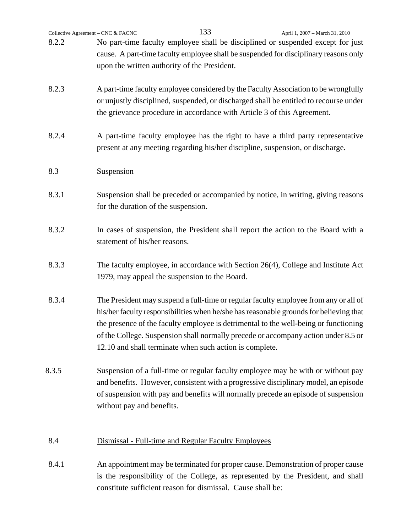| Collective Agreement - CNC & FACNC | 133<br>April 1, 2007 - March 31, 2010                                                                                                                                                                                                                                                                                                                                                                                   |
|------------------------------------|-------------------------------------------------------------------------------------------------------------------------------------------------------------------------------------------------------------------------------------------------------------------------------------------------------------------------------------------------------------------------------------------------------------------------|
| 8.2.2                              | No part-time faculty employee shall be disciplined or suspended except for just<br>cause. A part-time faculty employee shall be suspended for disciplinary reasons only<br>upon the written authority of the President.                                                                                                                                                                                                 |
| 8.2.3                              | A part-time faculty employee considered by the Faculty Association to be wrongfully<br>or unjustly disciplined, suspended, or discharged shall be entitled to recourse under<br>the grievance procedure in accordance with Article 3 of this Agreement.                                                                                                                                                                 |
| 8.2.4                              | A part-time faculty employee has the right to have a third party representative<br>present at any meeting regarding his/her discipline, suspension, or discharge.                                                                                                                                                                                                                                                       |
| 8.3                                | Suspension                                                                                                                                                                                                                                                                                                                                                                                                              |
| 8.3.1                              | Suspension shall be preceded or accompanied by notice, in writing, giving reasons<br>for the duration of the suspension.                                                                                                                                                                                                                                                                                                |
| 8.3.2                              | In cases of suspension, the President shall report the action to the Board with a<br>statement of his/her reasons.                                                                                                                                                                                                                                                                                                      |
| 8.3.3                              | The faculty employee, in accordance with Section 26(4), College and Institute Act<br>1979, may appeal the suspension to the Board.                                                                                                                                                                                                                                                                                      |
| 8.3.4                              | The President may suspend a full-time or regular faculty employee from any or all of<br>his/her faculty responsibilities when he/she has reasonable grounds for believing that<br>the presence of the faculty employee is detrimental to the well-being or functioning<br>of the College. Suspension shall normally precede or accompany action under 8.5 or<br>12.10 and shall terminate when such action is complete. |
| 8.3.5                              | Suspension of a full-time or regular faculty employee may be with or without pay<br>and benefits. However, consistent with a progressive disciplinary model, an episode<br>of suspension with pay and benefits will normally precede an episode of suspension<br>without pay and benefits.                                                                                                                              |
| 8.4                                | Dismissal - Full-time and Regular Faculty Employees                                                                                                                                                                                                                                                                                                                                                                     |
| 8.4.1                              | An appointment may be terminated for proper cause. Demonstration of proper cause<br>is the responsibility of the College, as represented by the President, and shall<br>constitute sufficient reason for dismissal. Cause shall be:                                                                                                                                                                                     |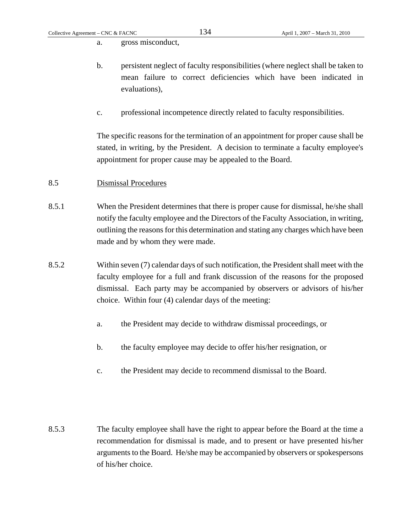a. gross misconduct,

- b. persistent neglect of faculty responsibilities (where neglect shall be taken to mean failure to correct deficiencies which have been indicated in evaluations),
- c. professional incompetence directly related to faculty responsibilities.

The specific reasons for the termination of an appointment for proper cause shall be stated, in writing, by the President. A decision to terminate a faculty employee's appointment for proper cause may be appealed to the Board.

## 8.5 Dismissal Procedures

- 8.5.1 When the President determines that there is proper cause for dismissal, he/she shall notify the faculty employee and the Directors of the Faculty Association, in writing, outlining the reasons for this determination and stating any charges which have been made and by whom they were made.
- 8.5.2 Within seven (7) calendar days of such notification, the President shall meet with the faculty employee for a full and frank discussion of the reasons for the proposed dismissal. Each party may be accompanied by observers or advisors of his/her choice. Within four (4) calendar days of the meeting:
	- a. the President may decide to withdraw dismissal proceedings, or
	- b. the faculty employee may decide to offer his/her resignation, or
	- c. the President may decide to recommend dismissal to the Board.
- 8.5.3 The faculty employee shall have the right to appear before the Board at the time a recommendation for dismissal is made, and to present or have presented his/her arguments to the Board. He/she may be accompanied by observers or spokespersons of his/her choice.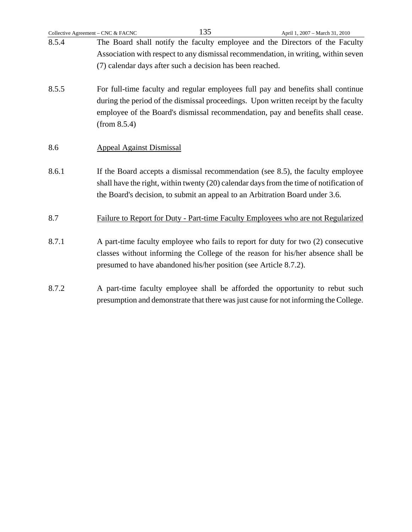|       | 135<br>Collective Agreement - CNC & FACNC                                    | April 1, 2007 - March 31, 2010                                                          |
|-------|------------------------------------------------------------------------------|-----------------------------------------------------------------------------------------|
| 8.5.4 |                                                                              | The Board shall notify the faculty employee and the Directors of the Faculty            |
|       |                                                                              | Association with respect to any dismissal recommendation, in writing, within seven      |
|       | (7) calendar days after such a decision has been reached.                    |                                                                                         |
| 8.5.5 |                                                                              | For full-time faculty and regular employees full pay and benefits shall continue        |
|       |                                                                              | during the period of the dismissal proceedings. Upon written receipt by the faculty     |
|       |                                                                              | employee of the Board's dismissal recommendation, pay and benefits shall cease.         |
|       | (from 8.5.4)                                                                 |                                                                                         |
| 8.6   | <b>Appeal Against Dismissal</b>                                              |                                                                                         |
| 8.6.1 |                                                                              | If the Board accepts a dismissal recommendation (see 8.5), the faculty employee         |
|       |                                                                              | shall have the right, within twenty (20) calendar days from the time of notification of |
|       | the Board's decision, to submit an appeal to an Arbitration Board under 3.6. |                                                                                         |
| 8.7   |                                                                              | Failure to Report for Duty - Part-time Faculty Employees who are not Regularized        |
|       |                                                                              |                                                                                         |
| 8.7.1 |                                                                              | A part-time faculty employee who fails to report for duty for two (2) consecutive       |
|       | presumed to have abandoned his/her position (see Article 8.7.2).             | classes without informing the College of the reason for his/her absence shall be        |
|       |                                                                              |                                                                                         |
| 8.7.2 |                                                                              | A part-time faculty employee shall be afforded the opportunity to rebut such            |
|       |                                                                              | presumption and demonstrate that there was just cause for not informing the College.    |
|       |                                                                              |                                                                                         |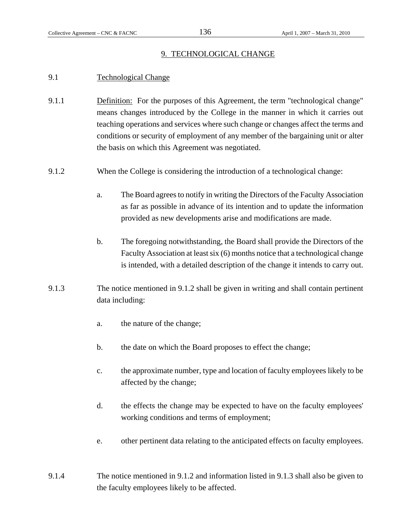## 9. TECHNOLOGICAL CHANGE

# 9.1 Technological Change

- 9.1.1 Definition: For the purposes of this Agreement, the term "technological change" means changes introduced by the College in the manner in which it carries out teaching operations and services where such change or changes affect the terms and conditions or security of employment of any member of the bargaining unit or alter the basis on which this Agreement was negotiated.
- 9.1.2 When the College is considering the introduction of a technological change:
	- a. The Board agrees to notify in writing the Directors of the Faculty Association as far as possible in advance of its intention and to update the information provided as new developments arise and modifications are made.
	- b. The foregoing notwithstanding, the Board shall provide the Directors of the Faculty Association at least six (6) months notice that a technological change is intended, with a detailed description of the change it intends to carry out.
- 9.1.3 The notice mentioned in 9.1.2 shall be given in writing and shall contain pertinent data including:
	- a. the nature of the change;
	- b. the date on which the Board proposes to effect the change;
	- c. the approximate number, type and location of faculty employees likely to be affected by the change;
	- d. the effects the change may be expected to have on the faculty employees' working conditions and terms of employment;
	- e. other pertinent data relating to the anticipated effects on faculty employees.
- 9.1.4 The notice mentioned in 9.1.2 and information listed in 9.1.3 shall also be given to the faculty employees likely to be affected.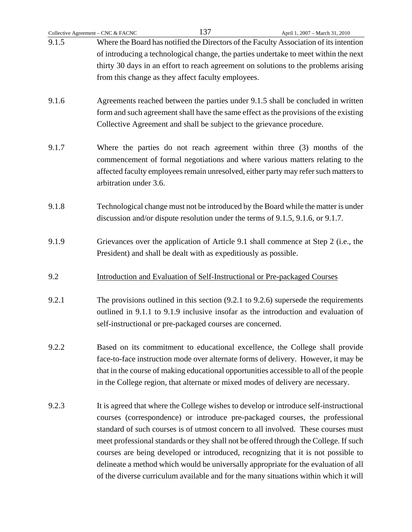| Collective Agreement - CNC & FACNC | 137                                                                                 | April 1, 2007 - March 31, 2010                                                                 |  |
|------------------------------------|-------------------------------------------------------------------------------------|------------------------------------------------------------------------------------------------|--|
| 9.1.5                              |                                                                                     | Where the Board has notified the Directors of the Faculty Association of its intention         |  |
|                                    |                                                                                     | of introducing a technological change, the parties undertake to meet within the next           |  |
|                                    | thirty 30 days in an effort to reach agreement on solutions to the problems arising |                                                                                                |  |
|                                    | from this change as they affect faculty employees.                                  |                                                                                                |  |
|                                    |                                                                                     |                                                                                                |  |
| 9.1.6                              |                                                                                     | Agreements reached between the parties under 9.1.5 shall be concluded in written               |  |
|                                    |                                                                                     | form and such agreement shall have the same effect as the provisions of the existing           |  |
|                                    | Collective Agreement and shall be subject to the grievance procedure.               |                                                                                                |  |
|                                    |                                                                                     |                                                                                                |  |
| 9.1.7                              |                                                                                     | Where the parties do not reach agreement within three (3) months of the                        |  |
|                                    |                                                                                     | commencement of formal negotiations and where various matters relating to the                  |  |
|                                    |                                                                                     | affected faculty employees remain unresolved, either party may refer such matters to           |  |
|                                    | arbitration under 3.6.                                                              |                                                                                                |  |
|                                    |                                                                                     |                                                                                                |  |
| 9.1.8                              |                                                                                     | Technological change must not be introduced by the Board while the matter is under             |  |
|                                    | discussion and/or dispute resolution under the terms of 9.1.5, 9.1.6, or 9.1.7.     |                                                                                                |  |
|                                    |                                                                                     |                                                                                                |  |
| 9.1.9                              |                                                                                     | Grievances over the application of Article 9.1 shall commence at Step 2 (i.e., the             |  |
|                                    | President) and shall be dealt with as expeditiously as possible.                    |                                                                                                |  |
|                                    |                                                                                     |                                                                                                |  |
| 9.2                                | Introduction and Evaluation of Self-Instructional or Pre-packaged Courses           |                                                                                                |  |
|                                    |                                                                                     |                                                                                                |  |
| 9.2.1                              |                                                                                     | The provisions outlined in this section $(9.2.1 \text{ to } 9.2.6)$ supersede the requirements |  |
|                                    |                                                                                     | outlined in 9.1.1 to 9.1.9 inclusive insofar as the introduction and evaluation of             |  |
|                                    | self-instructional or pre-packaged courses are concerned.                           |                                                                                                |  |
|                                    |                                                                                     |                                                                                                |  |
| 9.2.2                              |                                                                                     | Based on its commitment to educational excellence, the College shall provide                   |  |
|                                    |                                                                                     | face-to-face instruction mode over alternate forms of delivery. However, it may be             |  |
|                                    |                                                                                     | that in the course of making educational opportunities accessible to all of the people         |  |
|                                    | in the College region, that alternate or mixed modes of delivery are necessary.     |                                                                                                |  |
|                                    |                                                                                     |                                                                                                |  |
| 9.2.3                              |                                                                                     | It is agreed that where the College wishes to develop or introduce self-instructional          |  |
|                                    |                                                                                     | courses (correspondence) or introduce pre-packaged courses, the professional                   |  |
|                                    |                                                                                     | standard of such courses is of utmost concern to all involved. These courses must              |  |
|                                    |                                                                                     | meet professional standards or they shall not be offered through the College. If such          |  |
|                                    |                                                                                     | courses are being developed or introduced, recognizing that it is not possible to              |  |
|                                    |                                                                                     | delineate a method which would be universally appropriate for the evaluation of all            |  |
|                                    |                                                                                     | of the diverse curriculum available and for the many situations within which it will           |  |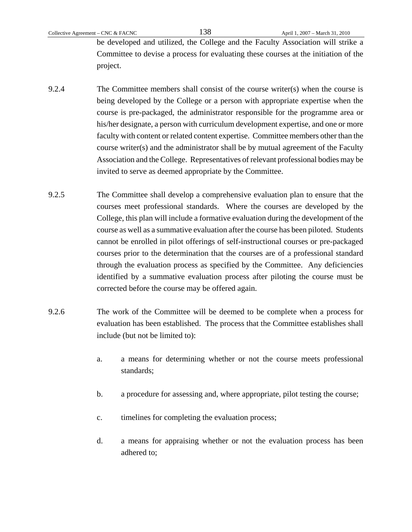be developed and utilized, the College and the Faculty Association will strike a Committee to devise a process for evaluating these courses at the initiation of the project.

- 9.2.4 The Committee members shall consist of the course writer(s) when the course is being developed by the College or a person with appropriate expertise when the course is pre-packaged, the administrator responsible for the programme area or his/her designate, a person with curriculum development expertise, and one or more faculty with content or related content expertise. Committee members other than the course writer(s) and the administrator shall be by mutual agreement of the Faculty Association and the College. Representatives of relevant professional bodies may be invited to serve as deemed appropriate by the Committee.
- 9.2.5 The Committee shall develop a comprehensive evaluation plan to ensure that the courses meet professional standards. Where the courses are developed by the College, this plan will include a formative evaluation during the development of the course as well as a summative evaluation after the course has been piloted. Students cannot be enrolled in pilot offerings of self-instructional courses or pre-packaged courses prior to the determination that the courses are of a professional standard through the evaluation process as specified by the Committee. Any deficiencies identified by a summative evaluation process after piloting the course must be corrected before the course may be offered again.
- 9.2.6 The work of the Committee will be deemed to be complete when a process for evaluation has been established. The process that the Committee establishes shall include (but not be limited to):
	- a. a means for determining whether or not the course meets professional standards;
	- b. a procedure for assessing and, where appropriate, pilot testing the course;
	- c. timelines for completing the evaluation process;
	- d. a means for appraising whether or not the evaluation process has been adhered to;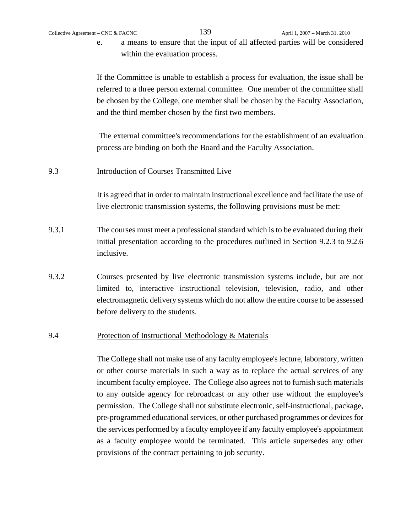e. a means to ensure that the input of all affected parties will be considered within the evaluation process.

If the Committee is unable to establish a process for evaluation, the issue shall be referred to a three person external committee. One member of the committee shall be chosen by the College, one member shall be chosen by the Faculty Association, and the third member chosen by the first two members.

 The external committee's recommendations for the establishment of an evaluation process are binding on both the Board and the Faculty Association.

#### 9.3 Introduction of Courses Transmitted Live

It is agreed that in order to maintain instructional excellence and facilitate the use of live electronic transmission systems, the following provisions must be met:

- 9.3.1 The courses must meet a professional standard which is to be evaluated during their initial presentation according to the procedures outlined in Section 9.2.3 to 9.2.6 inclusive.
- 9.3.2 Courses presented by live electronic transmission systems include, but are not limited to, interactive instructional television, television, radio, and other electromagnetic delivery systems which do not allow the entire course to be assessed before delivery to the students.

#### 9.4 Protection of Instructional Methodology & Materials

The College shall not make use of any faculty employee's lecture, laboratory, written or other course materials in such a way as to replace the actual services of any incumbent faculty employee. The College also agrees not to furnish such materials to any outside agency for rebroadcast or any other use without the employee's permission. The College shall not substitute electronic, self-instructional, package, pre-programmed educational services, or other purchased programmes or devices for the services performed by a faculty employee if any faculty employee's appointment as a faculty employee would be terminated. This article supersedes any other provisions of the contract pertaining to job security.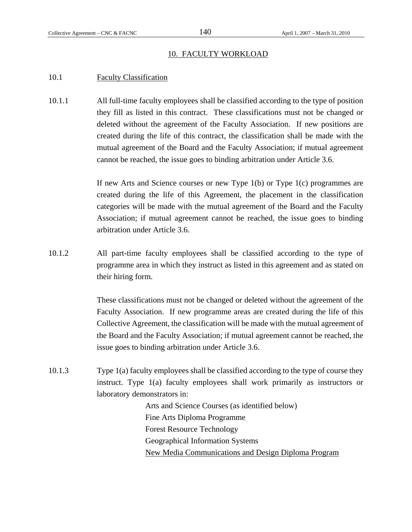### 10. FACULTY WORKLOAD

# 10.1 Faculty Classification

10.1.1 All full-time faculty employees shall be classified according to the type of position they fill as listed in this contract. These classifications must not be changed or deleted without the agreement of the Faculty Association. If new positions are created during the life of this contract, the classification shall be made with the mutual agreement of the Board and the Faculty Association; if mutual agreement cannot be reached, the issue goes to binding arbitration under Article 3.6.

> If new Arts and Science courses or new Type 1(b) or Type 1(c) programmes are created during the life of this Agreement, the placement in the classification categories will be made with the mutual agreement of the Board and the Faculty Association; if mutual agreement cannot be reached, the issue goes to binding arbitration under Article 3.6.

10.1.2 All part-time faculty employees shall be classified according to the type of programme area in which they instruct as listed in this agreement and as stated on their hiring form.

> These classifications must not be changed or deleted without the agreement of the Faculty Association. If new programme areas are created during the life of this Collective Agreement, the classification will be made with the mutual agreement of the Board and the Faculty Association; if mutual agreement cannot be reached, the issue goes to binding arbitration under Article 3.6.

10.1.3 Type 1(a) faculty employees shall be classified according to the type of course they instruct. Type 1(a) faculty employees shall work primarily as instructors or laboratory demonstrators in:

> Arts and Science Courses (as identified below) Fine Arts Diploma Programme Forest Resource Technology Geographical Information Systems New Media Communications and Design Diploma Program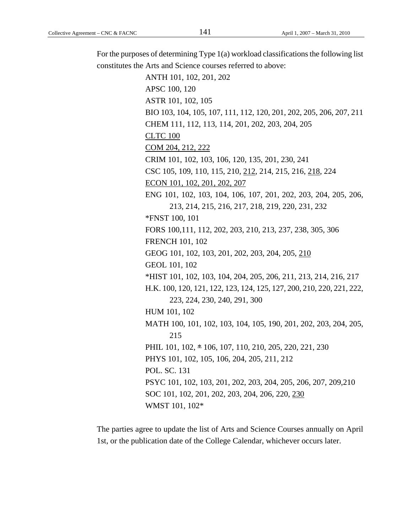For the purposes of determining Type 1(a) workload classifications the following list constitutes the Arts and Science courses referred to above: ANTH 101, 102, 201, 202 APSC 100, 120 ASTR 101, 102, 105 BIO 103, 104, 105, 107, 111, 112, 120, 201, 202, 205, 206, 207, 211 CHEM 111, 112, 113, 114, 201, 202, 203, 204, 205 CLTC 100 COM 204, 212, 222 CRIM 101, 102, 103, 106, 120, 135, 201, 230, 241 CSC 105, 109, 110, 115, 210, 212, 214, 215, 216, 218, 224 ECON 101, 102, 201, 202, 207 ENG 101, 102, 103, 104, 106, 107, 201, 202, 203, 204, 205, 206, 213, 214, 215, 216, 217, 218, 219, 220, 231, 232 \*FNST 100, 101 FORS 100,111, 112, 202, 203, 210, 213, 237, 238, 305, 306 FRENCH 101, 102 GEOG 101, 102, 103, 201, 202, 203, 204, 205, 210

GEOL 101, 102 \*HIST 101, 102, 103, 104, 204, 205, 206, 211, 213, 214, 216, 217

H.K. 100, 120, 121, 122, 123, 124, 125, 127, 200, 210, 220, 221, 222, 223, 224, 230, 240, 291, 300

HUM 101, 102 MATH 100, 101, 102, 103, 104, 105, 190, 201, 202, 203, 204, 205, 215 PHIL 101, 102, \* 106, 107, 110, 210, 205, 220, 221, 230

PHYS 101, 102, 105, 106, 204, 205, 211, 212

PSYC 101, 102, 103, 201, 202, 203, 204, 205, 206, 207, 209,210

SOC 101, 102, 201, 202, 203, 204, 206, 220, 230

WMST 101, 102\*

POL. SC. 131

The parties agree to update the list of Arts and Science Courses annually on April 1st, or the publication date of the College Calendar, whichever occurs later.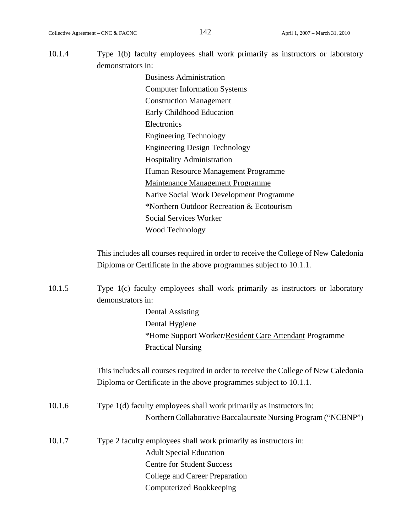| 10.1.4 | Type 1(b) faculty employees shall work primarily as instructors or laboratory       |  |  |  |
|--------|-------------------------------------------------------------------------------------|--|--|--|
|        | demonstrators in:                                                                   |  |  |  |
|        | <b>Business Administration</b>                                                      |  |  |  |
|        | <b>Computer Information Systems</b>                                                 |  |  |  |
|        | <b>Construction Management</b>                                                      |  |  |  |
|        | Early Childhood Education                                                           |  |  |  |
|        | Electronics                                                                         |  |  |  |
|        | <b>Engineering Technology</b>                                                       |  |  |  |
|        | <b>Engineering Design Technology</b>                                                |  |  |  |
|        | <b>Hospitality Administration</b>                                                   |  |  |  |
|        | Human Resource Management Programme                                                 |  |  |  |
|        | <b>Maintenance Management Programme</b>                                             |  |  |  |
|        | Native Social Work Development Programme                                            |  |  |  |
|        | *Northern Outdoor Recreation & Ecotourism                                           |  |  |  |
|        | <b>Social Services Worker</b>                                                       |  |  |  |
|        | <b>Wood Technology</b>                                                              |  |  |  |
|        |                                                                                     |  |  |  |
|        | This includes all courses required in order to receive the College of New Caledonia |  |  |  |
|        | Diploma or Certificate in the above programmes subject to 10.1.1.                   |  |  |  |
| 10.1.5 | Type 1(c) faculty employees shall work primarily as instructors or laboratory       |  |  |  |
|        | demonstrators in:                                                                   |  |  |  |
|        | <b>Dental Assisting</b>                                                             |  |  |  |
|        | Dental Hygiene                                                                      |  |  |  |
|        | *Home Support Worker/Resident Care Attendant Programme                              |  |  |  |
|        | <b>Practical Nursing</b>                                                            |  |  |  |
|        | This includes all courses required in order to receive the College of New Caledonia |  |  |  |
|        | Diploma or Certificate in the above programmes subject to 10.1.1.                   |  |  |  |
| 10.1.6 | Type 1(d) faculty employees shall work primarily as instructors in:                 |  |  |  |
|        | Northern Collaborative Baccalaureate Nursing Program ("NCBNP")                      |  |  |  |
|        |                                                                                     |  |  |  |
| 10.1.7 | Type 2 faculty employees shall work primarily as instructors in:                    |  |  |  |
|        | <b>Adult Special Education</b>                                                      |  |  |  |
|        | <b>Centre for Student Success</b>                                                   |  |  |  |
|        | College and Career Preparation                                                      |  |  |  |
|        | <b>Computerized Bookkeeping</b>                                                     |  |  |  |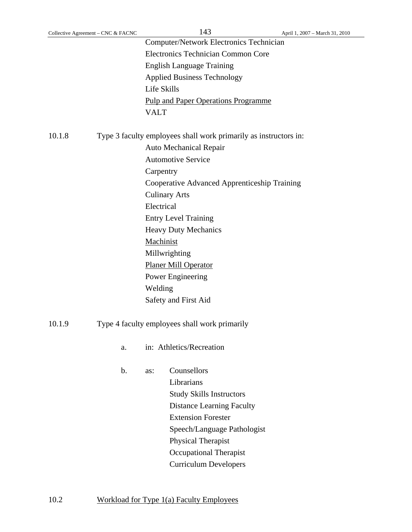| Collective Agreement – CNC & FACNC | 143                                            | April 1, 2007 – March 31, 2010 |
|------------------------------------|------------------------------------------------|--------------------------------|
|                                    | <b>Computer/Network Electronics Technician</b> |                                |
|                                    | Electronics Technician Common Core             |                                |
|                                    | <b>English Language Training</b>               |                                |
|                                    | <b>Applied Business Technology</b>             |                                |
|                                    | Life Skills                                    |                                |
|                                    | <b>Pulp and Paper Operations Programme</b>     |                                |
|                                    | VALT                                           |                                |
|                                    |                                                |                                |

10.1.8 Type 3 faculty employees shall work primarily as instructors in:

Auto Mechanical Repair Automotive Service **Carpentry** Cooperative Advanced Apprenticeship Training Culinary Arts Electrical Entry Level Training Heavy Duty Mechanics Machinist Millwrighting Planer Mill Operator Power Engineering Welding Safety and First Aid

10.1.9 Type 4 faculty employees shall work primarily

a. in: Athletics/Recreation

b. as: Counsellors Librarians Study Skills Instructors Distance Learning Faculty Extension Forester Speech/Language Pathologist Physical Therapist Occupational Therapist Curriculum Developers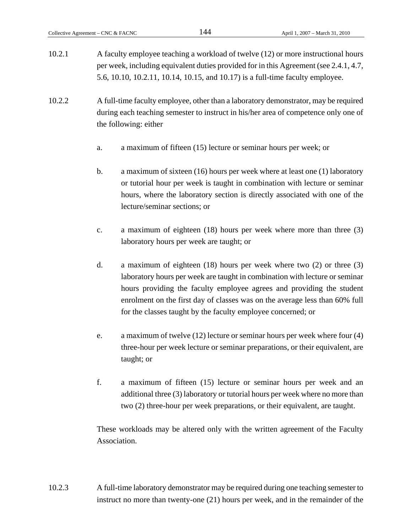10.2.1 A faculty employee teaching a workload of twelve (12) or more instructional hours per week, including equivalent duties provided for in this Agreement (see 2.4.1, 4.7, 5.6, 10.10, 10.2.11, 10.14, 10.15, and 10.17) is a full-time faculty employee.

10.2.2 A full-time faculty employee, other than a laboratory demonstrator, may be required during each teaching semester to instruct in his/her area of competence only one of the following: either

- a. a maximum of fifteen (15) lecture or seminar hours per week; or
- b. a maximum of sixteen (16) hours per week where at least one (1) laboratory or tutorial hour per week is taught in combination with lecture or seminar hours, where the laboratory section is directly associated with one of the lecture/seminar sections; or
- c. a maximum of eighteen (18) hours per week where more than three (3) laboratory hours per week are taught; or
- d. a maximum of eighteen (18) hours per week where two (2) or three (3) laboratory hours per week are taught in combination with lecture or seminar hours providing the faculty employee agrees and providing the student enrolment on the first day of classes was on the average less than 60% full for the classes taught by the faculty employee concerned; or
- e. a maximum of twelve (12) lecture or seminar hours per week where four (4) three-hour per week lecture or seminar preparations, or their equivalent, are taught; or
- f. a maximum of fifteen (15) lecture or seminar hours per week and an additional three (3) laboratory or tutorial hours per week where no more than two (2) three-hour per week preparations, or their equivalent, are taught.

These workloads may be altered only with the written agreement of the Faculty Association.

10.2.3 A full-time laboratory demonstrator may be required during one teaching semester to instruct no more than twenty-one (21) hours per week, and in the remainder of the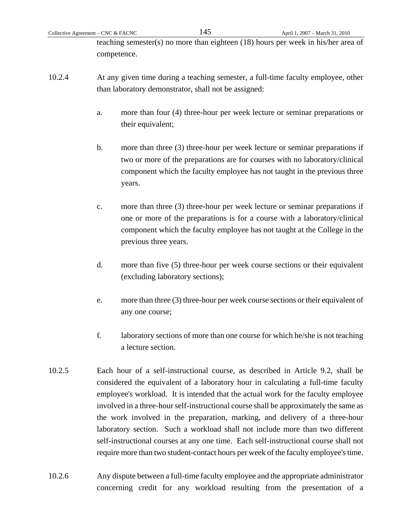teaching semester(s) no more than eighteen (18) hours per week in his/her area of competence.

- 10.2.4 At any given time during a teaching semester, a full-time faculty employee, other than laboratory demonstrator, shall not be assigned:
	- a. more than four (4) three-hour per week lecture or seminar preparations or their equivalent;
	- b. more than three (3) three-hour per week lecture or seminar preparations if two or more of the preparations are for courses with no laboratory/clinical component which the faculty employee has not taught in the previous three years.
	- c. more than three (3) three-hour per week lecture or seminar preparations if one or more of the preparations is for a course with a laboratory/clinical component which the faculty employee has not taught at the College in the previous three years.
	- d. more than five (5) three-hour per week course sections or their equivalent (excluding laboratory sections);
	- e. more than three (3) three-hour per week course sections or their equivalent of any one course;
	- f. laboratory sections of more than one course for which he/she is not teaching a lecture section.
- 10.2.5 Each hour of a self-instructional course, as described in Article 9.2, shall be considered the equivalent of a laboratory hour in calculating a full-time faculty employee's workload. It is intended that the actual work for the faculty employee involved in a three-hour self-instructional course shall be approximately the same as the work involved in the preparation, marking, and delivery of a three-hour laboratory section. Such a workload shall not include more than two different self-instructional courses at any one time. Each self-instructional course shall not require more than two student-contact hours per week of the faculty employee's time.
- 10.2.6 Any dispute between a full-time faculty employee and the appropriate administrator concerning credit for any workload resulting from the presentation of a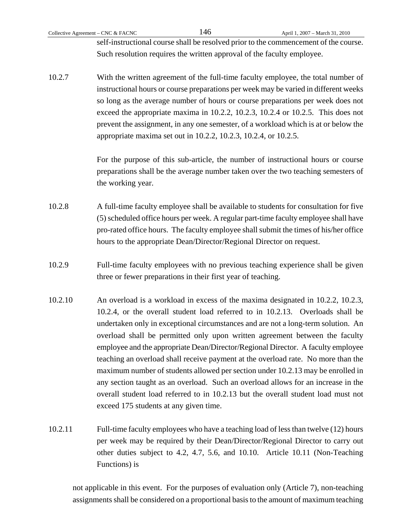Collective Agreement – CNC & FACNC  $146$  April 1, 2007 – March 31, 2010

self-instructional course shall be resolved prior to the commencement of the course. Such resolution requires the written approval of the faculty employee.

10.2.7 With the written agreement of the full-time faculty employee, the total number of instructional hours or course preparations per week may be varied in different weeks so long as the average number of hours or course preparations per week does not exceed the appropriate maxima in 10.2.2, 10.2.3, 10.2.4 or 10.2.5. This does not prevent the assignment, in any one semester, of a workload which is at or below the appropriate maxima set out in 10.2.2, 10.2.3, 10.2.4, or 10.2.5.

> For the purpose of this sub-article, the number of instructional hours or course preparations shall be the average number taken over the two teaching semesters of the working year.

- 10.2.8 A full-time faculty employee shall be available to students for consultation for five (5) scheduled office hours per week. A regular part-time faculty employee shall have pro-rated office hours. The faculty employee shall submit the times of his/her office hours to the appropriate Dean/Director/Regional Director on request.
- 10.2.9 Full-time faculty employees with no previous teaching experience shall be given three or fewer preparations in their first year of teaching.
- 10.2.10 An overload is a workload in excess of the maxima designated in 10.2.2, 10.2.3, 10.2.4, or the overall student load referred to in 10.2.13. Overloads shall be undertaken only in exceptional circumstances and are not a long-term solution. An overload shall be permitted only upon written agreement between the faculty employee and the appropriate Dean/Director/Regional Director. A faculty employee teaching an overload shall receive payment at the overload rate. No more than the maximum number of students allowed per section under 10.2.13 may be enrolled in any section taught as an overload. Such an overload allows for an increase in the overall student load referred to in 10.2.13 but the overall student load must not exceed 175 students at any given time.
- 10.2.11 Full-time faculty employees who have a teaching load of less than twelve (12) hours per week may be required by their Dean/Director/Regional Director to carry out other duties subject to 4.2, 4.7, 5.6, and 10.10. Article 10.11 (Non-Teaching Functions) is

 not applicable in this event. For the purposes of evaluation only (Article 7), non-teaching assignments shall be considered on a proportional basis to the amount of maximum teaching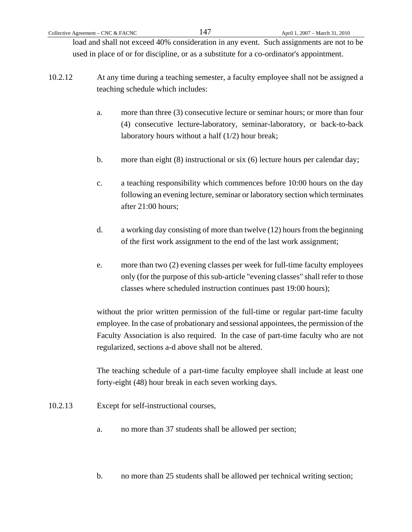load and shall not exceed 40% consideration in any event. Such assignments are not to be used in place of or for discipline, or as a substitute for a co-ordinator's appointment.

- 10.2.12 At any time during a teaching semester, a faculty employee shall not be assigned a teaching schedule which includes:
	- a. more than three (3) consecutive lecture or seminar hours; or more than four (4) consecutive lecture-laboratory, seminar-laboratory, or back-to-back laboratory hours without a half (1/2) hour break;
	- b. more than eight (8) instructional or six (6) lecture hours per calendar day;
	- c. a teaching responsibility which commences before 10:00 hours on the day following an evening lecture, seminar or laboratory section which terminates after 21:00 hours;
	- d. a working day consisting of more than twelve (12) hours from the beginning of the first work assignment to the end of the last work assignment;
	- e. more than two (2) evening classes per week for full-time faculty employees only (for the purpose of this sub-article "evening classes" shall refer to those classes where scheduled instruction continues past 19:00 hours);

 without the prior written permission of the full-time or regular part-time faculty employee. In the case of probationary and sessional appointees, the permission of the Faculty Association is also required. In the case of part-time faculty who are not regularized, sections a-d above shall not be altered.

 The teaching schedule of a part-time faculty employee shall include at least one forty-eight (48) hour break in each seven working days.

- 10.2.13 Except for self-instructional courses,
	- a. no more than 37 students shall be allowed per section;
	- b. no more than 25 students shall be allowed per technical writing section;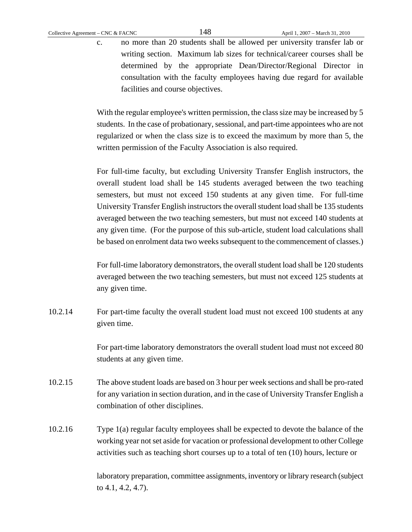c. no more than 20 students shall be allowed per university transfer lab or writing section. Maximum lab sizes for technical/career courses shall be determined by the appropriate Dean/Director/Regional Director in consultation with the faculty employees having due regard for available facilities and course objectives.

With the regular employee's written permission, the class size may be increased by 5 students. In the case of probationary, sessional, and part-time appointees who are not regularized or when the class size is to exceed the maximum by more than 5, the written permission of the Faculty Association is also required.

For full-time faculty, but excluding University Transfer English instructors, the overall student load shall be 145 students averaged between the two teaching semesters, but must not exceed 150 students at any given time. For full-time University Transfer English instructors the overall student load shall be 135 students averaged between the two teaching semesters, but must not exceed 140 students at any given time. (For the purpose of this sub-article, student load calculations shall be based on enrolment data two weeks subsequent to the commencement of classes.)

For full-time laboratory demonstrators, the overall student load shall be 120 students averaged between the two teaching semesters, but must not exceed 125 students at any given time.

10.2.14 For part-time faculty the overall student load must not exceed 100 students at any given time.

> For part-time laboratory demonstrators the overall student load must not exceed 80 students at any given time.

- 10.2.15 The above student loads are based on 3 hour per week sections and shall be pro-rated for any variation in section duration, and in the case of University Transfer English a combination of other disciplines.
- 10.2.16 Type 1(a) regular faculty employees shall be expected to devote the balance of the working year not set aside for vacation or professional development to other College activities such as teaching short courses up to a total of ten (10) hours, lecture or

 laboratory preparation, committee assignments, inventory or library research (subject to 4.1, 4.2, 4.7).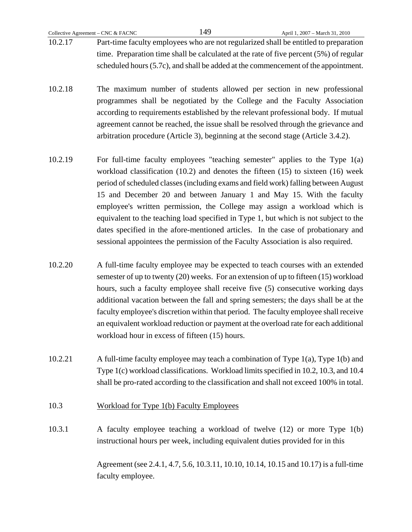- 10.2.17 Part-time faculty employees who are not regularized shall be entitled to preparation time. Preparation time shall be calculated at the rate of five percent (5%) of regular scheduled hours (5.7c), and shall be added at the commencement of the appointment.
- 10.2.18 The maximum number of students allowed per section in new professional programmes shall be negotiated by the College and the Faculty Association according to requirements established by the relevant professional body. If mutual agreement cannot be reached, the issue shall be resolved through the grievance and arbitration procedure (Article 3), beginning at the second stage (Article 3.4.2).
- 10.2.19 For full-time faculty employees "teaching semester" applies to the Type 1(a) workload classification (10.2) and denotes the fifteen (15) to sixteen (16) week period of scheduled classes (including exams and field work) falling between August 15 and December 20 and between January 1 and May 15. With the faculty employee's written permission, the College may assign a workload which is equivalent to the teaching load specified in Type 1, but which is not subject to the dates specified in the afore-mentioned articles. In the case of probationary and sessional appointees the permission of the Faculty Association is also required.
- 10.2.20 A full-time faculty employee may be expected to teach courses with an extended semester of up to twenty (20) weeks. For an extension of up to fifteen (15) workload hours, such a faculty employee shall receive five (5) consecutive working days additional vacation between the fall and spring semesters; the days shall be at the faculty employee's discretion within that period. The faculty employee shall receive an equivalent workload reduction or payment at the overload rate for each additional workload hour in excess of fifteen (15) hours.
- 10.2.21 A full-time faculty employee may teach a combination of Type 1(a), Type 1(b) and Type 1(c) workload classifications. Workload limits specified in 10.2, 10.3, and 10.4 shall be pro-rated according to the classification and shall not exceed 100% in total.
- 10.3 Workload for Type 1(b) Faculty Employees
- 10.3.1 A faculty employee teaching a workload of twelve (12) or more Type 1(b) instructional hours per week, including equivalent duties provided for in this

 Agreement (see 2.4.1, 4.7, 5.6, 10.3.11, 10.10, 10.14, 10.15 and 10.17) is a full-time faculty employee.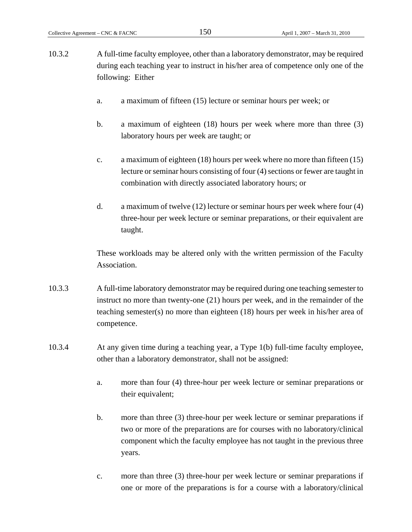- 10.3.2 A full-time faculty employee, other than a laboratory demonstrator, may be required during each teaching year to instruct in his/her area of competence only one of the following: Either
	- a. a maximum of fifteen (15) lecture or seminar hours per week; or
	- b. a maximum of eighteen (18) hours per week where more than three (3) laboratory hours per week are taught; or
	- c. a maximum of eighteen (18) hours per week where no more than fifteen (15) lecture or seminar hours consisting of four (4) sections or fewer are taught in combination with directly associated laboratory hours; or
	- d. a maximum of twelve (12) lecture or seminar hours per week where four (4) three-hour per week lecture or seminar preparations, or their equivalent are taught.

 These workloads may be altered only with the written permission of the Faculty Association.

- 10.3.3 A full-time laboratory demonstrator may be required during one teaching semester to instruct no more than twenty-one (21) hours per week, and in the remainder of the teaching semester(s) no more than eighteen (18) hours per week in his/her area of competence.
- 10.3.4 At any given time during a teaching year, a Type 1(b) full-time faculty employee, other than a laboratory demonstrator, shall not be assigned:
	- a. more than four (4) three-hour per week lecture or seminar preparations or their equivalent;
	- b. more than three (3) three-hour per week lecture or seminar preparations if two or more of the preparations are for courses with no laboratory/clinical component which the faculty employee has not taught in the previous three years.
	- c. more than three (3) three-hour per week lecture or seminar preparations if one or more of the preparations is for a course with a laboratory/clinical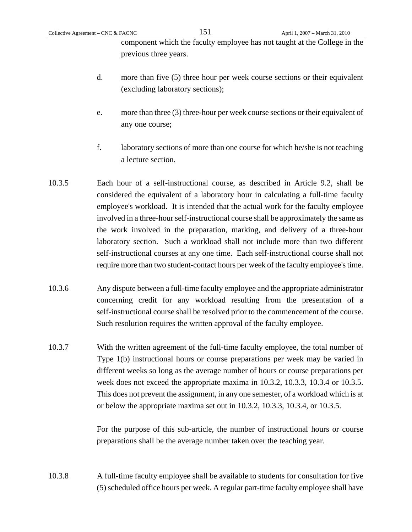component which the faculty employee has not taught at the College in the previous three years.

- d. more than five (5) three hour per week course sections or their equivalent (excluding laboratory sections);
- e. more than three (3) three-hour per week course sections or their equivalent of any one course;
- f. laboratory sections of more than one course for which he/she is not teaching a lecture section.
- 10.3.5 Each hour of a self-instructional course, as described in Article 9.2, shall be considered the equivalent of a laboratory hour in calculating a full-time faculty employee's workload. It is intended that the actual work for the faculty employee involved in a three-hour self-instructional course shall be approximately the same as the work involved in the preparation, marking, and delivery of a three-hour laboratory section. Such a workload shall not include more than two different self-instructional courses at any one time. Each self-instructional course shall not require more than two student-contact hours per week of the faculty employee's time.
- 10.3.6 Any dispute between a full-time faculty employee and the appropriate administrator concerning credit for any workload resulting from the presentation of a self-instructional course shall be resolved prior to the commencement of the course. Such resolution requires the written approval of the faculty employee.
- 10.3.7 With the written agreement of the full-time faculty employee, the total number of Type 1(b) instructional hours or course preparations per week may be varied in different weeks so long as the average number of hours or course preparations per week does not exceed the appropriate maxima in 10.3.2, 10.3.3, 10.3.4 or 10.3.5. This does not prevent the assignment, in any one semester, of a workload which is at or below the appropriate maxima set out in 10.3.2, 10.3.3, 10.3.4, or 10.3.5.

For the purpose of this sub-article, the number of instructional hours or course preparations shall be the average number taken over the teaching year.

10.3.8 A full-time faculty employee shall be available to students for consultation for five (5) scheduled office hours per week. A regular part-time faculty employee shall have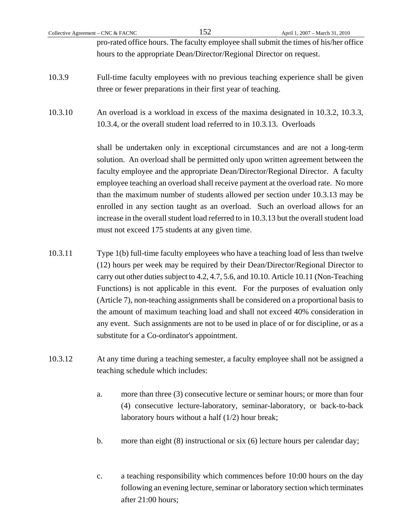|         | Collective Agreement – CNC & FACNC | 152                                                                   | April 1, 2007 - March 31, 2010                                                           |
|---------|------------------------------------|-----------------------------------------------------------------------|------------------------------------------------------------------------------------------|
|         |                                    |                                                                       | pro-rated office hours. The faculty employee shall submit the times of his/her office    |
|         |                                    | hours to the appropriate Dean/Director/Regional Director on request.  |                                                                                          |
| 10.3.9  |                                    |                                                                       | Full-time faculty employees with no previous teaching experience shall be given          |
|         |                                    | three or fewer preparations in their first year of teaching.          |                                                                                          |
| 10.3.10 |                                    |                                                                       | An overload is a workload in excess of the maxima designated in 10.3.2, 10.3.3,          |
|         |                                    | 10.3.4, or the overall student load referred to in 10.3.13. Overloads |                                                                                          |
|         |                                    |                                                                       | shall be undertaken only in exceptional circumstances and are not a long-term            |
|         |                                    |                                                                       | solution. An overload shall be permitted only upon written agreement between the         |
|         |                                    |                                                                       | faculty employee and the appropriate Dean/Director/Regional Director. A faculty          |
|         |                                    |                                                                       | employee teaching an overload shall receive payment at the overload rate. No more        |
|         |                                    |                                                                       | than the maximum number of students allowed per section under 10.3.13 may be             |
|         |                                    |                                                                       | enrolled in any section taught as an overload. Such an overload allows for an            |
|         |                                    |                                                                       | increase in the overall student load referred to in 10.3.13 but the overall student load |

10.3.11 Type 1(b) full-time faculty employees who have a teaching load of less than twelve (12) hours per week may be required by their Dean/Director/Regional Director to carry out other duties subject to 4.2, 4.7, 5.6, and 10.10. Article 10.11 (Non-Teaching Functions) is not applicable in this event. For the purposes of evaluation only (Article 7), non-teaching assignments shall be considered on a proportional basis to the amount of maximum teaching load and shall not exceed 40% consideration in any event. Such assignments are not to be used in place of or for discipline, or as a substitute for a Co-ordinator's appointment.

must not exceed 175 students at any given time.

- 10.3.12 At any time during a teaching semester, a faculty employee shall not be assigned a teaching schedule which includes:
	- a. more than three (3) consecutive lecture or seminar hours; or more than four (4) consecutive lecture-laboratory, seminar-laboratory, or back-to-back laboratory hours without a half (1/2) hour break;
	- b. more than eight (8) instructional or six (6) lecture hours per calendar day;
	- c. a teaching responsibility which commences before 10:00 hours on the day following an evening lecture, seminar or laboratory section which terminates after 21:00 hours;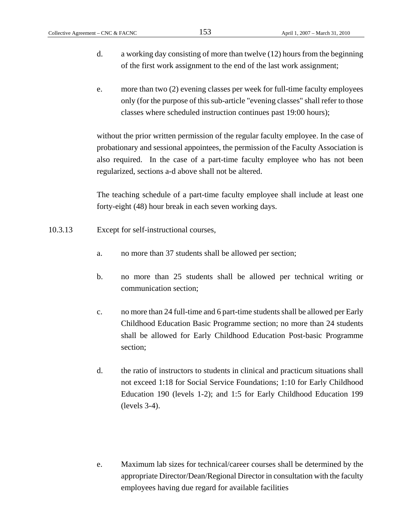- d. a working day consisting of more than twelve (12) hours from the beginning of the first work assignment to the end of the last work assignment;
- e. more than two (2) evening classes per week for full-time faculty employees only (for the purpose of this sub-article "evening classes" shall refer to those classes where scheduled instruction continues past 19:00 hours);

 without the prior written permission of the regular faculty employee. In the case of probationary and sessional appointees, the permission of the Faculty Association is also required. In the case of a part-time faculty employee who has not been regularized, sections a-d above shall not be altered.

The teaching schedule of a part-time faculty employee shall include at least one forty-eight (48) hour break in each seven working days.

- 10.3.13 Except for self-instructional courses,
	- a. no more than 37 students shall be allowed per section;
	- b. no more than 25 students shall be allowed per technical writing or communication section;
	- c. no more than 24 full-time and 6 part-time students shall be allowed per Early Childhood Education Basic Programme section; no more than 24 students shall be allowed for Early Childhood Education Post-basic Programme section;
	- d. the ratio of instructors to students in clinical and practicum situations shall not exceed 1:18 for Social Service Foundations; 1:10 for Early Childhood Education 190 (levels 1-2); and 1:5 for Early Childhood Education 199 (levels 3-4).
	- e. Maximum lab sizes for technical/career courses shall be determined by the appropriate Director/Dean/Regional Director in consultation with the faculty employees having due regard for available facilities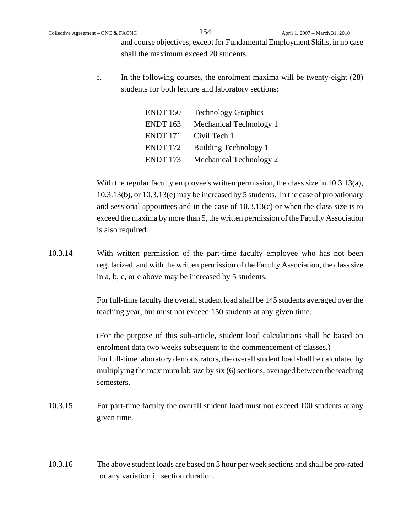and course objectives; except for Fundamental Employment Skills, in no case shall the maximum exceed 20 students.

f. In the following courses, the enrolment maxima will be twenty-eight (28) students for both lecture and laboratory sections:

| <b>ENDT</b> 150     | <b>Technology Graphics</b>   |
|---------------------|------------------------------|
| ENDT 163            | Mechanical Technology 1      |
| ENDT <sub>171</sub> | Civil Tech 1                 |
| ENDT 172            | <b>Building Technology 1</b> |
| ENDT 173            | Mechanical Technology 2      |

With the regular faculty employee's written permission, the class size in 10.3.13(a), 10.3.13(b), or 10.3.13(e) may be increased by 5 students. In the case of probationary and sessional appointees and in the case of  $10.3.13(c)$  or when the class size is to exceed the maxima by more than 5, the written permission of the Faculty Association is also required.

10.3.14 With written permission of the part-time faculty employee who has not been regularized, and with the written permission of the Faculty Association, the class size in a, b, c, or e above may be increased by 5 students.

> For full-time faculty the overall student load shall be 145 students averaged over the teaching year, but must not exceed 150 students at any given time.

> (For the purpose of this sub-article, student load calculations shall be based on enrolment data two weeks subsequent to the commencement of classes.) For full-time laboratory demonstrators, the overall student load shall be calculated by multiplying the maximum lab size by six (6) sections, averaged between the teaching semesters.

- 10.3.15 For part-time faculty the overall student load must not exceed 100 students at any given time.
- 10.3.16 The above student loads are based on 3 hour per week sections and shall be pro-rated for any variation in section duration.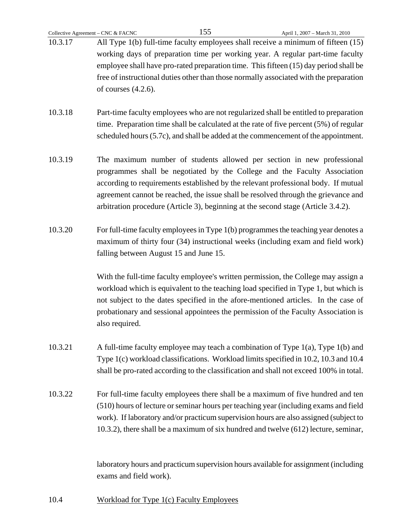|         | Collective Agreement - CNC & FACNC                                                                                                                                              | 155                                    | April 1, 2007 - March 31, 2010                                                            |  |
|---------|---------------------------------------------------------------------------------------------------------------------------------------------------------------------------------|----------------------------------------|-------------------------------------------------------------------------------------------|--|
| 10.3.17 |                                                                                                                                                                                 |                                        | All Type 1(b) full-time faculty employees shall receive a minimum of fifteen (15)         |  |
|         |                                                                                                                                                                                 |                                        | working days of preparation time per working year. A regular part-time faculty            |  |
|         | employee shall have pro-rated preparation time. This fifteen (15) day period shall be<br>free of instructional duties other than those normally associated with the preparation |                                        |                                                                                           |  |
|         |                                                                                                                                                                                 |                                        |                                                                                           |  |
|         | of courses $(4.2.6)$ .                                                                                                                                                          |                                        |                                                                                           |  |
|         |                                                                                                                                                                                 |                                        |                                                                                           |  |
| 10.3.18 |                                                                                                                                                                                 |                                        | Part-time faculty employees who are not regularized shall be entitled to preparation      |  |
|         |                                                                                                                                                                                 |                                        | time. Preparation time shall be calculated at the rate of five percent $(5\%)$ of regular |  |
|         |                                                                                                                                                                                 |                                        | scheduled hours (5.7c), and shall be added at the commencement of the appointment.        |  |
|         |                                                                                                                                                                                 |                                        |                                                                                           |  |
| 10.3.19 |                                                                                                                                                                                 |                                        | The maximum number of students allowed per section in new professional                    |  |
|         |                                                                                                                                                                                 |                                        | programmes shall be negotiated by the College and the Faculty Association                 |  |
|         |                                                                                                                                                                                 |                                        | according to requirements established by the relevant professional body. If mutual        |  |
|         |                                                                                                                                                                                 |                                        | agreement cannot be reached, the issue shall be resolved through the grievance and        |  |
|         |                                                                                                                                                                                 |                                        | arbitration procedure (Article 3), beginning at the second stage (Article 3.4.2).         |  |
|         |                                                                                                                                                                                 |                                        |                                                                                           |  |
| 10.3.20 |                                                                                                                                                                                 |                                        | For full-time faculty employees in Type 1(b) programmes the teaching year denotes a       |  |
|         |                                                                                                                                                                                 |                                        | maximum of thirty four (34) instructional weeks (including exam and field work)           |  |
|         |                                                                                                                                                                                 | falling between August 15 and June 15. |                                                                                           |  |
|         |                                                                                                                                                                                 |                                        |                                                                                           |  |
|         |                                                                                                                                                                                 |                                        | With the full-time faculty employee's written permission, the College may assign a        |  |
|         |                                                                                                                                                                                 |                                        | workload which is equivalent to the teaching load specified in Type 1, but which is       |  |
|         |                                                                                                                                                                                 |                                        | not subject to the dates specified in the afore-mentioned articles. In the case of        |  |
|         |                                                                                                                                                                                 |                                        | probationary and sessional appointees the permission of the Faculty Association is        |  |
|         | also required.                                                                                                                                                                  |                                        |                                                                                           |  |
|         |                                                                                                                                                                                 |                                        |                                                                                           |  |
| 10.3.21 |                                                                                                                                                                                 |                                        | A full-time faculty employee may teach a combination of Type $1(a)$ , Type $1(b)$ and     |  |
|         |                                                                                                                                                                                 |                                        |                                                                                           |  |
|         |                                                                                                                                                                                 |                                        | Type 1(c) workload classifications. Workload limits specified in 10.2, 10.3 and 10.4      |  |
|         |                                                                                                                                                                                 |                                        | shall be pro-rated according to the classification and shall not exceed 100% in total.    |  |
| 10.3.22 |                                                                                                                                                                                 |                                        | For full-time faculty employees there shall be a maximum of five hundred and ten          |  |
|         |                                                                                                                                                                                 |                                        | (510) hours of lecture or seminar hours per teaching year (including exams and field      |  |
|         |                                                                                                                                                                                 |                                        |                                                                                           |  |
|         |                                                                                                                                                                                 |                                        | work). If laboratory and/or practicum supervision hours are also assigned (subject to     |  |
|         |                                                                                                                                                                                 |                                        | 10.3.2), there shall be a maximum of six hundred and twelve (612) lecture, seminar,       |  |
|         |                                                                                                                                                                                 |                                        |                                                                                           |  |
|         |                                                                                                                                                                                 |                                        | laboratory hours and practicum supervision hours available for assignment (including      |  |
|         | exams and field work).                                                                                                                                                          |                                        |                                                                                           |  |

10.4 Workload for Type 1(c) Faculty Employees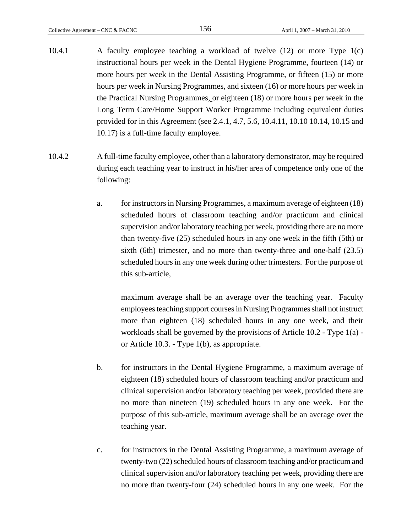- 10.4.1 A faculty employee teaching a workload of twelve (12) or more Type 1(c) instructional hours per week in the Dental Hygiene Programme, fourteen (14) or more hours per week in the Dental Assisting Programme, or fifteen (15) or more hours per week in Nursing Programmes, and sixteen (16) or more hours per week in the Practical Nursing Programmes, or eighteen (18) or more hours per week in the Long Term Care/Home Support Worker Programme including equivalent duties provided for in this Agreement (see 2.4.1, 4.7, 5.6, 10.4.11, 10.10 10.14, 10.15 and 10.17) is a full-time faculty employee.
- 10.4.2 A full-time faculty employee, other than a laboratory demonstrator, may be required during each teaching year to instruct in his/her area of competence only one of the following:
	- a. for instructors in Nursing Programmes, a maximum average of eighteen (18) scheduled hours of classroom teaching and/or practicum and clinical supervision and/or laboratory teaching per week, providing there are no more than twenty-five (25) scheduled hours in any one week in the fifth (5th) or sixth (6th) trimester, and no more than twenty-three and one-half (23.5) scheduled hours in any one week during other trimesters. For the purpose of this sub-article,

 maximum average shall be an average over the teaching year. Faculty employees teaching support courses in Nursing Programmes shall not instruct more than eighteen (18) scheduled hours in any one week, and their workloads shall be governed by the provisions of Article 10.2 - Type 1(a) or Article 10.3. - Type 1(b), as appropriate.

- b. for instructors in the Dental Hygiene Programme, a maximum average of eighteen (18) scheduled hours of classroom teaching and/or practicum and clinical supervision and/or laboratory teaching per week, provided there are no more than nineteen (19) scheduled hours in any one week. For the purpose of this sub-article, maximum average shall be an average over the teaching year.
- c. for instructors in the Dental Assisting Programme, a maximum average of twenty-two (22) scheduled hours of classroom teaching and/or practicum and clinical supervision and/or laboratory teaching per week, providing there are no more than twenty-four (24) scheduled hours in any one week. For the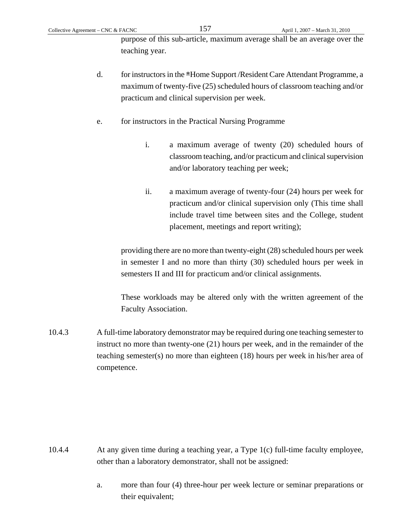purpose of this sub-article, maximum average shall be an average over the teaching year.

- d. for instructors in the \*Home Support /Resident Care Attendant Programme, a maximum of twenty-five (25) scheduled hours of classroom teaching and/or practicum and clinical supervision per week.
- e. for instructors in the Practical Nursing Programme
	- i. a maximum average of twenty (20) scheduled hours of classroom teaching, and/or practicum and clinical supervision and/or laboratory teaching per week;
	- ii. a maximum average of twenty-four (24) hours per week for practicum and/or clinical supervision only (This time shall include travel time between sites and the College, student placement, meetings and report writing);

 providing there are no more than twenty-eight (28) scheduled hours per week in semester I and no more than thirty (30) scheduled hours per week in semesters II and III for practicum and/or clinical assignments.

These workloads may be altered only with the written agreement of the Faculty Association.

10.4.3 A full-time laboratory demonstrator may be required during one teaching semester to instruct no more than twenty-one (21) hours per week, and in the remainder of the teaching semester(s) no more than eighteen (18) hours per week in his/her area of competence.

- 10.4.4 At any given time during a teaching year, a Type 1(c) full-time faculty employee, other than a laboratory demonstrator, shall not be assigned:
	- a. more than four (4) three-hour per week lecture or seminar preparations or their equivalent;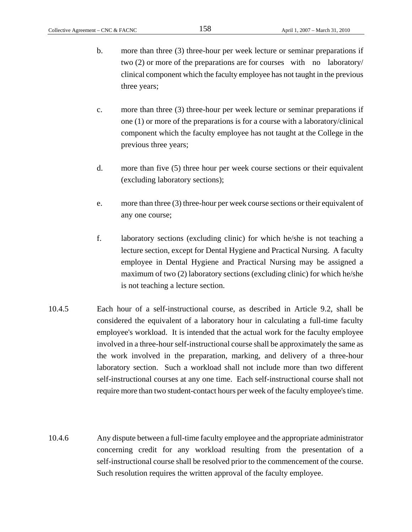- b. more than three (3) three-hour per week lecture or seminar preparations if two (2) or more of the preparations are for courses with no laboratory/ clinical component which the faculty employee has not taught in the previous three years;
- c. more than three (3) three-hour per week lecture or seminar preparations if one (1) or more of the preparations is for a course with a laboratory/clinical component which the faculty employee has not taught at the College in the previous three years;
- d. more than five (5) three hour per week course sections or their equivalent (excluding laboratory sections);
- e. more than three (3) three-hour per week course sections or their equivalent of any one course;
- f. laboratory sections (excluding clinic) for which he/she is not teaching a lecture section, except for Dental Hygiene and Practical Nursing. A faculty employee in Dental Hygiene and Practical Nursing may be assigned a maximum of two (2) laboratory sections (excluding clinic) for which he/she is not teaching a lecture section.
- 10.4.5 Each hour of a self-instructional course, as described in Article 9.2, shall be considered the equivalent of a laboratory hour in calculating a full-time faculty employee's workload. It is intended that the actual work for the faculty employee involved in a three-hour self-instructional course shall be approximately the same as the work involved in the preparation, marking, and delivery of a three-hour laboratory section. Such a workload shall not include more than two different self-instructional courses at any one time. Each self-instructional course shall not require more than two student-contact hours per week of the faculty employee's time.
- 10.4.6 Any dispute between a full-time faculty employee and the appropriate administrator concerning credit for any workload resulting from the presentation of a self-instructional course shall be resolved prior to the commencement of the course. Such resolution requires the written approval of the faculty employee.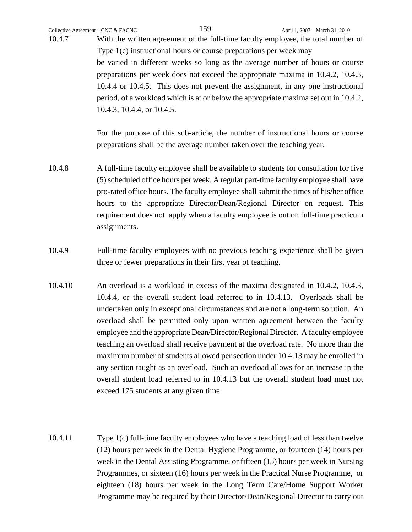| Collective Agreement - CNC & FACNC | 159<br>April 1, 2007 - March 31, 2010                                                                                                                                                                                                                                                                                                                                                                                                                                                                                                                                                                                                                                                                                                                                                                                 |
|------------------------------------|-----------------------------------------------------------------------------------------------------------------------------------------------------------------------------------------------------------------------------------------------------------------------------------------------------------------------------------------------------------------------------------------------------------------------------------------------------------------------------------------------------------------------------------------------------------------------------------------------------------------------------------------------------------------------------------------------------------------------------------------------------------------------------------------------------------------------|
| 10.4.7                             | With the written agreement of the full-time faculty employee, the total number of                                                                                                                                                                                                                                                                                                                                                                                                                                                                                                                                                                                                                                                                                                                                     |
|                                    | Type 1(c) instructional hours or course preparations per week may                                                                                                                                                                                                                                                                                                                                                                                                                                                                                                                                                                                                                                                                                                                                                     |
|                                    | be varied in different weeks so long as the average number of hours or course<br>preparations per week does not exceed the appropriate maxima in 10.4.2, 10.4.3,                                                                                                                                                                                                                                                                                                                                                                                                                                                                                                                                                                                                                                                      |
|                                    | 10.4.4 or 10.4.5. This does not prevent the assignment, in any one instructional                                                                                                                                                                                                                                                                                                                                                                                                                                                                                                                                                                                                                                                                                                                                      |
|                                    | period, of a workload which is at or below the appropriate maxima set out in 10.4.2,                                                                                                                                                                                                                                                                                                                                                                                                                                                                                                                                                                                                                                                                                                                                  |
|                                    | 10.4.3, 10.4.4, or 10.4.5.                                                                                                                                                                                                                                                                                                                                                                                                                                                                                                                                                                                                                                                                                                                                                                                            |
|                                    | For the purpose of this sub-article, the number of instructional hours or course<br>preparations shall be the average number taken over the teaching year.                                                                                                                                                                                                                                                                                                                                                                                                                                                                                                                                                                                                                                                            |
| 10.4.8                             | A full-time faculty employee shall be available to students for consultation for five<br>(5) scheduled office hours per week. A regular part-time faculty employee shall have<br>pro-rated office hours. The faculty employee shall submit the times of his/her office<br>hours to the appropriate Director/Dean/Regional Director on request. This<br>requirement does not apply when a faculty employee is out on full-time practicum<br>assignments.                                                                                                                                                                                                                                                                                                                                                               |
| 10.4.9                             | Full-time faculty employees with no previous teaching experience shall be given<br>three or fewer preparations in their first year of teaching.                                                                                                                                                                                                                                                                                                                                                                                                                                                                                                                                                                                                                                                                       |
| 10.4.10                            | An overload is a workload in excess of the maxima designated in 10.4.2, 10.4.3,<br>10.4.4, or the overall student load referred to in 10.4.13. Overloads shall be<br>undertaken only in exceptional circumstances and are not a long-term solution. An<br>overload shall be permitted only upon written agreement between the faculty<br>employee and the appropriate Dean/Director/Regional Director. A faculty employee<br>teaching an overload shall receive payment at the overload rate. No more than the<br>maximum number of students allowed per section under 10.4.13 may be enrolled in<br>any section taught as an overload. Such an overload allows for an increase in the<br>overall student load referred to in 10.4.13 but the overall student load must not<br>exceed 175 students at any given time. |
| 10.4.11                            | Type 1(c) full-time faculty employees who have a teaching load of less than twelve<br>(12) hours per week in the Dental Hygiene Programme, or fourteen (14) hours per<br>week in the Dental Assisting Programme, or fifteen (15) hours per week in Nursing                                                                                                                                                                                                                                                                                                                                                                                                                                                                                                                                                            |

Programmes, or sixteen (16) hours per week in the Practical Nurse Programme, or eighteen (18) hours per week in the Long Term Care/Home Support Worker Programme may be required by their Director/Dean/Regional Director to carry out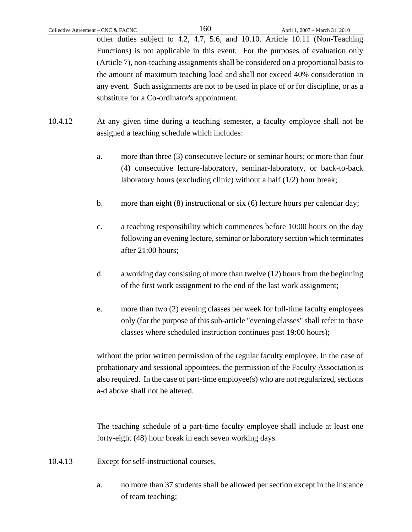other duties subject to 4.2, 4.7, 5.6, and 10.10. Article 10.11 (Non-Teaching Functions) is not applicable in this event. For the purposes of evaluation only (Article 7), non-teaching assignments shall be considered on a proportional basis to the amount of maximum teaching load and shall not exceed 40% consideration in any event. Such assignments are not to be used in place of or for discipline, or as a substitute for a Co-ordinator's appointment.

- 10.4.12 At any given time during a teaching semester, a faculty employee shall not be assigned a teaching schedule which includes:
	- a. more than three (3) consecutive lecture or seminar hours; or more than four (4) consecutive lecture-laboratory, seminar-laboratory, or back-to-back laboratory hours (excluding clinic) without a half (1/2) hour break;
	- b. more than eight (8) instructional or six (6) lecture hours per calendar day;
	- c. a teaching responsibility which commences before 10:00 hours on the day following an evening lecture, seminar or laboratory section which terminates after 21:00 hours;
	- d. a working day consisting of more than twelve (12) hours from the beginning of the first work assignment to the end of the last work assignment;
	- e. more than two (2) evening classes per week for full-time faculty employees only (for the purpose of this sub-article "evening classes" shall refer to those classes where scheduled instruction continues past 19:00 hours);

without the prior written permission of the regular faculty employee. In the case of probationary and sessional appointees, the permission of the Faculty Association is also required. In the case of part-time employee(s) who are not regularized, sections a-d above shall not be altered.

The teaching schedule of a part-time faculty employee shall include at least one forty-eight (48) hour break in each seven working days.

- 10.4.13 Except for self-instructional courses,
	- a. no more than 37 students shall be allowed per section except in the instance of team teaching;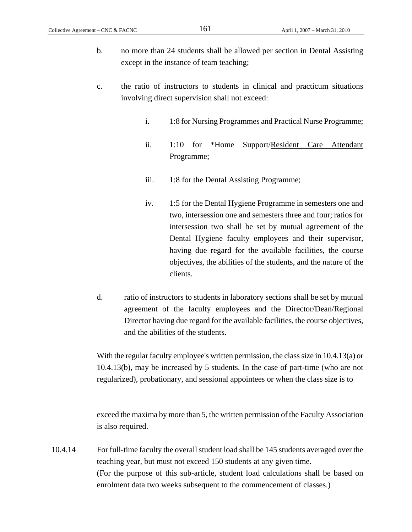- b. no more than 24 students shall be allowed per section in Dental Assisting except in the instance of team teaching;
- c. the ratio of instructors to students in clinical and practicum situations involving direct supervision shall not exceed:
	- i. 1:8 for Nursing Programmes and Practical Nurse Programme;
	- ii. 1:10 for \*Home Support/Resident Care Attendant Programme;
	- iii. 1:8 for the Dental Assisting Programme;
	- iv. 1:5 for the Dental Hygiene Programme in semesters one and two, intersession one and semesters three and four; ratios for intersession two shall be set by mutual agreement of the Dental Hygiene faculty employees and their supervisor, having due regard for the available facilities, the course objectives, the abilities of the students, and the nature of the clients.
- d. ratio of instructors to students in laboratory sections shall be set by mutual agreement of the faculty employees and the Director/Dean/Regional Director having due regard for the available facilities, the course objectives, and the abilities of the students.

With the regular faculty employee's written permission, the class size in 10.4.13(a) or 10.4.13(b), may be increased by 5 students. In the case of part-time (who are not regularized), probationary, and sessional appointees or when the class size is to

exceed the maxima by more than 5, the written permission of the Faculty Association is also required.

10.4.14 For full-time faculty the overall student load shall be 145 students averaged over the teaching year, but must not exceed 150 students at any given time. (For the purpose of this sub-article, student load calculations shall be based on enrolment data two weeks subsequent to the commencement of classes.)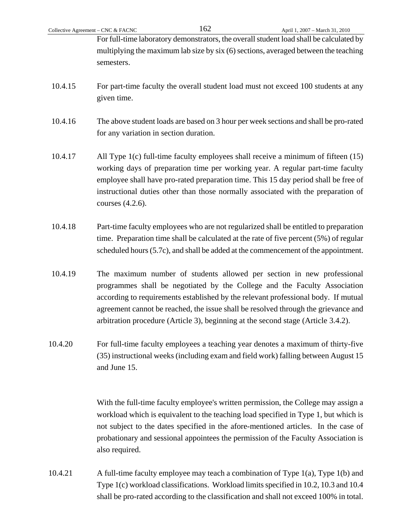For full-time laboratory demonstrators, the overall student load shall be calculated by multiplying the maximum lab size by six (6) sections, averaged between the teaching semesters.

- 10.4.15 For part-time faculty the overall student load must not exceed 100 students at any given time.
- 10.4.16 The above student loads are based on 3 hour per week sections and shall be pro-rated for any variation in section duration.
- 10.4.17 All Type 1(c) full-time faculty employees shall receive a minimum of fifteen (15) working days of preparation time per working year. A regular part-time faculty employee shall have pro-rated preparation time. This 15 day period shall be free of instructional duties other than those normally associated with the preparation of courses (4.2.6).
- 10.4.18 Part-time faculty employees who are not regularized shall be entitled to preparation time. Preparation time shall be calculated at the rate of five percent (5%) of regular scheduled hours (5.7c), and shall be added at the commencement of the appointment.
- 10.4.19 The maximum number of students allowed per section in new professional programmes shall be negotiated by the College and the Faculty Association according to requirements established by the relevant professional body. If mutual agreement cannot be reached, the issue shall be resolved through the grievance and arbitration procedure (Article 3), beginning at the second stage (Article 3.4.2).
- 10.4.20 For full-time faculty employees a teaching year denotes a maximum of thirty-five (35) instructional weeks (including exam and field work) falling between August 15 and June 15.

With the full-time faculty employee's written permission, the College may assign a workload which is equivalent to the teaching load specified in Type 1, but which is not subject to the dates specified in the afore-mentioned articles. In the case of probationary and sessional appointees the permission of the Faculty Association is also required.

10.4.21 A full-time faculty employee may teach a combination of Type 1(a), Type 1(b) and Type 1(c) workload classifications. Workload limits specified in 10.2, 10.3 and 10.4 shall be pro-rated according to the classification and shall not exceed 100% in total.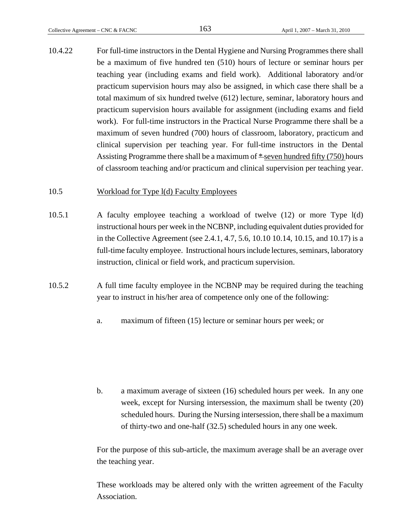10.4.22 For full-time instructors in the Dental Hygiene and Nursing Programmes there shall be a maximum of five hundred ten (510) hours of lecture or seminar hours per teaching year (including exams and field work). Additional laboratory and/or practicum supervision hours may also be assigned, in which case there shall be a total maximum of six hundred twelve (612) lecture, seminar, laboratory hours and practicum supervision hours available for assignment (including exams and field work). For full-time instructors in the Practical Nurse Programme there shall be a maximum of seven hundred (700) hours of classroom, laboratory, practicum and clinical supervision per teaching year. For full-time instructors in the Dental Assisting Programme there shall be a maximum of  $*$  seven hundred fifty (750) hours of classroom teaching and/or practicum and clinical supervision per teaching year.

#### 10.5 Workload for Type 1(d) Faculty Employees

- 10.5.1 A faculty employee teaching a workload of twelve (12) or more Type l(d) instructional hours per week in the NCBNP, including equivalent duties provided for in the Collective Agreement (see 2.4.1, 4.7, 5.6, 10.10 10.14, 10.15, and 10.17) is a full-time faculty employee. Instructional hours include lectures, seminars, laboratory instruction, clinical or field work, and practicum supervision.
- 10.5.2 A full time faculty employee in the NCBNP may be required during the teaching year to instruct in his/her area of competence only one of the following:
	- a. maximum of fifteen (15) lecture or seminar hours per week; or

b. a maximum average of sixteen (16) scheduled hours per week. In any one week, except for Nursing intersession, the maximum shall be twenty (20) scheduled hours. During the Nursing intersession, there shall be a maximum of thirty-two and one-half (32.5) scheduled hours in any one week.

For the purpose of this sub-article, the maximum average shall be an average over the teaching year.

These workloads may be altered only with the written agreement of the Faculty Association.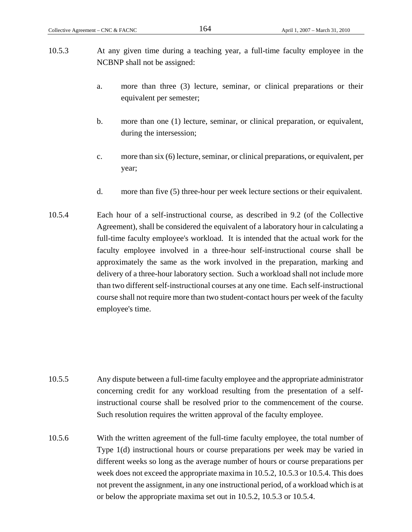- 10.5.3 At any given time during a teaching year, a full-time faculty employee in the NCBNP shall not be assigned:
	- a. more than three (3) lecture, seminar, or clinical preparations or their equivalent per semester;
	- b. more than one (1) lecture, seminar, or clinical preparation, or equivalent, during the intersession;
	- c. more than six (6) lecture, seminar, or clinical preparations, or equivalent, per year;
	- d. more than five (5) three-hour per week lecture sections or their equivalent.
- 10.5.4 Each hour of a self-instructional course, as described in 9.2 (of the Collective Agreement), shall be considered the equivalent of a laboratory hour in calculating a full-time faculty employee's workload. It is intended that the actual work for the faculty employee involved in a three-hour self-instructional course shall be approximately the same as the work involved in the preparation, marking and delivery of a three-hour laboratory section. Such a workload shall not include more than two different self-instructional courses at any one time. Each self-instructional course shall not require more than two student-contact hours per week of the faculty employee's time.

- 10.5.5 Any dispute between a full-time faculty employee and the appropriate administrator concerning credit for any workload resulting from the presentation of a selfinstructional course shall be resolved prior to the commencement of the course. Such resolution requires the written approval of the faculty employee.
- 10.5.6 With the written agreement of the full-time faculty employee, the total number of Type 1(d) instructional hours or course preparations per week may be varied in different weeks so long as the average number of hours or course preparations per week does not exceed the appropriate maxima in 10.5.2, 10.5.3 or 10.5.4. This does not prevent the assignment, in any one instructional period, of a workload which is at or below the appropriate maxima set out in 10.5.2, 10.5.3 or 10.5.4.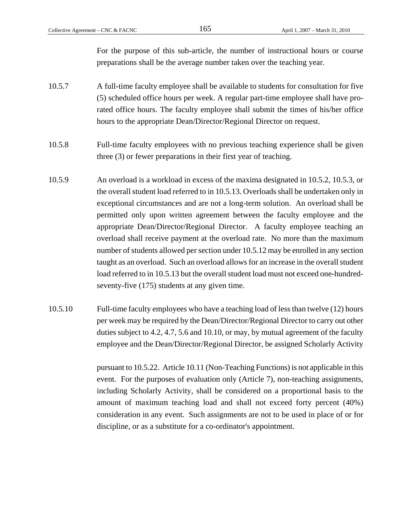For the purpose of this sub-article, the number of instructional hours or course preparations shall be the average number taken over the teaching year.

- 10.5.7 A full-time faculty employee shall be available to students for consultation for five (5) scheduled office hours per week. A regular part-time employee shall have prorated office hours. The faculty employee shall submit the times of his/her office hours to the appropriate Dean/Director/Regional Director on request.
- 10.5.8 Full-time faculty employees with no previous teaching experience shall be given three (3) or fewer preparations in their first year of teaching.
- 10.5.9 An overload is a workload in excess of the maxima designated in 10.5.2, 10.5.3, or the overall student load referred to in 10.5.13. Overloads shall be undertaken only in exceptional circumstances and are not a long-term solution. An overload shall be permitted only upon written agreement between the faculty employee and the appropriate Dean/Director/Regional Director. A faculty employee teaching an overload shall receive payment at the overload rate. No more than the maximum number of students allowed per section under 10.5.12 may be enrolled in any section taught as an overload. Such an overload allows for an increase in the overall student load referred to in 10.5.13 but the overall student load must not exceed one-hundredseventy-five (175) students at any given time.
- 10.5.10 Full-time faculty employees who have a teaching load of less than twelve (12) hours per week may be required by the Dean/Director/Regional Director to carry out other duties subject to 4.2, 4.7, 5.6 and 10.10, or may, by mutual agreement of the faculty employee and the Dean/Director/Regional Director, be assigned Scholarly Activity

 pursuant to 10.5.22. Article 10.11 (Non-Teaching Functions) is not applicable in this event. For the purposes of evaluation only (Article 7), non-teaching assignments, including Scholarly Activity, shall be considered on a proportional basis to the amount of maximum teaching load and shall not exceed forty percent (40%) consideration in any event. Such assignments are not to be used in place of or for discipline, or as a substitute for a co-ordinator's appointment.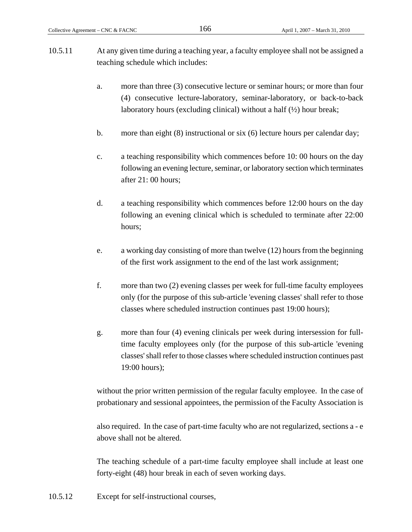- 10.5.11 At any given time during a teaching year, a faculty employee shall not be assigned a teaching schedule which includes:
	- a. more than three (3) consecutive lecture or seminar hours; or more than four (4) consecutive lecture-laboratory, seminar-laboratory, or back-to-back laboratory hours (excluding clinical) without a half  $(\frac{1}{2})$  hour break;
	- b. more than eight (8) instructional or six (6) lecture hours per calendar day;
	- c. a teaching responsibility which commences before 10: 00 hours on the day following an evening lecture, seminar, or laboratory section which terminates after 21: 00 hours;
	- d. a teaching responsibility which commences before 12:00 hours on the day following an evening clinical which is scheduled to terminate after 22:00 hours;
	- e. a working day consisting of more than twelve (12) hours from the beginning of the first work assignment to the end of the last work assignment;
	- f. more than two (2) evening classes per week for full-time faculty employees only (for the purpose of this sub-article 'evening classes' shall refer to those classes where scheduled instruction continues past 19:00 hours);
	- g. more than four (4) evening clinicals per week during intersession for fulltime faculty employees only (for the purpose of this sub-article 'evening classes' shall refer to those classes where scheduled instruction continues past 19:00 hours);

without the prior written permission of the regular faculty employee. In the case of probationary and sessional appointees, the permission of the Faculty Association is

also required. In the case of part-time faculty who are not regularized, sections a - e above shall not be altered.

The teaching schedule of a part-time faculty employee shall include at least one forty-eight (48) hour break in each of seven working days.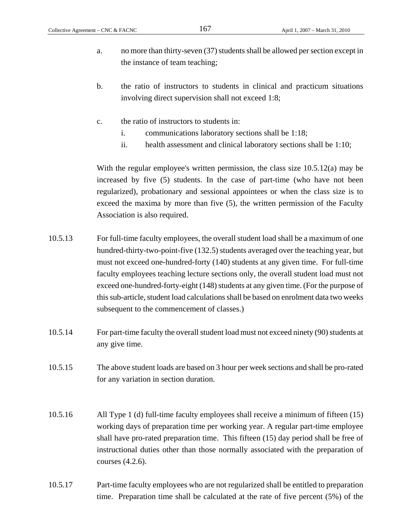- a. no more than thirty-seven (37) students shall be allowed per section except in the instance of team teaching;
- b. the ratio of instructors to students in clinical and practicum situations involving direct supervision shall not exceed 1:8;
- c. the ratio of instructors to students in:
	- i. communications laboratory sections shall be 1:18;
	- ii. health assessment and clinical laboratory sections shall be 1:10;

With the regular employee's written permission, the class size 10.5.12(a) may be increased by five (5) students. In the case of part-time (who have not been regularized), probationary and sessional appointees or when the class size is to exceed the maxima by more than five (5), the written permission of the Faculty Association is also required.

- 10.5.13 For full-time faculty employees, the overall student load shall be a maximum of one hundred-thirty-two-point-five (132.5) students averaged over the teaching year, but must not exceed one-hundred-forty (140) students at any given time. For full-time faculty employees teaching lecture sections only, the overall student load must not exceed one-hundred-forty-eight (148) students at any given time. (For the purpose of this sub-article, student load calculations shall be based on enrolment data two weeks subsequent to the commencement of classes.)
- 10.5.14 For part-time faculty the overall student load must not exceed ninety (90) students at any give time.
- 10.5.15 The above student loads are based on 3 hour per week sections and shall be pro-rated for any variation in section duration.
- 10.5.16 All Type 1 (d) full-time faculty employees shall receive a minimum of fifteen (15) working days of preparation time per working year. A regular part-time employee shall have pro-rated preparation time. This fifteen (15) day period shall be free of instructional duties other than those normally associated with the preparation of courses (4.2.6).
- 10.5.17 Part-time faculty employees who are not regularized shall be entitled to preparation time. Preparation time shall be calculated at the rate of five percent (5%) of the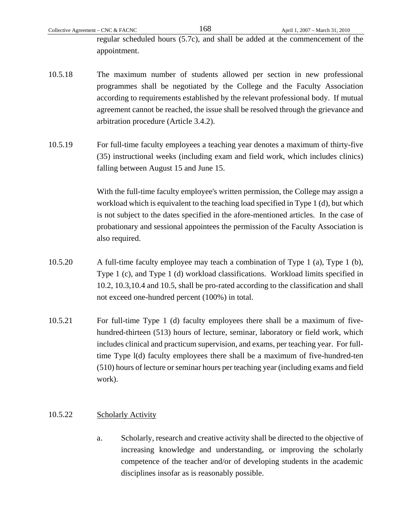regular scheduled hours (5.7c), and shall be added at the commencement of the appointment.

- 10.5.18 The maximum number of students allowed per section in new professional programmes shall be negotiated by the College and the Faculty Association according to requirements established by the relevant professional body. If mutual agreement cannot be reached, the issue shall be resolved through the grievance and arbitration procedure (Article 3.4.2).
- 10.5.19 For full-time faculty employees a teaching year denotes a maximum of thirty-five (35) instructional weeks (including exam and field work, which includes clinics) falling between August 15 and June 15.

 With the full-time faculty employee's written permission, the College may assign a workload which is equivalent to the teaching load specified in Type 1 (d), but which is not subject to the dates specified in the afore-mentioned articles. In the case of probationary and sessional appointees the permission of the Faculty Association is also required.

- 10.5.20 A full-time faculty employee may teach a combination of Type 1 (a), Type 1 (b), Type 1 (c), and Type 1 (d) workload classifications. Workload limits specified in 10.2, 10.3,10.4 and 10.5, shall be pro-rated according to the classification and shall not exceed one-hundred percent (100%) in total.
- 10.5.21 For full-time Type 1 (d) faculty employees there shall be a maximum of fivehundred-thirteen (513) hours of lecture, seminar, laboratory or field work, which includes clinical and practicum supervision, and exams, per teaching year. For fulltime Type l(d) faculty employees there shall be a maximum of five-hundred-ten (510) hours of lecture or seminar hours per teaching year (including exams and field work).

### 10.5.22 Scholarly Activity

a. Scholarly, research and creative activity shall be directed to the objective of increasing knowledge and understanding, or improving the scholarly competence of the teacher and/or of developing students in the academic disciplines insofar as is reasonably possible.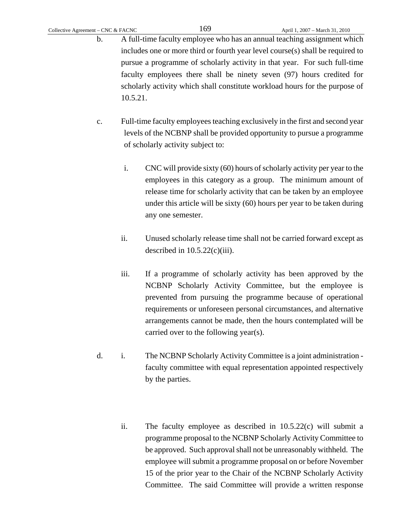- b. A full-time faculty employee who has an annual teaching assignment which includes one or more third or fourth year level course(s) shall be required to pursue a programme of scholarly activity in that year. For such full-time faculty employees there shall be ninety seven (97) hours credited for scholarly activity which shall constitute workload hours for the purpose of 10.5.21.
- c. Full-time faculty employees teaching exclusively in the first and second year levels of the NCBNP shall be provided opportunity to pursue a programme of scholarly activity subject to:
	- i. CNC will provide sixty (60) hours of scholarly activity per year to the employees in this category as a group. The minimum amount of release time for scholarly activity that can be taken by an employee under this article will be sixty (60) hours per year to be taken during any one semester.
	- ii. Unused scholarly release time shall not be carried forward except as described in  $10.5.22(c)(iii)$ .
	- iii. If a programme of scholarly activity has been approved by the NCBNP Scholarly Activity Committee, but the employee is prevented from pursuing the programme because of operational requirements or unforeseen personal circumstances, and alternative arrangements cannot be made, then the hours contemplated will be carried over to the following year(s).
- d. i. The NCBNP Scholarly Activity Committee is a joint administration faculty committee with equal representation appointed respectively by the parties.
	- ii. The faculty employee as described in 10.5.22(c) will submit a programme proposal to the NCBNP Scholarly Activity Committee to be approved. Such approval shall not be unreasonably withheld. The employee will submit a programme proposal on or before November 15 of the prior year to the Chair of the NCBNP Scholarly Activity Committee. The said Committee will provide a written response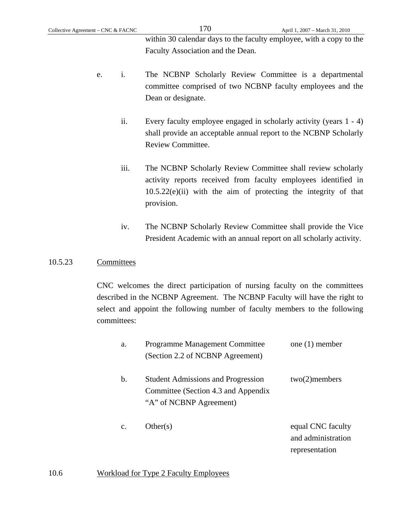within 30 calendar days to the faculty employee, with a copy to the Faculty Association and the Dean.

- e. i. The NCBNP Scholarly Review Committee is a departmental committee comprised of two NCBNP faculty employees and the Dean or designate.
	- ii. Every faculty employee engaged in scholarly activity (years 1 4) shall provide an acceptable annual report to the NCBNP Scholarly Review Committee.
	- iii. The NCBNP Scholarly Review Committee shall review scholarly activity reports received from faculty employees identified in 10.5.22(e)(ii) with the aim of protecting the integrity of that provision.
	- iv. The NCBNP Scholarly Review Committee shall provide the Vice President Academic with an annual report on all scholarly activity.

## 10.5.23 Committees

 CNC welcomes the direct participation of nursing faculty on the committees described in the NCBNP Agreement. The NCBNP Faculty will have the right to select and appoint the following number of faculty members to the following committees:

| a.             | <b>Programme Management Committee</b><br>(Section 2.2 of NCBNP Agreement)                                   | one $(1)$ member                                          |
|----------------|-------------------------------------------------------------------------------------------------------------|-----------------------------------------------------------|
| $\mathbf b$ .  | <b>Student Admissions and Progression</b><br>Committee (Section 4.3 and Appendix<br>"A" of NCBNP Agreement) | $two(2)$ members                                          |
| $\mathbf{c}$ . | Other(s)                                                                                                    | equal CNC faculty<br>and administration<br>representation |

# 10.6 Workload for Type 2 Faculty Employees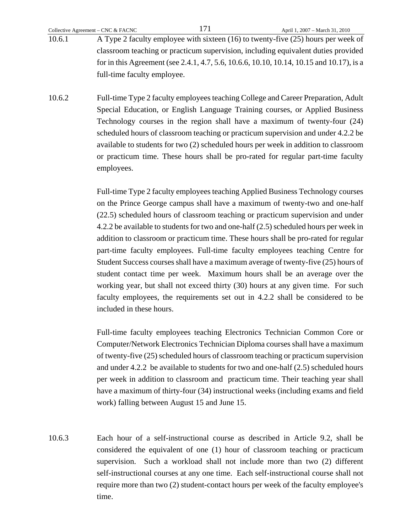- 10.6.1 A Type 2 faculty employee with sixteen (16) to twenty-five (25) hours per week of classroom teaching or practicum supervision, including equivalent duties provided for in this Agreement (see 2.4.1, 4.7, 5.6, 10.6.6, 10.10, 10.14, 10.15 and 10.17), is a full-time faculty employee.
- 10.6.2 Full-time Type 2 faculty employees teaching College and Career Preparation, Adult Special Education, or English Language Training courses, or Applied Business Technology courses in the region shall have a maximum of twenty-four (24) scheduled hours of classroom teaching or practicum supervision and under 4.2.2 be available to students for two (2) scheduled hours per week in addition to classroom or practicum time. These hours shall be pro-rated for regular part-time faculty employees.

 Full-time Type 2 faculty employees teaching Applied Business Technology courses on the Prince George campus shall have a maximum of twenty-two and one-half (22.5) scheduled hours of classroom teaching or practicum supervision and under 4.2.2 be available to students for two and one-half (2.5) scheduled hours per week in addition to classroom or practicum time. These hours shall be pro-rated for regular part-time faculty employees. Full-time faculty employees teaching Centre for Student Success courses shall have a maximum average of twenty-five (25) hours of student contact time per week. Maximum hours shall be an average over the working year, but shall not exceed thirty (30) hours at any given time. For such faculty employees, the requirements set out in 4.2.2 shall be considered to be included in these hours.

 Full-time faculty employees teaching Electronics Technician Common Core or Computer/Network Electronics Technician Diploma courses shall have a maximum of twenty-five (25) scheduled hours of classroom teaching or practicum supervision and under 4.2.2 be available to students for two and one-half (2.5) scheduled hours per week in addition to classroom and practicum time. Their teaching year shall have a maximum of thirty-four (34) instructional weeks (including exams and field work) falling between August 15 and June 15.

10.6.3 Each hour of a self-instructional course as described in Article 9.2, shall be considered the equivalent of one (1) hour of classroom teaching or practicum supervision. Such a workload shall not include more than two (2) different self-instructional courses at any one time. Each self-instructional course shall not require more than two (2) student-contact hours per week of the faculty employee's time.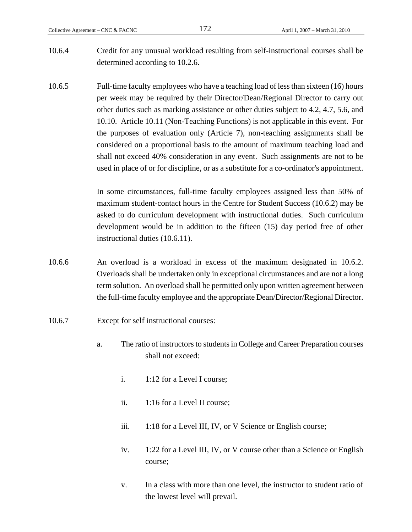- 10.6.4 Credit for any unusual workload resulting from self-instructional courses shall be determined according to 10.2.6.
- 10.6.5 Full-time faculty employees who have a teaching load of less than sixteen (16) hours per week may be required by their Director/Dean/Regional Director to carry out other duties such as marking assistance or other duties subject to 4.2, 4.7, 5.6, and 10.10. Article 10.11 (Non-Teaching Functions) is not applicable in this event. For the purposes of evaluation only (Article 7), non-teaching assignments shall be considered on a proportional basis to the amount of maximum teaching load and shall not exceed 40% consideration in any event. Such assignments are not to be used in place of or for discipline, or as a substitute for a co-ordinator's appointment.

 In some circumstances, full-time faculty employees assigned less than 50% of maximum student-contact hours in the Centre for Student Success (10.6.2) may be asked to do curriculum development with instructional duties. Such curriculum development would be in addition to the fifteen (15) day period free of other instructional duties (10.6.11).

- 10.6.6 An overload is a workload in excess of the maximum designated in 10.6.2. Overloads shall be undertaken only in exceptional circumstances and are not a long term solution. An overload shall be permitted only upon written agreement between the full-time faculty employee and the appropriate Dean/Director/Regional Director.
- 10.6.7 Except for self instructional courses:
	- a. The ratio of instructors to students in College and Career Preparation courses shall not exceed:
		- i. 1:12 for a Level I course;
		- ii. 1:16 for a Level II course;
		- iii. 1:18 for a Level III, IV, or V Science or English course;
		- iv. 1:22 for a Level III, IV, or V course other than a Science or English course;
		- v. In a class with more than one level, the instructor to student ratio of the lowest level will prevail.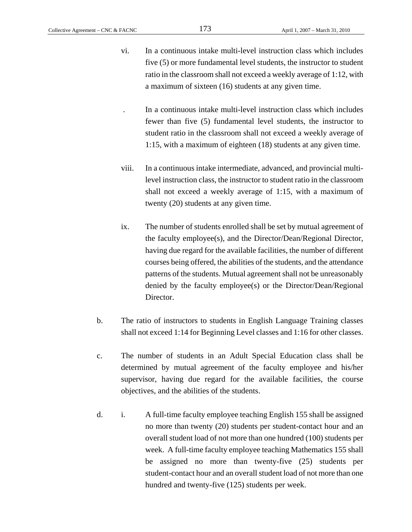- vi. In a continuous intake multi-level instruction class which includes five (5) or more fundamental level students, the instructor to student ratio in the classroom shall not exceed a weekly average of 1:12, with a maximum of sixteen (16) students at any given time.
	- . In a continuous intake multi-level instruction class which includes fewer than five (5) fundamental level students, the instructor to student ratio in the classroom shall not exceed a weekly average of 1:15, with a maximum of eighteen (18) students at any given time.
- viii. In a continuous intake intermediate, advanced, and provincial multilevel instruction class, the instructor to student ratio in the classroom shall not exceed a weekly average of 1:15, with a maximum of twenty (20) students at any given time.
- ix. The number of students enrolled shall be set by mutual agreement of the faculty employee(s), and the Director/Dean/Regional Director, having due regard for the available facilities, the number of different courses being offered, the abilities of the students, and the attendance patterns of the students. Mutual agreement shall not be unreasonably denied by the faculty employee(s) or the Director/Dean/Regional Director.
- b. The ratio of instructors to students in English Language Training classes shall not exceed 1:14 for Beginning Level classes and 1:16 for other classes.
- c. The number of students in an Adult Special Education class shall be determined by mutual agreement of the faculty employee and his/her supervisor, having due regard for the available facilities, the course objectives, and the abilities of the students.
- d. i. A full-time faculty employee teaching English 155 shall be assigned no more than twenty (20) students per student-contact hour and an overall student load of not more than one hundred (100) students per week. A full-time faculty employee teaching Mathematics 155 shall be assigned no more than twenty-five (25) students per student-contact hour and an overall student load of not more than one hundred and twenty-five (125) students per week.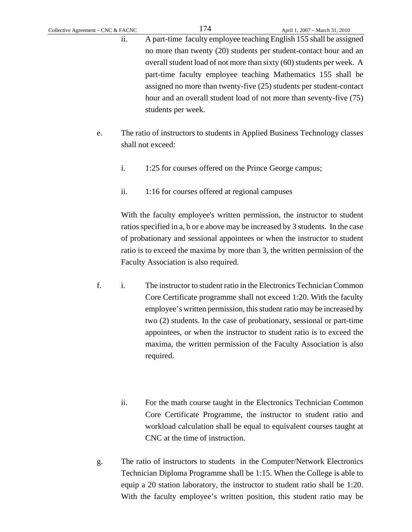ii. A part-time faculty employee teaching English 155 shall be assigned no more than twenty (20) students per student-contact hour and an overall student load of not more than sixty (60) students per week. A part-time faculty employee teaching Mathematics 155 shall be assigned no more than twenty-five (25) students per student-contact hour and an overall student load of not more than seventy-five (75) students per week.

- e. The ratio of instructors to students in Applied Business Technology classes shall not exceed:
	- i. 1:25 for courses offered on the Prince George campus;
	- ii. 1:16 for courses offered at regional campuses

With the faculty employee's written permission, the instructor to student ratios specified in a, b or e above may be increased by 3 students. In the case of probationary and sessional appointees or when the instructor to student ratio is to exceed the maxima by more than 3, the written permission of the Faculty Association is also required.

- f. i. The instructor to student ratio in the Electronics Technician Common Core Certificate programme shall not exceed 1:20. With the faculty employee's written permission, this student ratio may be increased by two (2) students. In the case of probationary, sessional or part-time appointees, or when the instructor to student ratio is to exceed the maxima, the written permission of the Faculty Association is also required.
	- ii. For the math course taught in the Electronics Technician Common Core Certificate Programme, the instructor to student ratio and workload calculation shall be equal to equivalent courses taught at CNC at the time of instruction.
- g. The ratio of instructors to students in the Computer/Network Electronics Technician Diploma Programme shall be 1:15. When the College is able to equip a 20 station laboratory, the instructor to student ratio shall be 1:20. With the faculty employee's written position, this student ratio may be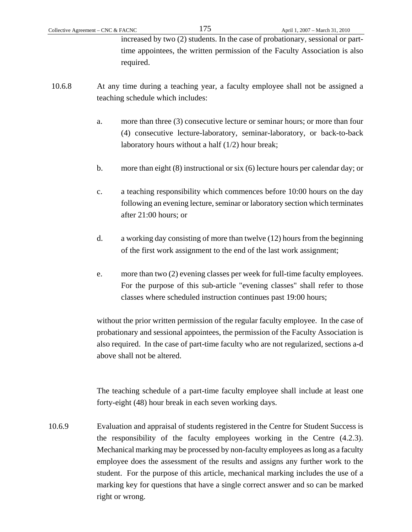increased by two (2) students. In the case of probationary, sessional or parttime appointees, the written permission of the Faculty Association is also required.

- 10.6.8 At any time during a teaching year, a faculty employee shall not be assigned a teaching schedule which includes:
	- a. more than three (3) consecutive lecture or seminar hours; or more than four (4) consecutive lecture-laboratory, seminar-laboratory, or back-to-back laboratory hours without a half (1/2) hour break;
	- b. more than eight (8) instructional or six (6) lecture hours per calendar day; or
	- c. a teaching responsibility which commences before 10:00 hours on the day following an evening lecture, seminar or laboratory section which terminates after 21:00 hours; or
	- d. a working day consisting of more than twelve (12) hours from the beginning of the first work assignment to the end of the last work assignment;
	- e. more than two (2) evening classes per week for full-time faculty employees. For the purpose of this sub-article "evening classes" shall refer to those classes where scheduled instruction continues past 19:00 hours;

without the prior written permission of the regular faculty employee. In the case of probationary and sessional appointees, the permission of the Faculty Association is also required. In the case of part-time faculty who are not regularized, sections a-d above shall not be altered.

The teaching schedule of a part-time faculty employee shall include at least one forty-eight (48) hour break in each seven working days.

10.6.9 Evaluation and appraisal of students registered in the Centre for Student Success is the responsibility of the faculty employees working in the Centre (4.2.3). Mechanical marking may be processed by non-faculty employees as long as a faculty employee does the assessment of the results and assigns any further work to the student. For the purpose of this article, mechanical marking includes the use of a marking key for questions that have a single correct answer and so can be marked right or wrong.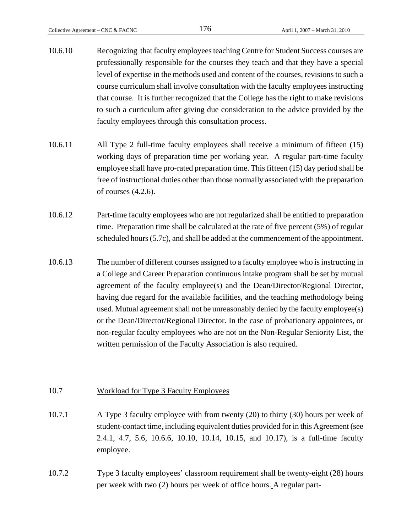- 10.6.10 Recognizing that faculty employees teaching Centre for Student Success courses are professionally responsible for the courses they teach and that they have a special level of expertise in the methods used and content of the courses, revisions to such a course curriculum shall involve consultation with the faculty employees instructing that course. It is further recognized that the College has the right to make revisions to such a curriculum after giving due consideration to the advice provided by the faculty employees through this consultation process.
- 10.6.11 All Type 2 full-time faculty employees shall receive a minimum of fifteen (15) working days of preparation time per working year. A regular part-time faculty employee shall have pro-rated preparation time. This fifteen (15) day period shall be free of instructional duties other than those normally associated with the preparation of courses (4.2.6).
- 10.6.12 Part-time faculty employees who are not regularized shall be entitled to preparation time. Preparation time shall be calculated at the rate of five percent (5%) of regular scheduled hours (5.7c), and shall be added at the commencement of the appointment.
- 10.6.13 The number of different courses assigned to a faculty employee who is instructing in a College and Career Preparation continuous intake program shall be set by mutual agreement of the faculty employee(s) and the Dean/Director/Regional Director, having due regard for the available facilities, and the teaching methodology being used. Mutual agreement shall not be unreasonably denied by the faculty employee(s) or the Dean/Director/Regional Director. In the case of probationary appointees, or non-regular faculty employees who are not on the Non-Regular Seniority List, the written permission of the Faculty Association is also required.

#### 10.7 Workload for Type 3 Faculty Employees

- 10.7.1 A Type 3 faculty employee with from twenty (20) to thirty (30) hours per week of student-contact time, including equivalent duties provided for in this Agreement (see 2.4.1, 4.7, 5.6, 10.6.6, 10.10, 10.14, 10.15, and 10.17), is a full-time faculty employee.
- 10.7.2 Type 3 faculty employees' classroom requirement shall be twenty-eight (28) hours per week with two (2) hours per week of office hours. A regular part-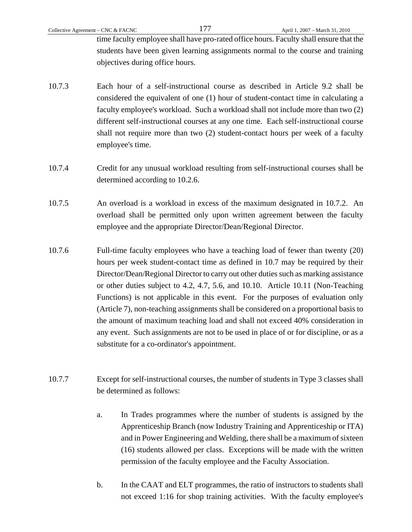time faculty employee shall have pro-rated office hours. Faculty shall ensure that the students have been given learning assignments normal to the course and training objectives during office hours.

- 10.7.3 Each hour of a self-instructional course as described in Article 9.2 shall be considered the equivalent of one (1) hour of student-contact time in calculating a faculty employee's workload. Such a workload shall not include more than two (2) different self-instructional courses at any one time. Each self-instructional course shall not require more than two (2) student-contact hours per week of a faculty employee's time.
- 10.7.4 Credit for any unusual workload resulting from self-instructional courses shall be determined according to 10.2.6.
- 10.7.5 An overload is a workload in excess of the maximum designated in 10.7.2. An overload shall be permitted only upon written agreement between the faculty employee and the appropriate Director/Dean/Regional Director.
- 10.7.6 Full-time faculty employees who have a teaching load of fewer than twenty (20) hours per week student-contact time as defined in 10.7 may be required by their Director/Dean/Regional Director to carry out other duties such as marking assistance or other duties subject to 4.2, 4.7, 5.6, and 10.10. Article 10.11 (Non-Teaching Functions) is not applicable in this event. For the purposes of evaluation only (Article 7), non-teaching assignments shall be considered on a proportional basis to the amount of maximum teaching load and shall not exceed 40% consideration in any event. Such assignments are not to be used in place of or for discipline, or as a substitute for a co-ordinator's appointment.
- 10.7.7 Except for self-instructional courses, the number of students in Type 3 classes shall be determined as follows:
	- a. In Trades programmes where the number of students is assigned by the Apprenticeship Branch (now Industry Training and Apprenticeship or ITA) and in Power Engineering and Welding, there shall be a maximum of sixteen (16) students allowed per class. Exceptions will be made with the written permission of the faculty employee and the Faculty Association.
	- b. In the CAAT and ELT programmes, the ratio of instructors to students shall not exceed 1:16 for shop training activities. With the faculty employee's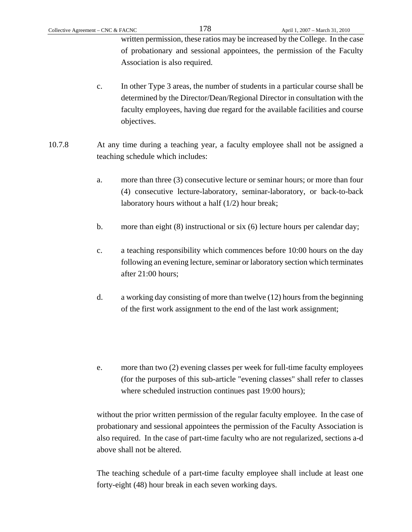written permission, these ratios may be increased by the College. In the case of probationary and sessional appointees, the permission of the Faculty Association is also required.

- c. In other Type 3 areas, the number of students in a particular course shall be determined by the Director/Dean/Regional Director in consultation with the faculty employees, having due regard for the available facilities and course objectives.
- 10.7.8 At any time during a teaching year, a faculty employee shall not be assigned a teaching schedule which includes:
	- a. more than three (3) consecutive lecture or seminar hours; or more than four (4) consecutive lecture-laboratory, seminar-laboratory, or back-to-back laboratory hours without a half (1/2) hour break;
	- b. more than eight (8) instructional or six (6) lecture hours per calendar day;
	- c. a teaching responsibility which commences before 10:00 hours on the day following an evening lecture, seminar or laboratory section which terminates after 21:00 hours;
	- d. a working day consisting of more than twelve (12) hours from the beginning of the first work assignment to the end of the last work assignment;
	- e. more than two (2) evening classes per week for full-time faculty employees (for the purposes of this sub-article "evening classes" shall refer to classes where scheduled instruction continues past 19:00 hours);

without the prior written permission of the regular faculty employee. In the case of probationary and sessional appointees the permission of the Faculty Association is also required. In the case of part-time faculty who are not regularized, sections a-d above shall not be altered.

The teaching schedule of a part-time faculty employee shall include at least one forty-eight (48) hour break in each seven working days.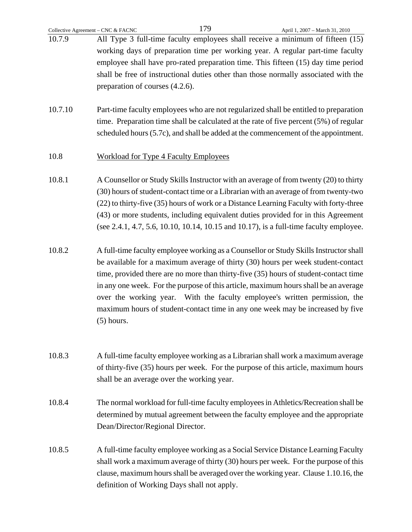| Collective Agreement - CNC & FACNC |                                                                                                                                                                                                                                                                                                                                                                                                                                                                                                                                          | 179 | April 1, 2007 - March 31, 2010 |
|------------------------------------|------------------------------------------------------------------------------------------------------------------------------------------------------------------------------------------------------------------------------------------------------------------------------------------------------------------------------------------------------------------------------------------------------------------------------------------------------------------------------------------------------------------------------------------|-----|--------------------------------|
| 10.7.9                             | All Type 3 full-time faculty employees shall receive a minimum of fifteen (15)<br>working days of preparation time per working year. A regular part-time faculty                                                                                                                                                                                                                                                                                                                                                                         |     |                                |
|                                    | employee shall have pro-rated preparation time. This fifteen (15) day time period<br>shall be free of instructional duties other than those normally associated with the<br>preparation of courses (4.2.6).                                                                                                                                                                                                                                                                                                                              |     |                                |
| 10.7.10                            | Part-time faculty employees who are not regularized shall be entitled to preparation<br>time. Preparation time shall be calculated at the rate of five percent (5%) of regular<br>scheduled hours (5.7c), and shall be added at the commencement of the appointment.                                                                                                                                                                                                                                                                     |     |                                |
| 10.8                               | <b>Workload for Type 4 Faculty Employees</b>                                                                                                                                                                                                                                                                                                                                                                                                                                                                                             |     |                                |
| 10.8.1                             | A Counsellor or Study Skills Instructor with an average of from twenty (20) to thirty<br>(30) hours of student-contact time or a Librarian with an average of from twenty-two<br>(22) to thirty-five (35) hours of work or a Distance Learning Faculty with forty-three<br>(43) or more students, including equivalent duties provided for in this Agreement<br>(see 2.4.1, 4.7, 5.6, 10.10, 10.14, 10.15 and 10.17), is a full-time faculty employee.                                                                                   |     |                                |
| 10.8.2                             | A full-time faculty employee working as a Counsellor or Study Skills Instructor shall<br>be available for a maximum average of thirty (30) hours per week student-contact<br>time, provided there are no more than thirty-five (35) hours of student-contact time<br>in any one week. For the purpose of this article, maximum hours shall be an average<br>over the working year. With the faculty employee's written permission, the<br>maximum hours of student-contact time in any one week may be increased by five<br>$(5)$ hours. |     |                                |
| 10.8.3                             | A full-time faculty employee working as a Librarian shall work a maximum average<br>of thirty-five (35) hours per week. For the purpose of this article, maximum hours<br>shall be an average over the working year.                                                                                                                                                                                                                                                                                                                     |     |                                |
| 10.8.4                             | The normal workload for full-time faculty employees in Athletics/Recreation shall be<br>determined by mutual agreement between the faculty employee and the appropriate<br>Dean/Director/Regional Director.                                                                                                                                                                                                                                                                                                                              |     |                                |
| 10.8.5                             | A full-time faculty employee working as a Social Service Distance Learning Faculty<br>shall work a maximum average of thirty (30) hours per week. For the purpose of this<br>clause, maximum hours shall be averaged over the working year. Clause 1.10.16, the<br>definition of Working Days shall not apply.                                                                                                                                                                                                                           |     |                                |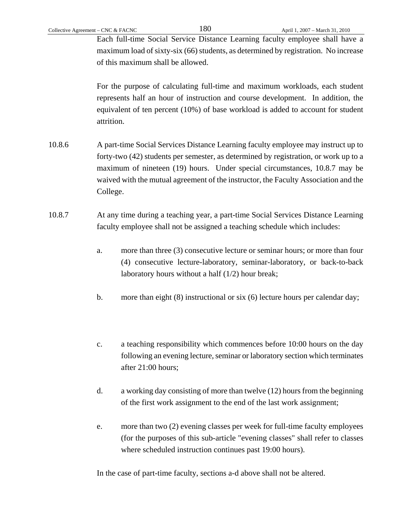Each full-time Social Service Distance Learning faculty employee shall have a maximum load of sixty-six (66) students, as determined by registration. No increase of this maximum shall be allowed.

 For the purpose of calculating full-time and maximum workloads, each student represents half an hour of instruction and course development. In addition, the equivalent of ten percent (10%) of base workload is added to account for student attrition.

- 10.8.6 A part-time Social Services Distance Learning faculty employee may instruct up to forty-two (42) students per semester, as determined by registration, or work up to a maximum of nineteen (19) hours. Under special circumstances, 10.8.7 may be waived with the mutual agreement of the instructor, the Faculty Association and the College.
- 10.8.7 At any time during a teaching year, a part-time Social Services Distance Learning faculty employee shall not be assigned a teaching schedule which includes:
	- a. more than three (3) consecutive lecture or seminar hours; or more than four (4) consecutive lecture-laboratory, seminar-laboratory, or back-to-back laboratory hours without a half (1/2) hour break;
	- b. more than eight (8) instructional or six (6) lecture hours per calendar day;
	- c. a teaching responsibility which commences before 10:00 hours on the day following an evening lecture, seminar or laboratory section which terminates after 21:00 hours;
	- d. a working day consisting of more than twelve (12) hours from the beginning of the first work assignment to the end of the last work assignment;
	- e. more than two (2) evening classes per week for full-time faculty employees (for the purposes of this sub-article "evening classes" shall refer to classes where scheduled instruction continues past 19:00 hours).

In the case of part-time faculty, sections a-d above shall not be altered.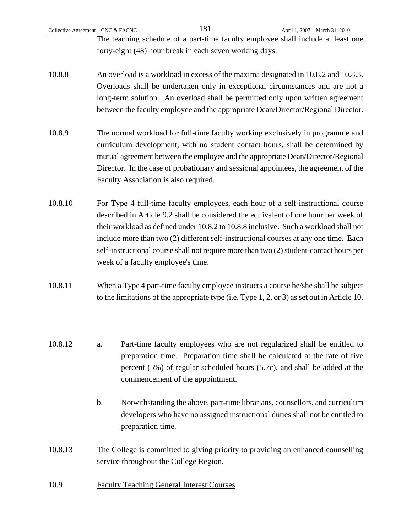The teaching schedule of a part-time faculty employee shall include at least one forty-eight (48) hour break in each seven working days.

- 10.8.8 An overload is a workload in excess of the maxima designated in 10.8.2 and 10.8.3. Overloads shall be undertaken only in exceptional circumstances and are not a long-term solution. An overload shall be permitted only upon written agreement between the faculty employee and the appropriate Dean/Director/Regional Director.
- 10.8.9 The normal workload for full-time faculty working exclusively in programme and curriculum development, with no student contact hours, shall be determined by mutual agreement between the employee and the appropriate Dean/Director/Regional Director. In the case of probationary and sessional appointees, the agreement of the Faculty Association is also required.
- 10.8.10 For Type 4 full-time faculty employees, each hour of a self-instructional course described in Article 9.2 shall be considered the equivalent of one hour per week of their workload as defined under 10.8.2 to 10.8.8 inclusive. Such a workload shall not include more than two (2) different self-instructional courses at any one time. Each self-instructional course shall not require more than two (2) student-contact hours per week of a faculty employee's time.
- 10.8.11 When a Type 4 part-time faculty employee instructs a course he/she shall be subject to the limitations of the appropriate type (i.e. Type 1, 2, or 3) as set out in Article 10.
- 10.8.12 a. Part-time faculty employees who are not regularized shall be entitled to preparation time. Preparation time shall be calculated at the rate of five percent (5%) of regular scheduled hours (5.7c), and shall be added at the commencement of the appointment.
	- b. Notwithstanding the above, part-time librarians, counsellors, and curriculum developers who have no assigned instructional duties shall not be entitled to preparation time.
- 10.8.13 The College is committed to giving priority to providing an enhanced counselling service throughout the College Region.
- 10.9 Faculty Teaching General Interest Courses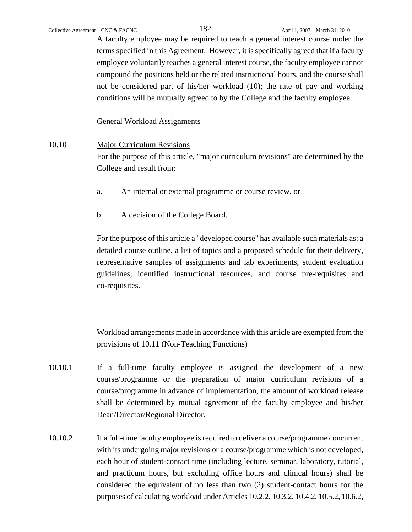A faculty employee may be required to teach a general interest course under the terms specified in this Agreement. However, it is specifically agreed that if a faculty employee voluntarily teaches a general interest course, the faculty employee cannot compound the positions held or the related instructional hours, and the course shall not be considered part of his/her workload (10); the rate of pay and working conditions will be mutually agreed to by the College and the faculty employee.

General Workload Assignments

### 10.10 Major Curriculum Revisions

 For the purpose of this article, "major curriculum revisions" are determined by the College and result from:

- a. An internal or external programme or course review, or
- b. A decision of the College Board.

For the purpose of this article a "developed course" has available such materials as: a detailed course outline, a list of topics and a proposed schedule for their delivery, representative samples of assignments and lab experiments, student evaluation guidelines, identified instructional resources, and course pre-requisites and co-requisites.

Workload arrangements made in accordance with this article are exempted from the provisions of 10.11 (Non-Teaching Functions)

- 10.10.1 If a full-time faculty employee is assigned the development of a new course/programme or the preparation of major curriculum revisions of a course/programme in advance of implementation, the amount of workload release shall be determined by mutual agreement of the faculty employee and his/her Dean/Director/Regional Director.
- 10.10.2 If a full-time faculty employee is required to deliver a course/programme concurrent with its undergoing major revisions or a course/programme which is not developed, each hour of student-contact time (including lecture, seminar, laboratory, tutorial, and practicum hours, but excluding office hours and clinical hours) shall be considered the equivalent of no less than two (2) student-contact hours for the purposes of calculating workload under Articles 10.2.2, 10.3.2, 10.4.2, 10.5.2, 10.6.2,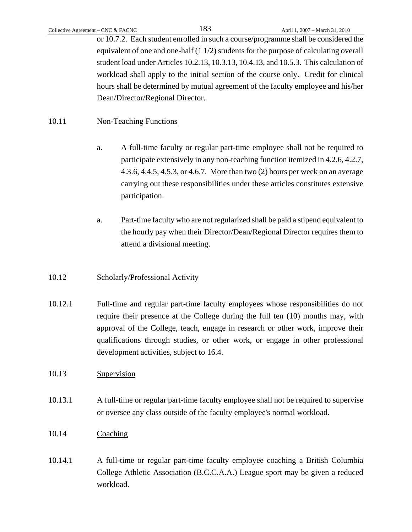or 10.7.2. Each student enrolled in such a course/programme shall be considered the equivalent of one and one-half (1 1/2) students for the purpose of calculating overall student load under Articles 10.2.13, 10.3.13, 10.4.13, and 10.5.3. This calculation of workload shall apply to the initial section of the course only. Credit for clinical hours shall be determined by mutual agreement of the faculty employee and his/her Dean/Director/Regional Director.

## 10.11 Non-Teaching Functions

- a. A full-time faculty or regular part-time employee shall not be required to participate extensively in any non-teaching function itemized in 4.2.6, 4.2.7, 4.3.6, 4.4.5, 4.5.3, or 4.6.7. More than two (2) hours per week on an average carrying out these responsibilities under these articles constitutes extensive participation.
- a. Part-time faculty who are not regularized shall be paid a stipend equivalent to the hourly pay when their Director/Dean/Regional Director requires them to attend a divisional meeting.

## 10.12 Scholarly/Professional Activity

10.12.1 Full-time and regular part-time faculty employees whose responsibilities do not require their presence at the College during the full ten (10) months may, with approval of the College, teach, engage in research or other work, improve their qualifications through studies, or other work, or engage in other professional development activities, subject to 16.4.

## 10.13 Supervision

10.13.1 A full-time or regular part-time faculty employee shall not be required to supervise or oversee any class outside of the faculty employee's normal workload.

### 10.14 Coaching

10.14.1 A full-time or regular part-time faculty employee coaching a British Columbia College Athletic Association (B.C.C.A.A.) League sport may be given a reduced workload.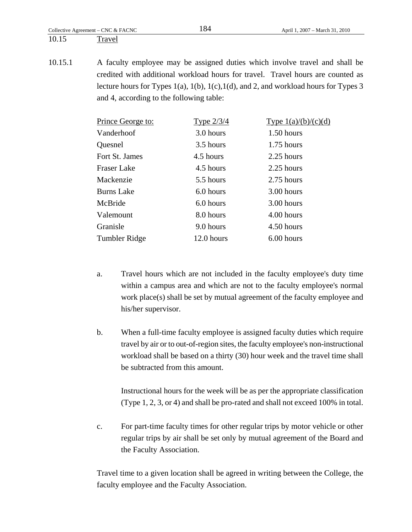### 10.15 Travel

10.15.1 A faculty employee may be assigned duties which involve travel and shall be credited with additional workload hours for travel. Travel hours are counted as lecture hours for Types  $1(a)$ ,  $1(b)$ ,  $1(c)$ ,  $1(d)$ , and 2, and workload hours for Types 3 and 4, according to the following table:

| Prince George to:  | Type $2/3/4$ | Type $1(a)/(b)/(c)(d)$ |
|--------------------|--------------|------------------------|
| Vanderhoof         | 3.0 hours    | 1.50 hours             |
| Quesnel            | 3.5 hours    | $1.75$ hours           |
| Fort St. James     | 4.5 hours    | 2.25 hours             |
| <b>Fraser Lake</b> | 4.5 hours    | 2.25 hours             |
| Mackenzie          | 5.5 hours    | 2.75 hours             |
| <b>Burns Lake</b>  | 6.0 hours    | 3.00 hours             |
| McBride            | 6.0 hours    | 3.00 hours             |
| Valemount          | 8.0 hours    | 4.00 hours             |
| Granisle           | 9.0 hours    | 4.50 hours             |
| Tumbler Ridge      | 12.0 hours   | 6.00 hours             |

- a. Travel hours which are not included in the faculty employee's duty time within a campus area and which are not to the faculty employee's normal work place(s) shall be set by mutual agreement of the faculty employee and his/her supervisor.
- b. When a full-time faculty employee is assigned faculty duties which require travel by air or to out-of-region sites, the faculty employee's non-instructional workload shall be based on a thirty (30) hour week and the travel time shall be subtracted from this amount.

 Instructional hours for the week will be as per the appropriate classification (Type 1, 2, 3, or 4) and shall be pro-rated and shall not exceed 100% in total.

c. For part-time faculty times for other regular trips by motor vehicle or other regular trips by air shall be set only by mutual agreement of the Board and the Faculty Association.

Travel time to a given location shall be agreed in writing between the College, the faculty employee and the Faculty Association.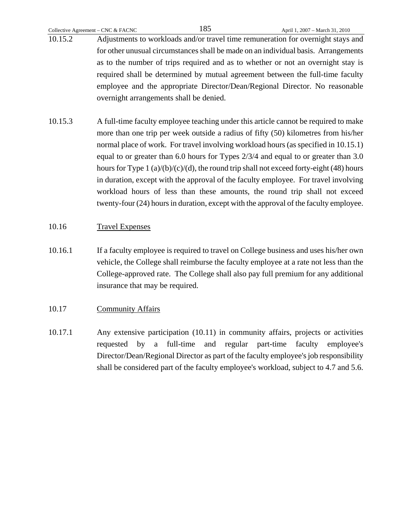- 10.15.2 Adjustments to workloads and/or travel time remuneration for overnight stays and for other unusual circumstances shall be made on an individual basis. Arrangements as to the number of trips required and as to whether or not an overnight stay is required shall be determined by mutual agreement between the full-time faculty employee and the appropriate Director/Dean/Regional Director. No reasonable overnight arrangements shall be denied.
- 10.15.3 A full-time faculty employee teaching under this article cannot be required to make more than one trip per week outside a radius of fifty (50) kilometres from his/her normal place of work. For travel involving workload hours (as specified in 10.15.1) equal to or greater than 6.0 hours for Types 2/3/4 and equal to or greater than 3.0 hours for Type 1 (a)/(b)/(c)/(d), the round trip shall not exceed forty-eight (48) hours in duration, except with the approval of the faculty employee. For travel involving workload hours of less than these amounts, the round trip shall not exceed twenty-four (24) hours in duration, except with the approval of the faculty employee.

## 10.16 Travel Expenses

- 10.16.1 If a faculty employee is required to travel on College business and uses his/her own vehicle, the College shall reimburse the faculty employee at a rate not less than the College-approved rate. The College shall also pay full premium for any additional insurance that may be required.
- 10.17 Community Affairs
- 10.17.1 Any extensive participation (10.11) in community affairs, projects or activities requested by a full-time and regular part-time faculty employee's Director/Dean/Regional Director as part of the faculty employee's job responsibility shall be considered part of the faculty employee's workload, subject to 4.7 and 5.6.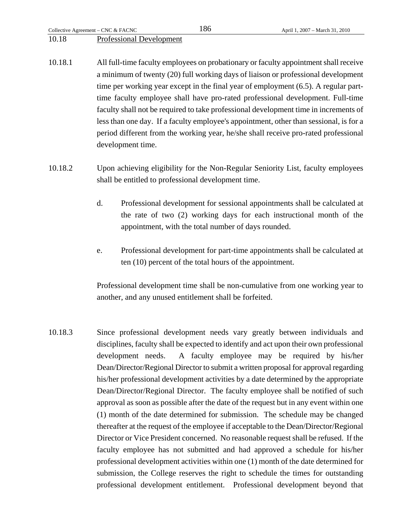Collective Agreement – CNC & FACNC  $186$  April 1, 2007 – March 31, 2010

### 10.18 Professional Development

- 10.18.1 All full-time faculty employees on probationary or faculty appointment shall receive a minimum of twenty (20) full working days of liaison or professional development time per working year except in the final year of employment (6.5). A regular parttime faculty employee shall have pro-rated professional development. Full-time faculty shall not be required to take professional development time in increments of less than one day. If a faculty employee's appointment, other than sessional, is for a period different from the working year, he/she shall receive pro-rated professional development time.
- 10.18.2 Upon achieving eligibility for the Non-Regular Seniority List, faculty employees shall be entitled to professional development time.
	- d. Professional development for sessional appointments shall be calculated at the rate of two (2) working days for each instructional month of the appointment, with the total number of days rounded.
	- e. Professional development for part-time appointments shall be calculated at ten (10) percent of the total hours of the appointment.

Professional development time shall be non-cumulative from one working year to another, and any unused entitlement shall be forfeited.

10.18.3 Since professional development needs vary greatly between individuals and disciplines, faculty shall be expected to identify and act upon their own professional development needs. A faculty employee may be required by his/her Dean/Director/Regional Director to submit a written proposal for approval regarding his/her professional development activities by a date determined by the appropriate Dean/Director/Regional Director. The faculty employee shall be notified of such approval as soon as possible after the date of the request but in any event within one (1) month of the date determined for submission. The schedule may be changed thereafter at the request of the employee if acceptable to the Dean/Director/Regional Director or Vice President concerned. No reasonable request shall be refused. If the faculty employee has not submitted and had approved a schedule for his/her professional development activities within one (1) month of the date determined for submission, the College reserves the right to schedule the times for outstanding professional development entitlement. Professional development beyond that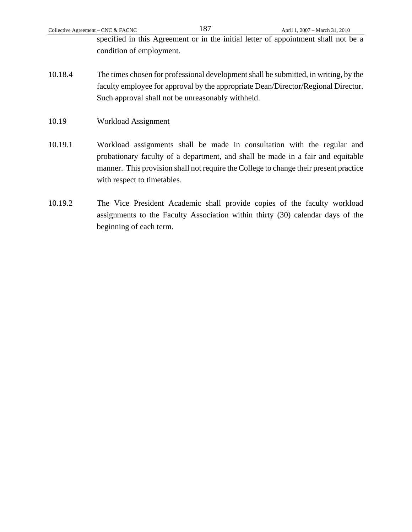specified in this Agreement or in the initial letter of appointment shall not be a condition of employment.

- 10.18.4 The times chosen for professional development shall be submitted, in writing, by the faculty employee for approval by the appropriate Dean/Director/Regional Director. Such approval shall not be unreasonably withheld.
- 10.19 Workload Assignment
- 10.19.1 Workload assignments shall be made in consultation with the regular and probationary faculty of a department, and shall be made in a fair and equitable manner. This provision shall not require the College to change their present practice with respect to timetables.
- 10.19.2 The Vice President Academic shall provide copies of the faculty workload assignments to the Faculty Association within thirty (30) calendar days of the beginning of each term.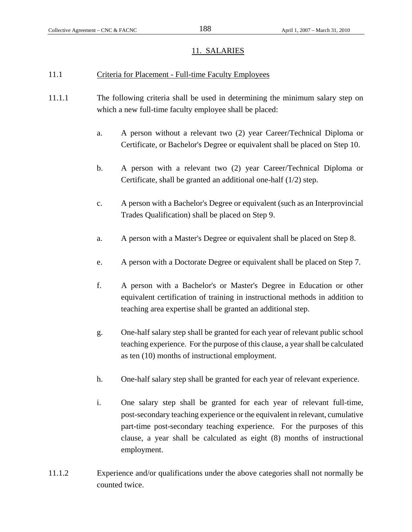#### 11. SALARIES

#### 11.1 Criteria for Placement - Full-time Faculty Employees

- 11.1.1 The following criteria shall be used in determining the minimum salary step on which a new full-time faculty employee shall be placed:
	- a. A person without a relevant two (2) year Career/Technical Diploma or Certificate, or Bachelor's Degree or equivalent shall be placed on Step 10.
	- b. A person with a relevant two (2) year Career/Technical Diploma or Certificate, shall be granted an additional one-half (1/2) step.
	- c. A person with a Bachelor's Degree or equivalent (such as an Interprovincial Trades Qualification) shall be placed on Step 9.
	- a. A person with a Master's Degree or equivalent shall be placed on Step 8.
	- e. A person with a Doctorate Degree or equivalent shall be placed on Step 7.
	- f. A person with a Bachelor's or Master's Degree in Education or other equivalent certification of training in instructional methods in addition to teaching area expertise shall be granted an additional step.
	- g. One-half salary step shall be granted for each year of relevant public school teaching experience. For the purpose of this clause, a year shall be calculated as ten (10) months of instructional employment.
	- h. One-half salary step shall be granted for each year of relevant experience.
	- i. One salary step shall be granted for each year of relevant full-time, post-secondary teaching experience or the equivalent in relevant, cumulative part-time post-secondary teaching experience. For the purposes of this clause, a year shall be calculated as eight (8) months of instructional employment.
- 11.1.2 Experience and/or qualifications under the above categories shall not normally be counted twice.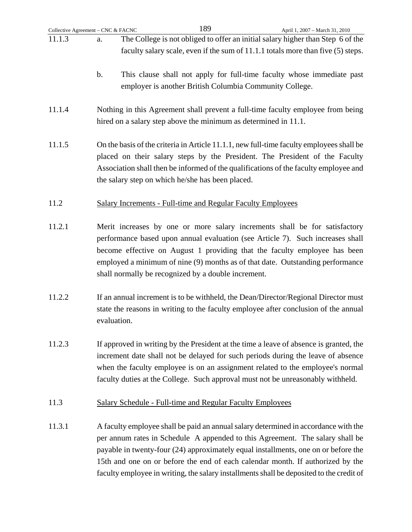| Collective Agreement - CNC & FACNC | 189<br>April 1, 2007 - March 31, 2010                                                                                                                                                                                                                                                                                                                                                                                                    |
|------------------------------------|------------------------------------------------------------------------------------------------------------------------------------------------------------------------------------------------------------------------------------------------------------------------------------------------------------------------------------------------------------------------------------------------------------------------------------------|
| 11.1.3                             | The College is not obliged to offer an initial salary higher than Step 6 of the<br>a.<br>faculty salary scale, even if the sum of 11.1.1 totals more than five (5) steps.                                                                                                                                                                                                                                                                |
|                                    | This clause shall not apply for full-time faculty whose immediate past<br>$\mathbf b$ .<br>employer is another British Columbia Community College.                                                                                                                                                                                                                                                                                       |
| 11.1.4                             | Nothing in this Agreement shall prevent a full-time faculty employee from being<br>hired on a salary step above the minimum as determined in 11.1.                                                                                                                                                                                                                                                                                       |
| 11.1.5                             | On the basis of the criteria in Article 11.1.1, new full-time faculty employees shall be<br>placed on their salary steps by the President. The President of the Faculty<br>Association shall then be informed of the qualifications of the faculty employee and<br>the salary step on which he/she has been placed.                                                                                                                      |
| 11.2                               | <b>Salary Increments - Full-time and Regular Faculty Employees</b>                                                                                                                                                                                                                                                                                                                                                                       |
| 11.2.1                             | Merit increases by one or more salary increments shall be for satisfactory<br>performance based upon annual evaluation (see Article 7). Such increases shall<br>become effective on August 1 providing that the faculty employee has been<br>employed a minimum of nine (9) months as of that date. Outstanding performance<br>shall normally be recognized by a double increment.                                                       |
| 11.2.2                             | If an annual increment is to be withheld, the Dean/Director/Regional Director must<br>state the reasons in writing to the faculty employee after conclusion of the annual<br>evaluation.                                                                                                                                                                                                                                                 |
| 11.2.3                             | If approved in writing by the President at the time a leave of absence is granted, the<br>increment date shall not be delayed for such periods during the leave of absence<br>when the faculty employee is on an assignment related to the employee's normal<br>faculty duties at the College. Such approval must not be unreasonably withheld.                                                                                          |
| 11.3                               | Salary Schedule - Full-time and Regular Faculty Employees                                                                                                                                                                                                                                                                                                                                                                                |
| 11.3.1                             | A faculty employee shall be paid an annual salary determined in accordance with the<br>per annum rates in Schedule A appended to this Agreement. The salary shall be<br>payable in twenty-four (24) approximately equal installments, one on or before the<br>15th and one on or before the end of each calendar month. If authorized by the<br>faculty employee in writing, the salary installments shall be deposited to the credit of |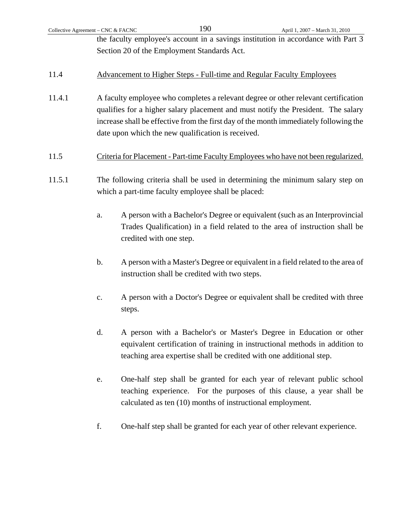| Collective Agreement – CNC & FACNC          | 190 | April 1, 2007 – March 31, 2010                                                    |
|---------------------------------------------|-----|-----------------------------------------------------------------------------------|
|                                             |     | the faculty employee's account in a savings institution in accordance with Part 3 |
| Section 20 of the Employment Standards Act. |     |                                                                                   |

### 11.4 Advancement to Higher Steps - Full-time and Regular Faculty Employees

- 11.4.1 A faculty employee who completes a relevant degree or other relevant certification qualifies for a higher salary placement and must notify the President. The salary increase shall be effective from the first day of the month immediately following the date upon which the new qualification is received.
- 11.5 Criteria for Placement Part-time Faculty Employees who have not been regularized.
- 11.5.1 The following criteria shall be used in determining the minimum salary step on which a part-time faculty employee shall be placed:
	- a. A person with a Bachelor's Degree or equivalent (such as an Interprovincial Trades Qualification) in a field related to the area of instruction shall be credited with one step.
	- b. A person with a Master's Degree or equivalent in a field related to the area of instruction shall be credited with two steps.
	- c. A person with a Doctor's Degree or equivalent shall be credited with three steps.
	- d. A person with a Bachelor's or Master's Degree in Education or other equivalent certification of training in instructional methods in addition to teaching area expertise shall be credited with one additional step.
	- e. One-half step shall be granted for each year of relevant public school teaching experience. For the purposes of this clause, a year shall be calculated as ten (10) months of instructional employment.
	- f. One-half step shall be granted for each year of other relevant experience.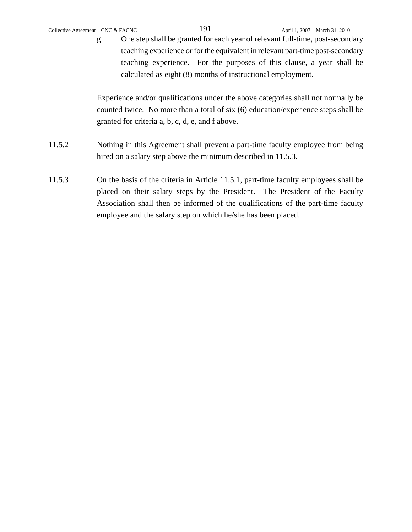g. One step shall be granted for each year of relevant full-time, post-secondary teaching experience or for the equivalent in relevant part-time post-secondary teaching experience. For the purposes of this clause, a year shall be calculated as eight (8) months of instructional employment.

Experience and/or qualifications under the above categories shall not normally be counted twice. No more than a total of six (6) education/experience steps shall be granted for criteria a, b, c, d, e, and f above.

- 11.5.2 Nothing in this Agreement shall prevent a part-time faculty employee from being hired on a salary step above the minimum described in 11.5.3.
- 11.5.3 On the basis of the criteria in Article 11.5.1, part-time faculty employees shall be placed on their salary steps by the President. The President of the Faculty Association shall then be informed of the qualifications of the part-time faculty employee and the salary step on which he/she has been placed.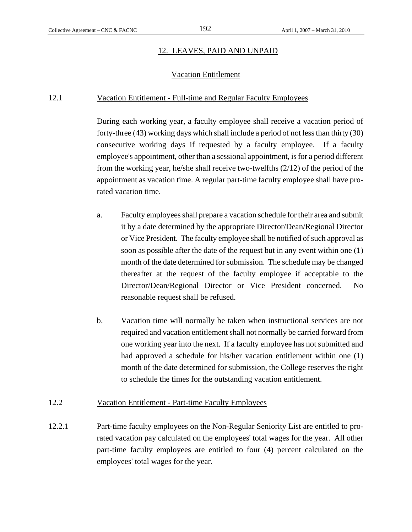### 12. LEAVES, PAID AND UNPAID

#### Vacation Entitlement

#### 12.1 Vacation Entitlement - Full-time and Regular Faculty Employees

 During each working year, a faculty employee shall receive a vacation period of forty-three (43) working days which shall include a period of not less than thirty (30) consecutive working days if requested by a faculty employee. If a faculty employee's appointment, other than a sessional appointment, is for a period different from the working year, he/she shall receive two-twelfths (2/12) of the period of the appointment as vacation time. A regular part-time faculty employee shall have prorated vacation time.

- a. Faculty employees shall prepare a vacation schedule for their area and submit it by a date determined by the appropriate Director/Dean/Regional Director or Vice President. The faculty employee shall be notified of such approval as soon as possible after the date of the request but in any event within one (1) month of the date determined for submission. The schedule may be changed thereafter at the request of the faculty employee if acceptable to the Director/Dean/Regional Director or Vice President concerned. No reasonable request shall be refused.
- b. Vacation time will normally be taken when instructional services are not required and vacation entitlement shall not normally be carried forward from one working year into the next. If a faculty employee has not submitted and had approved a schedule for his/her vacation entitlement within one (1) month of the date determined for submission, the College reserves the right to schedule the times for the outstanding vacation entitlement.

### 12.2 Vacation Entitlement - Part-time Faculty Employees

12.2.1 Part-time faculty employees on the Non-Regular Seniority List are entitled to prorated vacation pay calculated on the employees' total wages for the year. All other part-time faculty employees are entitled to four (4) percent calculated on the employees' total wages for the year.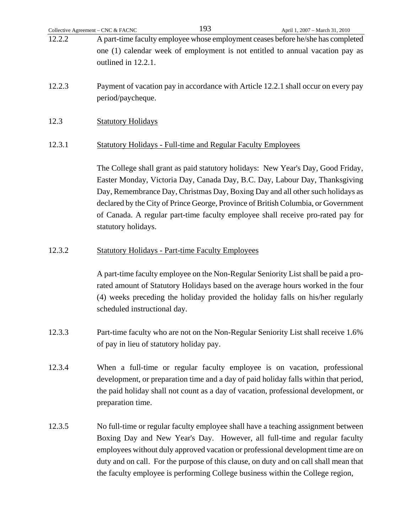| 12.2.2 | A part-time faculty employee whose employment ceases before he/she has completed<br>one (1) calendar week of employment is not entitled to annual vacation pay as<br>outlined in 12.2.1.                                                                                                                                                |
|--------|-----------------------------------------------------------------------------------------------------------------------------------------------------------------------------------------------------------------------------------------------------------------------------------------------------------------------------------------|
| 12.2.3 | Payment of vacation pay in accordance with Article 12.2.1 shall occur on every pay<br>period/paycheque.                                                                                                                                                                                                                                 |
| 12.3   | <b>Statutory Holidays</b>                                                                                                                                                                                                                                                                                                               |
| 12.3.1 | <b>Statutory Holidays - Full-time and Regular Faculty Employees</b>                                                                                                                                                                                                                                                                     |
|        | The College shall grant as paid statutory holidays: New Year's Day, Good Friday,<br>Easter Monday, Victoria Day, Canada Day, B.C. Day, Labour Day, Thanksgiving<br>Day, Remembrance Day, Christmas Day, Boxing Day and all other such holidays as<br>declared by the City of Prince George, Province of British Columbia, or Government |

12.3.2 Statutory Holidays - Part-time Faculty Employees

statutory holidays.

 A part-time faculty employee on the Non-Regular Seniority List shall be paid a prorated amount of Statutory Holidays based on the average hours worked in the four (4) weeks preceding the holiday provided the holiday falls on his/her regularly scheduled instructional day.

of Canada. A regular part-time faculty employee shall receive pro-rated pay for

- 12.3.3 Part-time faculty who are not on the Non-Regular Seniority List shall receive 1.6% of pay in lieu of statutory holiday pay.
- 12.3.4 When a full-time or regular faculty employee is on vacation, professional development, or preparation time and a day of paid holiday falls within that period, the paid holiday shall not count as a day of vacation, professional development, or preparation time.
- 12.3.5 No full-time or regular faculty employee shall have a teaching assignment between Boxing Day and New Year's Day. However, all full-time and regular faculty employees without duly approved vacation or professional development time are on duty and on call. For the purpose of this clause, on duty and on call shall mean that the faculty employee is performing College business within the College region,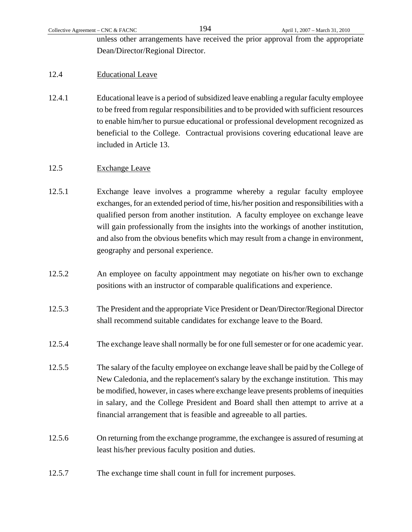unless other arrangements have received the prior approval from the appropriate Dean/Director/Regional Director.

## 12.4 Educational Leave

12.4.1 Educational leave is a period of subsidized leave enabling a regular faculty employee to be freed from regular responsibilities and to be provided with sufficient resources to enable him/her to pursue educational or professional development recognized as beneficial to the College. Contractual provisions covering educational leave are included in Article 13.

## 12.5 Exchange Leave

- 12.5.1 Exchange leave involves a programme whereby a regular faculty employee exchanges, for an extended period of time, his/her position and responsibilities with a qualified person from another institution. A faculty employee on exchange leave will gain professionally from the insights into the workings of another institution, and also from the obvious benefits which may result from a change in environment, geography and personal experience.
- 12.5.2 An employee on faculty appointment may negotiate on his/her own to exchange positions with an instructor of comparable qualifications and experience.
- 12.5.3 The President and the appropriate Vice President or Dean/Director/Regional Director shall recommend suitable candidates for exchange leave to the Board.
- 12.5.4 The exchange leave shall normally be for one full semester or for one academic year.
- 12.5.5 The salary of the faculty employee on exchange leave shall be paid by the College of New Caledonia, and the replacement's salary by the exchange institution. This may be modified, however, in cases where exchange leave presents problems of inequities in salary, and the College President and Board shall then attempt to arrive at a financial arrangement that is feasible and agreeable to all parties.
- 12.5.6 On returning from the exchange programme, the exchangee is assured of resuming at least his/her previous faculty position and duties.
- 12.5.7 The exchange time shall count in full for increment purposes.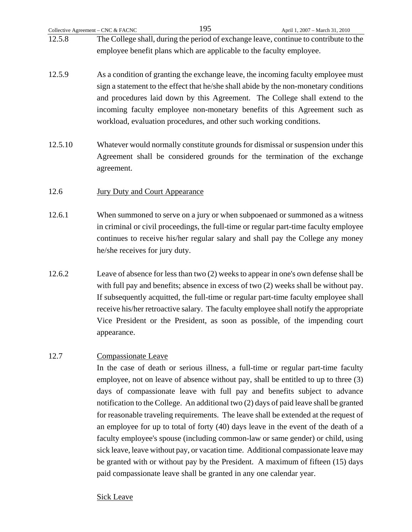- 12.5.8 The College shall, during the period of exchange leave, continue to contribute to the employee benefit plans which are applicable to the faculty employee.
- 12.5.9 As a condition of granting the exchange leave, the incoming faculty employee must sign a statement to the effect that he/she shall abide by the non-monetary conditions and procedures laid down by this Agreement. The College shall extend to the incoming faculty employee non-monetary benefits of this Agreement such as workload, evaluation procedures, and other such working conditions.
- 12.5.10 Whatever would normally constitute grounds for dismissal or suspension under this Agreement shall be considered grounds for the termination of the exchange agreement.

## 12.6 **Jury Duty and Court Appearance**

- 12.6.1 When summoned to serve on a jury or when subpoenaed or summoned as a witness in criminal or civil proceedings, the full-time or regular part-time faculty employee continues to receive his/her regular salary and shall pay the College any money he/she receives for jury duty.
- 12.6.2 Leave of absence for less than two (2) weeks to appear in one's own defense shall be with full pay and benefits; absence in excess of two (2) weeks shall be without pay. If subsequently acquitted, the full-time or regular part-time faculty employee shall receive his/her retroactive salary. The faculty employee shall notify the appropriate Vice President or the President, as soon as possible, of the impending court appearance.

## 12.7 Compassionate Leave

 In the case of death or serious illness, a full-time or regular part-time faculty employee, not on leave of absence without pay, shall be entitled to up to three (3) days of compassionate leave with full pay and benefits subject to advance notification to the College. An additional two (2) days of paid leave shall be granted for reasonable traveling requirements. The leave shall be extended at the request of an employee for up to total of forty (40) days leave in the event of the death of a faculty employee's spouse (including common-law or same gender) or child, using sick leave, leave without pay, or vacation time. Additional compassionate leave may be granted with or without pay by the President. A maximum of fifteen (15) days paid compassionate leave shall be granted in any one calendar year.

## Sick Leave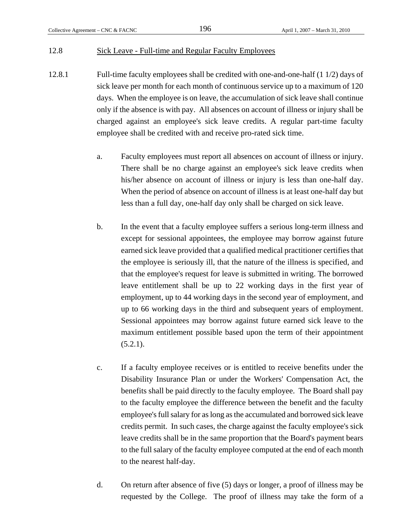#### 12.8 Sick Leave - Full-time and Regular Faculty Employees

- 12.8.1 Full-time faculty employees shall be credited with one-and-one-half (1 1/2) days of sick leave per month for each month of continuous service up to a maximum of 120 days. When the employee is on leave, the accumulation of sick leave shall continue only if the absence is with pay. All absences on account of illness or injury shall be charged against an employee's sick leave credits. A regular part-time faculty employee shall be credited with and receive pro-rated sick time.
	- a. Faculty employees must report all absences on account of illness or injury. There shall be no charge against an employee's sick leave credits when his/her absence on account of illness or injury is less than one-half day. When the period of absence on account of illness is at least one-half day but less than a full day, one-half day only shall be charged on sick leave.
	- b. In the event that a faculty employee suffers a serious long-term illness and except for sessional appointees, the employee may borrow against future earned sick leave provided that a qualified medical practitioner certifies that the employee is seriously ill, that the nature of the illness is specified, and that the employee's request for leave is submitted in writing. The borrowed leave entitlement shall be up to 22 working days in the first year of employment, up to 44 working days in the second year of employment, and up to 66 working days in the third and subsequent years of employment. Sessional appointees may borrow against future earned sick leave to the maximum entitlement possible based upon the term of their appointment  $(5.2.1)$ .
	- c. If a faculty employee receives or is entitled to receive benefits under the Disability Insurance Plan or under the Workers' Compensation Act, the benefits shall be paid directly to the faculty employee. The Board shall pay to the faculty employee the difference between the benefit and the faculty employee's full salary for as long as the accumulated and borrowed sick leave credits permit. In such cases, the charge against the faculty employee's sick leave credits shall be in the same proportion that the Board's payment bears to the full salary of the faculty employee computed at the end of each month to the nearest half-day.
	- d. On return after absence of five (5) days or longer, a proof of illness may be requested by the College. The proof of illness may take the form of a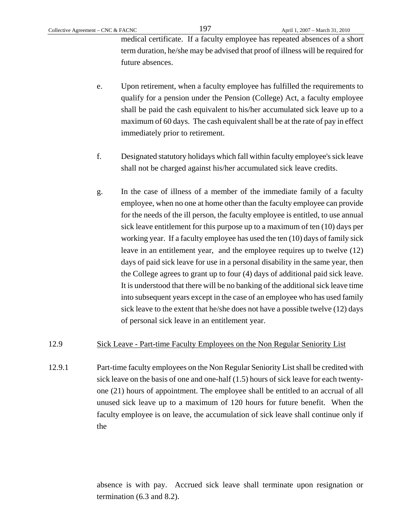medical certificate. If a faculty employee has repeated absences of a short term duration, he/she may be advised that proof of illness will be required for future absences.

- e. Upon retirement, when a faculty employee has fulfilled the requirements to qualify for a pension under the Pension (College) Act, a faculty employee shall be paid the cash equivalent to his/her accumulated sick leave up to a maximum of 60 days. The cash equivalent shall be at the rate of pay in effect immediately prior to retirement.
- f. Designated statutory holidays which fall within faculty employee's sick leave shall not be charged against his/her accumulated sick leave credits.
- g. In the case of illness of a member of the immediate family of a faculty employee, when no one at home other than the faculty employee can provide for the needs of the ill person, the faculty employee is entitled, to use annual sick leave entitlement for this purpose up to a maximum of ten (10) days per working year. If a faculty employee has used the ten (10) days of family sick leave in an entitlement year, and the employee requires up to twelve (12) days of paid sick leave for use in a personal disability in the same year, then the College agrees to grant up to four (4) days of additional paid sick leave. It is understood that there will be no banking of the additional sick leave time into subsequent years except in the case of an employee who has used family sick leave to the extent that he/she does not have a possible twelve (12) days of personal sick leave in an entitlement year.

#### 12.9 Sick Leave - Part-time Faculty Employees on the Non Regular Seniority List

12.9.1 Part-time faculty employees on the Non Regular Seniority List shall be credited with sick leave on the basis of one and one-half (1.5) hours of sick leave for each twentyone (21) hours of appointment. The employee shall be entitled to an accrual of all unused sick leave up to a maximum of 120 hours for future benefit. When the faculty employee is on leave, the accumulation of sick leave shall continue only if the

> absence is with pay. Accrued sick leave shall terminate upon resignation or termination (6.3 and 8.2).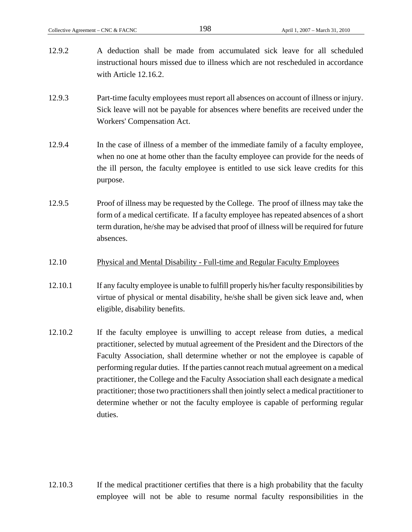- 12.9.2 A deduction shall be made from accumulated sick leave for all scheduled instructional hours missed due to illness which are not rescheduled in accordance with Article 12.16.2. 12.9.3 Part-time faculty employees must report all absences on account of illness or injury. Sick leave will not be payable for absences where benefits are received under the Workers' Compensation Act. 12.9.4 In the case of illness of a member of the immediate family of a faculty employee,
- when no one at home other than the faculty employee can provide for the needs of the ill person, the faculty employee is entitled to use sick leave credits for this purpose.
- 12.9.5 Proof of illness may be requested by the College. The proof of illness may take the form of a medical certificate. If a faculty employee has repeated absences of a short term duration, he/she may be advised that proof of illness will be required for future absences.
- 12.10 Physical and Mental Disability Full-time and Regular Faculty Employees
- 12.10.1 If any faculty employee is unable to fulfill properly his/her faculty responsibilities by virtue of physical or mental disability, he/she shall be given sick leave and, when eligible, disability benefits.
- 12.10.2 If the faculty employee is unwilling to accept release from duties, a medical practitioner, selected by mutual agreement of the President and the Directors of the Faculty Association, shall determine whether or not the employee is capable of performing regular duties. If the parties cannot reach mutual agreement on a medical practitioner, the College and the Faculty Association shall each designate a medical practitioner; those two practitioners shall then jointly select a medical practitioner to determine whether or not the faculty employee is capable of performing regular duties.

12.10.3 If the medical practitioner certifies that there is a high probability that the faculty employee will not be able to resume normal faculty responsibilities in the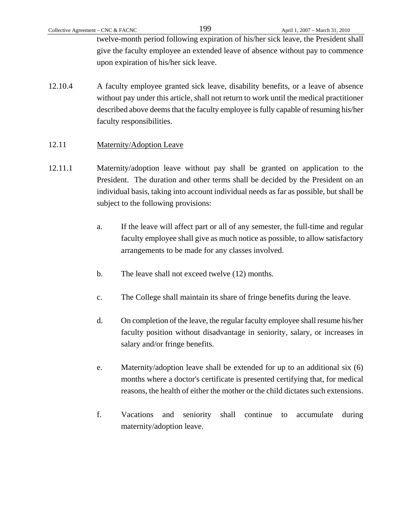twelve-month period following expiration of his/her sick leave, the President shall give the faculty employee an extended leave of absence without pay to commence upon expiration of his/her sick leave.

12.10.4 A faculty employee granted sick leave, disability benefits, or a leave of absence without pay under this article, shall not return to work until the medical practitioner described above deems that the faculty employee is fully capable of resuming his/her faculty responsibilities.

### 12.11 Maternity/Adoption Leave

- 12.11.1 Maternity/adoption leave without pay shall be granted on application to the President. The duration and other terms shall be decided by the President on an individual basis, taking into account individual needs as far as possible, but shall be subject to the following provisions:
	- a. If the leave will affect part or all of any semester, the full-time and regular faculty employee shall give as much notice as possible, to allow satisfactory arrangements to be made for any classes involved.
	- b. The leave shall not exceed twelve (12) months.
	- c. The College shall maintain its share of fringe benefits during the leave.
	- d. On completion of the leave, the regular faculty employee shall resume his/her faculty position without disadvantage in seniority, salary, or increases in salary and/or fringe benefits.
	- e. Maternity/adoption leave shall be extended for up to an additional six (6) months where a doctor's certificate is presented certifying that, for medical reasons, the health of either the mother or the child dictates such extensions.
	- f. Vacations and seniority shall continue to accumulate during maternity/adoption leave.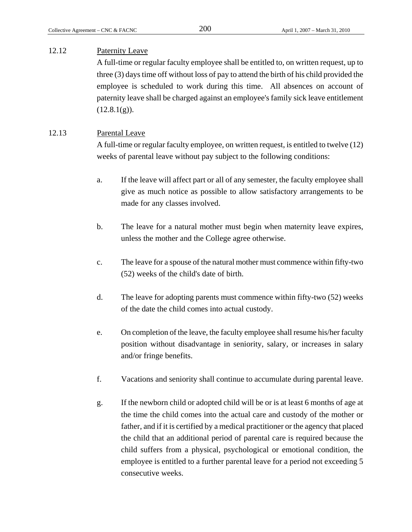## 12.12 Paternity Leave

 A full-time or regular faculty employee shall be entitled to, on written request, up to three (3) days time off without loss of pay to attend the birth of his child provided the employee is scheduled to work during this time. All absences on account of paternity leave shall be charged against an employee's family sick leave entitlement  $(12.8.1(g)).$ 

## 12.13 Parental Leave

 A full-time or regular faculty employee, on written request, is entitled to twelve (12) weeks of parental leave without pay subject to the following conditions:

- a. If the leave will affect part or all of any semester, the faculty employee shall give as much notice as possible to allow satisfactory arrangements to be made for any classes involved.
- b. The leave for a natural mother must begin when maternity leave expires, unless the mother and the College agree otherwise.
- c. The leave for a spouse of the natural mother must commence within fifty-two (52) weeks of the child's date of birth.
- d. The leave for adopting parents must commence within fifty-two (52) weeks of the date the child comes into actual custody.
- e. On completion of the leave, the faculty employee shall resume his/her faculty position without disadvantage in seniority, salary, or increases in salary and/or fringe benefits.
- f. Vacations and seniority shall continue to accumulate during parental leave.
- g. If the newborn child or adopted child will be or is at least 6 months of age at the time the child comes into the actual care and custody of the mother or father, and if it is certified by a medical practitioner or the agency that placed the child that an additional period of parental care is required because the child suffers from a physical, psychological or emotional condition, the employee is entitled to a further parental leave for a period not exceeding 5 consecutive weeks.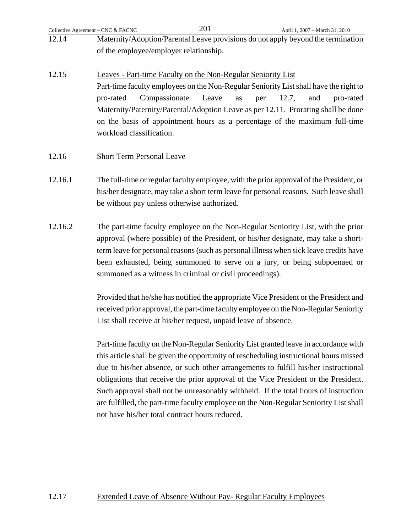|       | Collective Agreement – CNC & FACNC     | 201 | April 1, 2007 – March 31, 2010                                                   |
|-------|----------------------------------------|-----|----------------------------------------------------------------------------------|
| 12.14 |                                        |     | Maternity/Adoption/Parental Leave provisions do not apply beyond the termination |
|       | of the employee/employer relationship. |     |                                                                                  |

12.15 Leaves - Part-time Faculty on the Non-Regular Seniority List Part-time faculty employees on the Non-Regular Seniority List shall have the right to pro-rated Compassionate Leave as per 12.7, and pro-rated Maternity/Paternity/Parental/Adoption Leave as per 12.11. Prorating shall be done on the basis of appointment hours as a percentage of the maximum full-time workload classification.

### 12.16 Short Term Personal Leave

- 12.16.1 The full-time or regular faculty employee, with the prior approval of the President, or his/her designate, may take a short term leave for personal reasons. Such leave shall be without pay unless otherwise authorized.
- 12.16.2 The part-time faculty employee on the Non-Regular Seniority List, with the prior approval (where possible) of the President, or his/her designate, may take a shortterm leave for personal reasons (such as personal illness when sick leave credits have been exhausted, being summoned to serve on a jury, or being subpoenaed or summoned as a witness in criminal or civil proceedings).

 Provided that he/she has notified the appropriate Vice President or the President and received prior approval, the part-time faculty employee on the Non-Regular Seniority List shall receive at his/her request, unpaid leave of absence.

 Part-time faculty on the Non-Regular Seniority List granted leave in accordance with this article shall be given the opportunity of rescheduling instructional hours missed due to his/her absence, or such other arrangements to fulfill his/her instructional obligations that receive the prior approval of the Vice President or the President. Such approval shall not be unreasonably withheld. If the total hours of instruction are fulfilled, the part-time faculty employee on the Non-Regular Seniority List shall not have his/her total contract hours reduced.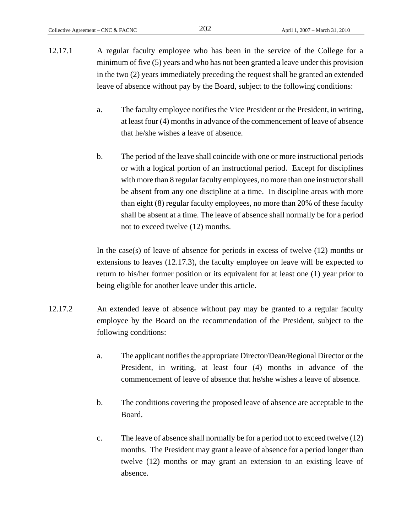- 12.17.1 A regular faculty employee who has been in the service of the College for a minimum of five (5) years and who has not been granted a leave under this provision in the two (2) years immediately preceding the request shall be granted an extended leave of absence without pay by the Board, subject to the following conditions:
	- a. The faculty employee notifies the Vice President or the President, in writing, at least four (4) months in advance of the commencement of leave of absence that he/she wishes a leave of absence.
	- b. The period of the leave shall coincide with one or more instructional periods or with a logical portion of an instructional period. Except for disciplines with more than 8 regular faculty employees, no more than one instructor shall be absent from any one discipline at a time. In discipline areas with more than eight (8) regular faculty employees, no more than 20% of these faculty shall be absent at a time. The leave of absence shall normally be for a period not to exceed twelve (12) months.

In the case(s) of leave of absence for periods in excess of twelve (12) months or extensions to leaves (12.17.3), the faculty employee on leave will be expected to return to his/her former position or its equivalent for at least one (1) year prior to being eligible for another leave under this article.

- 12.17.2 An extended leave of absence without pay may be granted to a regular faculty employee by the Board on the recommendation of the President, subject to the following conditions:
	- a. The applicant notifies the appropriate Director/Dean/Regional Director or the President, in writing, at least four (4) months in advance of the commencement of leave of absence that he/she wishes a leave of absence.
	- b. The conditions covering the proposed leave of absence are acceptable to the Board.
	- c. The leave of absence shall normally be for a period not to exceed twelve (12) months. The President may grant a leave of absence for a period longer than twelve (12) months or may grant an extension to an existing leave of absence.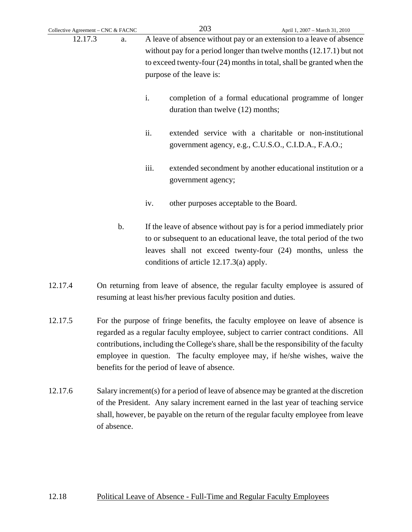| Collective Agreement - CNC & FACNC |       |                                                                                                                                                   | 203                                       | April 1, 2007 - March 31, 2010                                                                                                                                                                                |
|------------------------------------|-------|---------------------------------------------------------------------------------------------------------------------------------------------------|-------------------------------------------|---------------------------------------------------------------------------------------------------------------------------------------------------------------------------------------------------------------|
| 12.17.3<br>a.                      |       |                                                                                                                                                   |                                           | A leave of absence without pay or an extension to a leave of absence                                                                                                                                          |
|                                    |       |                                                                                                                                                   |                                           | without pay for a period longer than twelve months $(12.17.1)$ but not                                                                                                                                        |
|                                    |       | to exceed twenty-four (24) months in total, shall be granted when the                                                                             |                                           |                                                                                                                                                                                                               |
|                                    |       |                                                                                                                                                   | purpose of the leave is:                  |                                                                                                                                                                                                               |
|                                    |       | i.                                                                                                                                                | duration than twelve (12) months;         | completion of a formal educational programme of longer                                                                                                                                                        |
|                                    |       | ii.                                                                                                                                               |                                           | extended service with a charitable or non-institutional<br>government agency, e.g., C.U.S.O., C.I.D.A., F.A.O.;                                                                                               |
|                                    |       | iii.                                                                                                                                              | government agency;                        | extended secondment by another educational institution or a                                                                                                                                                   |
|                                    |       | iv.                                                                                                                                               | other purposes acceptable to the Board.   |                                                                                                                                                                                                               |
|                                    | $b$ . |                                                                                                                                                   | conditions of article $12.17.3(a)$ apply. | If the leave of absence without pay is for a period immediately prior<br>to or subsequent to an educational leave, the total period of the two<br>leaves shall not exceed twenty-four (24) months, unless the |
| 12.17.4                            |       | On returning from leave of absence, the regular faculty employee is assured of<br>resuming at least his/her previous faculty position and duties. |                                           |                                                                                                                                                                                                               |
|                                    |       |                                                                                                                                                   |                                           |                                                                                                                                                                                                               |

- 12.17.5 For the purpose of fringe benefits, the faculty employee on leave of absence is regarded as a regular faculty employee, subject to carrier contract conditions. All contributions, including the College's share, shall be the responsibility of the faculty employee in question. The faculty employee may, if he/she wishes, waive the benefits for the period of leave of absence.
- 12.17.6 Salary increment(s) for a period of leave of absence may be granted at the discretion of the President. Any salary increment earned in the last year of teaching service shall, however, be payable on the return of the regular faculty employee from leave of absence.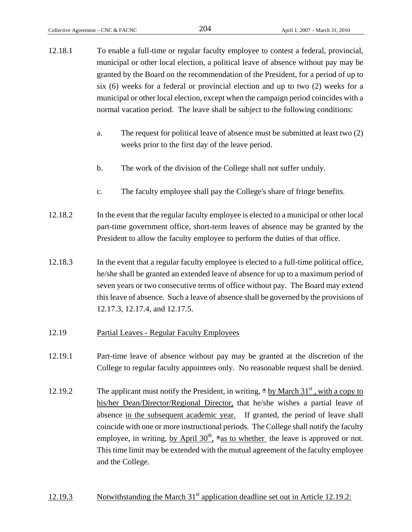- 12.18.1 To enable a full-time or regular faculty employee to contest a federal, provincial, municipal or other local election, a political leave of absence without pay may be granted by the Board on the recommendation of the President, for a period of up to six (6) weeks for a federal or provincial election and up to two (2) weeks for a municipal or other local election, except when the campaign period coincides with a normal vacation period. The leave shall be subject to the following conditions:
	- a. The request for political leave of absence must be submitted at least two (2) weeks prior to the first day of the leave period.
	- b. The work of the division of the College shall not suffer unduly.
	- c. The faculty employee shall pay the College's share of fringe benefits.
- 12.18.2 In the event that the regular faculty employee is elected to a municipal or other local part-time government office, short-term leaves of absence may be granted by the President to allow the faculty employee to perform the duties of that office.
- 12.18.3 In the event that a regular faculty employee is elected to a full-time political office, he/she shall be granted an extended leave of absence for up to a maximum period of seven years or two consecutive terms of office without pay. The Board may extend this leave of absence. Such a leave of absence shall be governed by the provisions of 12.17.3, 12.17.4, and 12.17.5.
- 12.19 Partial Leaves Regular Faculty Employees
- 12.19.1 Part-time leave of absence without pay may be granted at the discretion of the College to regular faculty appointees only. No reasonable request shall be denied.
- 12.19.2 The applicant must notify the President, in writing,  $\pm \underline{b}y$  March  $31<sup>st</sup>$ , with a copy to his/her Dean/Director/Regional Director, that he/she wishes a partial leave of absence in the subsequent academic year. If granted, the period of leave shall coincide with one or more instructional periods. The College shall notify the faculty employee, in writing, by April  $30<sup>th</sup>$ ,  $*$ as to whether the leave is approved or not. This time limit may be extended with the mutual agreement of the faculty employee and the College.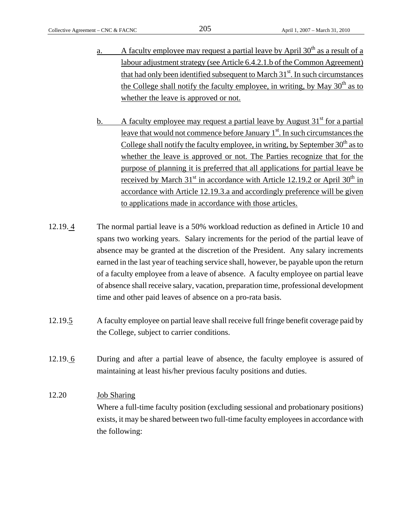- a. A faculty employee may request a partial leave by April  $30<sup>th</sup>$  as a result of a labour adjustment strategy (see Article 6.4.2.1.b of the Common Agreement) that had only been identified subsequent to March  $31<sup>st</sup>$ . In such circumstances the College shall notify the faculty employee, in writing, by May  $30<sup>th</sup>$  as to whether the leave is approved or not.
- b. A faculty employee may request a partial leave by August  $31<sup>st</sup>$  for a partial leave that would not commence before January  $1<sup>st</sup>$ . In such circumstances the College shall notify the faculty employee, in writing, by September  $30<sup>th</sup>$  as to whether the leave is approved or not. The Parties recognize that for the purpose of planning it is preferred that all applications for partial leave be received by March  $31<sup>st</sup>$  in accordance with Article 12.19.2 or April  $30<sup>th</sup>$  in accordance with Article 12.19.3.a and accordingly preference will be given to applications made in accordance with those articles.
- 12.19. 4 The normal partial leave is a 50% workload reduction as defined in Article 10 and spans two working years. Salary increments for the period of the partial leave of absence may be granted at the discretion of the President. Any salary increments earned in the last year of teaching service shall, however, be payable upon the return of a faculty employee from a leave of absence. A faculty employee on partial leave of absence shall receive salary, vacation, preparation time, professional development time and other paid leaves of absence on a pro-rata basis.
- 12.19.5 A faculty employee on partial leave shall receive full fringe benefit coverage paid by the College, subject to carrier conditions.
- 12.19. 6 During and after a partial leave of absence, the faculty employee is assured of maintaining at least his/her previous faculty positions and duties.

# 12.20 Job Sharing

 Where a full-time faculty position (excluding sessional and probationary positions) exists, it may be shared between two full-time faculty employees in accordance with the following: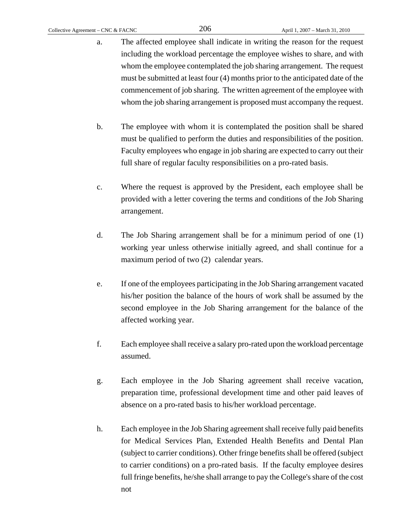- a. The affected employee shall indicate in writing the reason for the request including the workload percentage the employee wishes to share, and with whom the employee contemplated the job sharing arrangement. The request must be submitted at least four (4) months prior to the anticipated date of the commencement of job sharing. The written agreement of the employee with whom the job sharing arrangement is proposed must accompany the request.
- b. The employee with whom it is contemplated the position shall be shared must be qualified to perform the duties and responsibilities of the position. Faculty employees who engage in job sharing are expected to carry out their full share of regular faculty responsibilities on a pro-rated basis.
- c. Where the request is approved by the President, each employee shall be provided with a letter covering the terms and conditions of the Job Sharing arrangement.
- d. The Job Sharing arrangement shall be for a minimum period of one (1) working year unless otherwise initially agreed, and shall continue for a maximum period of two (2) calendar years.
- e. If one of the employees participating in the Job Sharing arrangement vacated his/her position the balance of the hours of work shall be assumed by the second employee in the Job Sharing arrangement for the balance of the affected working year.
- f. Each employee shall receive a salary pro-rated upon the workload percentage assumed.
- g. Each employee in the Job Sharing agreement shall receive vacation, preparation time, professional development time and other paid leaves of absence on a pro-rated basis to his/her workload percentage.
- h. Each employee in the Job Sharing agreement shall receive fully paid benefits for Medical Services Plan, Extended Health Benefits and Dental Plan (subject to carrier conditions). Other fringe benefits shall be offered (subject to carrier conditions) on a pro-rated basis. If the faculty employee desires full fringe benefits, he/she shall arrange to pay the College's share of the cost not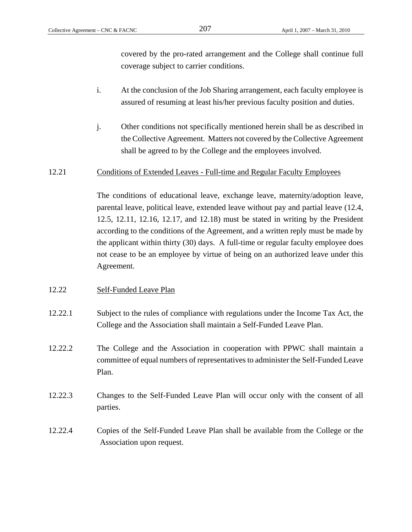covered by the pro-rated arrangement and the College shall continue full coverage subject to carrier conditions.

- i. At the conclusion of the Job Sharing arrangement, each faculty employee is assured of resuming at least his/her previous faculty position and duties.
- j. Other conditions not specifically mentioned herein shall be as described in the Collective Agreement. Matters not covered by the Collective Agreement shall be agreed to by the College and the employees involved.

#### 12.21 Conditions of Extended Leaves - Full-time and Regular Faculty Employees

 The conditions of educational leave, exchange leave, maternity/adoption leave, parental leave, political leave, extended leave without pay and partial leave (12.4, 12.5, 12.11, 12.16, 12.17, and 12.18) must be stated in writing by the President according to the conditions of the Agreement, and a written reply must be made by the applicant within thirty (30) days. A full-time or regular faculty employee does not cease to be an employee by virtue of being on an authorized leave under this Agreement.

#### 12.22 Self-Funded Leave Plan

- 12.22.1 Subject to the rules of compliance with regulations under the Income Tax Act, the College and the Association shall maintain a Self-Funded Leave Plan.
- 12.22.2 The College and the Association in cooperation with PPWC shall maintain a committee of equal numbers of representatives to administer the Self-Funded Leave Plan.
- 12.22.3 Changes to the Self-Funded Leave Plan will occur only with the consent of all parties.
- 12.22.4 Copies of the Self-Funded Leave Plan shall be available from the College or the Association upon request.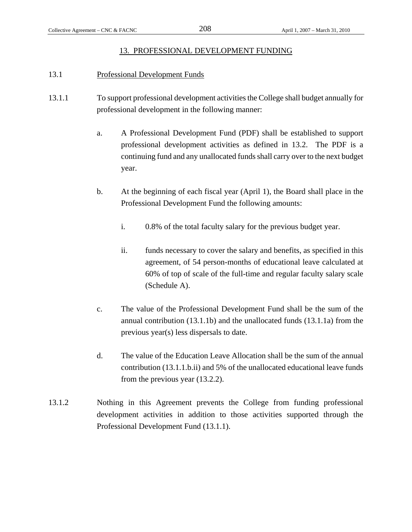#### 13. PROFESSIONAL DEVELOPMENT FUNDING

#### 13.1 Professional Development Funds

- 13.1.1 To support professional development activities the College shall budget annually for professional development in the following manner:
	- a. A Professional Development Fund (PDF) shall be established to support professional development activities as defined in 13.2. The PDF is a continuing fund and any unallocated funds shall carry over to the next budget year.
	- b. At the beginning of each fiscal year (April 1), the Board shall place in the Professional Development Fund the following amounts:
		- i. 0.8% of the total faculty salary for the previous budget year.
		- ii. funds necessary to cover the salary and benefits, as specified in this agreement, of 54 person-months of educational leave calculated at 60% of top of scale of the full-time and regular faculty salary scale (Schedule A).
	- c. The value of the Professional Development Fund shall be the sum of the annual contribution (13.1.1b) and the unallocated funds (13.1.1a) from the previous year(s) less dispersals to date.
	- d. The value of the Education Leave Allocation shall be the sum of the annual contribution (13.1.1.b.ii) and 5% of the unallocated educational leave funds from the previous year (13.2.2).
- 13.1.2 Nothing in this Agreement prevents the College from funding professional development activities in addition to those activities supported through the Professional Development Fund (13.1.1).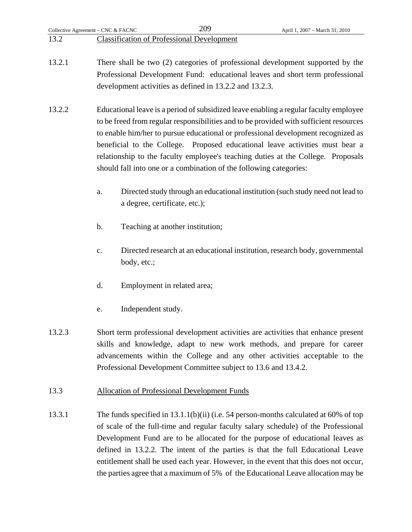development activities as defined in 13.2.2 and 13.2.3.

- 13.2.2 Educational leave is a period of subsidized leave enabling a regular faculty employee to be freed from regular responsibilities and to be provided with sufficient resources to enable him/her to pursue educational or professional development recognized as beneficial to the College. Proposed educational leave activities must bear a relationship to the faculty employee's teaching duties at the College. Proposals should fall into one or a combination of the following categories:
	- a. Directed study through an educational institution (such study need not lead to a degree, certificate, etc.);
	- b. Teaching at another institution;
	- c. Directed research at an educational institution, research body, governmental body, etc.;
	- d. Employment in related area;
	- e. Independent study.
- 13.2.3 Short term professional development activities are activities that enhance present skills and knowledge, adapt to new work methods, and prepare for career advancements within the College and any other activities acceptable to the Professional Development Committee subject to 13.6 and 13.4.2.
- 13.3 Allocation of Professional Development Funds
- 13.3.1 The funds specified in 13.1.1(b)(ii) (i.e. 54 person-months calculated at 60% of top of scale of the full-time and regular faculty salary schedule) of the Professional Development Fund are to be allocated for the purpose of educational leaves as defined in 13.2.2. The intent of the parties is that the full Educational Leave entitlement shall be used each year. However, in the event that this does not occur, the parties agree that a maximum of 5% of the Educational Leave allocation may be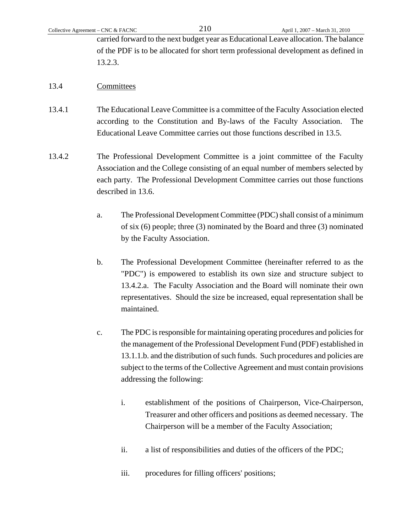carried forward to the next budget year as Educational Leave allocation. The balance of the PDF is to be allocated for short term professional development as defined in 13.2.3.

#### 13.4 Committees

- 13.4.1 The Educational Leave Committee is a committee of the Faculty Association elected according to the Constitution and By-laws of the Faculty Association. The Educational Leave Committee carries out those functions described in 13.5.
- 13.4.2 The Professional Development Committee is a joint committee of the Faculty Association and the College consisting of an equal number of members selected by each party. The Professional Development Committee carries out those functions described in 13.6.
	- a. The Professional Development Committee (PDC) shall consist of a minimum of six (6) people; three (3) nominated by the Board and three (3) nominated by the Faculty Association.
	- b. The Professional Development Committee (hereinafter referred to as the "PDC") is empowered to establish its own size and structure subject to 13.4.2.a. The Faculty Association and the Board will nominate their own representatives. Should the size be increased, equal representation shall be maintained.
	- c. The PDC is responsible for maintaining operating procedures and policies for the management of the Professional Development Fund (PDF) established in 13.1.1.b. and the distribution of such funds. Such procedures and policies are subject to the terms of the Collective Agreement and must contain provisions addressing the following:
		- i. establishment of the positions of Chairperson, Vice-Chairperson, Treasurer and other officers and positions as deemed necessary. The Chairperson will be a member of the Faculty Association;
		- ii. a list of responsibilities and duties of the officers of the PDC;
		- iii. procedures for filling officers' positions;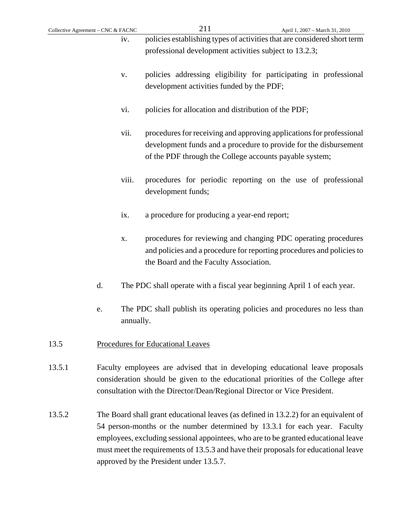- iv. policies establishing types of activities that are considered short term professional development activities subject to 13.2.3;
- v. policies addressing eligibility for participating in professional development activities funded by the PDF;
- vi. policies for allocation and distribution of the PDF;
- vii. procedures for receiving and approving applications for professional development funds and a procedure to provide for the disbursement of the PDF through the College accounts payable system;
- viii. procedures for periodic reporting on the use of professional development funds;
- ix. a procedure for producing a year-end report;
- x. procedures for reviewing and changing PDC operating procedures and policies and a procedure for reporting procedures and policies to the Board and the Faculty Association.
- d. The PDC shall operate with a fiscal year beginning April 1 of each year.
- e. The PDC shall publish its operating policies and procedures no less than annually.
- 13.5 Procedures for Educational Leaves
- 13.5.1 Faculty employees are advised that in developing educational leave proposals consideration should be given to the educational priorities of the College after consultation with the Director/Dean/Regional Director or Vice President.
- 13.5.2 The Board shall grant educational leaves (as defined in 13.2.2) for an equivalent of 54 person-months or the number determined by 13.3.1 for each year. Faculty employees, excluding sessional appointees, who are to be granted educational leave must meet the requirements of 13.5.3 and have their proposals for educational leave approved by the President under 13.5.7.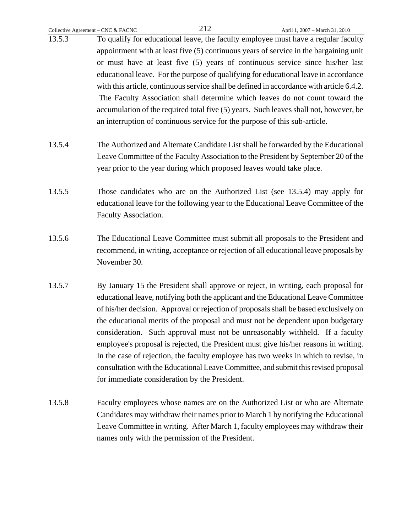- 13.5.3 To qualify for educational leave, the faculty employee must have a regular faculty appointment with at least five (5) continuous years of service in the bargaining unit or must have at least five (5) years of continuous service since his/her last educational leave. For the purpose of qualifying for educational leave in accordance with this article, continuous service shall be defined in accordance with article 6.4.2. The Faculty Association shall determine which leaves do not count toward the accumulation of the required total five (5) years. Such leaves shall not, however, be an interruption of continuous service for the purpose of this sub-article.
- 13.5.4 The Authorized and Alternate Candidate List shall be forwarded by the Educational Leave Committee of the Faculty Association to the President by September 20 of the year prior to the year during which proposed leaves would take place.
- 13.5.5 Those candidates who are on the Authorized List (see 13.5.4) may apply for educational leave for the following year to the Educational Leave Committee of the Faculty Association.
- 13.5.6 The Educational Leave Committee must submit all proposals to the President and recommend, in writing, acceptance or rejection of all educational leave proposals by November 30.
- 13.5.7 By January 15 the President shall approve or reject, in writing, each proposal for educational leave, notifying both the applicant and the Educational Leave Committee of his/her decision. Approval or rejection of proposals shall be based exclusively on the educational merits of the proposal and must not be dependent upon budgetary consideration. Such approval must not be unreasonably withheld. If a faculty employee's proposal is rejected, the President must give his/her reasons in writing. In the case of rejection, the faculty employee has two weeks in which to revise, in consultation with the Educational Leave Committee, and submit this revised proposal for immediate consideration by the President.
- 13.5.8 Faculty employees whose names are on the Authorized List or who are Alternate Candidates may withdraw their names prior to March 1 by notifying the Educational Leave Committee in writing. After March 1, faculty employees may withdraw their names only with the permission of the President.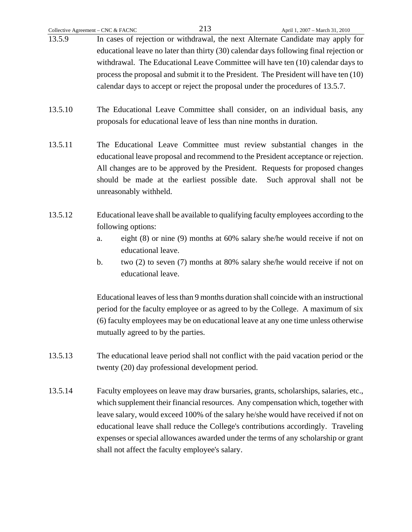- 13.5.9 In cases of rejection or withdrawal, the next Alternate Candidate may apply for educational leave no later than thirty (30) calendar days following final rejection or withdrawal. The Educational Leave Committee will have ten (10) calendar days to process the proposal and submit it to the President. The President will have ten (10) calendar days to accept or reject the proposal under the procedures of 13.5.7.
- 13.5.10 The Educational Leave Committee shall consider, on an individual basis, any proposals for educational leave of less than nine months in duration.
- 13.5.11 The Educational Leave Committee must review substantial changes in the educational leave proposal and recommend to the President acceptance or rejection. All changes are to be approved by the President. Requests for proposed changes should be made at the earliest possible date. Such approval shall not be unreasonably withheld.
- 13.5.12 Educational leave shall be available to qualifying faculty employees according to the following options:
	- a. eight (8) or nine (9) months at 60% salary she/he would receive if not on educational leave.
	- b. two (2) to seven (7) months at 80% salary she/he would receive if not on educational leave.

 Educational leaves of less than 9 months duration shall coincide with an instructional period for the faculty employee or as agreed to by the College. A maximum of six (6) faculty employees may be on educational leave at any one time unless otherwise mutually agreed to by the parties.

- 13.5.13 The educational leave period shall not conflict with the paid vacation period or the twenty (20) day professional development period.
- 13.5.14 Faculty employees on leave may draw bursaries, grants, scholarships, salaries, etc., which supplement their financial resources. Any compensation which, together with leave salary, would exceed 100% of the salary he/she would have received if not on educational leave shall reduce the College's contributions accordingly. Traveling expenses or special allowances awarded under the terms of any scholarship or grant shall not affect the faculty employee's salary.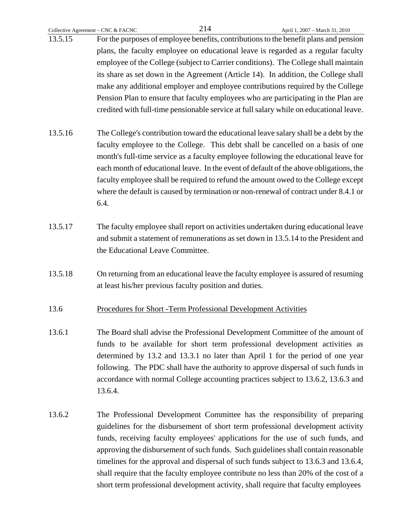- 13.5.15 For the purposes of employee benefits, contributions to the benefit plans and pension plans, the faculty employee on educational leave is regarded as a regular faculty employee of the College (subject to Carrier conditions). The College shall maintain its share as set down in the Agreement (Article 14). In addition, the College shall make any additional employer and employee contributions required by the College Pension Plan to ensure that faculty employees who are participating in the Plan are credited with full-time pensionable service at full salary while on educational leave.
- 13.5.16 The College's contribution toward the educational leave salary shall be a debt by the faculty employee to the College. This debt shall be cancelled on a basis of one month's full-time service as a faculty employee following the educational leave for each month of educational leave. In the event of default of the above obligations, the faculty employee shall be required to refund the amount owed to the College except where the default is caused by termination or non-renewal of contract under 8.4.1 or 6.4.
- 13.5.17 The faculty employee shall report on activities undertaken during educational leave and submit a statement of remunerations as set down in 13.5.14 to the President and the Educational Leave Committee.
- 13.5.18 On returning from an educational leave the faculty employee is assured of resuming at least his/her previous faculty position and duties.
- 13.6 Procedures for Short -Term Professional Development Activities
- 13.6.1 The Board shall advise the Professional Development Committee of the amount of funds to be available for short term professional development activities as determined by 13.2 and 13.3.1 no later than April 1 for the period of one year following. The PDC shall have the authority to approve dispersal of such funds in accordance with normal College accounting practices subject to 13.6.2, 13.6.3 and 13.6.4.
- 13.6.2 The Professional Development Committee has the responsibility of preparing guidelines for the disbursement of short term professional development activity funds, receiving faculty employees' applications for the use of such funds, and approving the disbursement of such funds. Such guidelines shall contain reasonable timelines for the approval and dispersal of such funds subject to 13.6.3 and 13.6.4, shall require that the faculty employee contribute no less than 20% of the cost of a short term professional development activity, shall require that faculty employees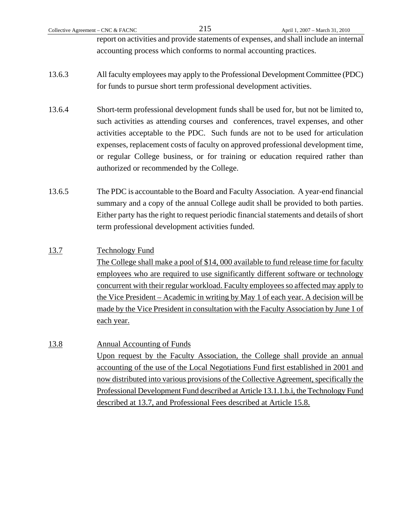report on activities and provide statements of expenses, and shall include an internal accounting process which conforms to normal accounting practices.

- 13.6.3 All faculty employees may apply to the Professional Development Committee (PDC) for funds to pursue short term professional development activities.
- 13.6.4 Short-term professional development funds shall be used for, but not be limited to, such activities as attending courses and conferences, travel expenses, and other activities acceptable to the PDC. Such funds are not to be used for articulation expenses, replacement costs of faculty on approved professional development time, or regular College business, or for training or education required rather than authorized or recommended by the College.
- 13.6.5 The PDC is accountable to the Board and Faculty Association. A year-end financial summary and a copy of the annual College audit shall be provided to both parties. Either party has the right to request periodic financial statements and details of short term professional development activities funded.

# 13.7 Technology Fund

 The College shall make a pool of \$14, 000 available to fund release time for faculty employees who are required to use significantly different software or technology concurrent with their regular workload. Faculty employees so affected may apply to the Vice President – Academic in writing by May 1 of each year. A decision will be made by the Vice President in consultation with the Faculty Association by June 1 of each year.

13.8 Annual Accounting of Funds Upon request by the Faculty Association, the College shall provide an annual accounting of the use of the Local Negotiations Fund first established in 2001 and now distributed into various provisions of the Collective Agreement, specifically the Professional Development Fund described at Article 13.1.1.b.i, the Technology Fund described at 13.7, and Professional Fees described at Article 15.8.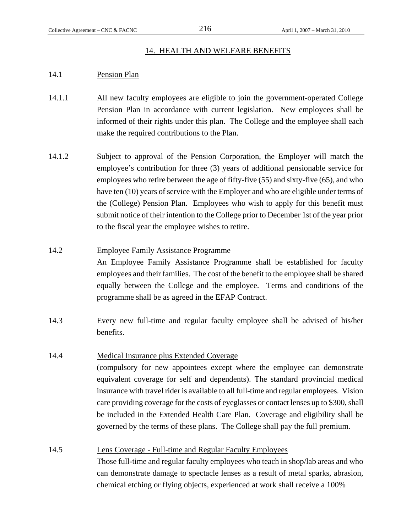#### 14. HEALTH AND WELFARE BENEFITS

#### 14.1 Pension Plan

- 14.1.1 All new faculty employees are eligible to join the government-operated College Pension Plan in accordance with current legislation. New employees shall be informed of their rights under this plan. The College and the employee shall each make the required contributions to the Plan.
- 14.1.2 Subject to approval of the Pension Corporation, the Employer will match the employee's contribution for three (3) years of additional pensionable service for employees who retire between the age of fifty-five (55) and sixty-five (65), and who have ten (10) years of service with the Employer and who are eligible under terms of the (College) Pension Plan. Employees who wish to apply for this benefit must submit notice of their intention to the College prior to December 1st of the year prior to the fiscal year the employee wishes to retire.
- 14.2 Employee Family Assistance Programme An Employee Family Assistance Programme shall be established for faculty employees and their families. The cost of the benefit to the employee shall be shared equally between the College and the employee. Terms and conditions of the programme shall be as agreed in the EFAP Contract.
- 14.3 Every new full-time and regular faculty employee shall be advised of his/her benefits.

### 14.4 Medical Insurance plus Extended Coverage

 (compulsory for new appointees except where the employee can demonstrate equivalent coverage for self and dependents). The standard provincial medical insurance with travel rider is available to all full-time and regular employees. Vision care providing coverage for the costs of eyeglasses or contact lenses up to \$300, shall be included in the Extended Health Care Plan. Coverage and eligibility shall be governed by the terms of these plans. The College shall pay the full premium.

14.5 Lens Coverage - Full-time and Regular Faculty Employees Those full-time and regular faculty employees who teach in shop/lab areas and who can demonstrate damage to spectacle lenses as a result of metal sparks, abrasion, chemical etching or flying objects, experienced at work shall receive a 100%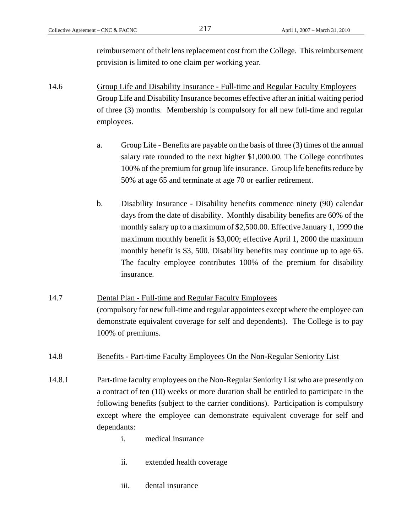reimbursement of their lens replacement cost from the College. This reimbursement provision is limited to one claim per working year.

- 14.6 Group Life and Disability Insurance Full-time and Regular Faculty Employees Group Life and Disability Insurance becomes effective after an initial waiting period of three (3) months. Membership is compulsory for all new full-time and regular employees.
	- a. Group Life Benefits are payable on the basis of three (3) times of the annual salary rate rounded to the next higher \$1,000.00. The College contributes 100% of the premium for group life insurance. Group life benefits reduce by 50% at age 65 and terminate at age 70 or earlier retirement.
	- b. Disability Insurance Disability benefits commence ninety (90) calendar days from the date of disability. Monthly disability benefits are 60% of the monthly salary up to a maximum of \$2,500.00. Effective January 1, 1999 the maximum monthly benefit is \$3,000; effective April 1, 2000 the maximum monthly benefit is \$3, 500. Disability benefits may continue up to age 65. The faculty employee contributes 100% of the premium for disability insurance.
- 14.7 Dental Plan Full-time and Regular Faculty Employees (compulsory for new full-time and regular appointees except where the employee can demonstrate equivalent coverage for self and dependents). The College is to pay 100% of premiums.

## 14.8 Benefits - Part-time Faculty Employees On the Non-Regular Seniority List

- 14.8.1 Part-time faculty employees on the Non-Regular Seniority List who are presently on a contract of ten (10) weeks or more duration shall be entitled to participate in the following benefits (subject to the carrier conditions). Participation is compulsory except where the employee can demonstrate equivalent coverage for self and dependants:
	- i. medical insurance
	- ii. extended health coverage
	- iii. dental insurance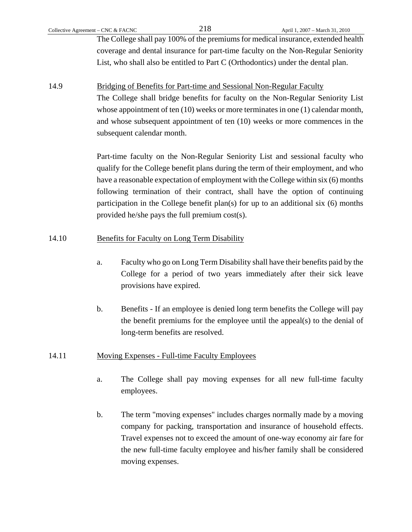The College shall pay 100% of the premiums for medical insurance, extended health coverage and dental insurance for part-time faculty on the Non-Regular Seniority List, who shall also be entitled to Part C (Orthodontics) under the dental plan.

14.9 Bridging of Benefits for Part-time and Sessional Non-Regular Faculty The College shall bridge benefits for faculty on the Non-Regular Seniority List whose appointment of ten (10) weeks or more terminates in one (1) calendar month, and whose subsequent appointment of ten (10) weeks or more commences in the subsequent calendar month.

> Part-time faculty on the Non-Regular Seniority List and sessional faculty who qualify for the College benefit plans during the term of their employment, and who have a reasonable expectation of employment with the College within six (6) months following termination of their contract, shall have the option of continuing participation in the College benefit plan(s) for up to an additional six  $(6)$  months provided he/she pays the full premium cost(s).

# 14.10 Benefits for Faculty on Long Term Disability

- a. Faculty who go on Long Term Disability shall have their benefits paid by the College for a period of two years immediately after their sick leave provisions have expired.
- b. Benefits If an employee is denied long term benefits the College will pay the benefit premiums for the employee until the appeal(s) to the denial of long-term benefits are resolved.

# 14.11 Moving Expenses - Full-time Faculty Employees

- a. The College shall pay moving expenses for all new full-time faculty employees.
- b. The term "moving expenses" includes charges normally made by a moving company for packing, transportation and insurance of household effects. Travel expenses not to exceed the amount of one-way economy air fare for the new full-time faculty employee and his/her family shall be considered moving expenses.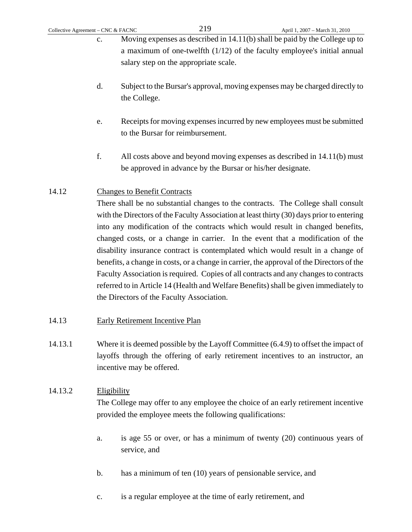- c. Moving expenses as described in 14.11(b) shall be paid by the College up to a maximum of one-twelfth (1/12) of the faculty employee's initial annual salary step on the appropriate scale.
- d. Subject to the Bursar's approval, moving expenses may be charged directly to the College.
- e. Receipts for moving expenses incurred by new employees must be submitted to the Bursar for reimbursement.
- f. All costs above and beyond moving expenses as described in 14.11(b) must be approved in advance by the Bursar or his/her designate.

# 14.12 Changes to Benefit Contracts

 There shall be no substantial changes to the contracts. The College shall consult with the Directors of the Faculty Association at least thirty (30) days prior to entering into any modification of the contracts which would result in changed benefits, changed costs, or a change in carrier. In the event that a modification of the disability insurance contract is contemplated which would result in a change of benefits, a change in costs, or a change in carrier, the approval of the Directors of the Faculty Association is required. Copies of all contracts and any changes to contracts referred to in Article 14 (Health and Welfare Benefits) shall be given immediately to the Directors of the Faculty Association.

- 14.13 Early Retirement Incentive Plan
- 14.13.1 Where it is deemed possible by the Layoff Committee (6.4.9) to offset the impact of layoffs through the offering of early retirement incentives to an instructor, an incentive may be offered.

# 14.13.2 Eligibility

 The College may offer to any employee the choice of an early retirement incentive provided the employee meets the following qualifications:

- a. is age 55 or over, or has a minimum of twenty (20) continuous years of service, and
- b. has a minimum of ten (10) years of pensionable service, and
- c. is a regular employee at the time of early retirement, and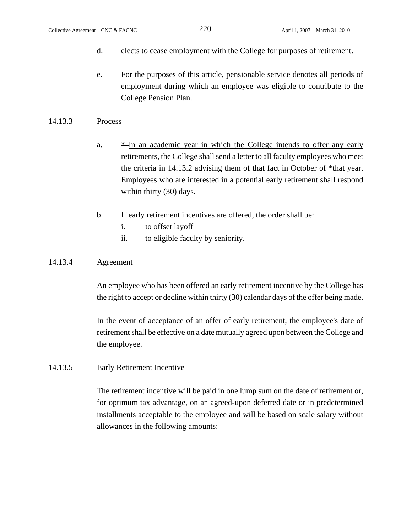- d. elects to cease employment with the College for purposes of retirement.
- e. For the purposes of this article, pensionable service denotes all periods of employment during which an employee was eligible to contribute to the College Pension Plan.

#### 14.13.3 Process

- a.  $*$ -In an academic year in which the College intends to offer any early retirements, the College shall send a letter to all faculty employees who meet the criteria in 14.13.2 advising them of that fact in October of  $\pm$ that year. Employees who are interested in a potential early retirement shall respond within thirty (30) days.
- b. If early retirement incentives are offered, the order shall be:
	- i. to offset layoff
	- ii. to eligible faculty by seniority.

### 14.13.4 Agreement

 An employee who has been offered an early retirement incentive by the College has the right to accept or decline within thirty (30) calendar days of the offer being made.

 In the event of acceptance of an offer of early retirement, the employee's date of retirement shall be effective on a date mutually agreed upon between the College and the employee.

#### 14.13.5 Early Retirement Incentive

 The retirement incentive will be paid in one lump sum on the date of retirement or, for optimum tax advantage, on an agreed-upon deferred date or in predetermined installments acceptable to the employee and will be based on scale salary without allowances in the following amounts: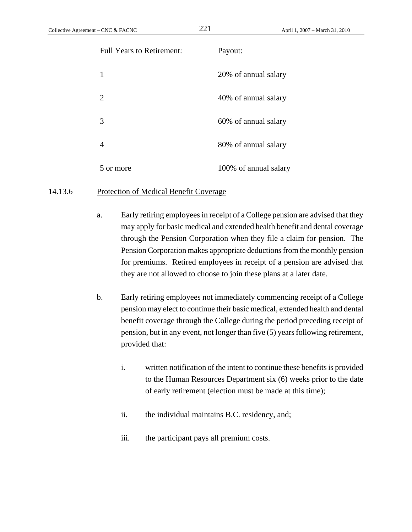| <b>Full Years to Retirement:</b> | Payout:               |
|----------------------------------|-----------------------|
| 1                                | 20% of annual salary  |
| 2                                | 40% of annual salary  |
| 3                                | 60% of annual salary  |
| 4                                | 80% of annual salary  |
| 5 or more                        | 100% of annual salary |

#### 14.13.6 Protection of Medical Benefit Coverage

- a. Early retiring employees in receipt of a College pension are advised that they may apply for basic medical and extended health benefit and dental coverage through the Pension Corporation when they file a claim for pension. The Pension Corporation makes appropriate deductions from the monthly pension for premiums. Retired employees in receipt of a pension are advised that they are not allowed to choose to join these plans at a later date.
- b. Early retiring employees not immediately commencing receipt of a College pension may elect to continue their basic medical, extended health and dental benefit coverage through the College during the period preceding receipt of pension, but in any event, not longer than five (5) years following retirement, provided that:
	- i. written notification of the intent to continue these benefits is provided to the Human Resources Department six (6) weeks prior to the date of early retirement (election must be made at this time);
	- ii. the individual maintains B.C. residency, and;
	- iii. the participant pays all premium costs.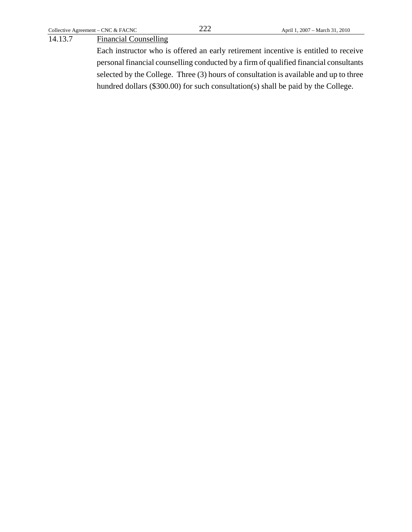## 14.13.7 Financial Counselling

 Each instructor who is offered an early retirement incentive is entitled to receive personal financial counselling conducted by a firm of qualified financial consultants selected by the College. Three (3) hours of consultation is available and up to three hundred dollars (\$300.00) for such consultation(s) shall be paid by the College.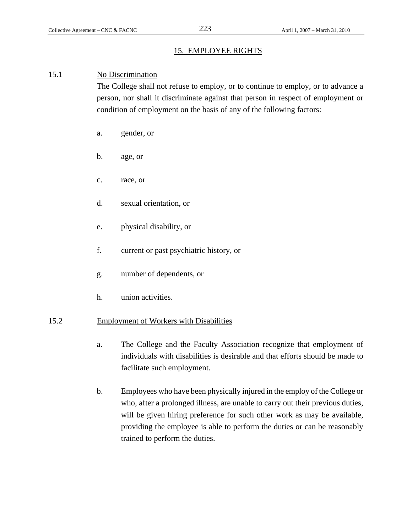# 15. EMPLOYEE RIGHTS

#### 15.1 No Discrimination

 The College shall not refuse to employ, or to continue to employ, or to advance a person, nor shall it discriminate against that person in respect of employment or condition of employment on the basis of any of the following factors:

- a. gender, or
- b. age, or
- c. race, or
- d. sexual orientation, or
- e. physical disability, or
- f. current or past psychiatric history, or
- g. number of dependents, or
- h. union activities.

#### 15.2 Employment of Workers with Disabilities

- a. The College and the Faculty Association recognize that employment of individuals with disabilities is desirable and that efforts should be made to facilitate such employment.
- b. Employees who have been physically injured in the employ of the College or who, after a prolonged illness, are unable to carry out their previous duties, will be given hiring preference for such other work as may be available, providing the employee is able to perform the duties or can be reasonably trained to perform the duties.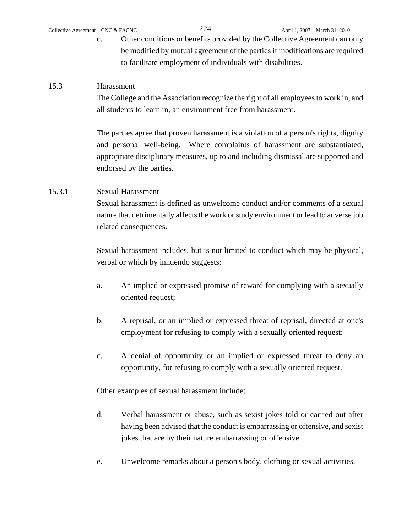c. Other conditions or benefits provided by the Collective Agreement can only be modified by mutual agreement of the parties if modifications are required to facilitate employment of individuals with disabilities.

## 15.3 Harassment

 The College and the Association recognize the right of all employees to work in, and all students to learn in, an environment free from harassment.

 The parties agree that proven harassment is a violation of a person's rights, dignity and personal well-being. Where complaints of harassment are substantiated, appropriate disciplinary measures, up to and including dismissal are supported and endorsed by the parties.

## 15.3.1 Sexual Harassment

 Sexual harassment is defined as unwelcome conduct and/or comments of a sexual nature that detrimentally affects the work or study environment or lead to adverse job related consequences.

 Sexual harassment includes, but is not limited to conduct which may be physical, verbal or which by innuendo suggests:

- a. An implied or expressed promise of reward for complying with a sexually oriented request;
- b. A reprisal, or an implied or expressed threat of reprisal, directed at one's employment for refusing to comply with a sexually oriented request;
- c. A denial of opportunity or an implied or expressed threat to deny an opportunity, for refusing to comply with a sexually oriented request.

Other examples of sexual harassment include:

- d. Verbal harassment or abuse, such as sexist jokes told or carried out after having been advised that the conduct is embarrassing or offensive, and sexist jokes that are by their nature embarrassing or offensive.
- e. Unwelcome remarks about a person's body, clothing or sexual activities.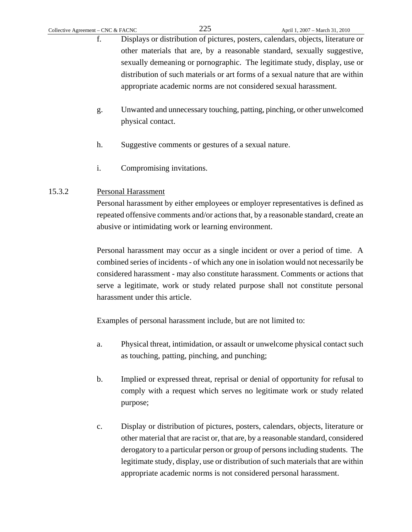- f. Displays or distribution of pictures, posters, calendars, objects, literature or other materials that are, by a reasonable standard, sexually suggestive, sexually demeaning or pornographic. The legitimate study, display, use or distribution of such materials or art forms of a sexual nature that are within appropriate academic norms are not considered sexual harassment.
- g. Unwanted and unnecessary touching, patting, pinching, or other unwelcomed physical contact.
- h. Suggestive comments or gestures of a sexual nature.
- i. Compromising invitations.

# 15.3.2 Personal Harassment

 Personal harassment by either employees or employer representatives is defined as repeated offensive comments and/or actions that, by a reasonable standard, create an abusive or intimidating work or learning environment.

 Personal harassment may occur as a single incident or over a period of time. A combined series of incidents - of which any one in isolation would not necessarily be considered harassment - may also constitute harassment. Comments or actions that serve a legitimate, work or study related purpose shall not constitute personal harassment under this article.

Examples of personal harassment include, but are not limited to:

- a. Physical threat, intimidation, or assault or unwelcome physical contact such as touching, patting, pinching, and punching;
- b. Implied or expressed threat, reprisal or denial of opportunity for refusal to comply with a request which serves no legitimate work or study related purpose;
- c. Display or distribution of pictures, posters, calendars, objects, literature or other material that are racist or, that are, by a reasonable standard, considered derogatory to a particular person or group of persons including students. The legitimate study, display, use or distribution of such materials that are within appropriate academic norms is not considered personal harassment.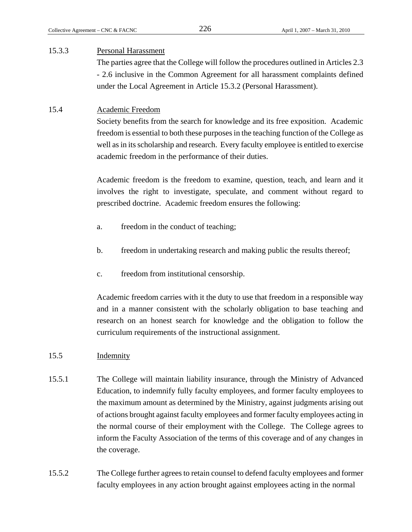#### 15.3.3 Personal Harassment

 The parties agree that the College will follow the procedures outlined in Articles 2.3 - 2.6 inclusive in the Common Agreement for all harassment complaints defined under the Local Agreement in Article 15.3.2 (Personal Harassment).

## 15.4 Academic Freedom

 Society benefits from the search for knowledge and its free exposition. Academic freedom is essential to both these purposes in the teaching function of the College as well as in its scholarship and research. Every faculty employee is entitled to exercise academic freedom in the performance of their duties.

 Academic freedom is the freedom to examine, question, teach, and learn and it involves the right to investigate, speculate, and comment without regard to prescribed doctrine. Academic freedom ensures the following:

- a. freedom in the conduct of teaching;
- b. freedom in undertaking research and making public the results thereof;
- c. freedom from institutional censorship.

 Academic freedom carries with it the duty to use that freedom in a responsible way and in a manner consistent with the scholarly obligation to base teaching and research on an honest search for knowledge and the obligation to follow the curriculum requirements of the instructional assignment.

## 15.5 Indemnity

- 15.5.1 The College will maintain liability insurance, through the Ministry of Advanced Education, to indemnify fully faculty employees, and former faculty employees to the maximum amount as determined by the Ministry, against judgments arising out of actions brought against faculty employees and former faculty employees acting in the normal course of their employment with the College. The College agrees to inform the Faculty Association of the terms of this coverage and of any changes in the coverage.
- 15.5.2 The College further agrees to retain counsel to defend faculty employees and former faculty employees in any action brought against employees acting in the normal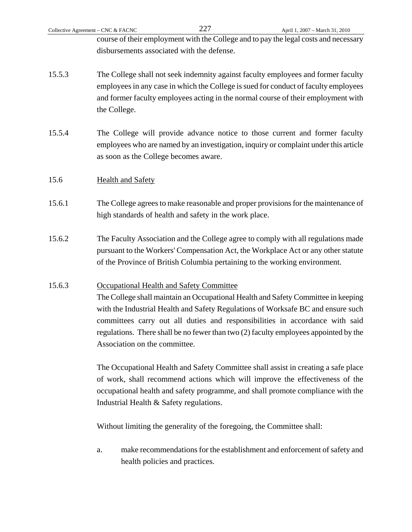| Collective Agreement – CNC & FACNC |              | 227                                        | April 1, 2007 - March 31, 2010                                                                                                                                                                                                                                |
|------------------------------------|--------------|--------------------------------------------|---------------------------------------------------------------------------------------------------------------------------------------------------------------------------------------------------------------------------------------------------------------|
|                                    |              |                                            | course of their employment with the College and to pay the legal costs and necessary                                                                                                                                                                          |
|                                    |              | disbursements associated with the defense. |                                                                                                                                                                                                                                                               |
| 15.5.3                             | the College. |                                            | The College shall not seek indemnity against faculty employees and former faculty<br>employees in any case in which the College is sued for conduct of faculty employees<br>and former faculty employees acting in the normal course of their employment with |

15.5.4 The College will provide advance notice to those current and former faculty employees who are named by an investigation, inquiry or complaint under this article as soon as the College becomes aware.

# 15.6 Health and Safety

- 15.6.1 The College agrees to make reasonable and proper provisions for the maintenance of high standards of health and safety in the work place.
- 15.6.2 The Faculty Association and the College agree to comply with all regulations made pursuant to the Workers' Compensation Act, the Workplace Act or any other statute of the Province of British Columbia pertaining to the working environment.

# 15.6.3 Occupational Health and Safety Committee

 The College shall maintain an Occupational Health and Safety Committee in keeping with the Industrial Health and Safety Regulations of Worksafe BC and ensure such committees carry out all duties and responsibilities in accordance with said regulations. There shall be no fewer than two (2) faculty employees appointed by the Association on the committee.

 The Occupational Health and Safety Committee shall assist in creating a safe place of work, shall recommend actions which will improve the effectiveness of the occupational health and safety programme, and shall promote compliance with the Industrial Health & Safety regulations.

Without limiting the generality of the foregoing, the Committee shall:

a. make recommendations for the establishment and enforcement of safety and health policies and practices.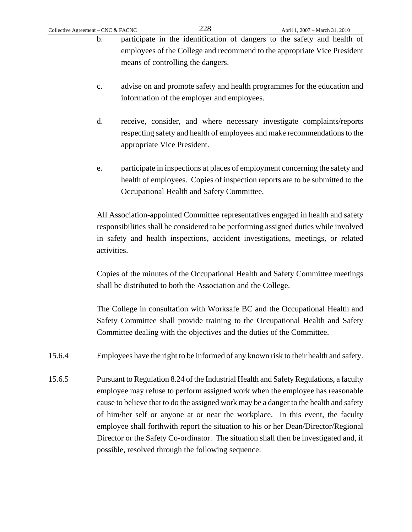- b. participate in the identification of dangers to the safety and health of employees of the College and recommend to the appropriate Vice President means of controlling the dangers.
- c. advise on and promote safety and health programmes for the education and information of the employer and employees.
- d. receive, consider, and where necessary investigate complaints/reports respecting safety and health of employees and make recommendations to the appropriate Vice President.
- e. participate in inspections at places of employment concerning the safety and health of employees. Copies of inspection reports are to be submitted to the Occupational Health and Safety Committee.

 All Association-appointed Committee representatives engaged in health and safety responsibilities shall be considered to be performing assigned duties while involved in safety and health inspections, accident investigations, meetings, or related activities.

 Copies of the minutes of the Occupational Health and Safety Committee meetings shall be distributed to both the Association and the College.

 The College in consultation with Worksafe BC and the Occupational Health and Safety Committee shall provide training to the Occupational Health and Safety Committee dealing with the objectives and the duties of the Committee.

- 15.6.4 Employees have the right to be informed of any known risk to their health and safety.
- 15.6.5 Pursuant to Regulation 8.24 of the Industrial Health and Safety Regulations, a faculty employee may refuse to perform assigned work when the employee has reasonable cause to believe that to do the assigned work may be a danger to the health and safety of him/her self or anyone at or near the workplace. In this event, the faculty employee shall forthwith report the situation to his or her Dean/Director/Regional Director or the Safety Co-ordinator. The situation shall then be investigated and, if possible, resolved through the following sequence: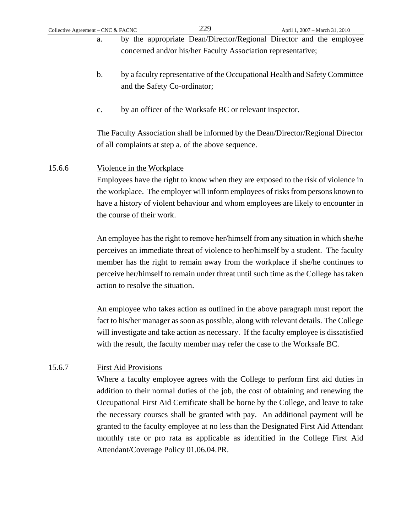- a. by the appropriate Dean/Director/Regional Director and the employee concerned and/or his/her Faculty Association representative;
	- b. by a faculty representative of the Occupational Health and Safety Committee and the Safety Co-ordinator;
	- c. by an officer of the Worksafe BC or relevant inspector.

The Faculty Association shall be informed by the Dean/Director/Regional Director of all complaints at step a. of the above sequence.

## 15.6.6 Violence in the Workplace

Employees have the right to know when they are exposed to the risk of violence in the workplace. The employer will inform employees of risks from persons known to have a history of violent behaviour and whom employees are likely to encounter in the course of their work.

An employee has the right to remove her/himself from any situation in which she/he perceives an immediate threat of violence to her/himself by a student. The faculty member has the right to remain away from the workplace if she/he continues to perceive her/himself to remain under threat until such time as the College has taken action to resolve the situation.

An employee who takes action as outlined in the above paragraph must report the fact to his/her manager as soon as possible, along with relevant details. The College will investigate and take action as necessary. If the faculty employee is dissatisfied with the result, the faculty member may refer the case to the Worksafe BC.

# 15.6.7 First Aid Provisions

 Where a faculty employee agrees with the College to perform first aid duties in addition to their normal duties of the job, the cost of obtaining and renewing the Occupational First Aid Certificate shall be borne by the College, and leave to take the necessary courses shall be granted with pay. An additional payment will be granted to the faculty employee at no less than the Designated First Aid Attendant monthly rate or pro rata as applicable as identified in the College First Aid Attendant/Coverage Policy 01.06.04.PR.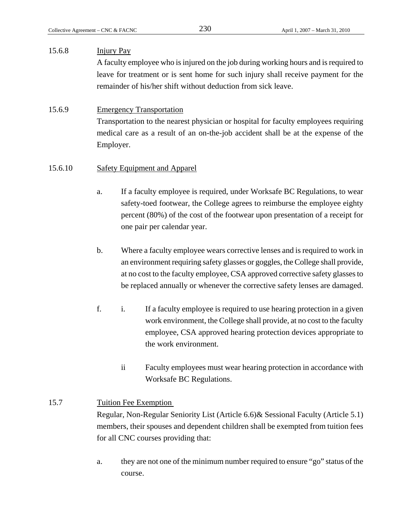#### 15.6.8 Injury Pay

 A faculty employee who is injured on the job during working hours and is required to leave for treatment or is sent home for such injury shall receive payment for the remainder of his/her shift without deduction from sick leave.

#### 15.6.9 Emergency Transportation

 Transportation to the nearest physician or hospital for faculty employees requiring medical care as a result of an on-the-job accident shall be at the expense of the Employer.

#### 15.6.10 Safety Equipment and Apparel

- a. If a faculty employee is required, under Worksafe BC Regulations, to wear safety-toed footwear, the College agrees to reimburse the employee eighty percent (80%) of the cost of the footwear upon presentation of a receipt for one pair per calendar year.
- b. Where a faculty employee wears corrective lenses and is required to work in an environment requiring safety glasses or goggles, the College shall provide, at no cost to the faculty employee, CSA approved corrective safety glasses to be replaced annually or whenever the corrective safety lenses are damaged.
- f. i. If a faculty employee is required to use hearing protection in a given work environment, the College shall provide, at no cost to the faculty employee, CSA approved hearing protection devices appropriate to the work environment.
	- ii Faculty employees must wear hearing protection in accordance with Worksafe BC Regulations.

#### 15.7 Tuition Fee Exemption

 Regular, Non-Regular Seniority List (Article 6.6)& Sessional Faculty (Article 5.1) members, their spouses and dependent children shall be exempted from tuition fees for all CNC courses providing that:

a. they are not one of the minimum number required to ensure "go" status of the course.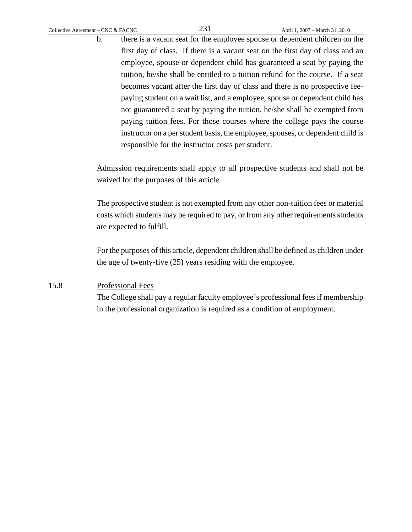b. there is a vacant seat for the employee spouse or dependent children on the first day of class. If there is a vacant seat on the first day of class and an employee, spouse or dependent child has guaranteed a seat by paying the tuition, he/she shall be entitled to a tuition refund for the course. If a seat becomes vacant after the first day of class and there is no prospective feepaying student on a wait list, and a employee, spouse or dependent child has not guaranteed a seat by paying the tuition, he/she shall be exempted from paying tuition fees. For those courses where the college pays the course instructor on a per student basis, the employee, spouses, or dependent child is responsible for the instructor costs per student.

Admission requirements shall apply to all prospective students and shall not be waived for the purposes of this article.

The prospective student is not exempted from any other non-tuition fees or material costs which students may be required to pay, or from any other requirements students are expected to fulfill.

For the purposes of this article, dependent children shall be defined as children under the age of twenty-five (25) years residing with the employee.

## 15.8 Professional Fees

The College shall pay a regular faculty employee's professional fees if membership in the professional organization is required as a condition of employment.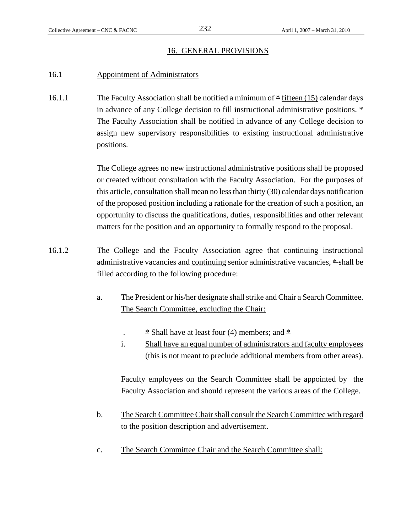#### 16. GENERAL PROVISIONS

#### 16.1 Appointment of Administrators

16.1.1 The Faculty Association shall be notified a minimum of  $*$  fifteen (15) calendar days in advance of any College decision to fill instructional administrative positions.  $*$ The Faculty Association shall be notified in advance of any College decision to assign new supervisory responsibilities to existing instructional administrative positions.

> The College agrees no new instructional administrative positions shall be proposed or created without consultation with the Faculty Association. For the purposes of this article, consultation shall mean no less than thirty (30) calendar days notification of the proposed position including a rationale for the creation of such a position, an opportunity to discuss the qualifications, duties, responsibilities and other relevant matters for the position and an opportunity to formally respond to the proposal.

- 16.1.2 The College and the Faculty Association agree that continuing instructional administrative vacancies and continuing senior administrative vacancies, \* shall be filled according to the following procedure:
	- a. The President or his/her designate shall strike and Chair a Search Committee. The Search Committee, excluding the Chair:
		- $\pm$  Shall have at least four (4) members; and  $\pm$
		- i. Shall have an equal number of administrators and faculty employees (this is not meant to preclude additional members from other areas).

Faculty employees on the Search Committee shall be appointed by the Faculty Association and should represent the various areas of the College.

- b. The Search Committee Chair shall consult the Search Committee with regard to the position description and advertisement.
- c. The Search Committee Chair and the Search Committee shall: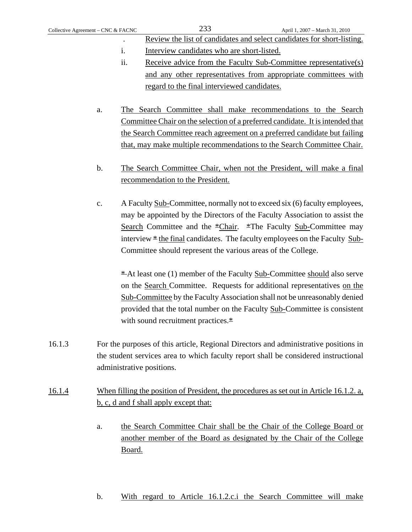- Review the list of candidates and select candidates for short-listing. i. Interview candidates who are short-listed.
- ii. Receive advice from the Faculty Sub-Committee representative(s) and any other representatives from appropriate committees with regard to the final interviewed candidates.
- a. The Search Committee shall make recommendations to the Search Committee Chair on the selection of a preferred candidate. It is intended that the Search Committee reach agreement on a preferred candidate but failing that, may make multiple recommendations to the Search Committee Chair.
- b. The Search Committee Chair, when not the President, will make a final recommendation to the President.
- c. A Faculty Sub-Committee, normally not to exceed six (6) faculty employees, may be appointed by the Directors of the Faculty Association to assist the Search Committee and the \*Chair. \*The Faculty Sub-Committee may interview  $*$  the final candidates. The faculty employees on the Faculty Sub-Committee should represent the various areas of the College.

 $*$ At least one (1) member of the Faculty Sub-Committee should also serve on the Search Committee. Requests for additional representatives on the Sub-Committee by the Faculty Association shall not be unreasonably denied provided that the total number on the Faculty Sub-Committee is consistent with sound recruitment practices.\*

- 16.1.3 For the purposes of this article, Regional Directors and administrative positions in the student services area to which faculty report shall be considered instructional administrative positions.
- 16.1.4 When filling the position of President, the procedures as set out in Article 16.1.2. a, b, c, d and f shall apply except that:
	- a. the Search Committee Chair shall be the Chair of the College Board or another member of the Board as designated by the Chair of the College Board.
	- b. With regard to Article 16.1.2.c.i the Search Committee will make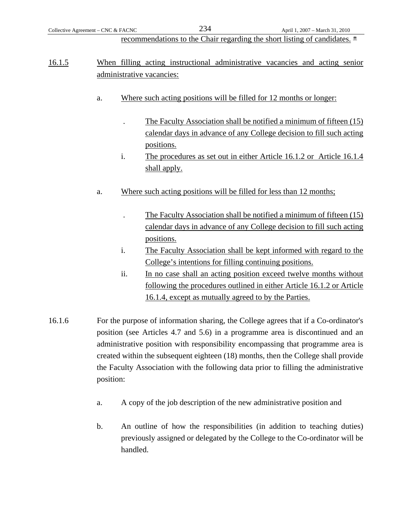recommendations to the Chair regarding the short listing of candidates. \*

# 16.1.5 When filling acting instructional administrative vacancies and acting senior administrative vacancies:

- a. Where such acting positions will be filled for 12 months or longer:
	- . The Faculty Association shall be notified a minimum of fifteen (15) calendar days in advance of any College decision to fill such acting positions.
	- i. The procedures as set out in either Article 16.1.2 or Article 16.1.4 shall apply.
- a. Where such acting positions will be filled for less than 12 months;
	- . The Faculty Association shall be notified a minimum of fifteen (15) calendar days in advance of any College decision to fill such acting positions.
	- i. The Faculty Association shall be kept informed with regard to the College's intentions for filling continuing positions.
	- ii. In no case shall an acting position exceed twelve months without following the procedures outlined in either Article 16.1.2 or Article 16.1.4, except as mutually agreed to by the Parties.
- 16.1.6 For the purpose of information sharing, the College agrees that if a Co-ordinator's position (see Articles 4.7 and 5.6) in a programme area is discontinued and an administrative position with responsibility encompassing that programme area is created within the subsequent eighteen (18) months, then the College shall provide the Faculty Association with the following data prior to filling the administrative position:
	- a. A copy of the job description of the new administrative position and
	- b. An outline of how the responsibilities (in addition to teaching duties) previously assigned or delegated by the College to the Co-ordinator will be handled.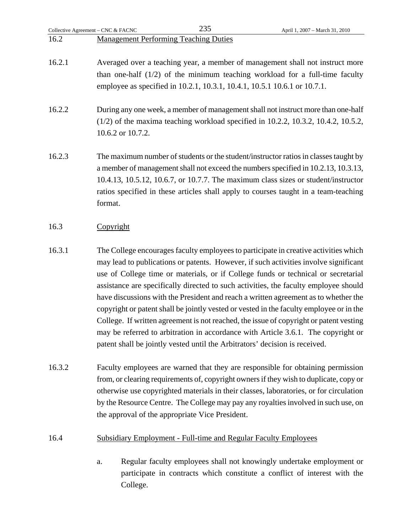|        | Collective Agreement - CNC & FACNC | 235                                                                         | April 1, 2007 - March 31, 2010                                                                                                                                                                                                                                                                                                                                                                                                                                                                                                                                                                                                                                                                                             |
|--------|------------------------------------|-----------------------------------------------------------------------------|----------------------------------------------------------------------------------------------------------------------------------------------------------------------------------------------------------------------------------------------------------------------------------------------------------------------------------------------------------------------------------------------------------------------------------------------------------------------------------------------------------------------------------------------------------------------------------------------------------------------------------------------------------------------------------------------------------------------------|
| 16.2   |                                    | <b>Management Performing Teaching Duties</b>                                |                                                                                                                                                                                                                                                                                                                                                                                                                                                                                                                                                                                                                                                                                                                            |
| 16.2.1 |                                    | employee as specified in 10.2.1, 10.3.1, 10.4.1, 10.5.1 10.6.1 or 10.7.1.   | Averaged over a teaching year, a member of management shall not instruct more<br>than one-half $(1/2)$ of the minimum teaching workload for a full-time faculty                                                                                                                                                                                                                                                                                                                                                                                                                                                                                                                                                            |
| 16.2.2 | 10.6.2 or 10.7.2.                  |                                                                             | During any one week, a member of management shall not instruct more than one-half<br>$(1/2)$ of the maxima teaching workload specified in 10.2.2, 10.3.2, 10.4.2, 10.5.2,                                                                                                                                                                                                                                                                                                                                                                                                                                                                                                                                                  |
| 16.2.3 | format.                            |                                                                             | The maximum number of students or the student/instructor ratios in classes taught by<br>a member of management shall not exceed the numbers specified in 10.2.13, 10.3.13,<br>10.4.13, 10.5.12, 10.6.7, or 10.7.7. The maximum class sizes or student/instructor<br>ratios specified in these articles shall apply to courses taught in a team-teaching                                                                                                                                                                                                                                                                                                                                                                    |
| 16.3   | Copyright                          |                                                                             |                                                                                                                                                                                                                                                                                                                                                                                                                                                                                                                                                                                                                                                                                                                            |
| 16.3.1 |                                    | patent shall be jointly vested until the Arbitrators' decision is received. | The College encourages faculty employees to participate in creative activities which<br>may lead to publications or patents. However, if such activities involve significant<br>use of College time or materials, or if College funds or technical or secretarial<br>assistance are specifically directed to such activities, the faculty employee should<br>have discussions with the President and reach a written agreement as to whether the<br>copyright or patent shall be jointly vested or vested in the faculty employee or in the<br>College. If written agreement is not reached, the issue of copyright or patent vesting<br>may be referred to arbitration in accordance with Article 3.6.1. The copyright or |
| 16.3.2 |                                    | the approval of the appropriate Vice President.                             | Faculty employees are warned that they are responsible for obtaining permission<br>from, or clearing requirements of, copyright owners if they wish to duplicate, copy or<br>otherwise use copyrighted materials in their classes, laboratories, or for circulation<br>by the Resource Centre. The College may pay any royalties involved in such use, on                                                                                                                                                                                                                                                                                                                                                                  |
| 16.4   |                                    | <b>Subsidiary Employment - Full-time and Regular Faculty Employees</b>      |                                                                                                                                                                                                                                                                                                                                                                                                                                                                                                                                                                                                                                                                                                                            |
|        | a.                                 |                                                                             | Regular faculty employees shall not knowingly undertake employment or<br>participate in contracts which constitute a conflict of interest with the                                                                                                                                                                                                                                                                                                                                                                                                                                                                                                                                                                         |

College.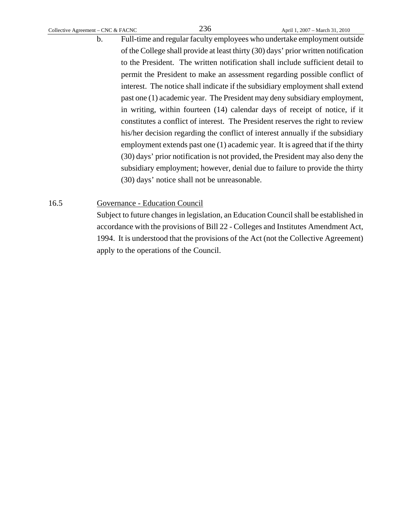b. Full-time and regular faculty employees who undertake employment outside of the College shall provide at least thirty (30) days' prior written notification to the President. The written notification shall include sufficient detail to permit the President to make an assessment regarding possible conflict of interest. The notice shall indicate if the subsidiary employment shall extend past one (1) academic year. The President may deny subsidiary employment, in writing, within fourteen (14) calendar days of receipt of notice, if it constitutes a conflict of interest. The President reserves the right to review his/her decision regarding the conflict of interest annually if the subsidiary employment extends past one (1) academic year. It is agreed that if the thirty (30) days' prior notification is not provided, the President may also deny the subsidiary employment; however, denial due to failure to provide the thirty (30) days' notice shall not be unreasonable.

# 16.5 Governance - Education Council

 Subject to future changes in legislation, an Education Council shall be established in accordance with the provisions of Bill 22 - Colleges and Institutes Amendment Act, 1994. It is understood that the provisions of the Act (not the Collective Agreement) apply to the operations of the Council.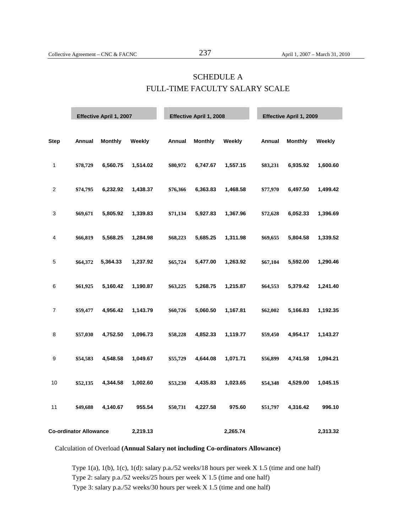# SCHEDULE A FULL-TIME FACULTY SALARY SCALE

|             |                               | Effective April 1, 2007 |          |          | Effective April 1, 2008 |          |          | Effective April 1, 2009 |          |
|-------------|-------------------------------|-------------------------|----------|----------|-------------------------|----------|----------|-------------------------|----------|
| <b>Step</b> | Annual                        | <b>Monthly</b>          | Weekly   | Annual   | <b>Monthly</b>          | Weekly   | Annual   | <b>Monthly</b>          | Weekly   |
| 1           | \$78,729                      | 6,560.75                | 1,514.02 | \$80,972 | 6,747.67                | 1,557.15 | \$83,231 | 6,935.92                | 1,600.60 |
| 2           | \$74,795                      | 6,232.92                | 1,438.37 | \$76,366 | 6,363.83                | 1,468.58 | \$77,970 | 6,497.50                | 1,499.42 |
| 3           | \$69,671                      | 5,805.92                | 1,339.83 | \$71,134 | 5,927.83                | 1,367.96 | \$72,628 | 6,052.33                | 1,396.69 |
| 4           | \$66,819                      | 5,568.25                | 1,284.98 | \$68,223 | 5,685.25                | 1,311.98 | \$69,655 | 5,804.58                | 1,339.52 |
| $\sqrt{5}$  | \$64,372                      | 5,364.33                | 1,237.92 | \$65,724 | 5,477.00                | 1,263.92 | \$67,104 | 5,592.00                | 1,290.46 |
| 6           | \$61,925                      | 5,160.42                | 1,190.87 | \$63,225 | 5,268.75                | 1,215.87 | \$64,553 | 5,379.42                | 1,241.40 |
| 7           | \$59,477                      | 4,956.42                | 1,143.79 | \$60,726 | 5,060.50                | 1,167.81 | \$62,002 | 5,166.83                | 1,192.35 |
| 8           | \$57,030                      | 4,752.50                | 1,096.73 | \$58,228 | 4,852.33                | 1,119.77 | \$59,450 | 4,954.17                | 1,143.27 |
| 9           | \$54,583                      | 4,548.58                | 1,049.67 | \$55,729 | 4,644.08                | 1,071.71 | \$56,899 | 4,741.58                | 1,094.21 |
| 10          | \$52,135                      | 4,344.58                | 1,002.60 | \$53,230 | 4,435.83                | 1,023.65 | \$54,348 | 4,529.00                | 1,045.15 |
| 11          | \$49,688                      | 4,140.67                | 955.54   | \$50,731 | 4,227.58                | 975.60   | \$51,797 | 4,316.42                | 996.10   |
|             | <b>Co-ordinator Allowance</b> |                         | 2,219.13 |          |                         | 2,265.74 |          |                         | 2,313.32 |

Calculation of Overload **(Annual Salary not including Co-ordinators Allowance)** 

Type 1(a), 1(b), 1(c), 1(d): salary p.a./52 weeks/18 hours per week X 1.5 (time and one half) Type 2: salary p.a./52 weeks/25 hours per week X 1.5 (time and one half) Type 3: salary p.a./52 weeks/30 hours per week X 1.5 (time and one half)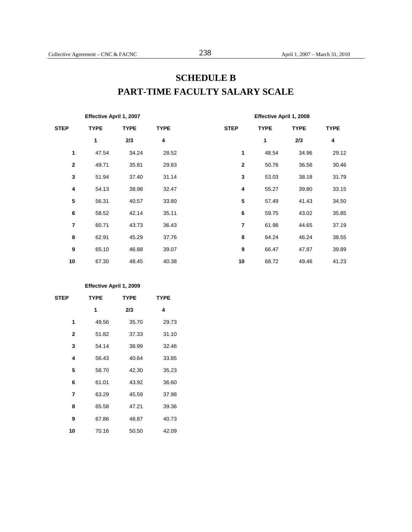# **SCHEDULE B PART-TIME FACULTY SALARY SCALE**

| Effective April 1, 2007 |             |             |             | Effective April 1, 2008 |             |             |             |
|-------------------------|-------------|-------------|-------------|-------------------------|-------------|-------------|-------------|
| <b>STEP</b>             | <b>TYPE</b> | <b>TYPE</b> | <b>TYPE</b> | <b>STEP</b>             | <b>TYPE</b> | <b>TYPE</b> | <b>TYPE</b> |
|                         | 1           | 2/3         | 4           |                         | 1           | 2/3         | 4           |
| 1                       | 47.54       | 34.24       | 28.52       | 1                       | 48.54       | 34.96       | 29.12       |
| $\mathbf{2}$            | 49.71       | 35.81       | 29.83       | $\overline{\mathbf{2}}$ | 50.76       | 36.56       | 30.46       |
| 3                       | 51.94       | 37.40       | 31.14       | 3                       | 53.03       | 38.18       | 31.79       |
| 4                       | 54.13       | 38.98       | 32.47       | 4                       | 55.27       | 39.80       | 33.15       |
| 5                       | 56.31       | 40.57       | 33.80       | ${\bf 5}$               | 57.49       | 41.43       | 34.50       |
| 6                       | 58.52       | 42.14       | 35.11       | 6                       | 59.75       | 43.02       | 35.85       |
| $\overline{7}$          | 60.71       | 43.73       | 36.43       | $\overline{7}$          | 61.98       | 44.65       | 37.19       |
| 8                       | 62.91       | 45.29       | 37.76       | 8                       | 64.24       | 46.24       | 38.55       |
| 9                       | 65.10       | 46.88       | 39.07       | 9                       | 66.47       | 47.87       | 39.89       |
| 10                      | 67.30       | 48.45       | 40.38       | 10                      | 68.72       | 49.46       | 41.23       |

#### **Effective April 1, 2009**

| <b>STEP</b>    | <b>TYPE</b> | <b>TYPE</b> | <b>TYPE</b> |  |
|----------------|-------------|-------------|-------------|--|
|                | 1           | 2/3         | 4           |  |
| 1              | 49.56       | 35.70       | 29.73       |  |
| $\mathbf{2}$   | 51.82       | 37.33       | 31.10       |  |
| 3              | 54.14       | 38.99       | 32.46       |  |
| 4              | 56.43       | 40.64       | 33.85       |  |
| 5              | 58.70       | 42.30       | 35.23       |  |
| 6              | 61.01       | 43.92       | 36.60       |  |
| $\overline{7}$ | 63.29       | 45.59       | 37.98       |  |
| 8              | 65.58       | 47.21       | 39.36       |  |
| 9              | 67.86       | 48.87       | 40.73       |  |
| 10             | 70.16       | 50.50       | 42.09       |  |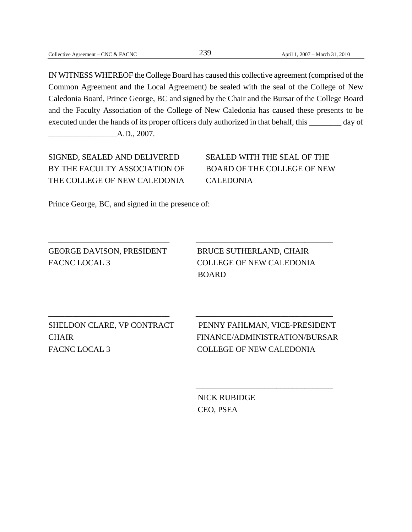IN WITNESS WHEREOF the College Board has caused this collective agreement (comprised of the Common Agreement and the Local Agreement) be sealed with the seal of the College of New Caledonia Board, Prince George, BC and signed by the Chair and the Bursar of the College Board and the Faculty Association of the College of New Caledonia has caused these presents to be executed under the hands of its proper officers duly authorized in that behalf, this \_\_\_\_\_\_\_ day of

\_\_\_\_\_\_\_\_\_\_\_\_\_\_\_\_\_\_\_\_\_\_\_\_\_\_\_\_\_\_ \_\_\_\_\_\_\_\_\_\_\_\_\_\_\_\_\_\_\_\_\_\_\_\_\_\_\_\_\_\_\_\_\_\_

\_\_\_\_\_\_\_\_\_\_\_\_\_\_\_\_\_\_\_\_\_\_\_\_\_\_\_\_\_\_ \_\_\_\_\_\_\_\_\_\_\_\_\_\_\_\_\_\_\_\_\_\_\_\_\_\_\_\_\_\_\_\_\_\_

 $\overline{\phantom{a}}$  , which is a set of the set of the set of the set of the set of the set of the set of the set of the set of the set of the set of the set of the set of the set of the set of the set of the set of the set of th

 $A.D., 2007.$ 

SIGNED, SEALED AND DELIVERED SEALED WITH THE SEAL OF THE BY THE FACULTY ASSOCIATION OF BOARD OF THE COLLEGE OF NEW THE COLLEGE OF NEW CALEDONIA CALEDONIA

Prince George, BC, and signed in the presence of:

GEORGE DAVISON, PRESIDENT BRUCE SUTHERLAND, CHAIR FACNC LOCAL 3 COLLEGE OF NEW CALEDONIA

BOARD

FACNC LOCAL 3 COLLEGE OF NEW CALEDONIA

SHELDON CLARE, VP CONTRACT PENNY FAHLMAN, VICE-PRESIDENT CHAIR FINANCE/ADMINISTRATION/BURSAR

> NICK RUBIDGE CEO, PSEA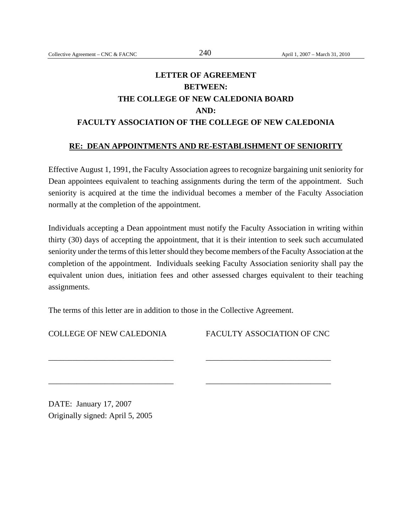# **LETTER OF AGREEMENT BETWEEN: THE COLLEGE OF NEW CALEDONIA BOARD AND: FACULTY ASSOCIATION OF THE COLLEGE OF NEW CALEDONIA**

#### **RE: DEAN APPOINTMENTS AND RE-ESTABLISHMENT OF SENIORITY**

Effective August 1, 1991, the Faculty Association agrees to recognize bargaining unit seniority for Dean appointees equivalent to teaching assignments during the term of the appointment. Such seniority is acquired at the time the individual becomes a member of the Faculty Association normally at the completion of the appointment.

Individuals accepting a Dean appointment must notify the Faculty Association in writing within thirty (30) days of accepting the appointment, that it is their intention to seek such accumulated seniority under the terms of this letter should they become members of the Faculty Association at the completion of the appointment. Individuals seeking Faculty Association seniority shall pay the equivalent union dues, initiation fees and other assessed charges equivalent to their teaching assignments.

The terms of this letter are in addition to those in the Collective Agreement.

\_\_\_\_\_\_\_\_\_\_\_\_\_\_\_\_\_\_\_\_\_\_\_\_\_\_\_\_\_\_\_ \_\_\_\_\_\_\_\_\_\_\_\_\_\_\_\_\_\_\_\_\_\_\_\_\_\_\_\_\_\_\_

\_\_\_\_\_\_\_\_\_\_\_\_\_\_\_\_\_\_\_\_\_\_\_\_\_\_\_\_\_\_\_ \_\_\_\_\_\_\_\_\_\_\_\_\_\_\_\_\_\_\_\_\_\_\_\_\_\_\_\_\_\_\_

COLLEGE OF NEW CALEDONIA FACULTY ASSOCIATION OF CNC

DATE: January 17, 2007 Originally signed: April 5, 2005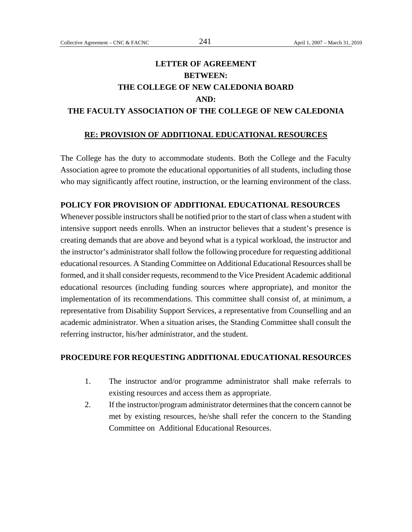# **LETTER OF AGREEMENT BETWEEN: THE COLLEGE OF NEW CALEDONIA BOARD AND: THE FACULTY ASSOCIATION OF THE COLLEGE OF NEW CALEDONIA**

## **RE: PROVISION OF ADDITIONAL EDUCATIONAL RESOURCES**

The College has the duty to accommodate students. Both the College and the Faculty Association agree to promote the educational opportunities of all students, including those who may significantly affect routine, instruction, or the learning environment of the class.

#### **POLICY FOR PROVISION OF ADDITIONAL EDUCATIONAL RESOURCES**

Whenever possible instructors shall be notified prior to the start of class when a student with intensive support needs enrolls. When an instructor believes that a student's presence is creating demands that are above and beyond what is a typical workload, the instructor and the instructor's administrator shall follow the following procedure for requesting additional educational resources. A Standing Committee on Additional Educational Resources shall be formed, and it shall consider requests, recommend to the Vice President Academic additional educational resources (including funding sources where appropriate), and monitor the implementation of its recommendations. This committee shall consist of, at minimum, a representative from Disability Support Services, a representative from Counselling and an academic administrator. When a situation arises, the Standing Committee shall consult the referring instructor, his/her administrator, and the student.

#### **PROCEDURE FOR REQUESTING ADDITIONAL EDUCATIONAL RESOURCES**

- 1. The instructor and/or programme administrator shall make referrals to existing resources and access them as appropriate.
- 2. If the instructor/program administrator determines that the concern cannot be met by existing resources, he/she shall refer the concern to the Standing Committee on Additional Educational Resources.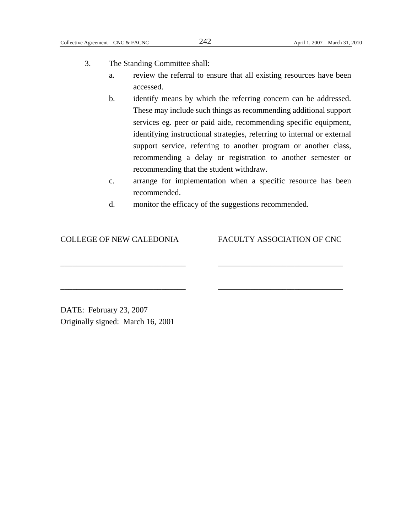- 3. The Standing Committee shall:
	- a. review the referral to ensure that all existing resources have been accessed.
	- b. identify means by which the referring concern can be addressed. These may include such things as recommending additional support services eg. peer or paid aide, recommending specific equipment, identifying instructional strategies, referring to internal or external support service, referring to another program or another class, recommending a delay or registration to another semester or recommending that the student withdraw.
	- c. arrange for implementation when a specific resource has been recommended.
	- d. monitor the efficacy of the suggestions recommended.

\_\_\_\_\_\_\_\_\_\_\_\_\_\_\_\_\_\_\_\_\_\_\_\_\_\_\_\_\_\_\_ \_\_\_\_\_\_\_\_\_\_\_\_\_\_\_\_\_\_\_\_\_\_\_\_\_\_\_\_\_\_\_

\_\_\_\_\_\_\_\_\_\_\_\_\_\_\_\_\_\_\_\_\_\_\_\_\_\_\_\_\_\_\_ \_\_\_\_\_\_\_\_\_\_\_\_\_\_\_\_\_\_\_\_\_\_\_\_\_\_\_\_\_\_\_

COLLEGE OF NEW CALEDONIA FACULTY ASSOCIATION OF CNC

DATE: February 23, 2007 Originally signed: March 16, 2001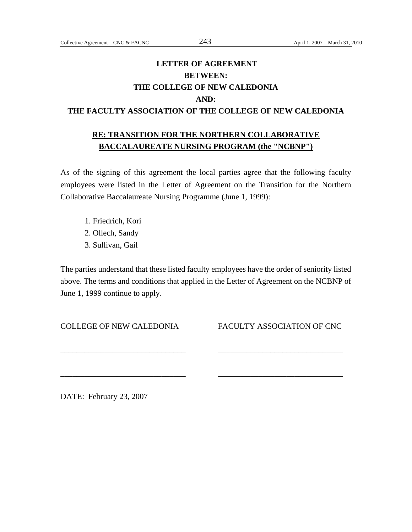# **LETTER OF AGREEMENT BETWEEN: THE COLLEGE OF NEW CALEDONIA AND: THE FACULTY ASSOCIATION OF THE COLLEGE OF NEW CALEDONIA**

# **RE: TRANSITION FOR THE NORTHERN COLLABORATIVE BACCALAUREATE NURSING PROGRAM (the "NCBNP")**

As of the signing of this agreement the local parties agree that the following faculty employees were listed in the Letter of Agreement on the Transition for the Northern Collaborative Baccalaureate Nursing Programme (June 1, 1999):

1. Friedrich, Kori 2. Ollech, Sandy 3. Sullivan, Gail

The parties understand that these listed faculty employees have the order of seniority listed above. The terms and conditions that applied in the Letter of Agreement on the NCBNP of June 1, 1999 continue to apply.

\_\_\_\_\_\_\_\_\_\_\_\_\_\_\_\_\_\_\_\_\_\_\_\_\_\_\_\_\_\_\_ \_\_\_\_\_\_\_\_\_\_\_\_\_\_\_\_\_\_\_\_\_\_\_\_\_\_\_\_\_\_\_

\_\_\_\_\_\_\_\_\_\_\_\_\_\_\_\_\_\_\_\_\_\_\_\_\_\_\_\_\_\_\_ \_\_\_\_\_\_\_\_\_\_\_\_\_\_\_\_\_\_\_\_\_\_\_\_\_\_\_\_\_\_\_

COLLEGE OF NEW CALEDONIA FACULTY ASSOCIATION OF CNC

DATE: February 23, 2007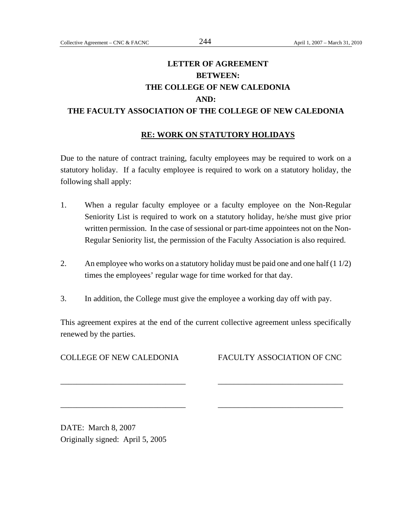# **LETTER OF AGREEMENT BETWEEN: THE COLLEGE OF NEW CALEDONIA AND: THE FACULTY ASSOCIATION OF THE COLLEGE OF NEW CALEDONIA**

### **RE: WORK ON STATUTORY HOLIDAYS**

Due to the nature of contract training, faculty employees may be required to work on a statutory holiday. If a faculty employee is required to work on a statutory holiday, the following shall apply:

- 1. When a regular faculty employee or a faculty employee on the Non-Regular Seniority List is required to work on a statutory holiday, he/she must give prior written permission. In the case of sessional or part-time appointees not on the Non-Regular Seniority list, the permission of the Faculty Association is also required.
- 2. An employee who works on a statutory holiday must be paid one and one half (1 1/2) times the employees' regular wage for time worked for that day.
- 3. In addition, the College must give the employee a working day off with pay.

This agreement expires at the end of the current collective agreement unless specifically renewed by the parties.

\_\_\_\_\_\_\_\_\_\_\_\_\_\_\_\_\_\_\_\_\_\_\_\_\_\_\_\_\_\_\_ \_\_\_\_\_\_\_\_\_\_\_\_\_\_\_\_\_\_\_\_\_\_\_\_\_\_\_\_\_\_\_

\_\_\_\_\_\_\_\_\_\_\_\_\_\_\_\_\_\_\_\_\_\_\_\_\_\_\_\_\_\_\_ \_\_\_\_\_\_\_\_\_\_\_\_\_\_\_\_\_\_\_\_\_\_\_\_\_\_\_\_\_\_\_

COLLEGE OF NEW CALEDONIA FACULTY ASSOCIATION OF CNC

DATE: March 8, 2007 Originally signed: April 5, 2005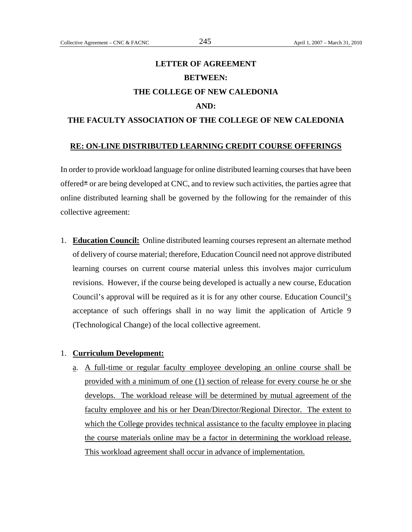# **LETTER OF AGREEMENT BETWEEN: THE COLLEGE OF NEW CALEDONIA AND: THE FACULTY ASSOCIATION OF THE COLLEGE OF NEW CALEDONIA**

#### **RE: ON-LINE DISTRIBUTED LEARNING CREDIT COURSE OFFERINGS**

In order to provide workload language for online distributed learning courses that have been offered $*$  or are being developed at CNC, and to review such activities, the parties agree that online distributed learning shall be governed by the following for the remainder of this collective agreement:

1. **Education Council:** Online distributed learning courses represent an alternate method of delivery of course material; therefore, Education Council need not approve distributed learning courses on current course material unless this involves major curriculum revisions. However, if the course being developed is actually a new course, Education Council's approval will be required as it is for any other course. Education Council's acceptance of such offerings shall in no way limit the application of Article 9 (Technological Change) of the local collective agreement.

#### 1. **Curriculum Development:**

a. A full-time or regular faculty employee developing an online course shall be provided with a minimum of one (1) section of release for every course he or she develops. The workload release will be determined by mutual agreement of the faculty employee and his or her Dean/Director/Regional Director. The extent to which the College provides technical assistance to the faculty employee in placing the course materials online may be a factor in determining the workload release. This workload agreement shall occur in advance of implementation.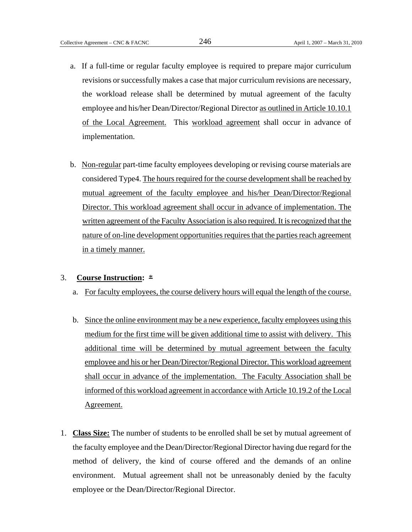- a. If a full-time or regular faculty employee is required to prepare major curriculum revisions or successfully makes a case that major curriculum revisions are necessary, the workload release shall be determined by mutual agreement of the faculty employee and his/her Dean/Director/Regional Director as outlined in Article 10.10.1 of the Local Agreement. This workload agreement shall occur in advance of implementation.
- b. Non-regular part-time faculty employees developing or revising course materials are considered Type4. The hours required for the course development shall be reached by mutual agreement of the faculty employee and his/her Dean/Director/Regional Director. This workload agreement shall occur in advance of implementation. The written agreement of the Faculty Association is also required. It is recognized that the nature of on-line development opportunities requires that the parties reach agreement in a timely manner.

#### 3. **Course Instruction:** \*

- a. For faculty employees, the course delivery hours will equal the length of the course.
- b. Since the online environment may be a new experience, faculty employees using this medium for the first time will be given additional time to assist with delivery. This additional time will be determined by mutual agreement between the faculty employee and his or her Dean/Director/Regional Director. This workload agreement shall occur in advance of the implementation. The Faculty Association shall be informed of this workload agreement in accordance with Article 10.19.2 of the Local Agreement.
- 1. **Class Size:** The number of students to be enrolled shall be set by mutual agreement of the faculty employee and the Dean/Director/Regional Director having due regard for the method of delivery, the kind of course offered and the demands of an online environment. Mutual agreement shall not be unreasonably denied by the faculty employee or the Dean/Director/Regional Director.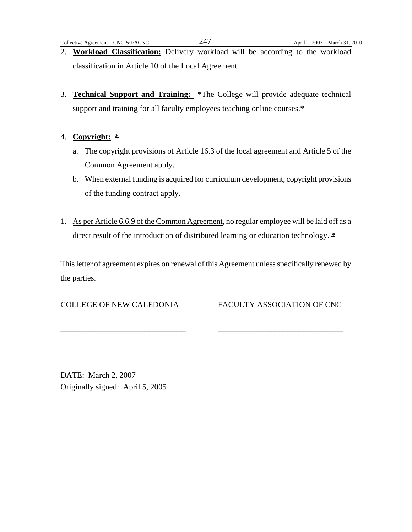- 2. **Workload Classification:** Delivery workload will be according to the workload classification in Article 10 of the Local Agreement.
- 3. **Technical Support and Training:** \*The College will provide adequate technical support and training for all faculty employees teaching online courses.\*
- 4. **Copyright:** \*
	- a. The copyright provisions of Article 16.3 of the local agreement and Article 5 of the Common Agreement apply.
	- b. When external funding is acquired for curriculum development, copyright provisions of the funding contract apply.
- 1. As per Article 6.6.9 of the Common Agreement, no regular employee will be laid off as a direct result of the introduction of distributed learning or education technology. \*

This letter of agreement expires on renewal of this Agreement unless specifically renewed by the parties.

\_\_\_\_\_\_\_\_\_\_\_\_\_\_\_\_\_\_\_\_\_\_\_\_\_\_\_\_\_\_\_ \_\_\_\_\_\_\_\_\_\_\_\_\_\_\_\_\_\_\_\_\_\_\_\_\_\_\_\_\_\_\_

\_\_\_\_\_\_\_\_\_\_\_\_\_\_\_\_\_\_\_\_\_\_\_\_\_\_\_\_\_\_\_ \_\_\_\_\_\_\_\_\_\_\_\_\_\_\_\_\_\_\_\_\_\_\_\_\_\_\_\_\_\_\_

COLLEGE OF NEW CALEDONIA FACULTY ASSOCIATION OF CNC

DATE: March 2, 2007 Originally signed: April 5, 2005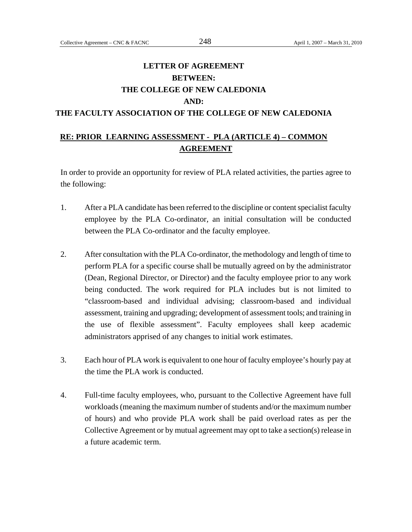# **LETTER OF AGREEMENT BETWEEN: THE COLLEGE OF NEW CALEDONIA AND: THE FACULTY ASSOCIATION OF THE COLLEGE OF NEW CALEDONIA**

## **RE: PRIOR LEARNING ASSESSMENT - PLA (ARTICLE 4) – COMMON AGREEMENT**

In order to provide an opportunity for review of PLA related activities, the parties agree to the following:

- 1. After a PLA candidate has been referred to the discipline or content specialist faculty employee by the PLA Co-ordinator, an initial consultation will be conducted between the PLA Co-ordinator and the faculty employee.
- 2. After consultation with the PLA Co-ordinator, the methodology and length of time to perform PLA for a specific course shall be mutually agreed on by the administrator (Dean, Regional Director, or Director) and the faculty employee prior to any work being conducted. The work required for PLA includes but is not limited to "classroom-based and individual advising; classroom-based and individual assessment, training and upgrading; development of assessment tools; and training in the use of flexible assessment". Faculty employees shall keep academic administrators apprised of any changes to initial work estimates.
- 3. Each hour of PLA work is equivalent to one hour of faculty employee's hourly pay at the time the PLA work is conducted.
- 4. Full-time faculty employees, who, pursuant to the Collective Agreement have full workloads (meaning the maximum number of students and/or the maximum number of hours) and who provide PLA work shall be paid overload rates as per the Collective Agreement or by mutual agreement may opt to take a section(s) release in a future academic term.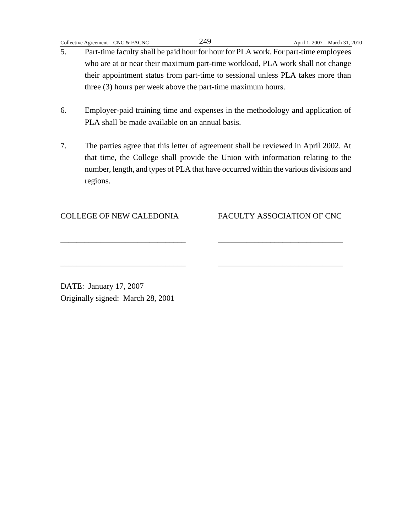- 5. Part-time faculty shall be paid hour for hour for PLA work. For part-time employees who are at or near their maximum part-time workload, PLA work shall not change their appointment status from part-time to sessional unless PLA takes more than three (3) hours per week above the part-time maximum hours.
- 6. Employer-paid training time and expenses in the methodology and application of PLA shall be made available on an annual basis.
- 7. The parties agree that this letter of agreement shall be reviewed in April 2002. At that time, the College shall provide the Union with information relating to the number, length, and types of PLA that have occurred within the various divisions and regions.

\_\_\_\_\_\_\_\_\_\_\_\_\_\_\_\_\_\_\_\_\_\_\_\_\_\_\_\_\_\_\_ \_\_\_\_\_\_\_\_\_\_\_\_\_\_\_\_\_\_\_\_\_\_\_\_\_\_\_\_\_\_\_

\_\_\_\_\_\_\_\_\_\_\_\_\_\_\_\_\_\_\_\_\_\_\_\_\_\_\_\_\_\_\_ \_\_\_\_\_\_\_\_\_\_\_\_\_\_\_\_\_\_\_\_\_\_\_\_\_\_\_\_\_\_\_

#### COLLEGE OF NEW CALEDONIA FACULTY ASSOCIATION OF CNC

DATE: January 17, 2007 Originally signed: March 28, 2001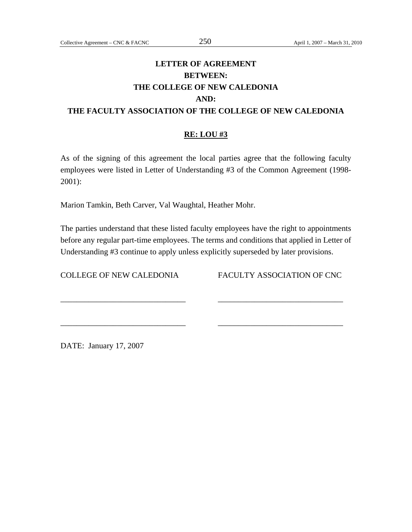# **LETTER OF AGREEMENT BETWEEN: THE COLLEGE OF NEW CALEDONIA AND: THE FACULTY ASSOCIATION OF THE COLLEGE OF NEW CALEDONIA**

## **RE: LOU #3**

As of the signing of this agreement the local parties agree that the following faculty employees were listed in Letter of Understanding #3 of the Common Agreement (1998- 2001):

Marion Tamkin, Beth Carver, Val Waughtal, Heather Mohr.

The parties understand that these listed faculty employees have the right to appointments before any regular part-time employees. The terms and conditions that applied in Letter of Understanding #3 continue to apply unless explicitly superseded by later provisions.

\_\_\_\_\_\_\_\_\_\_\_\_\_\_\_\_\_\_\_\_\_\_\_\_\_\_\_\_\_\_\_ \_\_\_\_\_\_\_\_\_\_\_\_\_\_\_\_\_\_\_\_\_\_\_\_\_\_\_\_\_\_\_

\_\_\_\_\_\_\_\_\_\_\_\_\_\_\_\_\_\_\_\_\_\_\_\_\_\_\_\_\_\_\_ \_\_\_\_\_\_\_\_\_\_\_\_\_\_\_\_\_\_\_\_\_\_\_\_\_\_\_\_\_\_\_

COLLEGE OF NEW CALEDONIA FACULTY ASSOCIATION OF CNC

DATE: January 17, 2007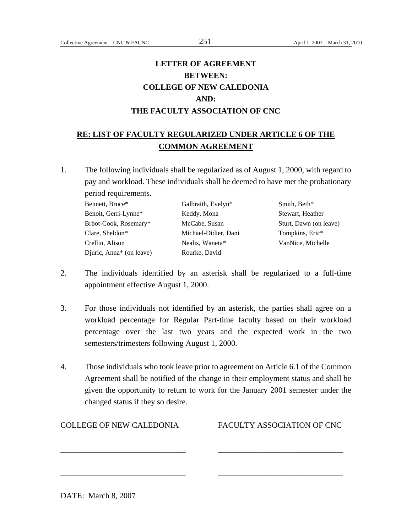## **LETTER OF AGREEMENT BETWEEN: COLLEGE OF NEW CALEDONIA AND: THE FACULTY ASSOCIATION OF CNC**

## **RE: LIST OF FACULTY REGULARIZED UNDER ARTICLE 6 OF THE COMMON AGREEMENT**

1. The following individuals shall be regularized as of August 1, 2000, with regard to pay and workload. These individuals shall be deemed to have met the probationary period requirements.

Bennett, Bruce\* Galbraith, Evelyn\* Smith, Beth\*

| DUNNU, DIUCC             |   |
|--------------------------|---|
| Benoit, Gerri-Lynne*     | K |
| Brbot-Cook, Rosemary*    | N |
| Clare, Sheldon*          | N |
| Crellin, Alison          | N |
| Djuric, Anna* (on leave) | R |
|                          |   |

Eeddy, Mona Stewart, Heather Aichael-Didier, Dani Tompkins, Eric\* ourke, David

AcCabe, Susan Sturt, Dawn (on leave) Fealis, Waneta\* VanNice, Michelle

- 2. The individuals identified by an asterisk shall be regularized to a full-time appointment effective August 1, 2000.
- 3. For those individuals not identified by an asterisk, the parties shall agree on a workload percentage for Regular Part-time faculty based on their workload percentage over the last two years and the expected work in the two semesters/trimesters following August 1, 2000.
- 4. Those individuals who took leave prior to agreement on Article 6.1 of the Common Agreement shall be notified of the change in their employment status and shall be given the opportunity to return to work for the January 2001 semester under the changed status if they so desire.

\_\_\_\_\_\_\_\_\_\_\_\_\_\_\_\_\_\_\_\_\_\_\_\_\_\_\_\_\_\_\_ \_\_\_\_\_\_\_\_\_\_\_\_\_\_\_\_\_\_\_\_\_\_\_\_\_\_\_\_\_\_\_

\_\_\_\_\_\_\_\_\_\_\_\_\_\_\_\_\_\_\_\_\_\_\_\_\_\_\_\_\_\_\_ \_\_\_\_\_\_\_\_\_\_\_\_\_\_\_\_\_\_\_\_\_\_\_\_\_\_\_\_\_\_\_

COLLEGE OF NEW CALEDONIA FACULTY ASSOCIATION OF CNC

DATE: March 8, 2007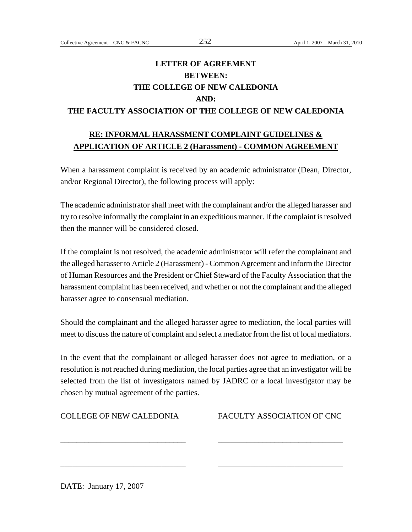# **LETTER OF AGREEMENT BETWEEN: THE COLLEGE OF NEW CALEDONIA AND: THE FACULTY ASSOCIATION OF THE COLLEGE OF NEW CALEDONIA**

## **RE: INFORMAL HARASSMENT COMPLAINT GUIDELINES & APPLICATION OF ARTICLE 2 (Harassment) - COMMON AGREEMENT**

When a harassment complaint is received by an academic administrator (Dean, Director, and/or Regional Director), the following process will apply:

The academic administrator shall meet with the complainant and/or the alleged harasser and try to resolve informally the complaint in an expeditious manner. If the complaint is resolved then the manner will be considered closed.

If the complaint is not resolved, the academic administrator will refer the complainant and the alleged harasser to Article 2 (Harassment) - Common Agreement and inform the Director of Human Resources and the President or Chief Steward of the Faculty Association that the harassment complaint has been received, and whether or not the complainant and the alleged harasser agree to consensual mediation.

Should the complainant and the alleged harasser agree to mediation, the local parties will meet to discuss the nature of complaint and select a mediator from the list of local mediators.

In the event that the complainant or alleged harasser does not agree to mediation, or a resolution is not reached during mediation, the local parties agree that an investigator will be selected from the list of investigators named by JADRC or a local investigator may be chosen by mutual agreement of the parties.

\_\_\_\_\_\_\_\_\_\_\_\_\_\_\_\_\_\_\_\_\_\_\_\_\_\_\_\_\_\_\_ \_\_\_\_\_\_\_\_\_\_\_\_\_\_\_\_\_\_\_\_\_\_\_\_\_\_\_\_\_\_\_

\_\_\_\_\_\_\_\_\_\_\_\_\_\_\_\_\_\_\_\_\_\_\_\_\_\_\_\_\_\_\_ \_\_\_\_\_\_\_\_\_\_\_\_\_\_\_\_\_\_\_\_\_\_\_\_\_\_\_\_\_\_\_

| <b>COLLEGE OF NEW CALEDONIA</b> |  |
|---------------------------------|--|
|---------------------------------|--|

FACULTY ASSOCIATION OF CNC

DATE: January 17, 2007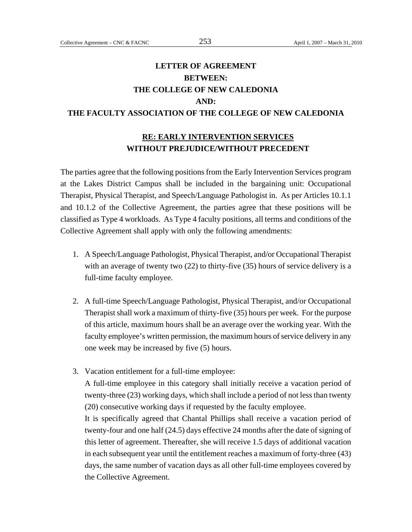## **LETTER OF AGREEMENT BETWEEN: THE COLLEGE OF NEW CALEDONIA AND: THE FACULTY ASSOCIATION OF THE COLLEGE OF NEW CALEDONIA**

## **RE: EARLY INTERVENTION SERVICES WITHOUT PREJUDICE/WITHOUT PRECEDENT**

The parties agree that the following positions from the Early Intervention Services program at the Lakes District Campus shall be included in the bargaining unit: Occupational Therapist, Physical Therapist, and Speech/Language Pathologist in. As per Articles 10.1.1 and 10.1.2 of the Collective Agreement, the parties agree that these positions will be classified as Type 4 workloads. As Type 4 faculty positions, all terms and conditions of the Collective Agreement shall apply with only the following amendments:

- 1. A Speech/Language Pathologist, Physical Therapist, and/or Occupational Therapist with an average of twenty two (22) to thirty-five (35) hours of service delivery is a full-time faculty employee.
- 2. A full-time Speech/Language Pathologist, Physical Therapist, and/or Occupational Therapist shall work a maximum of thirty-five (35) hours per week. For the purpose of this article, maximum hours shall be an average over the working year. With the faculty employee's written permission, the maximum hours of service delivery in any one week may be increased by five (5) hours.
- 3. Vacation entitlement for a full-time employee:

A full-time employee in this category shall initially receive a vacation period of twenty-three (23) working days, which shall include a period of not less than twenty (20) consecutive working days if requested by the faculty employee.

It is specifically agreed that Chantal Phillips shall receive a vacation period of twenty-four and one half (24.5) days effective 24 months after the date of signing of this letter of agreement. Thereafter, she will receive 1.5 days of additional vacation in each subsequent year until the entitlement reaches a maximum of forty-three (43) days, the same number of vacation days as all other full-time employees covered by the Collective Agreement.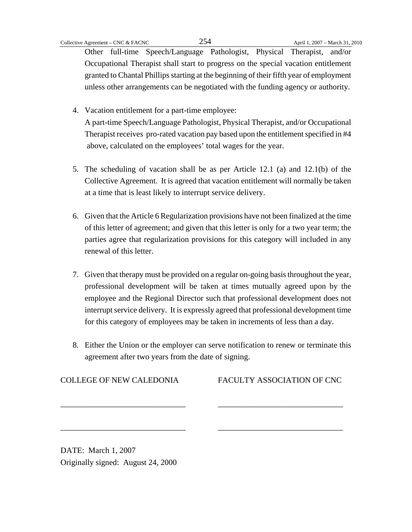Other full-time Speech/Language Pathologist, Physical Therapist, and/or Occupational Therapist shall start to progress on the special vacation entitlement granted to Chantal Phillips starting at the beginning of their fifth year of employment unless other arrangements can be negotiated with the funding agency or authority.

- 4. Vacation entitlement for a part-time employee: A part-time Speech/Language Pathologist, Physical Therapist, and/or Occupational Therapist receives pro-rated vacation pay based upon the entitlement specified in #4 above, calculated on the employees' total wages for the year.
- 5. The scheduling of vacation shall be as per Article 12.1 (a) and 12.1(b) of the Collective Agreement. It is agreed that vacation entitlement will normally be taken at a time that is least likely to interrupt service delivery.
- 6. Given that the Article 6 Regularization provisions have not been finalized at the time of this letter of agreement; and given that this letter is only for a two year term; the parties agree that regularization provisions for this category will included in any renewal of this letter.
- 7. Given that therapy must be provided on a regular on-going basis throughout the year, professional development will be taken at times mutually agreed upon by the employee and the Regional Director such that professional development does not interrupt service delivery. It is expressly agreed that professional development time for this category of employees may be taken in increments of less than a day.
- 8. Either the Union or the employer can serve notification to renew or terminate this agreement after two years from the date of signing.

\_\_\_\_\_\_\_\_\_\_\_\_\_\_\_\_\_\_\_\_\_\_\_\_\_\_\_\_\_\_\_ \_\_\_\_\_\_\_\_\_\_\_\_\_\_\_\_\_\_\_\_\_\_\_\_\_\_\_\_\_\_\_

\_\_\_\_\_\_\_\_\_\_\_\_\_\_\_\_\_\_\_\_\_\_\_\_\_\_\_\_\_\_\_ \_\_\_\_\_\_\_\_\_\_\_\_\_\_\_\_\_\_\_\_\_\_\_\_\_\_\_\_\_\_\_

COLLEGE OF NEW CALEDONIA FACULTY ASSOCIATION OF CNC

DATE: March 1, 2007 Originally signed: August 24, 2000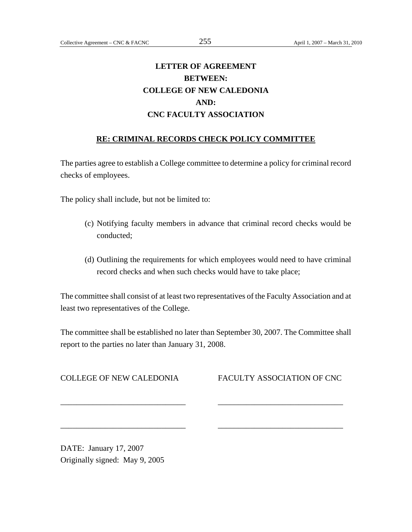# **LETTER OF AGREEMENT BETWEEN: COLLEGE OF NEW CALEDONIA AND: CNC FACULTY ASSOCIATION**

#### **RE: CRIMINAL RECORDS CHECK POLICY COMMITTEE**

The parties agree to establish a College committee to determine a policy for criminal record checks of employees.

The policy shall include, but not be limited to:

- (c) Notifying faculty members in advance that criminal record checks would be conducted;
- (d) Outlining the requirements for which employees would need to have criminal record checks and when such checks would have to take place;

The committee shall consist of at least two representatives of the Faculty Association and at least two representatives of the College.

The committee shall be established no later than September 30, 2007. The Committee shall report to the parties no later than January 31, 2008.

\_\_\_\_\_\_\_\_\_\_\_\_\_\_\_\_\_\_\_\_\_\_\_\_\_\_\_\_\_\_\_ \_\_\_\_\_\_\_\_\_\_\_\_\_\_\_\_\_\_\_\_\_\_\_\_\_\_\_\_\_\_\_

\_\_\_\_\_\_\_\_\_\_\_\_\_\_\_\_\_\_\_\_\_\_\_\_\_\_\_\_\_\_\_ \_\_\_\_\_\_\_\_\_\_\_\_\_\_\_\_\_\_\_\_\_\_\_\_\_\_\_\_\_\_\_

COLLEGE OF NEW CALEDONIA FACULTY ASSOCIATION OF CNC

DATE: January 17, 2007 Originally signed: May 9, 2005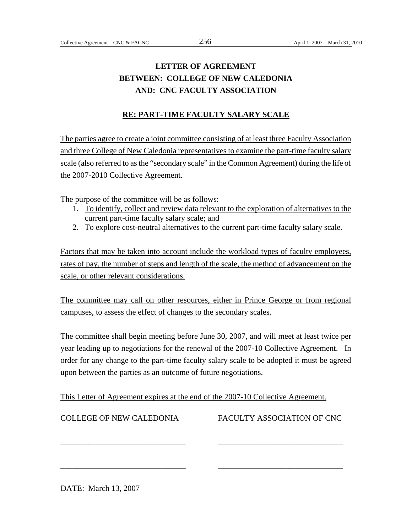# **LETTER OF AGREEMENT BETWEEN: COLLEGE OF NEW CALEDONIA AND: CNC FACULTY ASSOCIATION**

## **RE: PART-TIME FACULTY SALARY SCALE**

The parties agree to create a joint committee consisting of at least three Faculty Association and three College of New Caledonia representatives to examine the part-time faculty salary scale (also referred to as the "secondary scale" in the Common Agreement) during the life of the 2007-2010 Collective Agreement.

The purpose of the committee will be as follows:

- 1. To identify, collect and review data relevant to the exploration of alternatives to the current part-time faculty salary scale; and
- 2. To explore cost-neutral alternatives to the current part-time faculty salary scale.

Factors that may be taken into account include the workload types of faculty employees, rates of pay, the number of steps and length of the scale, the method of advancement on the scale, or other relevant considerations.

The committee may call on other resources, either in Prince George or from regional campuses, to assess the effect of changes to the secondary scales.

The committee shall begin meeting before June 30, 2007, and will meet at least twice per year leading up to negotiations for the renewal of the 2007-10 Collective Agreement. In order for any change to the part-time faculty salary scale to be adopted it must be agreed upon between the parties as an outcome of future negotiations.

This Letter of Agreement expires at the end of the 2007-10 Collective Agreement.

\_\_\_\_\_\_\_\_\_\_\_\_\_\_\_\_\_\_\_\_\_\_\_\_\_\_\_\_\_\_\_ \_\_\_\_\_\_\_\_\_\_\_\_\_\_\_\_\_\_\_\_\_\_\_\_\_\_\_\_\_\_\_

\_\_\_\_\_\_\_\_\_\_\_\_\_\_\_\_\_\_\_\_\_\_\_\_\_\_\_\_\_\_\_ \_\_\_\_\_\_\_\_\_\_\_\_\_\_\_\_\_\_\_\_\_\_\_\_\_\_\_\_\_\_\_

COLLEGE OF NEW CALEDONIA FACULTY ASSOCIATION OF CNC

DATE: March 13, 2007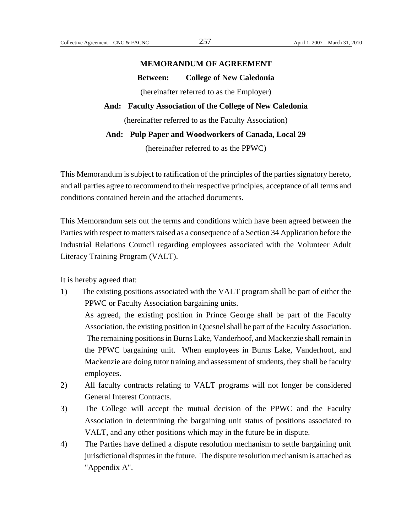## **MEMORANDUM OF AGREEMENT**

**Between: College of New Caledonia** 

(hereinafter referred to as the Employer)

## **And: Faculty Association of the College of New Caledonia**

(hereinafter referred to as the Faculty Association)

#### **And: Pulp Paper and Woodworkers of Canada, Local 29**

(hereinafter referred to as the PPWC)

This Memorandum is subject to ratification of the principles of the parties signatory hereto, and all parties agree to recommend to their respective principles, acceptance of all terms and conditions contained herein and the attached documents.

This Memorandum sets out the terms and conditions which have been agreed between the Parties with respect to matters raised as a consequence of a Section 34 Application before the Industrial Relations Council regarding employees associated with the Volunteer Adult Literacy Training Program (VALT).

It is hereby agreed that:

1) The existing positions associated with the VALT program shall be part of either the PPWC or Faculty Association bargaining units.

As agreed, the existing position in Prince George shall be part of the Faculty Association, the existing position in Quesnel shall be part of the Faculty Association. The remaining positions in Burns Lake, Vanderhoof, and Mackenzie shall remain in the PPWC bargaining unit. When employees in Burns Lake, Vanderhoof, and Mackenzie are doing tutor training and assessment of students, they shall be faculty employees.

- 2) All faculty contracts relating to VALT programs will not longer be considered General Interest Contracts.
- 3) The College will accept the mutual decision of the PPWC and the Faculty Association in determining the bargaining unit status of positions associated to VALT, and any other positions which may in the future be in dispute.
- 4) The Parties have defined a dispute resolution mechanism to settle bargaining unit jurisdictional disputes in the future. The dispute resolution mechanism is attached as "Appendix A".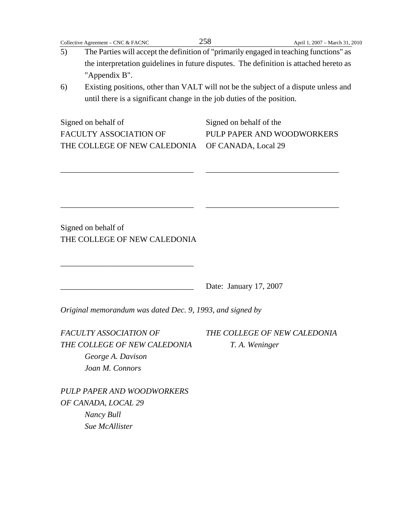- 5) The Parties will accept the definition of "primarily engaged in teaching functions" as the interpretation guidelines in future disputes. The definition is attached hereto as "Appendix B".
- 6) Existing positions, other than VALT will not be the subject of a dispute unless and until there is a significant change in the job duties of the position.

| Signed on behalf of                              | Signed on behalf of the    |  |
|--------------------------------------------------|----------------------------|--|
| FACULTY ASSOCIATION OF                           | PULP PAPER AND WOODWORKERS |  |
| THE COLLEGE OF NEW CALEDONIA OF CANADA, Local 29 |                            |  |

\_\_\_\_\_\_\_\_\_\_\_\_\_\_\_\_\_\_\_\_\_\_\_\_\_\_\_\_\_\_\_\_\_ \_\_\_\_\_\_\_\_\_\_\_\_\_\_\_\_\_\_\_\_\_\_\_\_\_\_\_\_\_\_\_\_\_

\_\_\_\_\_\_\_\_\_\_\_\_\_\_\_\_\_\_\_\_\_\_\_\_\_\_\_\_\_\_\_\_\_ \_\_\_\_\_\_\_\_\_\_\_\_\_\_\_\_\_\_\_\_\_\_\_\_\_\_\_\_\_\_\_\_\_

Signed on behalf of THE COLLEGE OF NEW CALEDONIA

\_\_\_\_\_\_\_\_\_\_\_\_\_\_\_\_\_\_\_\_\_\_\_\_\_\_\_\_\_\_\_\_\_

Date: January 17, 2007

*Original memorandum was dated Dec. 9, 1993, and signed by* 

*FACULTY ASSOCIATION OF THE COLLEGE OF NEW CALEDONIA THE COLLEGE OF NEW CALEDONIA T. A. Weninger George A. Davison Joan M. Connors* 

*PULP PAPER AND WOODWORKERS OF CANADA, LOCAL 29 Nancy Bull Sue McAllister*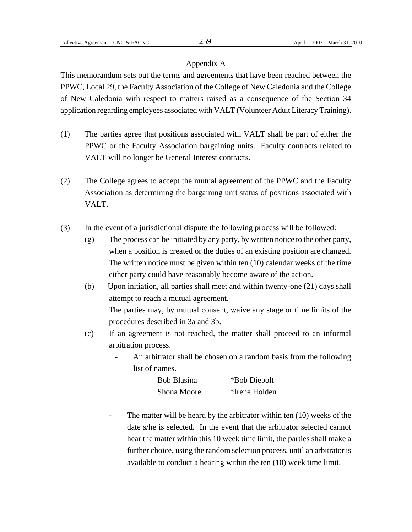#### Appendix A

This memorandum sets out the terms and agreements that have been reached between the PPWC, Local 29, the Faculty Association of the College of New Caledonia and the College of New Caledonia with respect to matters raised as a consequence of the Section 34 application regarding employees associated with VALT (Volunteer Adult Literacy Training).

- (1) The parties agree that positions associated with VALT shall be part of either the PPWC or the Faculty Association bargaining units. Faculty contracts related to VALT will no longer be General Interest contracts.
- (2) The College agrees to accept the mutual agreement of the PPWC and the Faculty Association as determining the bargaining unit status of positions associated with VALT.
- (3) In the event of a jurisdictional dispute the following process will be followed:
	- (g) The process can be initiated by any party, by written notice to the other party, when a position is created or the duties of an existing position are changed. The written notice must be given within ten (10) calendar weeks of the time either party could have reasonably become aware of the action.
	- (b) Upon initiation, all parties shall meet and within twenty-one (21) days shall attempt to reach a mutual agreement. The parties may, by mutual consent, waive any stage or time limits of the procedures described in 3a and 3b.
	- (c) If an agreement is not reached, the matter shall proceed to an informal arbitration process.
		- An arbitrator shall be chosen on a random basis from the following list of names.

| <b>Bob Blasina</b> | *Bob Diebolt  |
|--------------------|---------------|
| Shona Moore        | *Irene Holden |

The matter will be heard by the arbitrator within ten  $(10)$  weeks of the date s/he is selected. In the event that the arbitrator selected cannot hear the matter within this 10 week time limit, the parties shall make a further choice, using the random selection process, until an arbitrator is available to conduct a hearing within the ten (10) week time limit.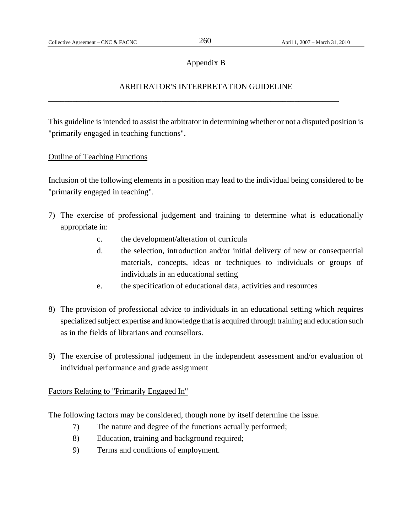### Appendix B

## ARBITRATOR'S INTERPRETATION GUIDELINE

\_\_\_\_\_\_\_\_\_\_\_\_\_\_\_\_\_\_\_\_\_\_\_\_\_\_\_\_\_\_\_\_\_\_\_\_\_\_\_\_\_\_\_\_\_\_\_\_\_\_\_\_\_\_\_\_\_\_\_\_\_\_\_\_\_\_\_\_\_\_\_\_

This guideline is intended to assist the arbitrator in determining whether or not a disputed position is "primarily engaged in teaching functions".

#### Outline of Teaching Functions

Inclusion of the following elements in a position may lead to the individual being considered to be "primarily engaged in teaching".

- 7) The exercise of professional judgement and training to determine what is educationally appropriate in:
	- c. the development/alteration of curricula
	- d. the selection, introduction and/or initial delivery of new or consequential materials, concepts, ideas or techniques to individuals or groups of individuals in an educational setting
	- e. the specification of educational data, activities and resources
- 8) The provision of professional advice to individuals in an educational setting which requires specialized subject expertise and knowledge that is acquired through training and education such as in the fields of librarians and counsellors.
- 9) The exercise of professional judgement in the independent assessment and/or evaluation of individual performance and grade assignment

### Factors Relating to "Primarily Engaged In"

The following factors may be considered, though none by itself determine the issue.

- 7) The nature and degree of the functions actually performed;
- 8) Education, training and background required;
- 9) Terms and conditions of employment.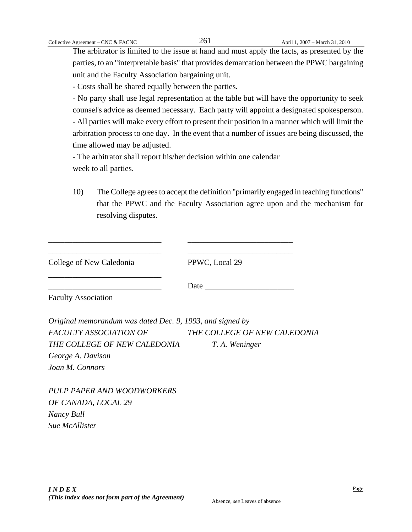The arbitrator is limited to the issue at hand and must apply the facts, as presented by the parties, to an "interpretable basis" that provides demarcation between the PPWC bargaining unit and the Faculty Association bargaining unit.

- Costs shall be shared equally between the parties.

- No party shall use legal representation at the table but will have the opportunity to seek counsel's advice as deemed necessary. Each party will appoint a designated spokesperson. - All parties will make every effort to present their position in a manner which will limit the arbitration process to one day. In the event that a number of issues are being discussed, the time allowed may be adjusted.

- The arbitrator shall report his/her decision within one calendar week to all parties.

10) The College agrees to accept the definition "primarily engaged in teaching functions" that the PPWC and the Faculty Association agree upon and the mechanism for resolving disputes.

| College of New Caledonia                                  | PPWC, Local 29               |
|-----------------------------------------------------------|------------------------------|
| <b>Faculty Association</b>                                | Date                         |
| Original memorandum was dated Dec. 9, 1993, and signed by |                              |
| <b>FACULTY ASSOCIATION OF</b>                             | THE COLLEGE OF NEW CALEDONIA |
| THE COLLEGE OF NEW CALEDONIA                              | T. A. Weninger               |
| George A. Davison                                         |                              |
| Joan M. Connors                                           |                              |
|                                                           |                              |

*PULP PAPER AND WOODWORKERS OF CANADA, LOCAL 29 Nancy Bull Sue McAllister*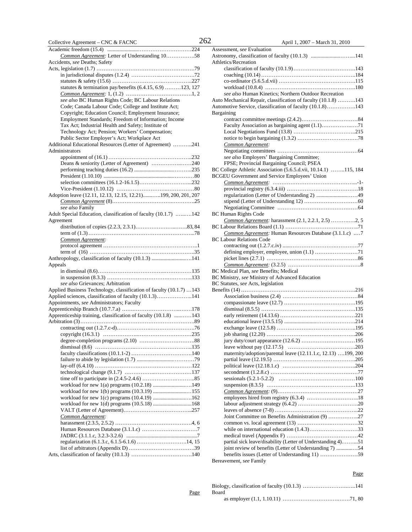| Common Agreement: Letter of Understanding 1058                       |
|----------------------------------------------------------------------|
| Accidents, see Deaths; Safety                                        |
|                                                                      |
|                                                                      |
|                                                                      |
| statutes & termination pay/benefits (6.4.15, 6.9) 123, 127           |
|                                                                      |
| see also BC Human Rights Code; BC Labour Relations                   |
| Code; Canada Labour Code; College and Institute Act;                 |
| Copyright; Education Council; Employment Insurance;                  |
| Employment Standards; Freedom of Information; Income                 |
| Tax Act; Industrial Health and Safety; Institute of                  |
| Technology Act; Pension; Workers' Compensation;                      |
| Public Sector Employer's Act; Workplace Act                          |
| Additional Educational Resources (Letter of Agreement) 241           |
| Administrators                                                       |
|                                                                      |
| Deans & seniority (Letter of Agreement) 240                          |
|                                                                      |
|                                                                      |
|                                                                      |
|                                                                      |
| Adoption leave (12.11, 12.13, 12.15, 12.21)199, 200, 201, 207        |
|                                                                      |
| see also Family                                                      |
| Adult Special Education, classification of faculty (10.1.7) 142      |
| Agreement                                                            |
|                                                                      |
|                                                                      |
| Common Agreement:                                                    |
|                                                                      |
|                                                                      |
|                                                                      |
| Anthropology, classification of faculty (10.1.3) 141                 |
| Appeals                                                              |
|                                                                      |
|                                                                      |
| see also Grievances; Arbitration                                     |
| Applied Business Technology, classification of faculty (10.1.7)  143 |
| Applied sciences, classification of faculty (10.1.3)141              |
| Appointments, see Administrators; Faculty                            |
|                                                                      |
| Apprenticeship training, classification of faculty (10.1.8) 143      |
|                                                                      |
|                                                                      |
|                                                                      |
|                                                                      |
|                                                                      |
|                                                                      |
|                                                                      |
|                                                                      |
|                                                                      |
|                                                                      |
|                                                                      |
|                                                                      |
|                                                                      |
| workload for new 1(d) programs (10.5.18) 168                         |
|                                                                      |
| Common Agreement:                                                    |
|                                                                      |
|                                                                      |
|                                                                      |
|                                                                      |
|                                                                      |

**Page** 

| Assessment, see Evaluation                                                 |  |
|----------------------------------------------------------------------------|--|
|                                                                            |  |
| Athletics/Recreation                                                       |  |
|                                                                            |  |
|                                                                            |  |
|                                                                            |  |
| see also Human Kinetics; Northern Outdoor Recreation                       |  |
| Auto Mechanical Repair, classification of faculty (10.1.8) 143             |  |
| Automotive Service, classification of faculty (10.1.8)143                  |  |
| Bargaining                                                                 |  |
|                                                                            |  |
|                                                                            |  |
|                                                                            |  |
|                                                                            |  |
| Common Agreement:                                                          |  |
|                                                                            |  |
| see also Employers' Bargaining Committee;                                  |  |
| FPSE; Provincial Bargaining Council; PSEA                                  |  |
| BC College Athletic Association (5.6.5.d.vii, 10.14.1) 115, 184            |  |
| <b>BCGEU Government and Service Employees' Union</b>                       |  |
|                                                                            |  |
|                                                                            |  |
|                                                                            |  |
|                                                                            |  |
|                                                                            |  |
| <b>BC Human Rights Code</b>                                                |  |
| Common Agreement: harassment (2.1, 2.2.1, 2.5) 2, 5                        |  |
| Common Agreement: Human Resources Database (3.1.1.c) 7                     |  |
| <b>BC Labour Relations Code</b>                                            |  |
|                                                                            |  |
|                                                                            |  |
|                                                                            |  |
|                                                                            |  |
|                                                                            |  |
|                                                                            |  |
| BC Medical Plan, see Benefits; Medical                                     |  |
| BC Ministry, see Ministry of Advanced Education                            |  |
|                                                                            |  |
|                                                                            |  |
|                                                                            |  |
|                                                                            |  |
| BC Statutes, see Acts, legislation                                         |  |
|                                                                            |  |
|                                                                            |  |
|                                                                            |  |
|                                                                            |  |
|                                                                            |  |
| maternity/adoption/parental leave (12.11.1.c, 12.13) 199, 200              |  |
|                                                                            |  |
|                                                                            |  |
|                                                                            |  |
|                                                                            |  |
|                                                                            |  |
|                                                                            |  |
|                                                                            |  |
|                                                                            |  |
| Joint Committee on Benefits Administration (9) 27                          |  |
|                                                                            |  |
|                                                                            |  |
|                                                                            |  |
| partial sick leave/disability (Letter of Understanding 4)51                |  |
| joint review of benefits (Letter of Understanding 7) 54                    |  |
| benefits issues (Letter of Understanding 11) 59<br>Bereavement, see Family |  |

| Board |  |
|-------|--|
|       |  |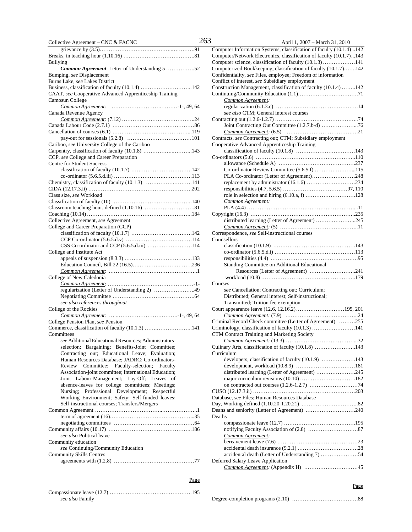| COHECHVE Agreement – CNC $\alpha$ FACNC<br>∸           |
|--------------------------------------------------------|
|                                                        |
|                                                        |
| Bullying                                               |
| Common Agreement: Letter of Understanding 5 52         |
|                                                        |
| Bumping, see Displacement                              |
| Burns Lake, see Lakes District                         |
| Business, classification of faculty (10.1.4) 142       |
| CAAT, see Cooperative Advanced Apprenticeship Training |
| Camosun College                                        |
| Common Agreement:                                      |
| Canada Revenue Agency                                  |
|                                                        |
|                                                        |
|                                                        |
|                                                        |
|                                                        |
| Cariboo, see University College of the Cariboo         |
| Carpentry, classification of faculty (10.1.8) 143      |
| CCP, see College and Career Preparation                |
|                                                        |
| <b>Centre for Student Success</b>                      |
|                                                        |
|                                                        |
| Chemistry, classification of faculty (10.1.3) 141      |
|                                                        |
| Class size, see Workload                               |
|                                                        |
|                                                        |
|                                                        |
|                                                        |
| Collective Agreement, see Agreement                    |
| College and Career Preparation (CCP)                   |
|                                                        |
|                                                        |
|                                                        |
|                                                        |
| College and Institute Act                              |
|                                                        |
|                                                        |
|                                                        |
| College of New Caledonia                               |
|                                                        |
|                                                        |
| regularization (Letter of Understanding 2) 49          |
|                                                        |
| see also references throughout                         |
| College of the Rockies                                 |
|                                                        |
| College Pension Plan, see Pension                      |
| Commerce, classification of faculty (10.1.3) 141       |
|                                                        |
| Committees                                             |
| see Additional Educational Resources; Administrators-  |
| selection; Bargaining; Benefits-Joint Committee;       |
| Contracting out; Educational Leave; Evaluation;        |
| Human Resources Database; JADRC; Co-ordinators-        |
| Committee; Faculty-selection; Faculty<br>Review        |
| Association-joint committee; International Education;  |
|                                                        |
| Joint Labour-Management; Lay-Off; Leaves of            |
| absence-leaves for college committees; Meetings;       |
| Professional Development; Respectful<br>Nursing;       |
| Working Environment; Safety; Self-funded leaves;       |
| Self-instructional courses; Transfers/Mergers          |
|                                                        |
|                                                        |
|                                                        |
|                                                        |
|                                                        |
| see also Political leave                               |
| Community education                                    |
| see Continuing/Community Education                     |
| <b>Community Skills Centres</b>                        |
|                                                        |
|                                                        |
|                                                        |
|                                                        |
| Page                                                   |

| see also Family |  |
|-----------------|--|

| Collective Agreement - CNC & FACNC                     | 263 | April 1, 2007 – March 31, 2010                                       |  |
|--------------------------------------------------------|-----|----------------------------------------------------------------------|--|
|                                                        |     | Computer Information Systems, classification of faculty (10.1.4) 142 |  |
|                                                        |     | Computer/Network Electronics, classification of faculty (10.1.7)143  |  |
| Bullying                                               |     | Computer science, classification of faculty (10.1.3) 141             |  |
| <b>Common Agreement:</b> Letter of Understanding 5 52  |     | Computerized Bookkeeping, classification of faculty (10.1.7)142      |  |
| Bumping, see Displacement                              |     | Confidentiality, see Files, employee; Freedom of information         |  |
| Burns Lake, see Lakes District                         |     | Conflict of interest, see Subsidiary employment                      |  |
|                                                        |     | Construction Management, classification of faculty (10.1.4) 142      |  |
| CAAT, see Cooperative Advanced Apprenticeship Training |     |                                                                      |  |
| Camosun College                                        |     | Common Agreement:                                                    |  |
|                                                        |     |                                                                      |  |
| Canada Revenue Agency                                  |     | see also CTM; General interest courses                               |  |
|                                                        |     |                                                                      |  |
|                                                        |     |                                                                      |  |
|                                                        |     |                                                                      |  |
|                                                        |     | Contracts, see Contracting out; CTM; Subsidiary employment           |  |
| Cariboo, see University College of the Cariboo         |     | Cooperative Advanced Apprenticeship Training                         |  |
| Carpentry, classification of faculty (10.1.8) 143      |     |                                                                      |  |
| CCP, see College and Career Preparation                |     |                                                                      |  |
| <b>Centre for Student Success</b>                      |     |                                                                      |  |
|                                                        |     | Co-ordinator Review Committee (5.6.5.f) 115                          |  |
|                                                        |     | PLA Co-ordinator (Letter of Agreement)248                            |  |
| Chemistry, classification of faculty (10.1.3) 141      |     |                                                                      |  |
|                                                        |     |                                                                      |  |
| Class size, see Workload                               |     |                                                                      |  |
|                                                        |     | Common Agreement:                                                    |  |
|                                                        |     |                                                                      |  |
|                                                        |     |                                                                      |  |
| Collective Agreement, see Agreement                    |     | distributed learning (Letter of Agreement) 245                       |  |
| College and Career Preparation (CCP)                   |     |                                                                      |  |
|                                                        |     | Correspondence, see Self-instructional courses                       |  |
|                                                        |     | Counsellors                                                          |  |
| CSS Co-ordinator and CCP (5.6.5.d.iii) 114             |     |                                                                      |  |
| College and Institute Act                              |     |                                                                      |  |
|                                                        |     |                                                                      |  |
|                                                        |     | Standing Committee on Additional Educational                         |  |
|                                                        |     | Resources (Letter of Agreement) 241                                  |  |
| College of New Caledonia                               |     |                                                                      |  |
|                                                        |     | Courses                                                              |  |
| regularization (Letter of Understanding 2) 49          |     | see Cancellation; Contracting out; Curriculum;                       |  |
|                                                        |     | Distributed; General interest; Self-instructional;                   |  |
| see also references throughout                         |     | Transmitted; Tuition fee exemption                                   |  |
| College of the Rockies                                 |     | Court appearance leave (12.6, 12.16.2)195, 201                       |  |
|                                                        |     |                                                                      |  |
| College Pension Plan, see Pension                      |     | Criminal Record Check committee (Letter of Agreement) 255            |  |
| Commerce, classification of faculty (10.1.3) 141       |     | Criminology, classification of faculty (10.1.3) 141                  |  |
| Committees                                             |     | CTM Contract Training and Marketing Society                          |  |
| see Additional Educational Resources; Administrators-  |     |                                                                      |  |
| selection; Bargaining; Benefits-Joint Committee;       |     | Culinary Arts, classification of faculty (10.1.8) 143                |  |
| Contracting out; Educational Leave; Evaluation;        |     | Curriculum                                                           |  |
| Human Resources Database; JADRC; Co-ordinators-        |     | developers, classification of faculty (10.1.9) 143                   |  |
| Review Committee; Faculty-selection; Faculty           |     |                                                                      |  |
| Association-joint committee; International Education;  |     | distributed learning (Letter of Agreement) 245                       |  |
| Joint Labour-Management; Lay-Off; Leaves of            |     |                                                                      |  |
| absence-leaves for college committees; Meetings;       |     |                                                                      |  |
| Nursing; Professional Development; Respectful          |     |                                                                      |  |
| Working Environment; Safety; Self-funded leaves;       |     | Database, see Files; Human Resources Database                        |  |
| Self-instructional courses; Transfers/Mergers          |     |                                                                      |  |
|                                                        |     | Deans and seniority (Letter of Agreement) 240                        |  |
|                                                        |     | Deaths                                                               |  |
|                                                        |     |                                                                      |  |
|                                                        |     |                                                                      |  |
| see also Political leave                               |     | Common Agreement:                                                    |  |
| Community education                                    |     |                                                                      |  |
| see Continuing/Community Education                     |     |                                                                      |  |
| <b>Community Skills Centres</b>                        |     | accidental death (Letter of Understanding 7) 54                      |  |
|                                                        |     | Deferred Salary Leave Application                                    |  |
|                                                        |     |                                                                      |  |
|                                                        |     |                                                                      |  |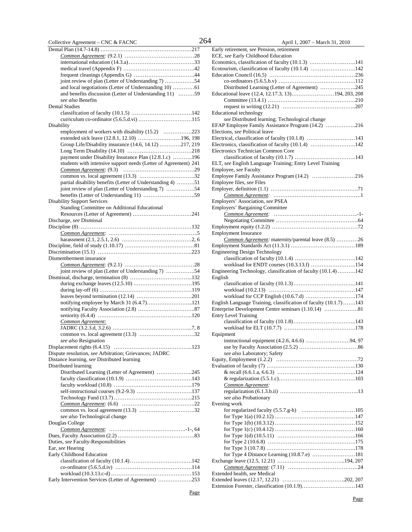| Collective Agreement - CNC & FACNC                                           |  |
|------------------------------------------------------------------------------|--|
|                                                                              |  |
|                                                                              |  |
|                                                                              |  |
|                                                                              |  |
|                                                                              |  |
| joint review of plan (Letter of Understanding 7) 54                          |  |
|                                                                              |  |
| and benefits discussion (Letter of Understanding 11) 59<br>see also Benefits |  |
| <b>Dental Studies</b>                                                        |  |
|                                                                              |  |
|                                                                              |  |
| Disability                                                                   |  |
| employment of workers with disability (15.2) 223                             |  |
| extended sick leave (12.8.1, 12.10) 196, 198                                 |  |
| Group Life/Disability insurance (14.6, 14.12) 217, 219                       |  |
|                                                                              |  |
| payment under Disability Insurance Plan (12.8.1.c) 196                       |  |
| students with intensive support needs (Letter of Agreement) 241              |  |
|                                                                              |  |
| partial disability benefits (Letter of Understanding 4) 51                   |  |
| joint review of plan (Letter of Understanding 7) 54                          |  |
|                                                                              |  |
| <b>Disability Support Services</b>                                           |  |
| Standing Committee on Additional Educational                                 |  |
|                                                                              |  |
| Discharge, see Dismissal                                                     |  |
|                                                                              |  |
|                                                                              |  |
|                                                                              |  |
|                                                                              |  |
| Dismemberment insurance                                                      |  |
|                                                                              |  |
| joint review of plan (Letter of Understanding 7) 54                          |  |
|                                                                              |  |
|                                                                              |  |
|                                                                              |  |
| notifying employee by March 31 (6.4.7)121                                    |  |
|                                                                              |  |
|                                                                              |  |
| Common Agreement:                                                            |  |
|                                                                              |  |
|                                                                              |  |
| see also Resignation                                                         |  |
| Dispute resolution, see Arbitration; Grievances; JADRC                       |  |
| Distance learning, see Distributed learning                                  |  |
| Distributed learning                                                         |  |
| Distributed Learning (Letter of Agreement) 245                               |  |
|                                                                              |  |
|                                                                              |  |
|                                                                              |  |
|                                                                              |  |
|                                                                              |  |
| see also Technological change                                                |  |
| Douglas College                                                              |  |
|                                                                              |  |
|                                                                              |  |
| Duties, see Faculty-Responsibilities                                         |  |
| Ear, see Hearing                                                             |  |
| Early Childhood Education                                                    |  |
|                                                                              |  |
|                                                                              |  |
| Early Intervention Services (Letter of Agreement) 253                        |  |
|                                                                              |  |

April 1,  $2007 - March 31, 2010$ 

| $\Delta p$ H 1, 2007 – March 91, 2010                                                                   |
|---------------------------------------------------------------------------------------------------------|
| Early retirement, see Pension, retirement                                                               |
| ECE, see Early Childhood Education                                                                      |
| Economics, classification of faculty (10.1.3) 141<br>Ecotourism, classification of faculty (10.1.4) 142 |
|                                                                                                         |
|                                                                                                         |
| Distributed Learning (Letter of Agreement) 245                                                          |
| Educational leave (12.4, 12.17.3, 13)194, 203, 208                                                      |
|                                                                                                         |
|                                                                                                         |
| Educational technology                                                                                  |
| see Distributed learning; Technological change                                                          |
| EFAP Employee Family Assistance Program (14.2) 216                                                      |
| Elections, see Political leave<br>Electrical, classification of faculty (10.1.8) 143                    |
| Electronics, classification of faculty (10.1.4) 142                                                     |
| Electronics Technician Common Core                                                                      |
|                                                                                                         |
| ELT, see English Language Training; Entry Level Training                                                |
| Employee, see Faculty                                                                                   |
| Employee Family Assistance Program (14.2) 216                                                           |
| Employee files, see Files                                                                               |
|                                                                                                         |
|                                                                                                         |
| Employers' Association, see PSEA                                                                        |
| Employers' Bargaining Committee                                                                         |
|                                                                                                         |
|                                                                                                         |
| <b>Employment Insurance</b>                                                                             |
| Common Agreement: maternity/parental leave (8.5) 26                                                     |
|                                                                                                         |
| <b>Engineering Design Technology</b>                                                                    |
|                                                                                                         |
| workload for ENDT courses (10.3.13.f) 154                                                               |
|                                                                                                         |
| Engineering Technology, classification of faculty (10.1.4) 142                                          |
| English                                                                                                 |
|                                                                                                         |
|                                                                                                         |
|                                                                                                         |
| English Language Training, classification of faculty (10.1.7) 143                                       |
| Enterprise Development Centre seminars (1.10.14) 81                                                     |
| <b>Entry Level Training</b>                                                                             |
|                                                                                                         |
| Equipment                                                                                               |
|                                                                                                         |
| instructional equipment (4.2.6, 4.6.6) 94, 97                                                           |
| see also Laboratory; Safety                                                                             |
|                                                                                                         |
|                                                                                                         |
|                                                                                                         |
|                                                                                                         |
| Common Agreement:                                                                                       |
|                                                                                                         |
| see also Probationary                                                                                   |
| Evening work                                                                                            |
|                                                                                                         |
|                                                                                                         |
|                                                                                                         |
|                                                                                                         |
|                                                                                                         |
|                                                                                                         |
| for Type 4 Distance Learning (10.8.7.e) 181                                                             |
|                                                                                                         |
|                                                                                                         |
| Extended health, see Medical                                                                            |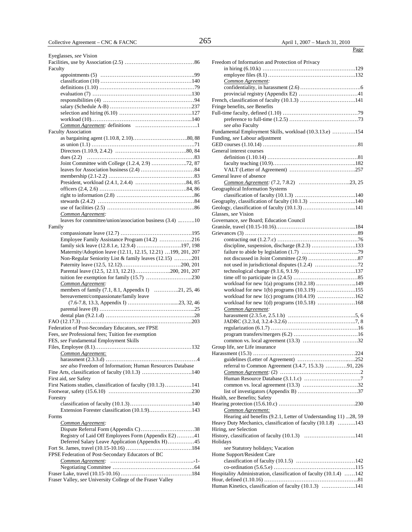| Eyeglasses, see Vision                                       |
|--------------------------------------------------------------|
|                                                              |
| Faculty                                                      |
|                                                              |
|                                                              |
|                                                              |
|                                                              |
|                                                              |
|                                                              |
|                                                              |
|                                                              |
|                                                              |
| <b>Faculty Association</b>                                   |
|                                                              |
|                                                              |
|                                                              |
|                                                              |
|                                                              |
|                                                              |
|                                                              |
|                                                              |
|                                                              |
|                                                              |
|                                                              |
|                                                              |
| Common Agreement:                                            |
| leaves for committee/union/association business (3.4) 10     |
| Family                                                       |
|                                                              |
| Employee Family Assistance Program (14.2) 216                |
| family sick leave (12.8.1.e, 12.9.4) 197, 198                |
|                                                              |
| Maternity/Adoption leave (12.11, 12.15, 12.21) 199, 201, 207 |
| Non-Regular Seniority List & family leaves (12.15) 201       |
|                                                              |
| Parental leave (12.5, 12.13, 12.21)200, 201, 207             |
|                                                              |
| Common Agreement:                                            |
| members of family (7.1, 8.1, Appendix I) 21, 25, 46          |
| bereavement/compassionate/family leave                       |
|                                                              |
|                                                              |
|                                                              |
|                                                              |
| Federation of Post-Secondary Educators, see FPSE             |
| Fees, see Professional fees; Tuition fee exemption           |
| FES, see Fundamental Employment Skills                       |
|                                                              |
| Common Agreement:                                            |
|                                                              |
| see also Freedom of Information; Human Resources Database    |
| Fine Arts, classification of faculty (10.1.3) 140            |
| First aid, see Safety                                        |
| First Nations studies, classification of faculty (10.1.3)141 |
|                                                              |
| Forestry                                                     |
|                                                              |
| Extension Forester classification (10.1.9)143                |
| Forms                                                        |
| Common Agreement:                                            |
|                                                              |
| Registry of Laid Off Employees Form (Appendix E2) 41         |
| Deferred Salary Leave Application (Appendix H)45             |
|                                                              |
|                                                              |
| FPSE Federation of Post-Secondary Educators of BC            |
|                                                              |
|                                                              |
|                                                              |
| Fraser Valley, see University College of the Fraser Valley   |

| Freedom of Information and Protection of Privacy                   |
|--------------------------------------------------------------------|
|                                                                    |
|                                                                    |
| Common Agreement:                                                  |
|                                                                    |
|                                                                    |
|                                                                    |
| Fringe benefits, see Benefits                                      |
|                                                                    |
|                                                                    |
| see also Faculty                                                   |
| Fundamental Employment Skills, workload (10.3.13.e) 154            |
| Funding, see Labour adjustment                                     |
|                                                                    |
| General interest courses                                           |
|                                                                    |
|                                                                    |
|                                                                    |
| General leave of absence                                           |
|                                                                    |
| Geographical Information Systems                                   |
|                                                                    |
| Geography, classification of faculty (10.1.3) 140                  |
| Geology, classification of faculty (10.1.3) 141                    |
| Glasses, see Vision                                                |
| Governance, see Board; Education Council                           |
|                                                                    |
|                                                                    |
|                                                                    |
| discipline, suspension, discharge (8.2.3) 133                      |
|                                                                    |
|                                                                    |
|                                                                    |
|                                                                    |
|                                                                    |
| workload for new 1(a) programs (10.2.18) 149                       |
|                                                                    |
|                                                                    |
| workload for new 1(c) programs (10.4.19) 162                       |
|                                                                    |
| Common Agreement:                                                  |
|                                                                    |
|                                                                    |
|                                                                    |
|                                                                    |
|                                                                    |
| Group life, see Life insurance                                     |
|                                                                    |
|                                                                    |
| referral to Common Agreement (3.4.7, 15.3.3) 91, 226               |
|                                                                    |
|                                                                    |
|                                                                    |
|                                                                    |
| Health, see Benefits; Safety                                       |
|                                                                    |
| Common Agreement:                                                  |
| Hearing aid benefits (9.2.1, Letter of Understanding 11) 28, 59    |
| Heavy Duty Mechanics, classification of faculty (10.1.8) 143       |
| Hiring, see Selection                                              |
|                                                                    |
| Holidays                                                           |
| see Statutory holidays; Vacation                                   |
| Home Support/Resident Care                                         |
|                                                                    |
|                                                                    |
| Hospitality Administration, classification of faculty (10.1.4) 142 |
|                                                                    |
| Human Kinetics, classification of faculty (10.1.3) 141             |
|                                                                    |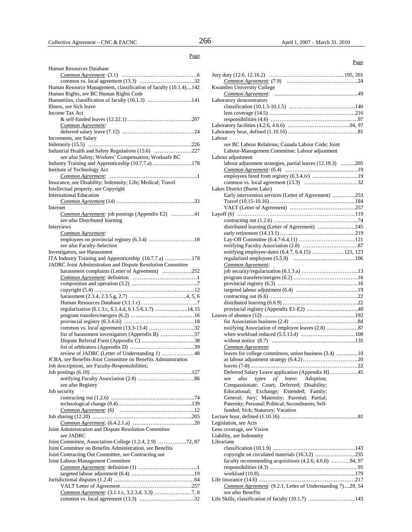| Human Resources Database                                                                                   |
|------------------------------------------------------------------------------------------------------------|
|                                                                                                            |
|                                                                                                            |
| Human Resource Management, classification of faculty (10.1.4)142                                           |
| Human Rights, see BC Human Rights Code                                                                     |
| Humanities, classification of faculty (10.1.3) 141                                                         |
| Illness, see Sick leave                                                                                    |
| <b>Income Tax Act</b>                                                                                      |
|                                                                                                            |
| Common Agreement:                                                                                          |
|                                                                                                            |
| Increments, see Salary                                                                                     |
|                                                                                                            |
| Industrial Health and Safety Regulations (15.6) 227<br>see also Safety; Workers' Compensation; Worksafe BC |
| Industry Training and Apprenticeship (10.7.7.a) 178                                                        |
| Institute of Technology Act                                                                                |
|                                                                                                            |
| Insurance, see Disability; Indemnity; Life; Medical; Travel                                                |
| Intellectual property, see Copyright                                                                       |
| <b>International Education</b>                                                                             |
|                                                                                                            |
| Internet                                                                                                   |
| Common Agreement: job postings (Appendix E2) 41                                                            |
| see also Distributed learning                                                                              |
| <b>Interviews</b>                                                                                          |
| Common Agreement:                                                                                          |
| employees on provincial registry (6.3.4) 18                                                                |
| see also Faculty-Selection                                                                                 |
| Investigators, see Harassment                                                                              |
| ITA Industry Training and Apprenticeship (10.7.7.a) 178                                                    |
| JADRC Joint Administration and Dispute Resolution Committee                                                |
| harassment complaints (Letter of Agreement) 252                                                            |
|                                                                                                            |
|                                                                                                            |
|                                                                                                            |
|                                                                                                            |
|                                                                                                            |
| regularization (6.1.3.c, 6.1.4.d, 6.1.5-6.1.7) 14, 15                                                      |
|                                                                                                            |
|                                                                                                            |
|                                                                                                            |
| list of harassment investigators (Appendix B) 37                                                           |
| Dispute Referral Form (Appendix C) 38                                                                      |
| review of JADRC (Letter of Understanding 1) 48                                                             |
| JCBA, see Benefits-Joint Committee on Benefits Administration                                              |
|                                                                                                            |
| Job descriptions, see Faculty-Responsibilities;                                                            |
|                                                                                                            |
| see also Registry                                                                                          |
| Job security                                                                                               |
|                                                                                                            |
|                                                                                                            |
|                                                                                                            |
|                                                                                                            |
|                                                                                                            |
| Joint Administration and Dispute Resolution Committee                                                      |
| see JADRC                                                                                                  |
|                                                                                                            |
| Joint Committee on Benefits Administration, see Benefits                                                   |
| Joint Contracting Out Committee, see Contracting out                                                       |
| Joint Labour-Management Committee                                                                          |
|                                                                                                            |
|                                                                                                            |
|                                                                                                            |
|                                                                                                            |
|                                                                                                            |
|                                                                                                            |

| Page                                                                            |
|---------------------------------------------------------------------------------|
|                                                                                 |
|                                                                                 |
| <b>Kwantlen University College</b>                                              |
|                                                                                 |
| Laboratory demonstrators                                                        |
|                                                                                 |
|                                                                                 |
|                                                                                 |
|                                                                                 |
| Labour                                                                          |
| see BC Labour Relations; Canada Labour Code; Joint                              |
| Labour-Management Committee; Labour adjustment                                  |
| Labour adjustment<br>labour adjustment strategies, partial leaves (12.19.3) 205 |
|                                                                                 |
| employees hired from registry (6.3.4.iv) 19                                     |
|                                                                                 |
| Lakes District (Burns Lake)                                                     |
| Early intervention services (Letter of Agreement) 253                           |
|                                                                                 |
|                                                                                 |
|                                                                                 |
|                                                                                 |
| distributed learning (Letter of Agreement) 245                                  |
|                                                                                 |
|                                                                                 |
| notifying employee-dates (6.4.7, 6.4.15) 121, 123                               |
|                                                                                 |
| Common Agreement:                                                               |
|                                                                                 |
|                                                                                 |
|                                                                                 |
|                                                                                 |
|                                                                                 |
| provincial registry (Appendix E1-E2) 40                                         |
|                                                                                 |
|                                                                                 |
| notifying Association of employee leaves (2.8) 87                               |
|                                                                                 |
|                                                                                 |
| Common Agreement:                                                               |
| leaves for college committees, union business (3.4) 10                          |
|                                                                                 |
| Deferred Salary Leave application (Appendix H)45                                |
| of leave:<br>Adoption;<br>also<br>types<br>see                                  |
| Compassionate; Court; Deferred; Disability;                                     |
| Educational; Exchange; Extended; Family;                                        |
| General; Jury; Maternity; Parental; Partial;                                    |
| Paternity; Personal; Political; Secondments; Self-                              |
| funded; Sick; Statutory; Vacation                                               |
|                                                                                 |
| Legislation, see Acts                                                           |
| Lens coverage, see Vision                                                       |
| Liability, see Indemnity<br>Librarians                                          |
|                                                                                 |
| copyright on circulated materials (16.3.2) 235                                  |
| faculty recommending acquisitions (4.2.6, 4.6.6) 94, 97                         |
|                                                                                 |
|                                                                                 |
|                                                                                 |
| Common Agreement: (9.2.1, Letter of Understanding 7)28, 54                      |
| see also Benefits                                                               |
| Life Skills, classification of faculty (10.1.7) 143                             |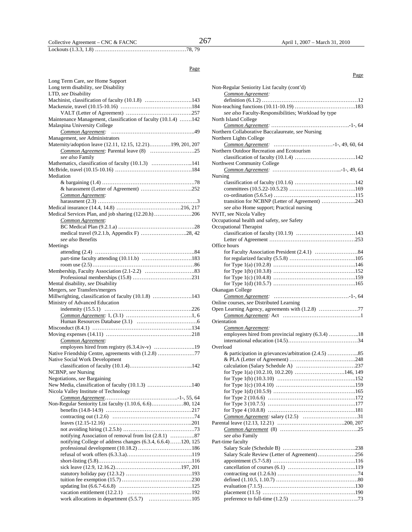### Collective Agreement – CNC & FACNC  $267$  April 1, 2007 – March 31, 2010

Lockouts (1.3.3, 1.8) ……………………………………………78, 79

#### Page

| Long Term Care, see Home Support                                 |
|------------------------------------------------------------------|
| Long term disability, see Disability                             |
| LTD, see Disability                                              |
| Machinist, classification of faculty (10.1.8) 143                |
|                                                                  |
| Maintenance Management, classification of faculty (10.1.4) 142   |
| Malaspina University College                                     |
|                                                                  |
| Management, see Administrators                                   |
| Maternity/adoption leave (12.11, 12.15, 12.21)199, 201, 207      |
|                                                                  |
| see also Family                                                  |
| Mathematics, classification of faculty (10.1.3) 141              |
|                                                                  |
| Mediation                                                        |
|                                                                  |
| & harassment (Letter of Agreement) 252                           |
| Common Agreement:                                                |
|                                                                  |
|                                                                  |
| Medical Services Plan, and job sharing (12.20.h) 206             |
| Common Agreement:                                                |
|                                                                  |
| medical travel (9.2.1.b, Appendix F) 28, 42<br>see also Benefits |
|                                                                  |
| Meetings                                                         |
| part-time faculty attending (10.11.b) 183                        |
|                                                                  |
|                                                                  |
|                                                                  |
| Mental disability, see Disability                                |
| Mergers, see Transfers/mergers                                   |
| Millwrighting, classification of faculty (10.1.8) 143            |
| Ministry of Advanced Education                                   |
|                                                                  |
|                                                                  |
|                                                                  |
|                                                                  |
|                                                                  |
| Common Agreement:                                                |
| employees hired from registry (6.3.4.iv-v) 19                    |
| Native Friendship Centre, agreements with (1.2.8) 77             |
| Native Social Work Development                                   |
|                                                                  |
| NCBNP, see Nursing                                               |
| Negotiations, see Bargaining                                     |
| New Media, classification of faculty (10.1.3) 140                |
| Nicola Valley Institute of Technology                            |
|                                                                  |
|                                                                  |
|                                                                  |
|                                                                  |
|                                                                  |
| notifying Association of removal from list (2.8.1) 87            |
| notifying College of address changes (6.3.4, 6.6.4)120, 125      |
| professional development (10.18.2) 186                           |
|                                                                  |
|                                                                  |
|                                                                  |
|                                                                  |
|                                                                  |
|                                                                  |
|                                                                  |

work allocations in department (5.5.7) ……………………105

| Page                                                                         |
|------------------------------------------------------------------------------|
| Non-Regular Seniority List faculty (cont'd)                                  |
| Common Agreement:                                                            |
|                                                                              |
|                                                                              |
| see also Faculty-Responsibilities; Workload by type                          |
| North Island College                                                         |
|                                                                              |
| Northern Collaborative Baccalaureate, see Nursing<br>Northern Lights College |
|                                                                              |
| Northern Outdoor Recreation and Ecotourism                                   |
|                                                                              |
| Northwest Community College                                                  |
|                                                                              |
| Nursing                                                                      |
|                                                                              |
|                                                                              |
|                                                                              |
| transition for NCBNP (Letter of Agreement) 243                               |
| see also Home support; Practical nursing<br>NVIT, see Nicola Valley          |
| Occupational health and safety, see Safety                                   |
| Occupational Therapist                                                       |
|                                                                              |
|                                                                              |
| Office hours                                                                 |
|                                                                              |
|                                                                              |
|                                                                              |
|                                                                              |
|                                                                              |
|                                                                              |
| Okanagan College                                                             |
| Online courses, see Distributed Learning                                     |
| Open Learning Agency, agreements with (1.2.8) 77                             |
|                                                                              |
| Orientation                                                                  |
| Common Agreement:                                                            |
| employees hired from provincial registry (6.3.4) 18                          |
|                                                                              |
| Overload                                                                     |
| & participation in grievances/arbitration (2.4.5) 85                         |
|                                                                              |
| for Type 1(a) $(10.2.10, 10.2.20)$ 146, 149                                  |
|                                                                              |
|                                                                              |
|                                                                              |
|                                                                              |
|                                                                              |
|                                                                              |
|                                                                              |
|                                                                              |
| see also Family                                                              |
| Part-time faculty                                                            |
|                                                                              |
| Salary Scale Review (Letter of Agreement)256                                 |
|                                                                              |
|                                                                              |

contracting out (1.2.6.b) ………………………………………74 defined (1.10.5, 1.10.7) ……………………………………….80 evaluation (7.1.5) …………………………………………….130 placement (11.5) …………………………………………….190 preference to full-time (1.2.5) ………………………………..73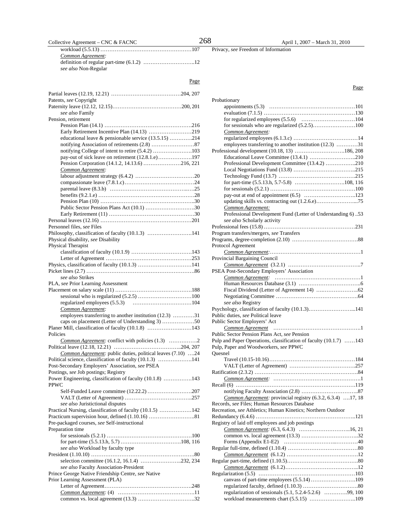Collective Agreement – CNC & FACNC 268 April 1, 2007 – March 31, 2010

workload (5.5.13) ……………………………………………107 *Common Agreement:* definition of regular part-time (6.1.2) ………………………..12 *see also* Non-Regular

Page

| Patents, see Copyright<br>see also Family                                                                   |  |
|-------------------------------------------------------------------------------------------------------------|--|
| Pension, retirement                                                                                         |  |
|                                                                                                             |  |
| Early Retirement Incentive Plan (14.13) 219                                                                 |  |
| educational leave & pensionable service (13.5.15) 214                                                       |  |
|                                                                                                             |  |
| notifying College of intent to retire (5.4.2) 103                                                           |  |
| pay-out of sick leave on retirement (12.8.1.e)197                                                           |  |
| Pension Corporation (14.1.2, 14.13.6) 216, 221                                                              |  |
| Common Agreement:                                                                                           |  |
|                                                                                                             |  |
|                                                                                                             |  |
|                                                                                                             |  |
|                                                                                                             |  |
| Public Sector Pension Plans Act (10.1) 30                                                                   |  |
|                                                                                                             |  |
|                                                                                                             |  |
| Personnel files, see Files                                                                                  |  |
| Philosophy, classification of faculty (10.1.3) 141                                                          |  |
| Physical disability, see Disability                                                                         |  |
| <b>Physical Therapist</b>                                                                                   |  |
|                                                                                                             |  |
|                                                                                                             |  |
|                                                                                                             |  |
|                                                                                                             |  |
| see also Strikes                                                                                            |  |
| PLA, see Prior Learning Assessment                                                                          |  |
|                                                                                                             |  |
|                                                                                                             |  |
|                                                                                                             |  |
| Common Agreement:                                                                                           |  |
| employees transferring to another institution (12.3) 31<br>caps on placement (Letter of Understanding 3) 50 |  |
| Planer Mill, classification of faculty (10.1.8) 143                                                         |  |
| Policies                                                                                                    |  |
| Common Agreement: conflict with policies (1.3) 2                                                            |  |
|                                                                                                             |  |
| Common Agreement: public duties, political leaves (7.10) 24                                                 |  |
| Political science, classification of faculty (10.1.3) 141                                                   |  |
| Post-Secondary Employers' Association, see PSEA                                                             |  |
| Postings, see Job postings; Registry                                                                        |  |
| Power Engineering, classification of faculty (10.1.8) 143<br>PPWC                                           |  |
|                                                                                                             |  |
|                                                                                                             |  |
| see also Juristictional disputes                                                                            |  |
| Practical Nursing, classification of faculty (10.1.5) 142                                                   |  |
|                                                                                                             |  |
| Pre-packaged courses, see Self-instructional<br>Preparation time                                            |  |
|                                                                                                             |  |
|                                                                                                             |  |
| see also Workload by faculty type                                                                           |  |
|                                                                                                             |  |
| selection committee (16.1.2, 16.1.4) 232, 234                                                               |  |
| see also Faculty Association-President                                                                      |  |
| Prince George Native Friendship Centre, see Native                                                          |  |
| Prior Learning Assessment (PLA)                                                                             |  |
|                                                                                                             |  |
|                                                                                                             |  |
|                                                                                                             |  |

| Probationary                                                                                 |
|----------------------------------------------------------------------------------------------|
|                                                                                              |
|                                                                                              |
|                                                                                              |
|                                                                                              |
| Common Agreement:                                                                            |
|                                                                                              |
| employees transferring to another institution (12.3) 31                                      |
| Professional development (10.18, 13) 186, 208                                                |
| Educational Leave Committee (13.4.1) 210                                                     |
| Professional Development Committee (13.4.2) 210                                              |
|                                                                                              |
|                                                                                              |
|                                                                                              |
|                                                                                              |
|                                                                                              |
| updating skills vs. contracting out (1.2.6.e)75                                              |
| Common Agreement:                                                                            |
| Professional Development Fund (Letter of Understanding 6) 53                                 |
| see also Scholarly activity                                                                  |
|                                                                                              |
| Program transfers/mergers, see Transfers                                                     |
|                                                                                              |
| Protocol Agreement                                                                           |
|                                                                                              |
| Provincial Bargaining Council                                                                |
|                                                                                              |
| PSEA Post-Secondary Employers' Association                                                   |
|                                                                                              |
|                                                                                              |
|                                                                                              |
|                                                                                              |
| see also Registry                                                                            |
| Psychology, classification of faculty (10.1.3)141                                            |
| Public duties, see Political leave                                                           |
| Public Sector Employers' Act                                                                 |
|                                                                                              |
| Public Sector Pension Plans Act, see Pension                                                 |
| Pulp and Paper Operations, classification of faculty (10.1.7) 143                            |
| Pulp, Paper and Woodworkers, see PPWC                                                        |
| Ouesnel                                                                                      |
|                                                                                              |
|                                                                                              |
|                                                                                              |
|                                                                                              |
|                                                                                              |
|                                                                                              |
|                                                                                              |
| Common Agreement: provincial registry (6.3.2, 6.3.4) 17, 18                                  |
| Records, see Files; Human Resources Database                                                 |
| Recreation, see Athletics; Human Kinetics; Northern Outdoor                                  |
|                                                                                              |
| Registry of laid off employees and job postings                                              |
|                                                                                              |
|                                                                                              |
| Forms (Appendix E1-E2) $\dots\dots\dots\dots\dots\dots\dots\dots\dots\dots\dots\dots\dots40$ |
|                                                                                              |
|                                                                                              |
|                                                                                              |
|                                                                                              |
|                                                                                              |
| canvass of part-time employees (5.5.14)109                                                   |
|                                                                                              |
| regularization of sessionals (5.1, 5.2.4-5.2.6) 99, 100                                      |
| workload measurements chart (5.5.15) 109                                                     |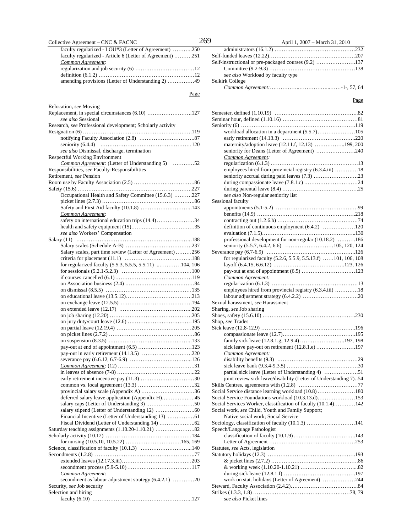| Collective Agreement - CNC & FACNC                                         | 269  | April 1, 2007 – March 31, 2010                                |
|----------------------------------------------------------------------------|------|---------------------------------------------------------------|
| faculty regularized - LOU#3 (Letter of Agreement) 250                      |      |                                                               |
| faculty regularized - Article 6 (Letter of Agreement) 251                  |      |                                                               |
| Common Agreement:                                                          |      | Self-instructional or pre-packaged courses (9.2)              |
|                                                                            |      |                                                               |
|                                                                            |      | see also Workload by faculty type                             |
| amending provisions (Letter of Understanding 2) 49                         |      | Selkirk College                                               |
|                                                                            |      |                                                               |
|                                                                            | Page |                                                               |
| Relocation, see Moving                                                     |      |                                                               |
| Replacement, in special circumstances (6.10) 127                           |      |                                                               |
| see also Sessional                                                         |      |                                                               |
| Research, see Professional development; Scholarly activity                 |      |                                                               |
|                                                                            |      |                                                               |
|                                                                            |      |                                                               |
|                                                                            |      | maternity/adoption leave (12.11.f, 12.13) 199                 |
| see also Dismissal, discharge, termination                                 |      | seniority for Deans (Letter of Agreement)                     |
| Respectful Working Environment                                             |      | Common Agreement:                                             |
| Common Agreement: (Letter of Understanding 5) 52                           |      |                                                               |
| Responsibilities, see Faculty-Responsibilities                             |      | employees hired from provincial registry (6.3.4.iii)          |
| Retirement, see Pension                                                    |      |                                                               |
|                                                                            |      |                                                               |
|                                                                            |      | see also Non-regular seniority list                           |
| Occupational Health and Safety Committee (15.6.3) 227                      |      | Sessional faculty                                             |
|                                                                            |      |                                                               |
| Common Agreement:                                                          |      |                                                               |
| safety on international education trips (14.4)34                           |      |                                                               |
|                                                                            |      | definition of continuous employment (6.4.2)                   |
| see also Workers' Compensation                                             |      |                                                               |
|                                                                            |      | professional development for non-regular (10.18.2)            |
|                                                                            |      |                                                               |
| Salary scales, part time review (Letter of Agreement) 256                  |      |                                                               |
|                                                                            |      | for regularized faculty (5.2.6, 5.5.9, 5.5.13.f) 101, 106     |
| for regularized faculty (5.5.3, 5.5.5, 5.5.11) 104, 106                    |      |                                                               |
|                                                                            |      |                                                               |
|                                                                            |      | Common Agreement:                                             |
|                                                                            |      |                                                               |
|                                                                            |      | employees hired from provincial registry (6.3.4.iii)          |
|                                                                            |      | Sexual harassment, see Harassment                             |
|                                                                            |      | Sharing, see Job sharing                                      |
|                                                                            |      |                                                               |
|                                                                            |      | Shop, see Trades                                              |
|                                                                            |      |                                                               |
|                                                                            |      |                                                               |
|                                                                            |      | family sick leave (12.8.1.g, 12.9.4) 197                      |
|                                                                            |      |                                                               |
| pay-out in early retirement (14.13.5) 220                                  |      | Common Agreement:                                             |
|                                                                            |      |                                                               |
|                                                                            |      |                                                               |
|                                                                            |      | partial sick leave (Letter of Understanding 4)                |
|                                                                            |      | joint review sick leave/disability (Letter of Understanding 7 |
|                                                                            |      | Social Service distance learning workload (10.8)              |
| deferred salary leave application (Appendix H)45                           |      | Social Service Foundations workload (10.3.13.d)               |
|                                                                            |      | Social Services Worker, classification of faculty (10.1.4)    |
|                                                                            |      | Social work, see Child, Youth and Family Support;             |
|                                                                            |      | Native social work; Social Service                            |
|                                                                            |      |                                                               |
|                                                                            |      | Speech/Language Pathologist                                   |
|                                                                            |      |                                                               |
|                                                                            |      |                                                               |
|                                                                            |      | Statutes, see Acts, legislation                               |
|                                                                            |      |                                                               |
|                                                                            |      |                                                               |
|                                                                            |      |                                                               |
| Common Agreement:<br>secondment as labour adjustment strategy (6.4.2.1) 20 |      | work on stat. holidays (Letter of Agreement)                  |
| Security, see Job security                                                 |      |                                                               |
| Selection and hiring                                                       |      |                                                               |
|                                                                            |      | see also Picket lines                                         |
|                                                                            |      |                                                               |

| April 1, 2007 – March 31, 2010 |
|--------------------------------|
|                                |
|                                |
|                                |
|                                |

| workload allocation in a department (5.5.7)105                   |
|------------------------------------------------------------------|
|                                                                  |
| maternity/adoption leave (12.11.f, 12.13) 199, 200               |
| seniority for Deans (Letter of Agreement) 240                    |
| Common Agreement:                                                |
|                                                                  |
| employees hired from provincial registry (6.3.4.iii) 18          |
|                                                                  |
|                                                                  |
|                                                                  |
| see also Non-regular seniority list                              |
| Sessional faculty                                                |
|                                                                  |
|                                                                  |
|                                                                  |
| definition of continuous employment (6.4.2) 120                  |
|                                                                  |
| professional development for non-regular (10.18.2) 186           |
|                                                                  |
|                                                                  |
| for regularized faculty (5.2.6, 5.5.9, 5.5.13.f) 101, 106, 108   |
|                                                                  |
|                                                                  |
| Common Agreement:                                                |
|                                                                  |
| employees hired from provincial registry (6.3.4.iii) 18          |
|                                                                  |
| Sexual harassment, see Harassment                                |
| Sharing, see Job sharing                                         |
|                                                                  |
| Shop, see Trades                                                 |
|                                                                  |
|                                                                  |
|                                                                  |
| family sick leave (12.8.1.g, 12.9.4) 197, 198                    |
| sick leave pay-out on retirement (12.8.1.e) 197                  |
| Common Agreement:                                                |
|                                                                  |
|                                                                  |
| partial sick leave (Letter of Understanding 4) 51                |
| joint review sick leave/disability (Letter of Understanding 7)54 |
|                                                                  |
| Social Service distance learning workload (10.8) 180             |
| Social Service Foundations workload (10.3.13.d)153               |
| Social Services Worker, classification of faculty (10.1.4)142    |
| Social work, see Child, Youth and Family Support;                |
| Native social work; Social Service                               |
| Sociology, classification of faculty (10.1.3) 141                |
| Speech/Language Pathologist                                      |
|                                                                  |
|                                                                  |
| Statutes, see Acts, legislation                                  |
|                                                                  |
|                                                                  |
|                                                                  |
|                                                                  |
| work on stat. holidays (Letter of Agreement) 244                 |
|                                                                  |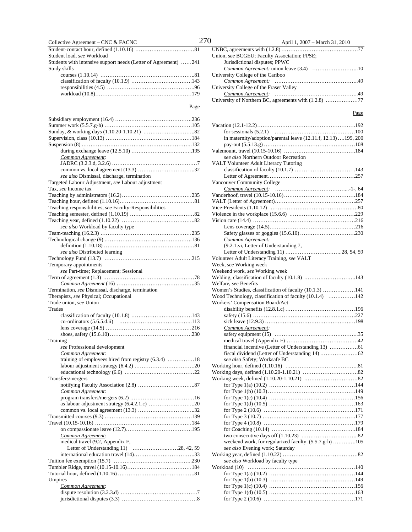### Collective Agreement – CNC & FACNC  $270$  April 1, 2007 – March 31, 2010

Student-contact hour, defined (1.10.16) ……………………………81 Student load, *see* Workload Students with intensive support needs (Letter of Agreement) ……241 Study skills courses (1.10.14) ……………………………………………..81 classification of faculty (10.1.9) …………………………….143 responsibilities (4.5) ………………………………………….96 workload (10.8)………………………………………………179

| Common Agreement:                                       |
|---------------------------------------------------------|
|                                                         |
|                                                         |
| see also Dismissal, discharge, termination              |
| Targeted Labour Adjustment, see Labour adjustment       |
| Tax, see Income tax                                     |
|                                                         |
|                                                         |
| Teaching responsibilities, see Faculty-Responsibilities |
|                                                         |
| see also Workload by faculty type                       |
|                                                         |
|                                                         |
|                                                         |
| see also Distributed learning                           |
|                                                         |
| Temporary appointments                                  |
| see Part-time; Replacement; Sessional                   |
|                                                         |
|                                                         |
| Termination, see Dismissal, discharge, termination      |
| Therapists, see Physical; Occupational                  |
| Trade union, see Union                                  |
| Trades                                                  |
|                                                         |
|                                                         |
|                                                         |
|                                                         |
| Training<br>see Professional development                |
| Common Agreement:                                       |
| training of employees hired from registry (6.3.4) 18    |
|                                                         |
|                                                         |
| Transfers/mergers                                       |
|                                                         |
| Common Agreement:                                       |
|                                                         |
|                                                         |
|                                                         |
|                                                         |
|                                                         |
|                                                         |
| Common Agreement:                                       |
| medical travel (9.2, Appendix F,                        |
|                                                         |
|                                                         |
|                                                         |
|                                                         |
| Umpires                                                 |
| Common Agreement:                                       |
|                                                         |
|                                                         |
|                                                         |

| Union, see BCGEU; Faculty Association; FPSE; |
|----------------------------------------------|
| Jurisdictional disputes; PPWC                |
|                                              |
| University College of the Cariboo            |
|                                              |
| University College of the Fraser Valley      |
|                                              |
|                                              |

#### Page

| in maternity/adoption/parental leave (12.11.f, 12.13) 199, 200 |  |
|----------------------------------------------------------------|--|
|                                                                |  |
|                                                                |  |
| see also Northern Outdoor Recreation                           |  |
| VALT Volunteer Adult Literacy Tutoring                         |  |
|                                                                |  |
|                                                                |  |
| <b>Vancouver Community College</b>                             |  |
|                                                                |  |
|                                                                |  |
|                                                                |  |
|                                                                |  |
|                                                                |  |
|                                                                |  |
|                                                                |  |
|                                                                |  |
| Common Agreement:                                              |  |
| (9.2.1.vi, Letter of Understanding 7,                          |  |
|                                                                |  |
| Volunteer Adult Literacy Training, see VALT                    |  |
| Week, see Working week                                         |  |
| Weekend work, see Working week                                 |  |
| Welding, classification of faculty (10.1.8) 143                |  |
| Welfare, see Benefits                                          |  |
| Women's Studies, classification of faculty (10.1.3) 141        |  |
| Wood Technology, classification of faculty (10.1.4) 142        |  |
| Workers' Compensation Board/Act                                |  |
|                                                                |  |
|                                                                |  |
|                                                                |  |
| Common Agreement:                                              |  |
|                                                                |  |
|                                                                |  |
|                                                                |  |
|                                                                |  |
| see also Safety; Worksafe BC                                   |  |
|                                                                |  |
|                                                                |  |
|                                                                |  |
|                                                                |  |
|                                                                |  |
|                                                                |  |
|                                                                |  |
|                                                                |  |
|                                                                |  |
|                                                                |  |
|                                                                |  |
|                                                                |  |
| weekend work, for regularized faculty (5.5.7.g-h) 105          |  |
| see also Evening work; Saturday                                |  |
|                                                                |  |
| see also Workload by faculty type                              |  |
| Workload (10)                                                  |  |
|                                                                |  |
|                                                                |  |
|                                                                |  |
|                                                                |  |
|                                                                |  |
|                                                                |  |